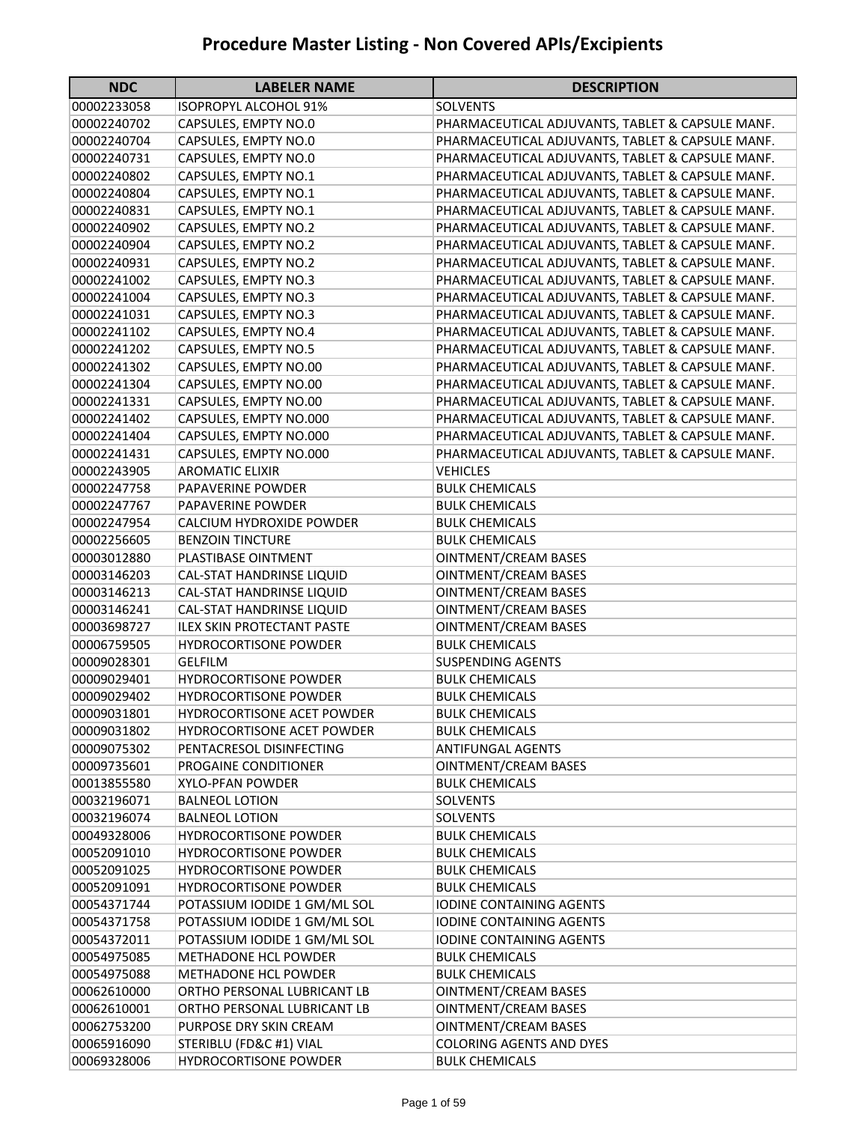| <b>NDC</b>  | <b>LABELER NAME</b>               | <b>DESCRIPTION</b>                               |
|-------------|-----------------------------------|--------------------------------------------------|
| 00002233058 | <b>ISOPROPYL ALCOHOL 91%</b>      | <b>SOLVENTS</b>                                  |
| 00002240702 | CAPSULES, EMPTY NO.0              | PHARMACEUTICAL ADJUVANTS, TABLET & CAPSULE MANF. |
| 00002240704 | CAPSULES, EMPTY NO.0              | PHARMACEUTICAL ADJUVANTS, TABLET & CAPSULE MANF. |
| 00002240731 | CAPSULES, EMPTY NO.0              | PHARMACEUTICAL ADJUVANTS, TABLET & CAPSULE MANF. |
| 00002240802 | CAPSULES, EMPTY NO.1              | PHARMACEUTICAL ADJUVANTS, TABLET & CAPSULE MANF. |
| 00002240804 | CAPSULES, EMPTY NO.1              | PHARMACEUTICAL ADJUVANTS, TABLET & CAPSULE MANF. |
| 00002240831 | CAPSULES, EMPTY NO.1              | PHARMACEUTICAL ADJUVANTS, TABLET & CAPSULE MANF. |
| 00002240902 | CAPSULES, EMPTY NO.2              | PHARMACEUTICAL ADJUVANTS, TABLET & CAPSULE MANF. |
| 00002240904 | CAPSULES, EMPTY NO.2              | PHARMACEUTICAL ADJUVANTS, TABLET & CAPSULE MANF. |
| 00002240931 | CAPSULES, EMPTY NO.2              | PHARMACEUTICAL ADJUVANTS, TABLET & CAPSULE MANF. |
| 00002241002 | CAPSULES, EMPTY NO.3              | PHARMACEUTICAL ADJUVANTS, TABLET & CAPSULE MANF. |
| 00002241004 | CAPSULES, EMPTY NO.3              | PHARMACEUTICAL ADJUVANTS, TABLET & CAPSULE MANF. |
| 00002241031 | CAPSULES, EMPTY NO.3              | PHARMACEUTICAL ADJUVANTS, TABLET & CAPSULE MANF. |
| 00002241102 | CAPSULES, EMPTY NO.4              | PHARMACEUTICAL ADJUVANTS, TABLET & CAPSULE MANF. |
| 00002241202 | CAPSULES, EMPTY NO.5              | PHARMACEUTICAL ADJUVANTS, TABLET & CAPSULE MANF. |
| 00002241302 | CAPSULES, EMPTY NO.00             | PHARMACEUTICAL ADJUVANTS, TABLET & CAPSULE MANF. |
| 00002241304 | CAPSULES, EMPTY NO.00             | PHARMACEUTICAL ADJUVANTS, TABLET & CAPSULE MANF. |
| 00002241331 | CAPSULES, EMPTY NO.00             | PHARMACEUTICAL ADJUVANTS, TABLET & CAPSULE MANF. |
| 00002241402 | CAPSULES, EMPTY NO.000            | PHARMACEUTICAL ADJUVANTS, TABLET & CAPSULE MANF. |
| 00002241404 | CAPSULES, EMPTY NO.000            | PHARMACEUTICAL ADJUVANTS, TABLET & CAPSULE MANF. |
| 00002241431 | CAPSULES, EMPTY NO.000            | PHARMACEUTICAL ADJUVANTS, TABLET & CAPSULE MANF. |
| 00002243905 | <b>AROMATIC ELIXIR</b>            | <b>VEHICLES</b>                                  |
| 00002247758 | <b>PAPAVERINE POWDER</b>          | <b>BULK CHEMICALS</b>                            |
| 00002247767 | <b>PAPAVERINE POWDER</b>          | <b>BULK CHEMICALS</b>                            |
| 00002247954 | CALCIUM HYDROXIDE POWDER          | <b>BULK CHEMICALS</b>                            |
| 00002256605 | <b>BENZOIN TINCTURE</b>           | <b>BULK CHEMICALS</b>                            |
| 00003012880 | PLASTIBASE OINTMENT               | <b>OINTMENT/CREAM BASES</b>                      |
| 00003146203 | CAL-STAT HANDRINSE LIQUID         | <b>OINTMENT/CREAM BASES</b>                      |
| 00003146213 | CAL-STAT HANDRINSE LIQUID         | <b>OINTMENT/CREAM BASES</b>                      |
| 00003146241 | CAL-STAT HANDRINSE LIQUID         | <b>OINTMENT/CREAM BASES</b>                      |
| 00003698727 | <b>ILEX SKIN PROTECTANT PASTE</b> | <b>OINTMENT/CREAM BASES</b>                      |
| 00006759505 | <b>HYDROCORTISONE POWDER</b>      | <b>BULK CHEMICALS</b>                            |
| 00009028301 | <b>GELFILM</b>                    | <b>SUSPENDING AGENTS</b>                         |
| 00009029401 | <b>HYDROCORTISONE POWDER</b>      | <b>BULK CHEMICALS</b>                            |
| 00009029402 | <b>HYDROCORTISONE POWDER</b>      | <b>BULK CHEMICALS</b>                            |
| 00009031801 | HYDROCORTISONE ACET POWDER        | <b>BULK CHEMICALS</b>                            |
| 00009031802 | <b>HYDROCORTISONE ACET POWDER</b> | <b>BULK CHEMICALS</b>                            |
| 00009075302 | PENTACRESOL DISINFECTING          | ANTIFUNGAL AGENTS                                |
| 00009735601 | PROGAINE CONDITIONER              | <b>OINTMENT/CREAM BASES</b>                      |
| 00013855580 | <b>XYLO-PFAN POWDER</b>           | <b>BULK CHEMICALS</b>                            |
| 00032196071 | <b>BALNEOL LOTION</b>             | <b>SOLVENTS</b>                                  |
| 00032196074 | <b>BALNEOL LOTION</b>             | <b>SOLVENTS</b>                                  |
| 00049328006 | HYDROCORTISONE POWDER             | <b>BULK CHEMICALS</b>                            |
| 00052091010 | <b>HYDROCORTISONE POWDER</b>      | <b>BULK CHEMICALS</b>                            |
| 00052091025 | <b>HYDROCORTISONE POWDER</b>      | <b>BULK CHEMICALS</b>                            |
| 00052091091 | <b>HYDROCORTISONE POWDER</b>      | <b>BULK CHEMICALS</b>                            |
| 00054371744 | POTASSIUM IODIDE 1 GM/ML SOL      | IODINE CONTAINING AGENTS                         |
| 00054371758 | POTASSIUM IODIDE 1 GM/ML SOL      | <b>IODINE CONTAINING AGENTS</b>                  |
| 00054372011 | POTASSIUM IODIDE 1 GM/ML SOL      | <b>IODINE CONTAINING AGENTS</b>                  |
| 00054975085 | <b>METHADONE HCL POWDER</b>       | <b>BULK CHEMICALS</b>                            |
| 00054975088 | <b>METHADONE HCL POWDER</b>       | <b>BULK CHEMICALS</b>                            |
| 00062610000 | ORTHO PERSONAL LUBRICANT LB       | OINTMENT/CREAM BASES                             |
| 00062610001 | ORTHO PERSONAL LUBRICANT LB       | OINTMENT/CREAM BASES                             |
| 00062753200 | PURPOSE DRY SKIN CREAM            | OINTMENT/CREAM BASES                             |
| 00065916090 | STERIBLU (FD&C #1) VIAL           | <b>COLORING AGENTS AND DYES</b>                  |
| 00069328006 | <b>HYDROCORTISONE POWDER</b>      | <b>BULK CHEMICALS</b>                            |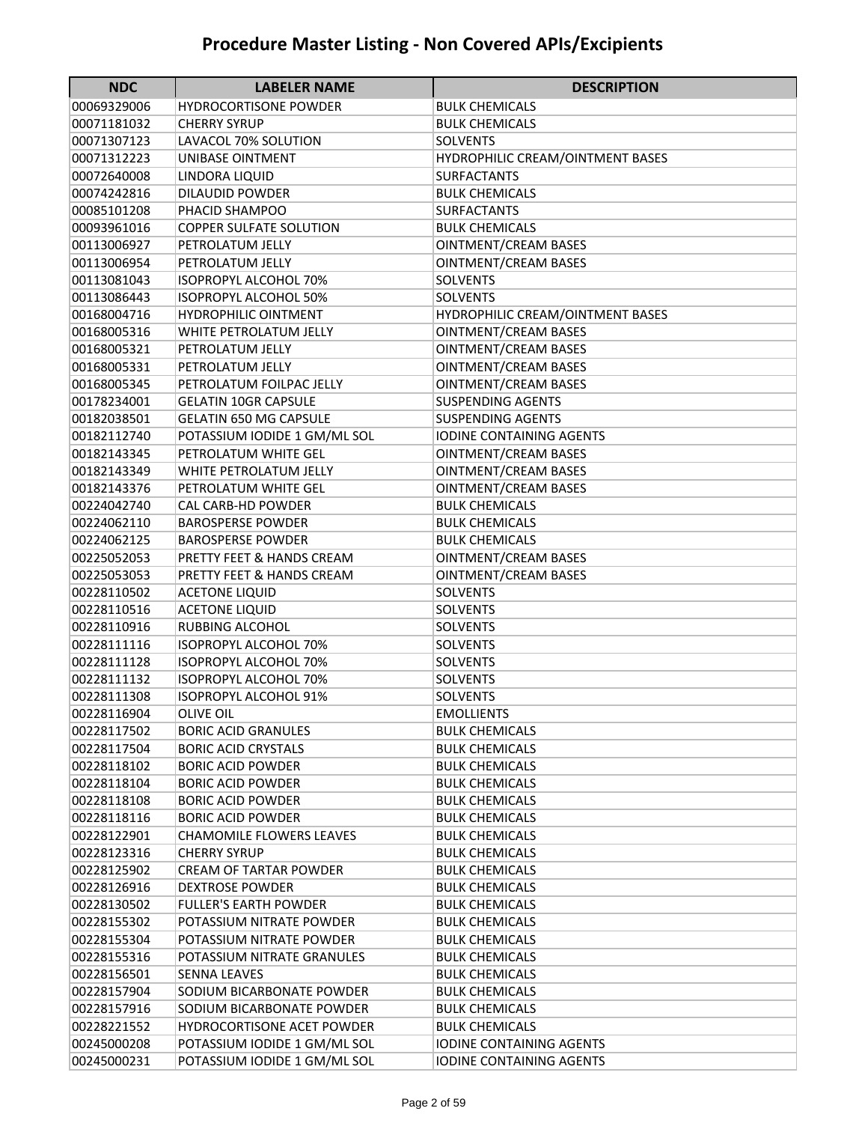| <b>NDC</b>                 | <b>LABELER NAME</b>                            | <b>DESCRIPTION</b>                         |
|----------------------------|------------------------------------------------|--------------------------------------------|
| 00069329006                | <b>HYDROCORTISONE POWDER</b>                   | <b>BULK CHEMICALS</b>                      |
| 00071181032                | <b>CHERRY SYRUP</b>                            | <b>BULK CHEMICALS</b>                      |
| 00071307123                | LAVACOL 70% SOLUTION                           | <b>SOLVENTS</b>                            |
| 00071312223                | UNIBASE OINTMENT                               | HYDROPHILIC CREAM/OINTMENT BASES           |
| 00072640008                | LINDORA LIQUID                                 | <b>SURFACTANTS</b>                         |
| 00074242816                | <b>DILAUDID POWDER</b>                         | <b>BULK CHEMICALS</b>                      |
| 00085101208                | PHACID SHAMPOO                                 | <b>SURFACTANTS</b>                         |
| 00093961016                | <b>COPPER SULFATE SOLUTION</b>                 | <b>BULK CHEMICALS</b>                      |
| 00113006927                | PETROLATUM JELLY                               | <b>OINTMENT/CREAM BASES</b>                |
| 00113006954                | PETROLATUM JELLY                               | <b>OINTMENT/CREAM BASES</b>                |
| 00113081043                | <b>ISOPROPYL ALCOHOL 70%</b>                   | <b>SOLVENTS</b>                            |
| 00113086443                | <b>ISOPROPYL ALCOHOL 50%</b>                   | <b>SOLVENTS</b>                            |
| 00168004716                | <b>HYDROPHILIC OINTMENT</b>                    | HYDROPHILIC CREAM/OINTMENT BASES           |
| 00168005316                | WHITE PETROLATUM JELLY                         | <b>OINTMENT/CREAM BASES</b>                |
| 00168005321                | PETROLATUM JELLY                               | <b>OINTMENT/CREAM BASES</b>                |
| 00168005331                | PETROLATUM JELLY                               | <b>OINTMENT/CREAM BASES</b>                |
| 00168005345                | PETROLATUM FOILPAC JELLY                       | <b>OINTMENT/CREAM BASES</b>                |
| 00178234001                | <b>GELATIN 10GR CAPSULE</b>                    | <b>SUSPENDING AGENTS</b>                   |
| 00182038501                | <b>GELATIN 650 MG CAPSULE</b>                  | SUSPENDING AGENTS                          |
| 00182112740                | POTASSIUM IODIDE 1 GM/ML SOL                   | <b>IODINE CONTAINING AGENTS</b>            |
| 00182143345                | PETROLATUM WHITE GEL                           | <b>OINTMENT/CREAM BASES</b>                |
| 00182143349                | WHITE PETROLATUM JELLY                         | <b>OINTMENT/CREAM BASES</b>                |
| 00182143376                | PETROLATUM WHITE GEL                           | <b>OINTMENT/CREAM BASES</b>                |
| 00224042740                | <b>CAL CARB-HD POWDER</b>                      | <b>BULK CHEMICALS</b>                      |
| 00224062110                | <b>BAROSPERSE POWDER</b>                       | <b>BULK CHEMICALS</b>                      |
| 00224062125                | <b>BAROSPERSE POWDER</b>                       | <b>BULK CHEMICALS</b>                      |
| 00225052053                | PRETTY FEET & HANDS CREAM                      | <b>OINTMENT/CREAM BASES</b>                |
| 00225053053                | PRETTY FEET & HANDS CREAM                      | <b>OINTMENT/CREAM BASES</b>                |
| 00228110502                | <b>ACETONE LIQUID</b>                          | <b>SOLVENTS</b>                            |
| 00228110516                | <b>ACETONE LIQUID</b>                          | SOLVENTS                                   |
| 00228110916                | <b>RUBBING ALCOHOL</b>                         | <b>SOLVENTS</b>                            |
| 00228111116                | <b>ISOPROPYL ALCOHOL 70%</b>                   | <b>SOLVENTS</b>                            |
| 00228111128                | <b>ISOPROPYL ALCOHOL 70%</b>                   | SOLVENTS                                   |
| 00228111132                | <b>ISOPROPYL ALCOHOL 70%</b>                   | <b>SOLVENTS</b>                            |
| 00228111308<br>00228116904 | <b>ISOPROPYL ALCOHOL 91%</b>                   | <b>SOLVENTS</b>                            |
| 00228117502                | <b>OLIVE OIL</b><br><b>BORIC ACID GRANULES</b> | <b>EMOLLIENTS</b><br><b>BULK CHEMICALS</b> |
| 00228117504                | <b>BORIC ACID CRYSTALS</b>                     | <b>BULK CHEMICALS</b>                      |
| 00228118102                | <b>BORIC ACID POWDER</b>                       | <b>BULK CHEMICALS</b>                      |
| 00228118104                | <b>BORIC ACID POWDER</b>                       | <b>BULK CHEMICALS</b>                      |
| 00228118108                | <b>BORIC ACID POWDER</b>                       | <b>BULK CHEMICALS</b>                      |
| 00228118116                | <b>BORIC ACID POWDER</b>                       | <b>BULK CHEMICALS</b>                      |
| 00228122901                | <b>CHAMOMILE FLOWERS LEAVES</b>                | <b>BULK CHEMICALS</b>                      |
| 00228123316                | <b>CHERRY SYRUP</b>                            | <b>BULK CHEMICALS</b>                      |
| 00228125902                | <b>CREAM OF TARTAR POWDER</b>                  | <b>BULK CHEMICALS</b>                      |
| 00228126916                | <b>DEXTROSE POWDER</b>                         | <b>BULK CHEMICALS</b>                      |
| 00228130502                | <b>FULLER'S EARTH POWDER</b>                   | <b>BULK CHEMICALS</b>                      |
| 00228155302                | POTASSIUM NITRATE POWDER                       | <b>BULK CHEMICALS</b>                      |
| 00228155304                | POTASSIUM NITRATE POWDER                       | <b>BULK CHEMICALS</b>                      |
| 00228155316                | POTASSIUM NITRATE GRANULES                     | <b>BULK CHEMICALS</b>                      |
| 00228156501                | <b>SENNA LEAVES</b>                            | <b>BULK CHEMICALS</b>                      |
| 00228157904                | SODIUM BICARBONATE POWDER                      | <b>BULK CHEMICALS</b>                      |
| 00228157916                | SODIUM BICARBONATE POWDER                      | <b>BULK CHEMICALS</b>                      |
| 00228221552                | <b>HYDROCORTISONE ACET POWDER</b>              | <b>BULK CHEMICALS</b>                      |
| 00245000208                | POTASSIUM IODIDE 1 GM/ML SOL                   | <b>IODINE CONTAINING AGENTS</b>            |
| 00245000231                | POTASSIUM IODIDE 1 GM/ML SOL                   | IODINE CONTAINING AGENTS                   |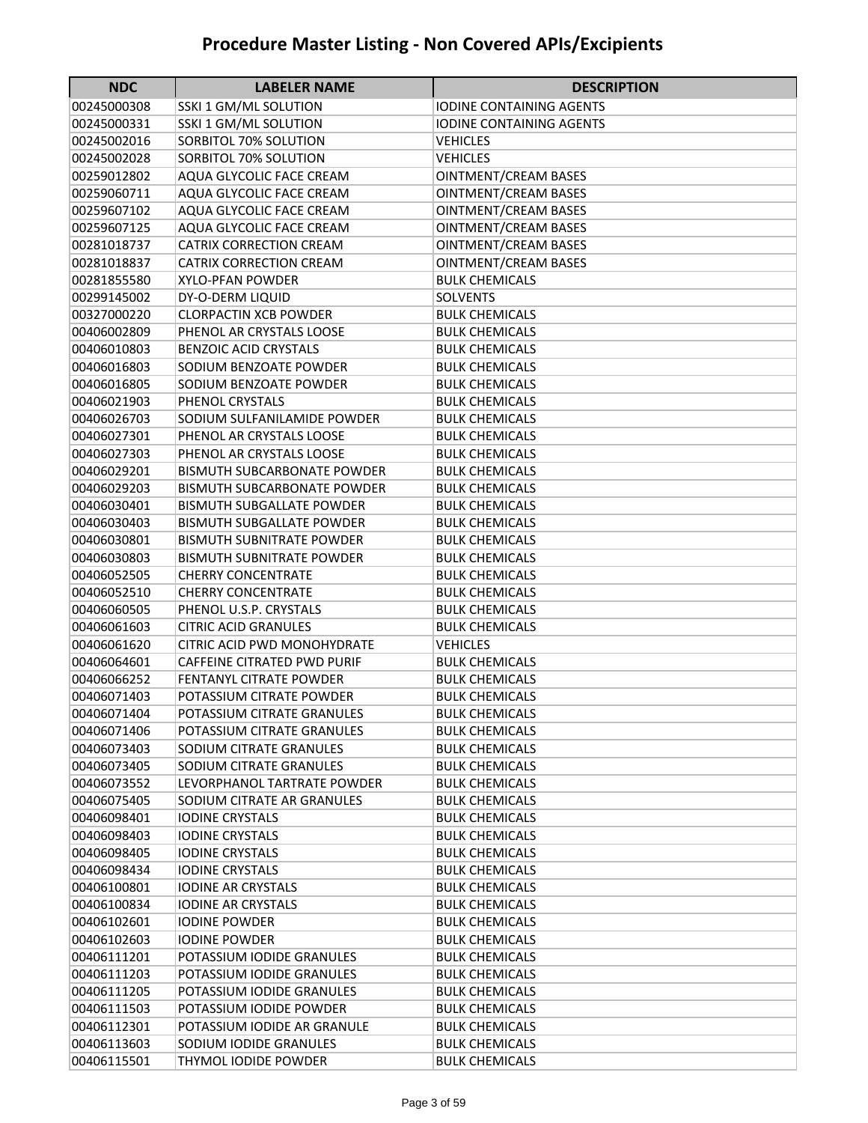| <b>NDC</b>  | <b>LABELER NAME</b>                | <b>DESCRIPTION</b>              |
|-------------|------------------------------------|---------------------------------|
| 00245000308 | SSKI 1 GM/ML SOLUTION              | <b>IODINE CONTAINING AGENTS</b> |
| 00245000331 | SSKI 1 GM/ML SOLUTION              | <b>IODINE CONTAINING AGENTS</b> |
| 00245002016 | SORBITOL 70% SOLUTION              | <b>VEHICLES</b>                 |
| 00245002028 | SORBITOL 70% SOLUTION              | <b>VEHICLES</b>                 |
| 00259012802 | AQUA GLYCOLIC FACE CREAM           | <b>OINTMENT/CREAM BASES</b>     |
| 00259060711 | AQUA GLYCOLIC FACE CREAM           | <b>OINTMENT/CREAM BASES</b>     |
| 00259607102 | AQUA GLYCOLIC FACE CREAM           | <b>OINTMENT/CREAM BASES</b>     |
| 00259607125 | AQUA GLYCOLIC FACE CREAM           | <b>OINTMENT/CREAM BASES</b>     |
| 00281018737 | <b>CATRIX CORRECTION CREAM</b>     | <b>OINTMENT/CREAM BASES</b>     |
| 00281018837 | <b>CATRIX CORRECTION CREAM</b>     | <b>OINTMENT/CREAM BASES</b>     |
| 00281855580 | <b>XYLO-PFAN POWDER</b>            | <b>BULK CHEMICALS</b>           |
| 00299145002 | DY-O-DERM LIQUID                   | <b>SOLVENTS</b>                 |
| 00327000220 | <b>CLORPACTIN XCB POWDER</b>       | <b>BULK CHEMICALS</b>           |
| 00406002809 | PHENOL AR CRYSTALS LOOSE           | <b>BULK CHEMICALS</b>           |
| 00406010803 | <b>BENZOIC ACID CRYSTALS</b>       | <b>BULK CHEMICALS</b>           |
| 00406016803 | SODIUM BENZOATE POWDER             | <b>BULK CHEMICALS</b>           |
| 00406016805 | SODIUM BENZOATE POWDER             | <b>BULK CHEMICALS</b>           |
| 00406021903 | PHENOL CRYSTALS                    | <b>BULK CHEMICALS</b>           |
| 00406026703 | SODIUM SULFANILAMIDE POWDER        | <b>BULK CHEMICALS</b>           |
| 00406027301 | PHENOL AR CRYSTALS LOOSE           | <b>BULK CHEMICALS</b>           |
| 00406027303 | PHENOL AR CRYSTALS LOOSE           | <b>BULK CHEMICALS</b>           |
| 00406029201 | <b>BISMUTH SUBCARBONATE POWDER</b> | <b>BULK CHEMICALS</b>           |
| 00406029203 | <b>BISMUTH SUBCARBONATE POWDER</b> | <b>BULK CHEMICALS</b>           |
| 00406030401 | <b>BISMUTH SUBGALLATE POWDER</b>   | <b>BULK CHEMICALS</b>           |
| 00406030403 | <b>BISMUTH SUBGALLATE POWDER</b>   | <b>BULK CHEMICALS</b>           |
| 00406030801 | <b>BISMUTH SUBNITRATE POWDER</b>   | <b>BULK CHEMICALS</b>           |
| 00406030803 | <b>BISMUTH SUBNITRATE POWDER</b>   | <b>BULK CHEMICALS</b>           |
| 00406052505 | <b>CHERRY CONCENTRATE</b>          | <b>BULK CHEMICALS</b>           |
| 00406052510 | <b>CHERRY CONCENTRATE</b>          | <b>BULK CHEMICALS</b>           |
| 00406060505 | PHENOL U.S.P. CRYSTALS             | <b>BULK CHEMICALS</b>           |
| 00406061603 | <b>CITRIC ACID GRANULES</b>        | <b>BULK CHEMICALS</b>           |
| 00406061620 | <b>CITRIC ACID PWD MONOHYDRATE</b> | <b>VEHICLES</b>                 |
| 00406064601 | <b>CAFFEINE CITRATED PWD PURIF</b> | <b>BULK CHEMICALS</b>           |
| 00406066252 | <b>FENTANYL CITRATE POWDER</b>     | <b>BULK CHEMICALS</b>           |
| 00406071403 | POTASSIUM CITRATE POWDER           | <b>BULK CHEMICALS</b>           |
| 00406071404 | POTASSIUM CITRATE GRANULES         | <b>BULK CHEMICALS</b>           |
| 00406071406 | POTASSIUM CITRATE GRANULES         | <b>BULK CHEMICALS</b>           |
| 00406073403 | SODIUM CITRATE GRANULES            | <b>BULK CHEMICALS</b>           |
| 00406073405 | SODIUM CITRATE GRANULES            | <b>BULK CHEMICALS</b>           |
| 00406073552 | LEVORPHANOL TARTRATE POWDER        | <b>BULK CHEMICALS</b>           |
| 00406075405 | SODIUM CITRATE AR GRANULES         | <b>BULK CHEMICALS</b>           |
| 00406098401 | <b>IODINE CRYSTALS</b>             | <b>BULK CHEMICALS</b>           |
| 00406098403 | <b>IODINE CRYSTALS</b>             | <b>BULK CHEMICALS</b>           |
| 00406098405 | <b>IODINE CRYSTALS</b>             | <b>BULK CHEMICALS</b>           |
| 00406098434 | <b>IODINE CRYSTALS</b>             | <b>BULK CHEMICALS</b>           |
| 00406100801 | <b>IODINE AR CRYSTALS</b>          | <b>BULK CHEMICALS</b>           |
| 00406100834 | <b>IODINE AR CRYSTALS</b>          | <b>BULK CHEMICALS</b>           |
| 00406102601 | <b>IODINE POWDER</b>               | <b>BULK CHEMICALS</b>           |
| 00406102603 | <b>IODINE POWDER</b>               | <b>BULK CHEMICALS</b>           |
| 00406111201 | POTASSIUM IODIDE GRANULES          | <b>BULK CHEMICALS</b>           |
| 00406111203 | POTASSIUM IODIDE GRANULES          | <b>BULK CHEMICALS</b>           |
| 00406111205 | POTASSIUM IODIDE GRANULES          | <b>BULK CHEMICALS</b>           |
| 00406111503 | POTASSIUM IODIDE POWDER            | <b>BULK CHEMICALS</b>           |
| 00406112301 | POTASSIUM IODIDE AR GRANULE        | <b>BULK CHEMICALS</b>           |
| 00406113603 | SODIUM IODIDE GRANULES             | <b>BULK CHEMICALS</b>           |
| 00406115501 | THYMOL IODIDE POWDER               | <b>BULK CHEMICALS</b>           |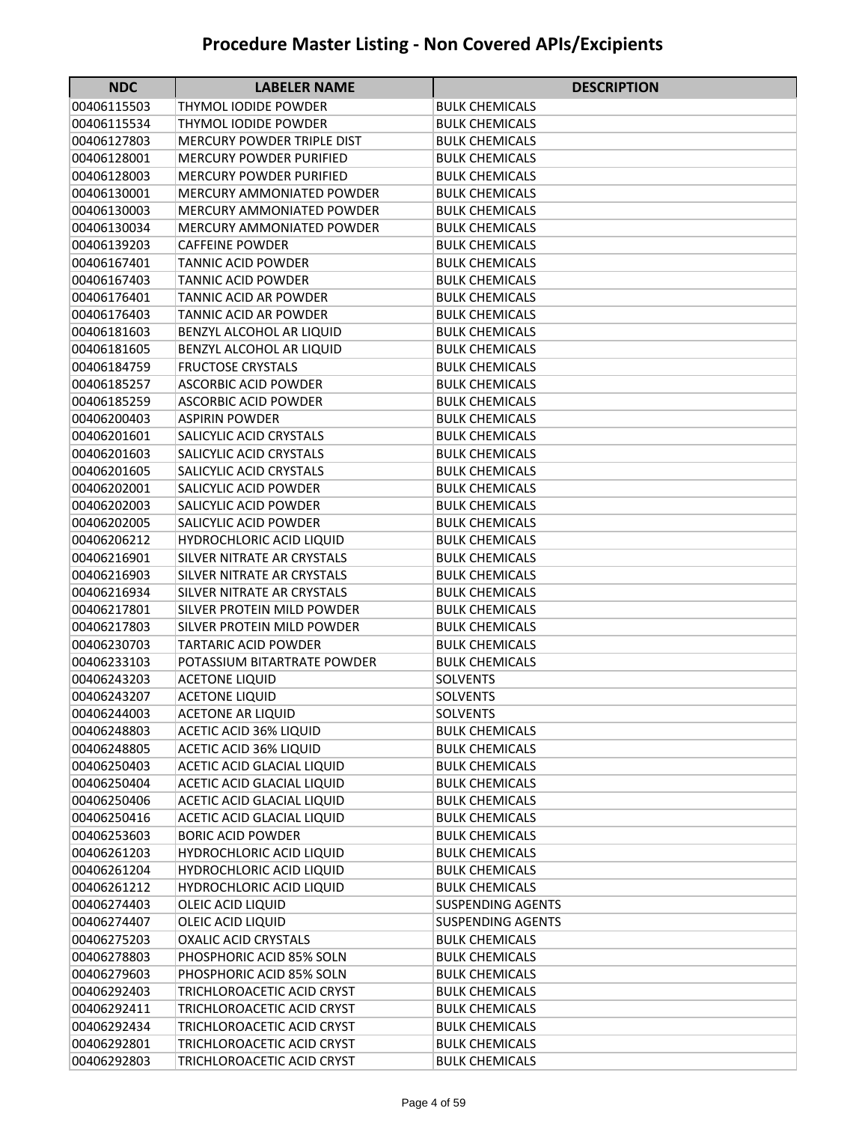| <b>NDC</b>                 | <b>LABELER NAME</b>                                            | <b>DESCRIPTION</b>                             |
|----------------------------|----------------------------------------------------------------|------------------------------------------------|
| 00406115503                | THYMOL IODIDE POWDER                                           | <b>BULK CHEMICALS</b>                          |
| 00406115534                | THYMOL IODIDE POWDER                                           | <b>BULK CHEMICALS</b>                          |
| 00406127803                | <b>MERCURY POWDER TRIPLE DIST</b>                              | <b>BULK CHEMICALS</b>                          |
| 00406128001                | <b>MERCURY POWDER PURIFIED</b>                                 | <b>BULK CHEMICALS</b>                          |
| 00406128003                | <b>MERCURY POWDER PURIFIED</b>                                 | <b>BULK CHEMICALS</b>                          |
| 00406130001                | <b>MERCURY AMMONIATED POWDER</b>                               | <b>BULK CHEMICALS</b>                          |
| 00406130003                | <b>MERCURY AMMONIATED POWDER</b>                               | <b>BULK CHEMICALS</b>                          |
| 00406130034                | <b>MERCURY AMMONIATED POWDER</b>                               | <b>BULK CHEMICALS</b>                          |
| 00406139203                | <b>CAFFEINE POWDER</b>                                         | <b>BULK CHEMICALS</b>                          |
| 00406167401                | <b>TANNIC ACID POWDER</b>                                      | <b>BULK CHEMICALS</b>                          |
| 00406167403                | <b>TANNIC ACID POWDER</b>                                      | <b>BULK CHEMICALS</b>                          |
| 00406176401                | <b>TANNIC ACID AR POWDER</b>                                   | <b>BULK CHEMICALS</b>                          |
| 00406176403                | TANNIC ACID AR POWDER                                          | <b>BULK CHEMICALS</b>                          |
| 00406181603                | BENZYL ALCOHOL AR LIQUID                                       | <b>BULK CHEMICALS</b>                          |
| 00406181605                | BENZYL ALCOHOL AR LIQUID                                       | <b>BULK CHEMICALS</b>                          |
| 00406184759                | <b>FRUCTOSE CRYSTALS</b>                                       | <b>BULK CHEMICALS</b>                          |
| 00406185257                | <b>ASCORBIC ACID POWDER</b>                                    | <b>BULK CHEMICALS</b>                          |
| 00406185259                | <b>ASCORBIC ACID POWDER</b>                                    | <b>BULK CHEMICALS</b>                          |
| 00406200403                | <b>ASPIRIN POWDER</b>                                          | <b>BULK CHEMICALS</b>                          |
| 00406201601                | SALICYLIC ACID CRYSTALS                                        | <b>BULK CHEMICALS</b>                          |
| 00406201603                | SALICYLIC ACID CRYSTALS                                        | <b>BULK CHEMICALS</b>                          |
| 00406201605                | SALICYLIC ACID CRYSTALS                                        | <b>BULK CHEMICALS</b>                          |
| 00406202001                | SALICYLIC ACID POWDER                                          | <b>BULK CHEMICALS</b>                          |
| 00406202003                | SALICYLIC ACID POWDER                                          | <b>BULK CHEMICALS</b>                          |
| 00406202005                | SALICYLIC ACID POWDER                                          | <b>BULK CHEMICALS</b>                          |
| 00406206212                | <b>HYDROCHLORIC ACID LIQUID</b>                                | <b>BULK CHEMICALS</b>                          |
| 00406216901                | SILVER NITRATE AR CRYSTALS                                     | <b>BULK CHEMICALS</b>                          |
| 00406216903                | SILVER NITRATE AR CRYSTALS                                     | <b>BULK CHEMICALS</b>                          |
| 00406216934                | SILVER NITRATE AR CRYSTALS                                     | <b>BULK CHEMICALS</b>                          |
| 00406217801                | SILVER PROTEIN MILD POWDER                                     | <b>BULK CHEMICALS</b>                          |
| 00406217803                | SILVER PROTEIN MILD POWDER                                     | <b>BULK CHEMICALS</b>                          |
| 00406230703                | <b>TARTARIC ACID POWDER</b>                                    | <b>BULK CHEMICALS</b>                          |
| 00406233103                | POTASSIUM BITARTRATE POWDER                                    | <b>BULK CHEMICALS</b>                          |
| 00406243203                | <b>ACETONE LIQUID</b>                                          | <b>SOLVENTS</b>                                |
| 00406243207                | <b>ACETONE LIQUID</b>                                          | <b>SOLVENTS</b>                                |
| 00406244003                | <b>ACETONE AR LIQUID</b>                                       | <b>SOLVENTS</b>                                |
| 00406248803                | <b>ACETIC ACID 36% LIQUID</b><br><b>ACETIC ACID 36% LIQUID</b> | <b>BULK CHEMICALS</b>                          |
| 00406248805<br>00406250403 | ACETIC ACID GLACIAL LIQUID                                     | <b>BULK CHEMICALS</b><br><b>BULK CHEMICALS</b> |
| 00406250404                | ACETIC ACID GLACIAL LIQUID                                     | <b>BULK CHEMICALS</b>                          |
| 00406250406                | ACETIC ACID GLACIAL LIQUID                                     | <b>BULK CHEMICALS</b>                          |
| 00406250416                | ACETIC ACID GLACIAL LIQUID                                     | <b>BULK CHEMICALS</b>                          |
| 00406253603                | <b>BORIC ACID POWDER</b>                                       | <b>BULK CHEMICALS</b>                          |
| 00406261203                | HYDROCHLORIC ACID LIQUID                                       | <b>BULK CHEMICALS</b>                          |
| 00406261204                | HYDROCHLORIC ACID LIQUID                                       | <b>BULK CHEMICALS</b>                          |
| 00406261212                | HYDROCHLORIC ACID LIQUID                                       | <b>BULK CHEMICALS</b>                          |
| 00406274403                | OLEIC ACID LIQUID                                              | <b>SUSPENDING AGENTS</b>                       |
| 00406274407                | OLEIC ACID LIQUID                                              | <b>SUSPENDING AGENTS</b>                       |
| 00406275203                | <b>OXALIC ACID CRYSTALS</b>                                    | <b>BULK CHEMICALS</b>                          |
| 00406278803                | PHOSPHORIC ACID 85% SOLN                                       | <b>BULK CHEMICALS</b>                          |
| 00406279603                | PHOSPHORIC ACID 85% SOLN                                       | <b>BULK CHEMICALS</b>                          |
| 00406292403                | TRICHLOROACETIC ACID CRYST                                     | <b>BULK CHEMICALS</b>                          |
| 00406292411                | TRICHLOROACETIC ACID CRYST                                     | <b>BULK CHEMICALS</b>                          |
| 00406292434                | TRICHLOROACETIC ACID CRYST                                     | <b>BULK CHEMICALS</b>                          |
| 00406292801                | TRICHLOROACETIC ACID CRYST                                     | <b>BULK CHEMICALS</b>                          |
| 00406292803                | TRICHLOROACETIC ACID CRYST                                     | <b>BULK CHEMICALS</b>                          |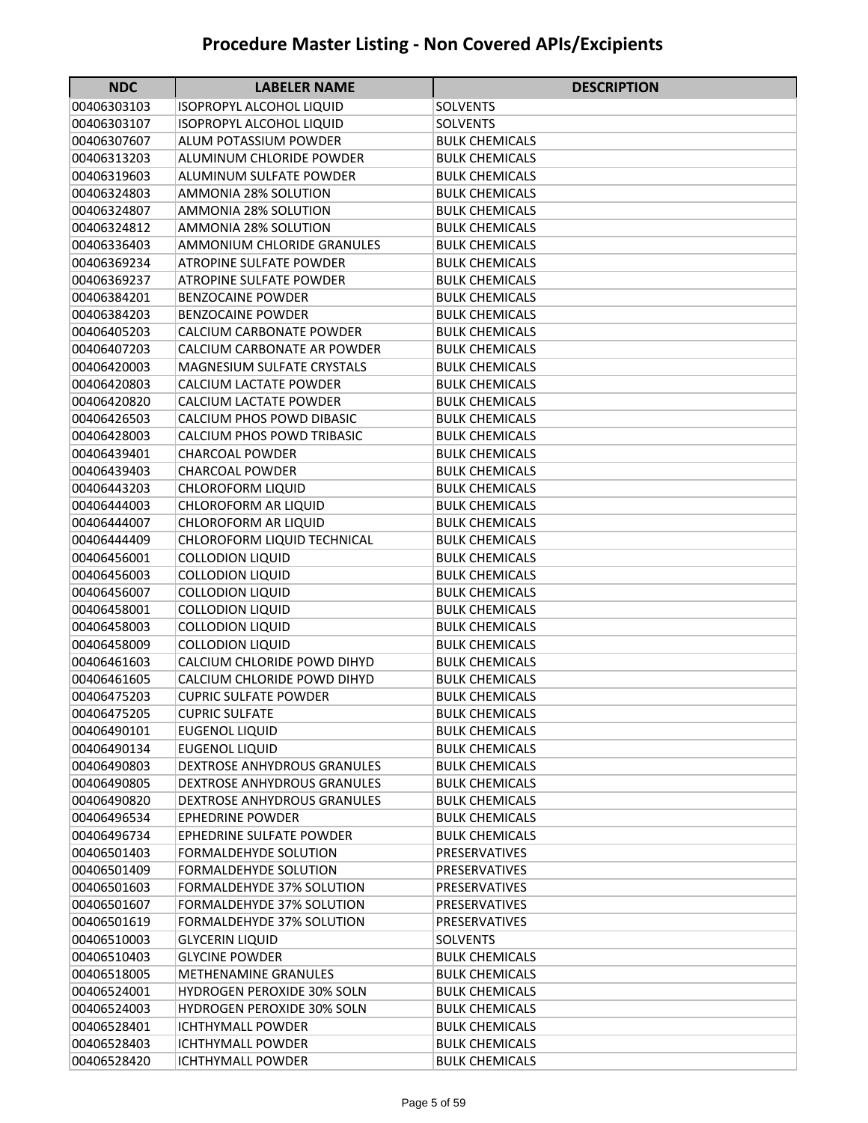| <b>NDC</b>                 | <b>LABELER NAME</b>                             | <b>DESCRIPTION</b>                       |
|----------------------------|-------------------------------------------------|------------------------------------------|
| 00406303103                | <b>ISOPROPYL ALCOHOL LIQUID</b>                 | <b>SOLVENTS</b>                          |
| 00406303107                | <b>ISOPROPYL ALCOHOL LIQUID</b>                 | <b>SOLVENTS</b>                          |
| 00406307607                | <b>ALUM POTASSIUM POWDER</b>                    | <b>BULK CHEMICALS</b>                    |
| 00406313203                | ALUMINUM CHLORIDE POWDER                        | <b>BULK CHEMICALS</b>                    |
| 00406319603                | ALUMINUM SULFATE POWDER                         | <b>BULK CHEMICALS</b>                    |
| 00406324803                | <b>AMMONIA 28% SOLUTION</b>                     | <b>BULK CHEMICALS</b>                    |
| 00406324807                | <b>AMMONIA 28% SOLUTION</b>                     | <b>BULK CHEMICALS</b>                    |
| 00406324812                | <b>AMMONIA 28% SOLUTION</b>                     | <b>BULK CHEMICALS</b>                    |
| 00406336403                | AMMONIUM CHLORIDE GRANULES                      | <b>BULK CHEMICALS</b>                    |
| 00406369234                | <b>ATROPINE SULFATE POWDER</b>                  | <b>BULK CHEMICALS</b>                    |
| 00406369237                | <b>ATROPINE SULFATE POWDER</b>                  | <b>BULK CHEMICALS</b>                    |
| 00406384201                | <b>BENZOCAINE POWDER</b>                        | <b>BULK CHEMICALS</b>                    |
| 00406384203                | <b>BENZOCAINE POWDER</b>                        | <b>BULK CHEMICALS</b>                    |
| 00406405203                | CALCIUM CARBONATE POWDER                        | <b>BULK CHEMICALS</b>                    |
| 00406407203                | CALCIUM CARBONATE AR POWDER                     | <b>BULK CHEMICALS</b>                    |
| 00406420003                | <b>MAGNESIUM SULFATE CRYSTALS</b>               | <b>BULK CHEMICALS</b>                    |
| 00406420803                | CALCIUM LACTATE POWDER                          | <b>BULK CHEMICALS</b>                    |
| 00406420820                | <b>CALCIUM LACTATE POWDER</b>                   | <b>BULK CHEMICALS</b>                    |
| 00406426503                | CALCIUM PHOS POWD DIBASIC                       | <b>BULK CHEMICALS</b>                    |
| 00406428003                | <b>CALCIUM PHOS POWD TRIBASIC</b>               | <b>BULK CHEMICALS</b>                    |
| 00406439401                | <b>CHARCOAL POWDER</b>                          | <b>BULK CHEMICALS</b>                    |
| 00406439403                | <b>CHARCOAL POWDER</b>                          | <b>BULK CHEMICALS</b>                    |
| 00406443203                | <b>CHLOROFORM LIQUID</b>                        | <b>BULK CHEMICALS</b>                    |
| 00406444003                | <b>CHLOROFORM AR LIQUID</b>                     | <b>BULK CHEMICALS</b>                    |
| 00406444007                | CHLOROFORM AR LIQUID                            | <b>BULK CHEMICALS</b>                    |
| 00406444409                | CHLOROFORM LIQUID TECHNICAL                     | <b>BULK CHEMICALS</b>                    |
| 00406456001                | <b>COLLODION LIQUID</b>                         | <b>BULK CHEMICALS</b>                    |
| 00406456003                | <b>COLLODION LIQUID</b>                         | <b>BULK CHEMICALS</b>                    |
| 00406456007                | <b>COLLODION LIQUID</b>                         | <b>BULK CHEMICALS</b>                    |
| 00406458001                | <b>COLLODION LIQUID</b>                         | <b>BULK CHEMICALS</b>                    |
| 00406458003                | <b>COLLODION LIQUID</b>                         | <b>BULK CHEMICALS</b>                    |
| 00406458009                | <b>COLLODION LIQUID</b>                         | <b>BULK CHEMICALS</b>                    |
| 00406461603                | CALCIUM CHLORIDE POWD DIHYD                     | <b>BULK CHEMICALS</b>                    |
| 00406461605                | CALCIUM CHLORIDE POWD DIHYD                     | <b>BULK CHEMICALS</b>                    |
| 00406475203                | <b>CUPRIC SULFATE POWDER</b>                    | <b>BULK CHEMICALS</b>                    |
| 00406475205                | <b>CUPRIC SULFATE</b>                           | <b>BULK CHEMICALS</b>                    |
| 00406490101                | <b>EUGENOL LIQUID</b>                           | <b>BULK CHEMICALS</b>                    |
| 00406490134                | EUGENOL LIQUID                                  | <b>BULK CHEMICALS</b>                    |
| 00406490803                | DEXTROSE ANHYDROUS GRANULES                     | <b>BULK CHEMICALS</b>                    |
| 00406490805                | <b>DEXTROSE ANHYDROUS GRANULES</b>              | <b>BULK CHEMICALS</b>                    |
| 00406490820                | <b>DEXTROSE ANHYDROUS GRANULES</b>              | <b>BULK CHEMICALS</b>                    |
| 00406496534                | <b>EPHEDRINE POWDER</b>                         | <b>BULK CHEMICALS</b>                    |
| 00406496734                | EPHEDRINE SULFATE POWDER                        | <b>BULK CHEMICALS</b>                    |
| 00406501403                | <b>FORMALDEHYDE SOLUTION</b>                    | PRESERVATIVES                            |
| 00406501409                | <b>FORMALDEHYDE SOLUTION</b>                    | <b>PRESERVATIVES</b>                     |
| 00406501603                | <b>FORMALDEHYDE 37% SOLUTION</b>                | PRESERVATIVES                            |
| 00406501607                | FORMALDEHYDE 37% SOLUTION                       | PRESERVATIVES                            |
| 00406501619                | FORMALDEHYDE 37% SOLUTION                       | PRESERVATIVES                            |
| 00406510003                | <b>GLYCERIN LIQUID</b><br><b>GLYCINE POWDER</b> | <b>SOLVENTS</b><br><b>BULK CHEMICALS</b> |
| 00406510403                | <b>METHENAMINE GRANULES</b>                     | <b>BULK CHEMICALS</b>                    |
| 00406518005<br>00406524001 | <b>HYDROGEN PEROXIDE 30% SOLN</b>               | <b>BULK CHEMICALS</b>                    |
| 00406524003                | <b>HYDROGEN PEROXIDE 30% SOLN</b>               | <b>BULK CHEMICALS</b>                    |
| 00406528401                |                                                 |                                          |
| 00406528403                | ICHTHYMALL POWDER<br><b>ICHTHYMALL POWDER</b>   | BULK CHEMICALS<br><b>BULK CHEMICALS</b>  |
| 00406528420                | <b>ICHTHYMALL POWDER</b>                        | <b>BULK CHEMICALS</b>                    |
|                            |                                                 |                                          |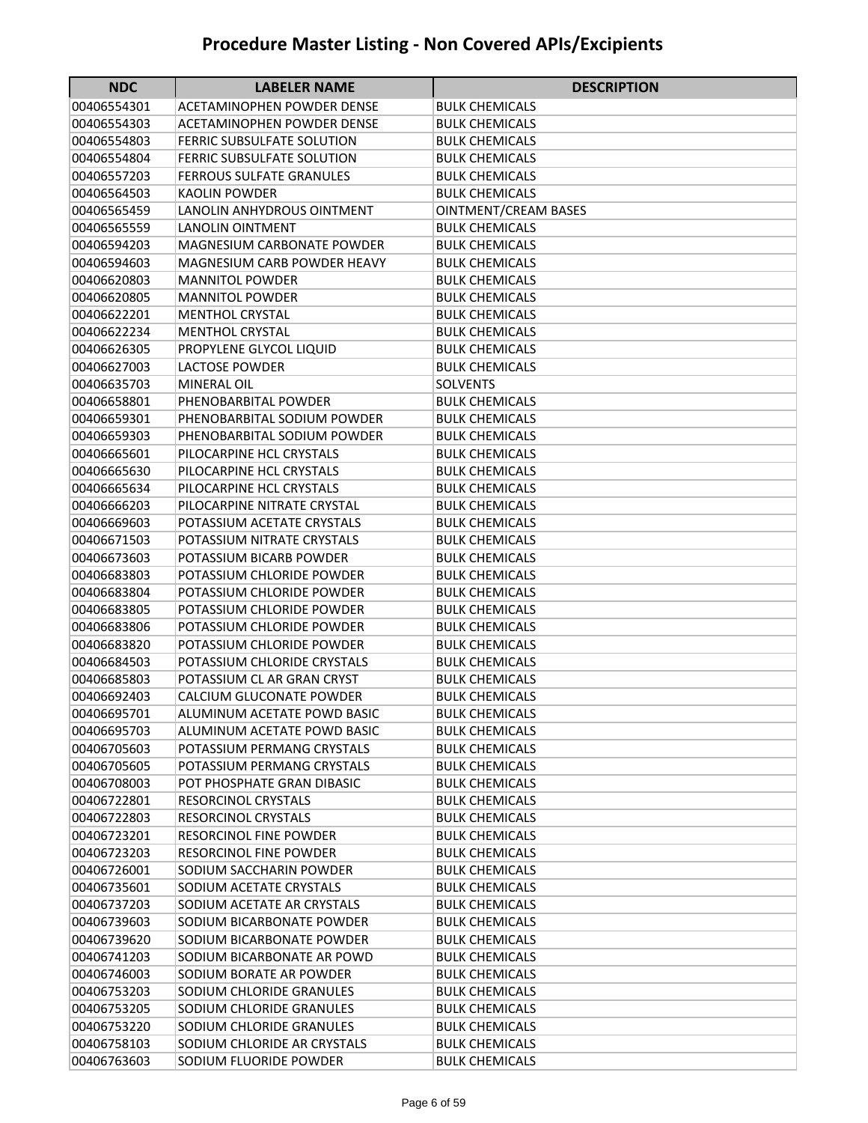| <b>NDC</b>                 | <b>LABELER NAME</b>                                      | <b>DESCRIPTION</b>                             |
|----------------------------|----------------------------------------------------------|------------------------------------------------|
| 00406554301                | ACETAMINOPHEN POWDER DENSE                               | BULK CHEMICALS                                 |
| 00406554303                | <b>ACETAMINOPHEN POWDER DENSE</b>                        | <b>BULK CHEMICALS</b>                          |
| 00406554803                | FERRIC SUBSULFATE SOLUTION                               | <b>BULK CHEMICALS</b>                          |
| 00406554804                | <b>FERRIC SUBSULFATE SOLUTION</b>                        | BULK CHEMICALS                                 |
| 00406557203                | <b>FERROUS SULFATE GRANULES</b>                          | <b>BULK CHEMICALS</b>                          |
| 00406564503                | <b>KAOLIN POWDER</b>                                     | <b>BULK CHEMICALS</b>                          |
| 00406565459                | LANOLIN ANHYDROUS OINTMENT                               | OINTMENT/CREAM BASES                           |
| 00406565559                | <b>LANOLIN OINTMENT</b>                                  | <b>BULK CHEMICALS</b>                          |
| 00406594203                | <b>MAGNESIUM CARBONATE POWDER</b>                        | <b>BULK CHEMICALS</b>                          |
| 00406594603                | <b>MAGNESIUM CARB POWDER HEAVY</b>                       | <b>BULK CHEMICALS</b>                          |
| 00406620803                | <b>MANNITOL POWDER</b>                                   | <b>BULK CHEMICALS</b>                          |
| 00406620805                | <b>MANNITOL POWDER</b>                                   | <b>BULK CHEMICALS</b>                          |
| 00406622201                | <b>MENTHOL CRYSTAL</b>                                   | <b>BULK CHEMICALS</b>                          |
| 00406622234                | <b>MENTHOL CRYSTAL</b>                                   | <b>BULK CHEMICALS</b>                          |
| 00406626305                | PROPYLENE GLYCOL LIQUID                                  | <b>BULK CHEMICALS</b>                          |
| 00406627003                | <b>LACTOSE POWDER</b>                                    | <b>BULK CHEMICALS</b>                          |
| 00406635703                | <b>MINERAL OIL</b>                                       | <b>SOLVENTS</b>                                |
| 00406658801                | PHENOBARBITAL POWDER                                     | <b>BULK CHEMICALS</b>                          |
| 00406659301                | PHENOBARBITAL SODIUM POWDER                              | <b>BULK CHEMICALS</b>                          |
| 00406659303                | PHENOBARBITAL SODIUM POWDER                              | <b>BULK CHEMICALS</b>                          |
| 00406665601                | PILOCARPINE HCL CRYSTALS                                 | <b>BULK CHEMICALS</b>                          |
| 00406665630                | PILOCARPINE HCL CRYSTALS                                 | <b>BULK CHEMICALS</b>                          |
| 00406665634                | PILOCARPINE HCL CRYSTALS                                 | <b>BULK CHEMICALS</b>                          |
| 00406666203                | PILOCARPINE NITRATE CRYSTAL                              | <b>BULK CHEMICALS</b>                          |
| 00406669603                | POTASSIUM ACETATE CRYSTALS                               | <b>BULK CHEMICALS</b>                          |
| 00406671503                | POTASSIUM NITRATE CRYSTALS                               | <b>BULK CHEMICALS</b>                          |
| 00406673603                | POTASSIUM BICARB POWDER                                  | <b>BULK CHEMICALS</b>                          |
| 00406683803                | POTASSIUM CHLORIDE POWDER                                | <b>BULK CHEMICALS</b>                          |
| 00406683804                | POTASSIUM CHLORIDE POWDER                                | <b>BULK CHEMICALS</b>                          |
| 00406683805                | POTASSIUM CHLORIDE POWDER                                | <b>BULK CHEMICALS</b>                          |
| 00406683806                | POTASSIUM CHLORIDE POWDER                                | <b>BULK CHEMICALS</b>                          |
| 00406683820                | POTASSIUM CHLORIDE POWDER                                | <b>BULK CHEMICALS</b>                          |
| 00406684503                | POTASSIUM CHLORIDE CRYSTALS                              | <b>BULK CHEMICALS</b>                          |
| 00406685803                | POTASSIUM CL AR GRAN CRYST                               | <b>BULK CHEMICALS</b>                          |
| 00406692403                | CALCIUM GLUCONATE POWDER                                 | <b>BULK CHEMICALS</b>                          |
| 00406695701                | ALUMINUM ACETATE POWD BASIC                              | <b>BULK CHEMICALS</b>                          |
| 00406695703                | ALUMINUM ACETATE POWD BASIC                              | <b>BULK CHEMICALS</b>                          |
| 00406705603                | POTASSIUM PERMANG CRYSTALS<br>POTASSIUM PERMANG CRYSTALS | <b>BULK CHEMICALS</b>                          |
| 00406705605                |                                                          | <b>BULK CHEMICALS</b>                          |
| 00406708003                | POT PHOSPHATE GRAN DIBASIC                               | <b>BULK CHEMICALS</b>                          |
| 00406722801<br>00406722803 | <b>RESORCINOL CRYSTALS</b><br><b>RESORCINOL CRYSTALS</b> | <b>BULK CHEMICALS</b><br><b>BULK CHEMICALS</b> |
| 00406723201                | <b>RESORCINOL FINE POWDER</b>                            | <b>BULK CHEMICALS</b>                          |
| 00406723203                | <b>RESORCINOL FINE POWDER</b>                            | <b>BULK CHEMICALS</b>                          |
| 00406726001                | SODIUM SACCHARIN POWDER                                  | <b>BULK CHEMICALS</b>                          |
| 00406735601                | SODIUM ACETATE CRYSTALS                                  | <b>BULK CHEMICALS</b>                          |
| 00406737203                | SODIUM ACETATE AR CRYSTALS                               | <b>BULK CHEMICALS</b>                          |
| 00406739603                | SODIUM BICARBONATE POWDER                                | <b>BULK CHEMICALS</b>                          |
| 00406739620                | SODIUM BICARBONATE POWDER                                | <b>BULK CHEMICALS</b>                          |
| 00406741203                | SODIUM BICARBONATE AR POWD                               | <b>BULK CHEMICALS</b>                          |
| 00406746003                | SODIUM BORATE AR POWDER                                  | <b>BULK CHEMICALS</b>                          |
| 00406753203                | SODIUM CHLORIDE GRANULES                                 | <b>BULK CHEMICALS</b>                          |
| 00406753205                | SODIUM CHLORIDE GRANULES                                 | <b>BULK CHEMICALS</b>                          |
| 00406753220                | SODIUM CHLORIDE GRANULES                                 | <b>BULK CHEMICALS</b>                          |
| 00406758103                | SODIUM CHLORIDE AR CRYSTALS                              | <b>BULK CHEMICALS</b>                          |
| 00406763603                | SODIUM FLUORIDE POWDER                                   | <b>BULK CHEMICALS</b>                          |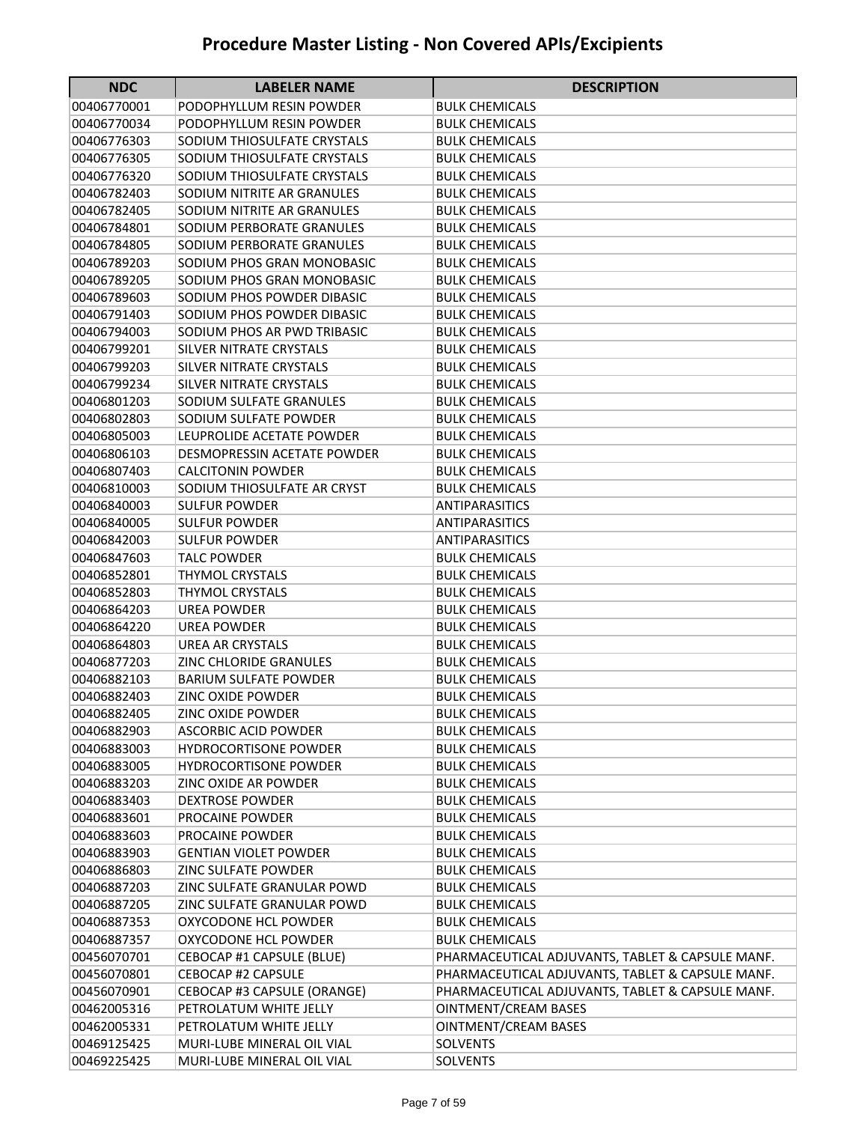| <b>NDC</b>                 | <b>LABELER NAME</b>                                  | <b>DESCRIPTION</b>                               |
|----------------------------|------------------------------------------------------|--------------------------------------------------|
| 00406770001                | PODOPHYLLUM RESIN POWDER                             | BULK CHEMICALS                                   |
| 00406770034                | PODOPHYLLUM RESIN POWDER                             | <b>BULK CHEMICALS</b>                            |
| 00406776303                | SODIUM THIOSULFATE CRYSTALS                          | <b>BULK CHEMICALS</b>                            |
| 00406776305                | SODIUM THIOSULFATE CRYSTALS                          | <b>BULK CHEMICALS</b>                            |
| 00406776320                | SODIUM THIOSULFATE CRYSTALS                          | <b>BULK CHEMICALS</b>                            |
| 00406782403                | SODIUM NITRITE AR GRANULES                           | <b>BULK CHEMICALS</b>                            |
| 00406782405                | SODIUM NITRITE AR GRANULES                           | <b>BULK CHEMICALS</b>                            |
| 00406784801                | SODIUM PERBORATE GRANULES                            | <b>BULK CHEMICALS</b>                            |
| 00406784805                | SODIUM PERBORATE GRANULES                            | <b>BULK CHEMICALS</b>                            |
| 00406789203                | SODIUM PHOS GRAN MONOBASIC                           | <b>BULK CHEMICALS</b>                            |
| 00406789205                | SODIUM PHOS GRAN MONOBASIC                           | <b>BULK CHEMICALS</b>                            |
| 00406789603                | SODIUM PHOS POWDER DIBASIC                           | <b>BULK CHEMICALS</b>                            |
| 00406791403                | SODIUM PHOS POWDER DIBASIC                           | <b>BULK CHEMICALS</b>                            |
| 00406794003                | SODIUM PHOS AR PWD TRIBASIC                          | <b>BULK CHEMICALS</b>                            |
| 00406799201                | <b>SILVER NITRATE CRYSTALS</b>                       | <b>BULK CHEMICALS</b>                            |
| 00406799203                | <b>SILVER NITRATE CRYSTALS</b>                       | <b>BULK CHEMICALS</b>                            |
| 00406799234                | SILVER NITRATE CRYSTALS                              | <b>BULK CHEMICALS</b>                            |
| 00406801203                | SODIUM SULFATE GRANULES                              | <b>BULK CHEMICALS</b>                            |
| 00406802803                | SODIUM SULFATE POWDER                                | <b>BULK CHEMICALS</b>                            |
| 00406805003                | LEUPROLIDE ACETATE POWDER                            | <b>BULK CHEMICALS</b>                            |
| 00406806103                | DESMOPRESSIN ACETATE POWDER                          | <b>BULK CHEMICALS</b>                            |
| 00406807403                | <b>CALCITONIN POWDER</b>                             | <b>BULK CHEMICALS</b>                            |
| 00406810003                | SODIUM THIOSULFATE AR CRYST                          | <b>BULK CHEMICALS</b>                            |
| 00406840003                | <b>SULFUR POWDER</b>                                 | <b>ANTIPARASITICS</b>                            |
| 00406840005                | SULFUR POWDER                                        | ANTIPARASITICS                                   |
| 00406842003                | SULFUR POWDER                                        | ANTIPARASITICS                                   |
| 00406847603                | <b>TALC POWDER</b>                                   | <b>BULK CHEMICALS</b>                            |
| 00406852801                | <b>THYMOL CRYSTALS</b>                               | <b>BULK CHEMICALS</b>                            |
| 00406852803                | <b>THYMOL CRYSTALS</b>                               | <b>BULK CHEMICALS</b>                            |
| 00406864203                | <b>UREA POWDER</b>                                   | <b>BULK CHEMICALS</b>                            |
| 00406864220                | <b>UREA POWDER</b>                                   | <b>BULK CHEMICALS</b>                            |
| 00406864803                | <b>UREA AR CRYSTALS</b>                              | <b>BULK CHEMICALS</b>                            |
| 00406877203                | <b>ZINC CHLORIDE GRANULES</b>                        | <b>BULK CHEMICALS</b>                            |
| 00406882103                | <b>BARIUM SULFATE POWDER</b>                         | <b>BULK CHEMICALS</b>                            |
| 00406882403                | <b>ZINC OXIDE POWDER</b>                             | <b>BULK CHEMICALS</b>                            |
| 00406882405                | ZINC OXIDE POWDER                                    | <b>BULK CHEMICALS</b>                            |
| 00406882903                | <b>ASCORBIC ACID POWDER</b>                          | <b>BULK CHEMICALS</b>                            |
| 00406883003                | <b>HYDROCORTISONE POWDER</b>                         | <b>BULK CHEMICALS</b>                            |
| 00406883005                | <b>HYDROCORTISONE POWDER</b><br>ZINC OXIDE AR POWDER | <b>BULK CHEMICALS</b>                            |
| 00406883203                | <b>DEXTROSE POWDER</b>                               | <b>BULK CHEMICALS</b>                            |
| 00406883403                |                                                      | <b>BULK CHEMICALS</b><br><b>BULK CHEMICALS</b>   |
| 00406883601<br>00406883603 | PROCAINE POWDER<br>PROCAINE POWDER                   | <b>BULK CHEMICALS</b>                            |
| 00406883903                | <b>GENTIAN VIOLET POWDER</b>                         | <b>BULK CHEMICALS</b>                            |
| 00406886803                | <b>ZINC SULFATE POWDER</b>                           | <b>BULK CHEMICALS</b>                            |
| 00406887203                | ZINC SULFATE GRANULAR POWD                           | <b>BULK CHEMICALS</b>                            |
| 00406887205                | ZINC SULFATE GRANULAR POWD                           | <b>BULK CHEMICALS</b>                            |
| 00406887353                | OXYCODONE HCL POWDER                                 | <b>BULK CHEMICALS</b>                            |
| 00406887357                | OXYCODONE HCL POWDER                                 | <b>BULK CHEMICALS</b>                            |
| 00456070701                | CEBOCAP #1 CAPSULE (BLUE)                            | PHARMACEUTICAL ADJUVANTS, TABLET & CAPSULE MANF. |
| 00456070801                | CEBOCAP #2 CAPSULE                                   | PHARMACEUTICAL ADJUVANTS, TABLET & CAPSULE MANF. |
| 00456070901                | CEBOCAP #3 CAPSULE (ORANGE)                          | PHARMACEUTICAL ADJUVANTS, TABLET & CAPSULE MANF. |
| 00462005316                | PETROLATUM WHITE JELLY                               | OINTMENT/CREAM BASES                             |
| 00462005331                | PETROLATUM WHITE JELLY                               | OINTMENT/CREAM BASES                             |
| 00469125425                | MURI-LUBE MINERAL OIL VIAL                           | <b>SOLVENTS</b>                                  |
| 00469225425                | MURI-LUBE MINERAL OIL VIAL                           | SOLVENTS                                         |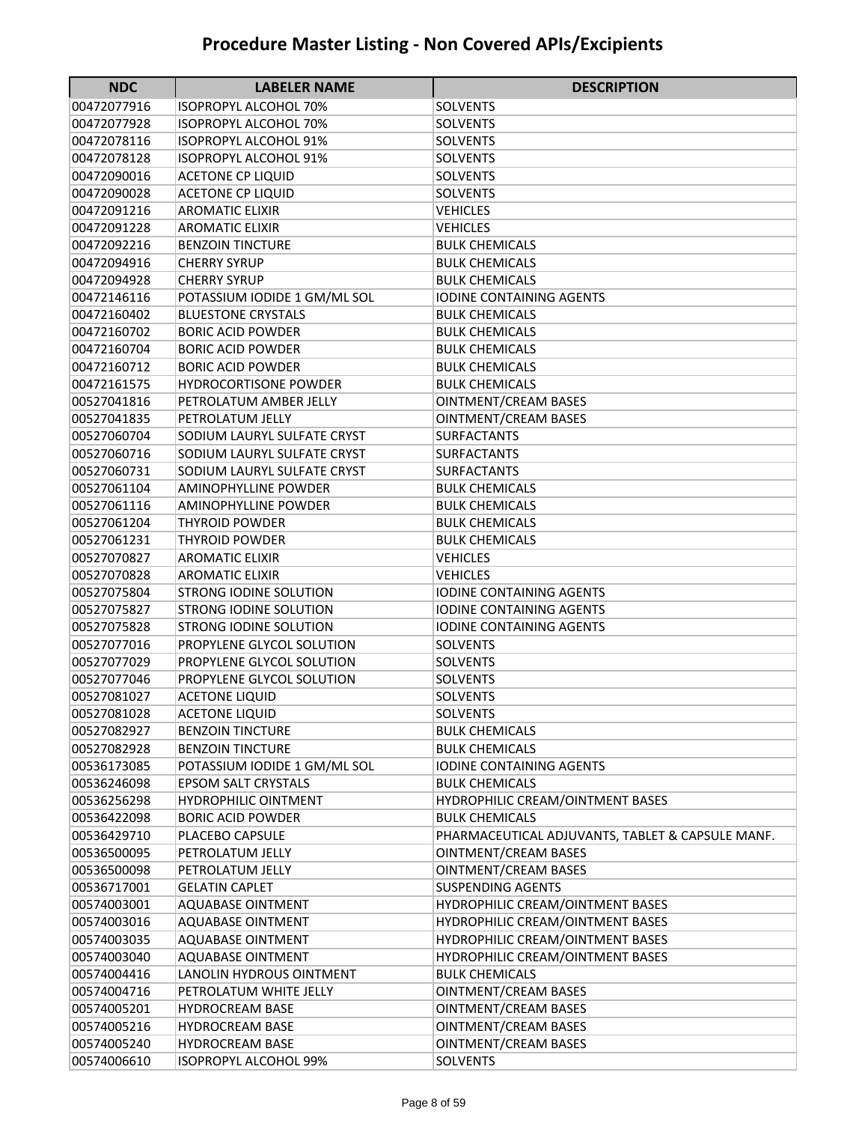| <b>NDC</b>  | <b>LABELER NAME</b>           | <b>DESCRIPTION</b>                               |
|-------------|-------------------------------|--------------------------------------------------|
| 00472077916 | ISOPROPYL ALCOHOL 70%         | SOLVENTS                                         |
| 00472077928 | <b>ISOPROPYL ALCOHOL 70%</b>  | <b>SOLVENTS</b>                                  |
| 00472078116 | <b>ISOPROPYL ALCOHOL 91%</b>  | <b>SOLVENTS</b>                                  |
| 00472078128 | ISOPROPYL ALCOHOL 91%         | <b>SOLVENTS</b>                                  |
| 00472090016 | <b>ACETONE CP LIQUID</b>      | <b>SOLVENTS</b>                                  |
| 00472090028 | <b>ACETONE CP LIQUID</b>      | <b>SOLVENTS</b>                                  |
| 00472091216 | <b>AROMATIC ELIXIR</b>        | <b>VEHICLES</b>                                  |
| 00472091228 | <b>AROMATIC ELIXIR</b>        | <b>VEHICLES</b>                                  |
| 00472092216 | <b>BENZOIN TINCTURE</b>       | <b>BULK CHEMICALS</b>                            |
| 00472094916 | <b>CHERRY SYRUP</b>           | <b>BULK CHEMICALS</b>                            |
| 00472094928 | <b>CHERRY SYRUP</b>           | <b>BULK CHEMICALS</b>                            |
| 00472146116 | POTASSIUM IODIDE 1 GM/ML SOL  | <b>IODINE CONTAINING AGENTS</b>                  |
| 00472160402 | <b>BLUESTONE CRYSTALS</b>     | <b>BULK CHEMICALS</b>                            |
| 00472160702 | <b>BORIC ACID POWDER</b>      | <b>BULK CHEMICALS</b>                            |
| 00472160704 | <b>BORIC ACID POWDER</b>      | <b>BULK CHEMICALS</b>                            |
| 00472160712 | <b>BORIC ACID POWDER</b>      | <b>BULK CHEMICALS</b>                            |
| 00472161575 | <b>HYDROCORTISONE POWDER</b>  | <b>BULK CHEMICALS</b>                            |
| 00527041816 | PETROLATUM AMBER JELLY        | <b>OINTMENT/CREAM BASES</b>                      |
| 00527041835 | PETROLATUM JELLY              | <b>OINTMENT/CREAM BASES</b>                      |
| 00527060704 | SODIUM LAURYL SULFATE CRYST   | <b>SURFACTANTS</b>                               |
| 00527060716 | SODIUM LAURYL SULFATE CRYST   | <b>SURFACTANTS</b>                               |
| 00527060731 | SODIUM LAURYL SULFATE CRYST   | <b>SURFACTANTS</b>                               |
| 00527061104 | AMINOPHYLLINE POWDER          | <b>BULK CHEMICALS</b>                            |
| 00527061116 | AMINOPHYLLINE POWDER          | <b>BULK CHEMICALS</b>                            |
| 00527061204 | <b>THYROID POWDER</b>         | <b>BULK CHEMICALS</b>                            |
| 00527061231 | THYROID POWDER                | <b>BULK CHEMICALS</b>                            |
| 00527070827 | <b>AROMATIC ELIXIR</b>        | <b>VEHICLES</b>                                  |
| 00527070828 | <b>AROMATIC ELIXIR</b>        | <b>VEHICLES</b>                                  |
| 00527075804 | <b>STRONG IODINE SOLUTION</b> | <b>IODINE CONTAINING AGENTS</b>                  |
| 00527075827 | <b>STRONG IODINE SOLUTION</b> | <b>IODINE CONTAINING AGENTS</b>                  |
| 00527075828 | <b>STRONG IODINE SOLUTION</b> | <b>IODINE CONTAINING AGENTS</b>                  |
| 00527077016 | PROPYLENE GLYCOL SOLUTION     | <b>SOLVENTS</b>                                  |
| 00527077029 | PROPYLENE GLYCOL SOLUTION     | <b>SOLVENTS</b>                                  |
| 00527077046 | PROPYLENE GLYCOL SOLUTION     | <b>SOLVENTS</b>                                  |
| 00527081027 | <b>ACETONE LIQUID</b>         | <b>SOLVENTS</b>                                  |
| 00527081028 | <b>ACETONE LIQUID</b>         | <b>SOLVENTS</b>                                  |
| 00527082927 | <b>BENZOIN TINCTURE</b>       | <b>BULK CHEMICALS</b>                            |
| 00527082928 | <b>BENZOIN TINCTURE</b>       | <b>BULK CHEMICALS</b>                            |
| 00536173085 | POTASSIUM IODIDE 1 GM/ML SOL  | IODINE CONTAINING AGENTS                         |
| 00536246098 | <b>EPSOM SALT CRYSTALS</b>    | <b>BULK CHEMICALS</b>                            |
| 00536256298 | <b>HYDROPHILIC OINTMENT</b>   | HYDROPHILIC CREAM/OINTMENT BASES                 |
| 00536422098 | <b>BORIC ACID POWDER</b>      | <b>BULK CHEMICALS</b>                            |
| 00536429710 | PLACEBO CAPSULE               | PHARMACEUTICAL ADJUVANTS, TABLET & CAPSULE MANF. |
| 00536500095 | PETROLATUM JELLY              | OINTMENT/CREAM BASES                             |
| 00536500098 | PETROLATUM JELLY              | OINTMENT/CREAM BASES                             |
| 00536717001 | <b>GELATIN CAPLET</b>         | <b>SUSPENDING AGENTS</b>                         |
| 00574003001 | <b>AQUABASE OINTMENT</b>      | HYDROPHILIC CREAM/OINTMENT BASES                 |
| 00574003016 | <b>AQUABASE OINTMENT</b>      | HYDROPHILIC CREAM/OINTMENT BASES                 |
| 00574003035 | <b>AQUABASE OINTMENT</b>      | HYDROPHILIC CREAM/OINTMENT BASES                 |
| 00574003040 | <b>AQUABASE OINTMENT</b>      | HYDROPHILIC CREAM/OINTMENT BASES                 |
| 00574004416 | LANOLIN HYDROUS OINTMENT      | <b>BULK CHEMICALS</b>                            |
| 00574004716 | PETROLATUM WHITE JELLY        | OINTMENT/CREAM BASES                             |
| 00574005201 | <b>HYDROCREAM BASE</b>        | OINTMENT/CREAM BASES                             |
| 00574005216 | <b>HYDROCREAM BASE</b>        | OINTMENT/CREAM BASES                             |
| 00574005240 | <b>HYDROCREAM BASE</b>        | OINTMENT/CREAM BASES                             |
| 00574006610 | ISOPROPYL ALCOHOL 99%         | SOLVENTS                                         |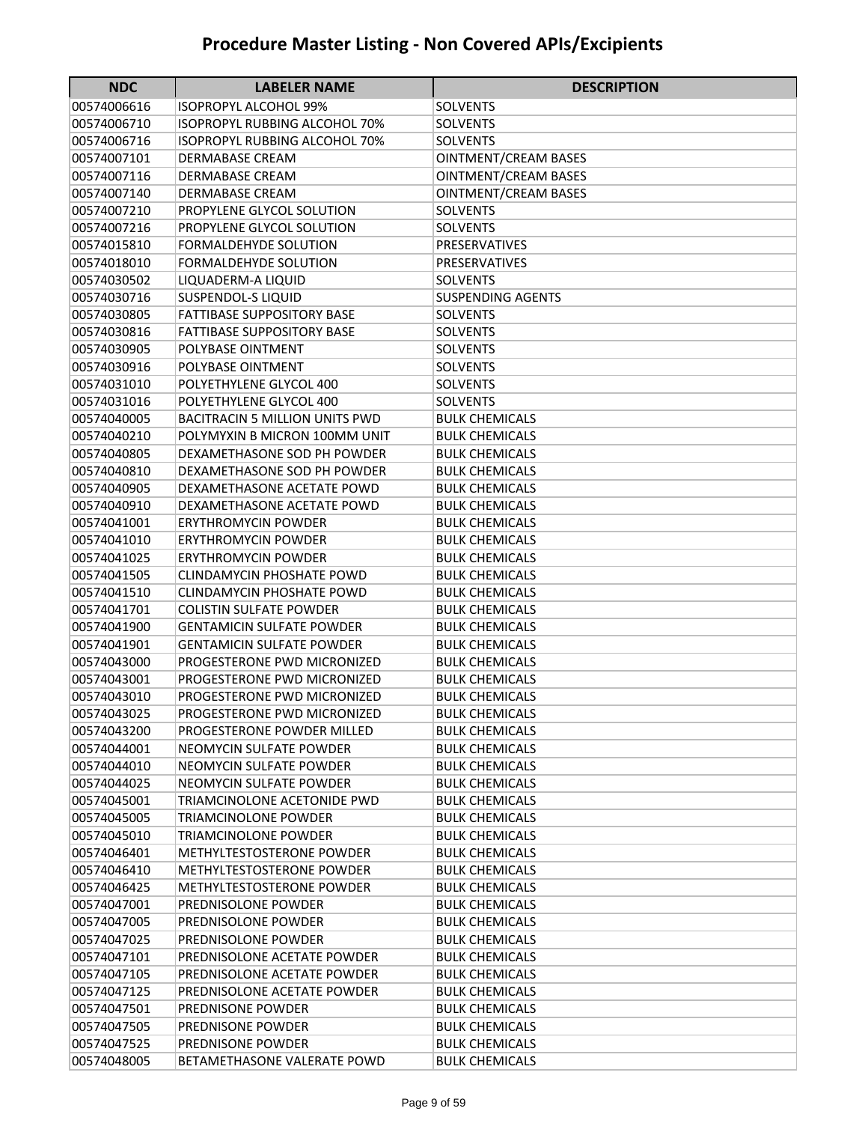| <b>NDC</b>                 | <b>LABELER NAME</b>                                | <b>DESCRIPTION</b>                             |
|----------------------------|----------------------------------------------------|------------------------------------------------|
| 00574006616                | ISOPROPYL ALCOHOL 99%                              | SOLVENTS                                       |
| 00574006710                | <b>ISOPROPYL RUBBING ALCOHOL 70%</b>               | <b>SOLVENTS</b>                                |
| 00574006716                | ISOPROPYL RUBBING ALCOHOL 70%                      | <b>SOLVENTS</b>                                |
| 00574007101                | DERMABASE CREAM                                    | <b>OINTMENT/CREAM BASES</b>                    |
| 00574007116                | DERMABASE CREAM                                    | <b>OINTMENT/CREAM BASES</b>                    |
| 00574007140                | DERMABASE CREAM                                    | <b>OINTMENT/CREAM BASES</b>                    |
| 00574007210                | PROPYLENE GLYCOL SOLUTION                          | <b>SOLVENTS</b>                                |
| 00574007216                | PROPYLENE GLYCOL SOLUTION                          | <b>SOLVENTS</b>                                |
| 00574015810                | FORMALDEHYDE SOLUTION                              | PRESERVATIVES                                  |
| 00574018010                | FORMALDEHYDE SOLUTION                              | <b>PRESERVATIVES</b>                           |
| 00574030502                | LIQUADERM-A LIQUID                                 | <b>SOLVENTS</b>                                |
| 00574030716                | SUSPENDOL-S LIQUID                                 | <b>SUSPENDING AGENTS</b>                       |
| 00574030805                | <b>FATTIBASE SUPPOSITORY BASE</b>                  | <b>SOLVENTS</b>                                |
| 00574030816                | <b>FATTIBASE SUPPOSITORY BASE</b>                  | SOLVENTS                                       |
| 00574030905                | POLYBASE OINTMENT                                  | <b>SOLVENTS</b>                                |
| 00574030916                | POLYBASE OINTMENT                                  | <b>SOLVENTS</b>                                |
| 00574031010                | POLYETHYLENE GLYCOL 400                            | <b>SOLVENTS</b>                                |
| 00574031016                | POLYETHYLENE GLYCOL 400                            | <b>SOLVENTS</b>                                |
| 00574040005                | <b>BACITRACIN 5 MILLION UNITS PWD</b>              | <b>BULK CHEMICALS</b>                          |
| 00574040210                | POLYMYXIN B MICRON 100MM UNIT                      | <b>BULK CHEMICALS</b>                          |
| 00574040805                | DEXAMETHASONE SOD PH POWDER                        | <b>BULK CHEMICALS</b>                          |
| 00574040810                | DEXAMETHASONE SOD PH POWDER                        | <b>BULK CHEMICALS</b>                          |
| 00574040905                | DEXAMETHASONE ACETATE POWD                         | <b>BULK CHEMICALS</b>                          |
| 00574040910                | DEXAMETHASONE ACETATE POWD                         | <b>BULK CHEMICALS</b>                          |
| 00574041001                | ERYTHROMYCIN POWDER                                | <b>BULK CHEMICALS</b>                          |
| 00574041010                | <b>ERYTHROMYCIN POWDER</b>                         | BULK CHEMICALS                                 |
| 00574041025                | <b>ERYTHROMYCIN POWDER</b>                         | <b>BULK CHEMICALS</b>                          |
| 00574041505                | <b>CLINDAMYCIN PHOSHATE POWD</b>                   | <b>BULK CHEMICALS</b>                          |
| 00574041510                | <b>CLINDAMYCIN PHOSHATE POWD</b>                   | <b>BULK CHEMICALS</b>                          |
| 00574041701                | <b>COLISTIN SULFATE POWDER</b>                     | <b>BULK CHEMICALS</b>                          |
| 00574041900                | <b>GENTAMICIN SULFATE POWDER</b>                   | <b>BULK CHEMICALS</b>                          |
| 00574041901                | <b>GENTAMICIN SULFATE POWDER</b>                   | <b>BULK CHEMICALS</b>                          |
| 00574043000                | PROGESTERONE PWD MICRONIZED                        | <b>BULK CHEMICALS</b>                          |
| 00574043001                | PROGESTERONE PWD MICRONIZED                        | <b>BULK CHEMICALS</b>                          |
| 00574043010                | PROGESTERONE PWD MICRONIZED                        | <b>BULK CHEMICALS</b>                          |
| 00574043025                | PROGESTERONE PWD MICRONIZED                        | <b>BULK CHEMICALS</b>                          |
| 00574043200                | PROGESTERONE POWDER MILLED                         | <b>BULK CHEMICALS</b>                          |
| 00574044001                | NEOMYCIN SULFATE POWDER                            | <b>BULK CHEMICALS</b>                          |
| 00574044010                | NEOMYCIN SULFATE POWDER                            | <b>BULK CHEMICALS</b>                          |
| 00574044025                | NEOMYCIN SULFATE POWDER                            | <b>BULK CHEMICALS</b>                          |
| 00574045001                | TRIAMCINOLONE ACETONIDE PWD                        | <b>BULK CHEMICALS</b>                          |
| 00574045005                | <b>TRIAMCINOLONE POWDER</b>                        | <b>BULK CHEMICALS</b>                          |
| 00574045010                | <b>TRIAMCINOLONE POWDER</b>                        | <b>BULK CHEMICALS</b>                          |
| 00574046401<br>00574046410 | METHYLTESTOSTERONE POWDER                          | <b>BULK CHEMICALS</b>                          |
|                            | METHYLTESTOSTERONE POWDER                          | <b>BULK CHEMICALS</b><br><b>BULK CHEMICALS</b> |
| 00574046425<br>00574047001 | METHYLTESTOSTERONE POWDER<br>PREDNISOLONE POWDER   | <b>BULK CHEMICALS</b>                          |
| 00574047005                | PREDNISOLONE POWDER                                |                                                |
|                            |                                                    | <b>BULK CHEMICALS</b>                          |
| 00574047025<br>00574047101 | PREDNISOLONE POWDER<br>PREDNISOLONE ACETATE POWDER | <b>BULK CHEMICALS</b><br><b>BULK CHEMICALS</b> |
| 00574047105                | PREDNISOLONE ACETATE POWDER                        | <b>BULK CHEMICALS</b>                          |
| 00574047125                | PREDNISOLONE ACETATE POWDER                        | <b>BULK CHEMICALS</b>                          |
| 00574047501                | PREDNISONE POWDER                                  | <b>BULK CHEMICALS</b>                          |
| 00574047505                | PREDNISONE POWDER                                  | <b>BULK CHEMICALS</b>                          |
| 00574047525                | PREDNISONE POWDER                                  | <b>BULK CHEMICALS</b>                          |
| 00574048005                | BETAMETHASONE VALERATE POWD                        | <b>BULK CHEMICALS</b>                          |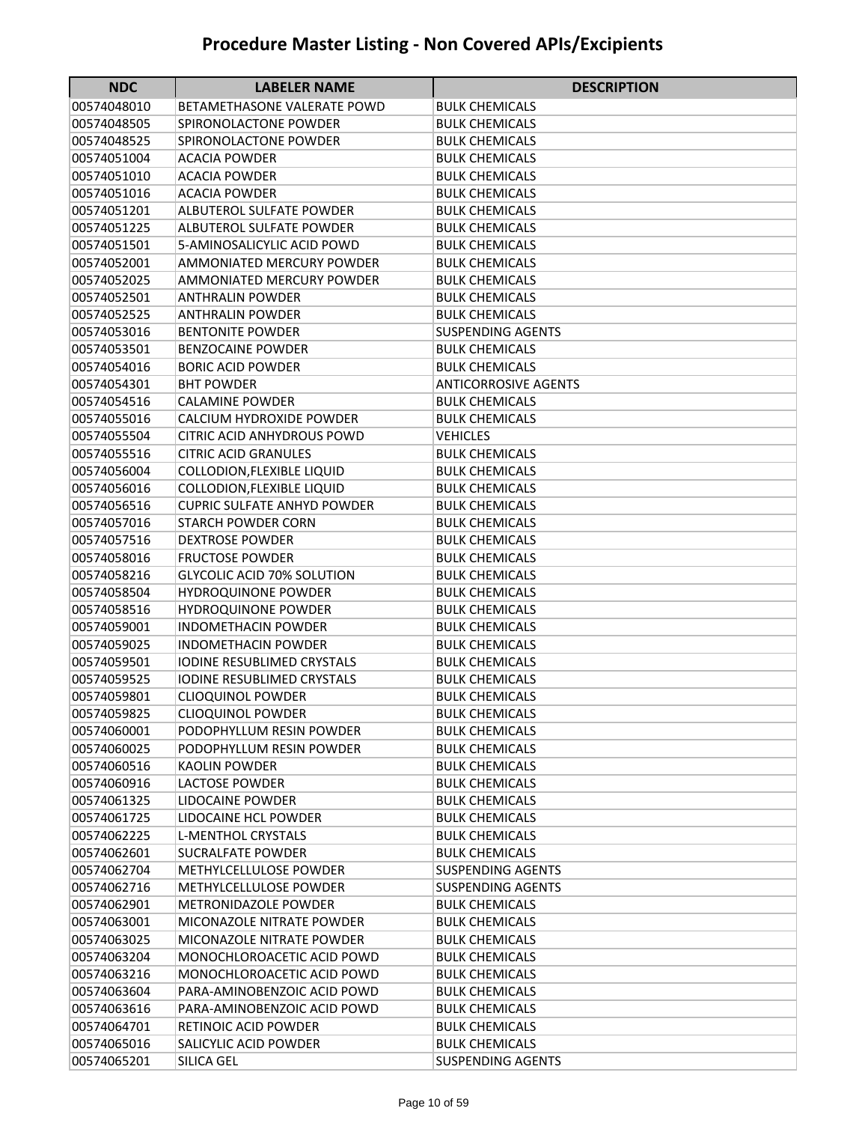| <b>NDC</b>                 | <b>LABELER NAME</b>                                  | <b>DESCRIPTION</b>                             |
|----------------------------|------------------------------------------------------|------------------------------------------------|
| 00574048010                | BETAMETHASONE VALERATE POWD                          | <b>BULK CHEMICALS</b>                          |
| 00574048505                | SPIRONOLACTONE POWDER                                | <b>BULK CHEMICALS</b>                          |
| 00574048525                | SPIRONOLACTONE POWDER                                | <b>BULK CHEMICALS</b>                          |
| 00574051004                | <b>ACACIA POWDER</b>                                 | <b>BULK CHEMICALS</b>                          |
| 00574051010                | <b>ACACIA POWDER</b>                                 | <b>BULK CHEMICALS</b>                          |
| 00574051016                | <b>ACACIA POWDER</b>                                 | <b>BULK CHEMICALS</b>                          |
| 00574051201                | <b>ALBUTEROL SULFATE POWDER</b>                      | <b>BULK CHEMICALS</b>                          |
| 00574051225                | ALBUTEROL SULFATE POWDER                             | <b>BULK CHEMICALS</b>                          |
| 00574051501                | 5-AMINOSALICYLIC ACID POWD                           | <b>BULK CHEMICALS</b>                          |
| 00574052001                | AMMONIATED MERCURY POWDER                            | <b>BULK CHEMICALS</b>                          |
| 00574052025                | <b>AMMONIATED MERCURY POWDER</b>                     | <b>BULK CHEMICALS</b>                          |
| 00574052501                | <b>ANTHRALIN POWDER</b>                              | <b>BULK CHEMICALS</b>                          |
| 00574052525                | ANTHRALIN POWDER                                     | <b>BULK CHEMICALS</b>                          |
| 00574053016                | <b>BENTONITE POWDER</b>                              | <b>SUSPENDING AGENTS</b>                       |
| 00574053501                | <b>BENZOCAINE POWDER</b>                             | <b>BULK CHEMICALS</b>                          |
| 00574054016                | <b>BORIC ACID POWDER</b>                             | <b>BULK CHEMICALS</b>                          |
| 00574054301                | <b>BHT POWDER</b>                                    | <b>ANTICORROSIVE AGENTS</b>                    |
| 00574054516                | <b>CALAMINE POWDER</b>                               | <b>BULK CHEMICALS</b>                          |
| 00574055016                | CALCIUM HYDROXIDE POWDER                             | <b>BULK CHEMICALS</b>                          |
| 00574055504                | <b>CITRIC ACID ANHYDROUS POWD</b>                    | VEHICLES                                       |
| 00574055516                | <b>CITRIC ACID GRANULES</b>                          | <b>BULK CHEMICALS</b>                          |
| 00574056004                | <b>COLLODION, FLEXIBLE LIQUID</b>                    | <b>BULK CHEMICALS</b>                          |
| 00574056016                | COLLODION, FLEXIBLE LIQUID                           | <b>BULK CHEMICALS</b>                          |
| 00574056516                | <b>CUPRIC SULFATE ANHYD POWDER</b>                   | <b>BULK CHEMICALS</b>                          |
| 00574057016                | <b>STARCH POWDER CORN</b>                            | <b>BULK CHEMICALS</b>                          |
| 00574057516                | <b>DEXTROSE POWDER</b>                               | <b>BULK CHEMICALS</b>                          |
| 00574058016                | <b>FRUCTOSE POWDER</b>                               | <b>BULK CHEMICALS</b>                          |
| 00574058216                | GLYCOLIC ACID 70% SOLUTION                           | <b>BULK CHEMICALS</b>                          |
| 00574058504                | <b>HYDROQUINONE POWDER</b>                           | <b>BULK CHEMICALS</b>                          |
| 00574058516                | <b>HYDROQUINONE POWDER</b>                           | <b>BULK CHEMICALS</b>                          |
| 00574059001                | <b>INDOMETHACIN POWDER</b>                           | <b>BULK CHEMICALS</b>                          |
| 00574059025                | INDOMETHACIN POWDER                                  | <b>BULK CHEMICALS</b>                          |
| 00574059501                | <b>IODINE RESUBLIMED CRYSTALS</b>                    | <b>BULK CHEMICALS</b>                          |
| 00574059525                | <b>IODINE RESUBLIMED CRYSTALS</b>                    | <b>BULK CHEMICALS</b>                          |
| 00574059801<br>00574059825 | <b>CLIOQUINOL POWDER</b>                             | <b>BULK CHEMICALS</b><br><b>BULK CHEMICALS</b> |
| 00574060001                | <b>CLIOQUINOL POWDER</b><br>PODOPHYLLUM RESIN POWDER | <b>BULK CHEMICALS</b>                          |
| 00574060025                | PODOPHYLLUM RESIN POWDER                             | <b>BULK CHEMICALS</b>                          |
| 00574060516                | <b>KAOLIN POWDER</b>                                 | <b>BULK CHEMICALS</b>                          |
| 00574060916                | <b>LACTOSE POWDER</b>                                | <b>BULK CHEMICALS</b>                          |
| 00574061325                | LIDOCAINE POWDER                                     | <b>BULK CHEMICALS</b>                          |
| 00574061725                | <b>LIDOCAINE HCL POWDER</b>                          | <b>BULK CHEMICALS</b>                          |
| 00574062225                | <b>L-MENTHOL CRYSTALS</b>                            | <b>BULK CHEMICALS</b>                          |
| 00574062601                | <b>SUCRALFATE POWDER</b>                             | <b>BULK CHEMICALS</b>                          |
| 00574062704                | METHYLCELLULOSE POWDER                               | <b>SUSPENDING AGENTS</b>                       |
| 00574062716                | METHYLCELLULOSE POWDER                               | <b>SUSPENDING AGENTS</b>                       |
| 00574062901                | <b>METRONIDAZOLE POWDER</b>                          | <b>BULK CHEMICALS</b>                          |
| 00574063001                | MICONAZOLE NITRATE POWDER                            | <b>BULK CHEMICALS</b>                          |
| 00574063025                | MICONAZOLE NITRATE POWDER                            | <b>BULK CHEMICALS</b>                          |
| 00574063204                | MONOCHLOROACETIC ACID POWD                           | <b>BULK CHEMICALS</b>                          |
| 00574063216                | MONOCHLOROACETIC ACID POWD                           | <b>BULK CHEMICALS</b>                          |
| 00574063604                | PARA-AMINOBENZOIC ACID POWD                          | <b>BULK CHEMICALS</b>                          |
| 00574063616                | PARA-AMINOBENZOIC ACID POWD                          | <b>BULK CHEMICALS</b>                          |
| 00574064701                | RETINOIC ACID POWDER                                 | BULK CHEMICALS                                 |
| 00574065016                | SALICYLIC ACID POWDER                                | <b>BULK CHEMICALS</b>                          |
| 00574065201                | SILICA GEL                                           | SUSPENDING AGENTS                              |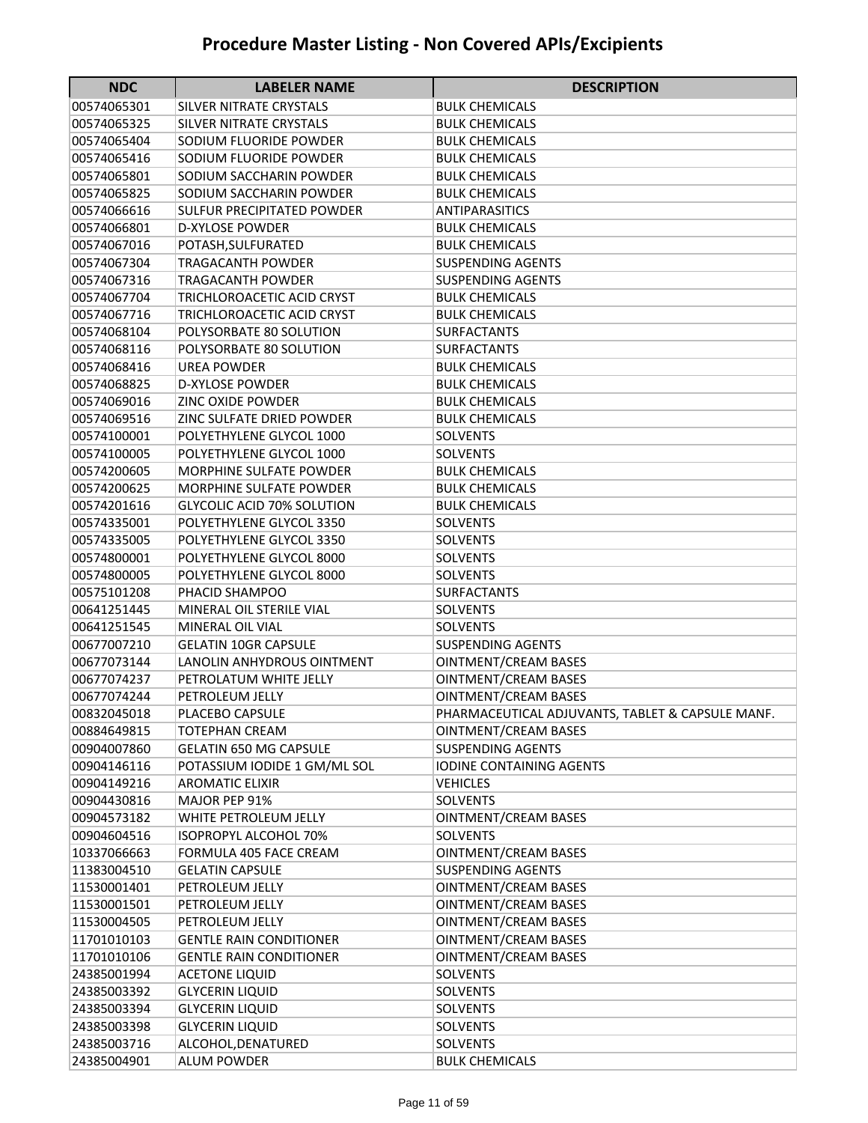| <b>NDC</b>  | <b>LABELER NAME</b>               | <b>DESCRIPTION</b>                               |
|-------------|-----------------------------------|--------------------------------------------------|
| 00574065301 | SILVER NITRATE CRYSTALS           | <b>BULK CHEMICALS</b>                            |
| 00574065325 | SILVER NITRATE CRYSTALS           | <b>BULK CHEMICALS</b>                            |
| 00574065404 | SODIUM FLUORIDE POWDER            | <b>BULK CHEMICALS</b>                            |
| 00574065416 | SODIUM FLUORIDE POWDER            | <b>BULK CHEMICALS</b>                            |
| 00574065801 | SODIUM SACCHARIN POWDER           | <b>BULK CHEMICALS</b>                            |
| 00574065825 | SODIUM SACCHARIN POWDER           | <b>BULK CHEMICALS</b>                            |
| 00574066616 | <b>SULFUR PRECIPITATED POWDER</b> | <b>ANTIPARASITICS</b>                            |
| 00574066801 | <b>D-XYLOSE POWDER</b>            | <b>BULK CHEMICALS</b>                            |
| 00574067016 | POTASH, SULFURATED                | <b>BULK CHEMICALS</b>                            |
| 00574067304 | <b>TRAGACANTH POWDER</b>          | <b>SUSPENDING AGENTS</b>                         |
| 00574067316 | <b>TRAGACANTH POWDER</b>          | <b>SUSPENDING AGENTS</b>                         |
| 00574067704 | TRICHLOROACETIC ACID CRYST        | <b>BULK CHEMICALS</b>                            |
| 00574067716 | TRICHLOROACETIC ACID CRYST        | <b>BULK CHEMICALS</b>                            |
| 00574068104 | POLYSORBATE 80 SOLUTION           | <b>SURFACTANTS</b>                               |
| 00574068116 | POLYSORBATE 80 SOLUTION           | <b>SURFACTANTS</b>                               |
| 00574068416 | <b>UREA POWDER</b>                | <b>BULK CHEMICALS</b>                            |
| 00574068825 | <b>D-XYLOSE POWDER</b>            | <b>BULK CHEMICALS</b>                            |
| 00574069016 | <b>ZINC OXIDE POWDER</b>          | <b>BULK CHEMICALS</b>                            |
| 00574069516 | ZINC SULFATE DRIED POWDER         | <b>BULK CHEMICALS</b>                            |
| 00574100001 | POLYETHYLENE GLYCOL 1000          | <b>SOLVENTS</b>                                  |
| 00574100005 | POLYETHYLENE GLYCOL 1000          | <b>SOLVENTS</b>                                  |
| 00574200605 | <b>MORPHINE SULFATE POWDER</b>    | <b>BULK CHEMICALS</b>                            |
| 00574200625 | <b>MORPHINE SULFATE POWDER</b>    | <b>BULK CHEMICALS</b>                            |
| 00574201616 | <b>GLYCOLIC ACID 70% SOLUTION</b> | <b>BULK CHEMICALS</b>                            |
| 00574335001 | POLYETHYLENE GLYCOL 3350          | <b>SOLVENTS</b>                                  |
| 00574335005 | POLYETHYLENE GLYCOL 3350          | <b>SOLVENTS</b>                                  |
| 00574800001 | POLYETHYLENE GLYCOL 8000          | <b>SOLVENTS</b>                                  |
| 00574800005 | POLYETHYLENE GLYCOL 8000          | SOLVENTS                                         |
| 00575101208 | PHACID SHAMPOO                    | SURFACTANTS                                      |
| 00641251445 | MINERAL OIL STERILE VIAL          | <b>SOLVENTS</b>                                  |
| 00641251545 | MINERAL OIL VIAL                  | <b>SOLVENTS</b>                                  |
| 00677007210 | <b>GELATIN 10GR CAPSULE</b>       | <b>SUSPENDING AGENTS</b>                         |
| 00677073144 | LANOLIN ANHYDROUS OINTMENT        | <b>OINTMENT/CREAM BASES</b>                      |
| 00677074237 | PETROLATUM WHITE JELLY            | <b>OINTMENT/CREAM BASES</b>                      |
| 00677074244 | PETROLEUM JELLY                   | <b>OINTMENT/CREAM BASES</b>                      |
| 00832045018 | PLACEBO CAPSULE                   | PHARMACEUTICAL ADJUVANTS, TABLET & CAPSULE MANF. |
| 00884649815 | TOTEPHAN CREAM                    | OINTMENT/CREAM BASES                             |
| 00904007860 | <b>GELATIN 650 MG CAPSULE</b>     | SUSPENDING AGENTS                                |
| 00904146116 | POTASSIUM IODIDE 1 GM/ML SOL      | <b>IODINE CONTAINING AGENTS</b>                  |
| 00904149216 | <b>AROMATIC ELIXIR</b>            | <b>VEHICLES</b>                                  |
| 00904430816 | MAJOR PEP 91%                     | <b>SOLVENTS</b>                                  |
| 00904573182 | WHITE PETROLEUM JELLY             | OINTMENT/CREAM BASES                             |
| 00904604516 | <b>ISOPROPYL ALCOHOL 70%</b>      | <b>SOLVENTS</b>                                  |
| 10337066663 | FORMULA 405 FACE CREAM            | <b>OINTMENT/CREAM BASES</b>                      |
| 11383004510 | <b>GELATIN CAPSULE</b>            | <b>SUSPENDING AGENTS</b>                         |
| 11530001401 | PETROLEUM JELLY                   | OINTMENT/CREAM BASES                             |
| 11530001501 | PETROLEUM JELLY                   | OINTMENT/CREAM BASES                             |
| 11530004505 | PETROLEUM JELLY                   | OINTMENT/CREAM BASES                             |
| 11701010103 | <b>GENTLE RAIN CONDITIONER</b>    | OINTMENT/CREAM BASES                             |
| 11701010106 | <b>GENTLE RAIN CONDITIONER</b>    | <b>OINTMENT/CREAM BASES</b>                      |
| 24385001994 | <b>ACETONE LIQUID</b>             | <b>SOLVENTS</b>                                  |
| 24385003392 | <b>GLYCERIN LIQUID</b>            | <b>SOLVENTS</b>                                  |
| 24385003394 | <b>GLYCERIN LIQUID</b>            | SOLVENTS                                         |
| 24385003398 | <b>GLYCERIN LIQUID</b>            | <b>SOLVENTS</b>                                  |
| 24385003716 | ALCOHOL, DENATURED                | SOLVENTS                                         |
| 24385004901 | <b>ALUM POWDER</b>                | <b>BULK CHEMICALS</b>                            |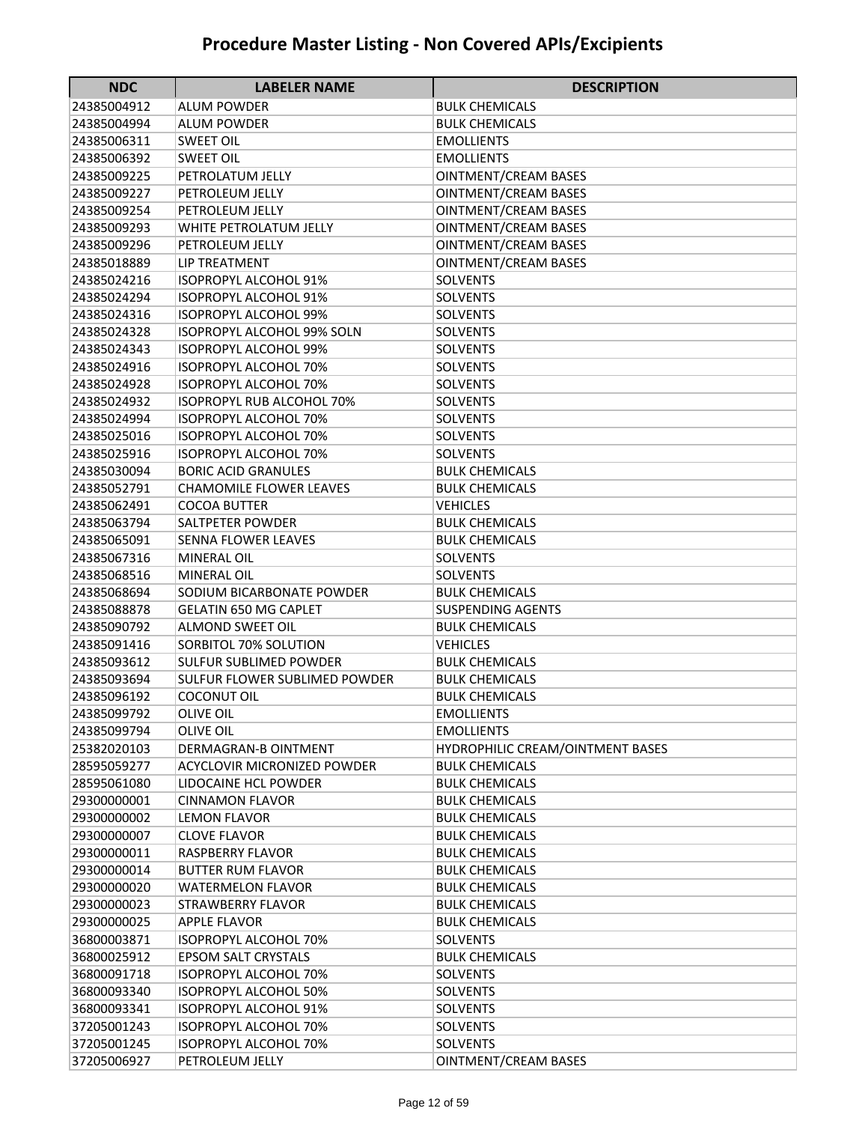| <b>NDC</b>                 | <b>LABELER NAME</b>                  | <b>DESCRIPTION</b>                     |
|----------------------------|--------------------------------------|----------------------------------------|
| 24385004912                | <b>ALUM POWDER</b>                   | <b>BULK CHEMICALS</b>                  |
| 24385004994                | <b>ALUM POWDER</b>                   | <b>BULK CHEMICALS</b>                  |
| 24385006311                | SWEET OIL                            | EMOLLIENTS                             |
| 24385006392                | <b>SWEET OIL</b>                     | <b>EMOLLIENTS</b>                      |
| 24385009225                | PETROLATUM JELLY                     | <b>OINTMENT/CREAM BASES</b>            |
| 24385009227                | PETROLEUM JELLY                      | <b>OINTMENT/CREAM BASES</b>            |
| 24385009254                | PETROLEUM JELLY                      | <b>OINTMENT/CREAM BASES</b>            |
| 24385009293                | <b>WHITE PETROLATUM JELLY</b>        | <b>OINTMENT/CREAM BASES</b>            |
| 24385009296                | PETROLEUM JELLY                      | <b>OINTMENT/CREAM BASES</b>            |
| 24385018889                | <b>LIP TREATMENT</b>                 | <b>OINTMENT/CREAM BASES</b>            |
| 24385024216                | <b>ISOPROPYL ALCOHOL 91%</b>         | <b>SOLVENTS</b>                        |
| 24385024294                | <b>ISOPROPYL ALCOHOL 91%</b>         | <b>SOLVENTS</b>                        |
| 24385024316                | <b>ISOPROPYL ALCOHOL 99%</b>         | <b>SOLVENTS</b>                        |
| 24385024328                | <b>ISOPROPYL ALCOHOL 99% SOLN</b>    | <b>SOLVENTS</b>                        |
| 24385024343                | <b>ISOPROPYL ALCOHOL 99%</b>         | <b>SOLVENTS</b>                        |
| 24385024916                | <b>ISOPROPYL ALCOHOL 70%</b>         | SOLVENTS                               |
| 24385024928                | <b>ISOPROPYL ALCOHOL 70%</b>         | SOLVENTS                               |
| 24385024932                | <b>ISOPROPYL RUB ALCOHOL 70%</b>     | <b>SOLVENTS</b>                        |
| 24385024994                | <b>ISOPROPYL ALCOHOL 70%</b>         | <b>SOLVENTS</b>                        |
| 24385025016                | <b>ISOPROPYL ALCOHOL 70%</b>         | <b>SOLVENTS</b>                        |
| 24385025916                | <b>ISOPROPYL ALCOHOL 70%</b>         | SOLVENTS                               |
| 24385030094                | <b>BORIC ACID GRANULES</b>           | <b>BULK CHEMICALS</b>                  |
| 24385052791                | <b>CHAMOMILE FLOWER LEAVES</b>       | <b>BULK CHEMICALS</b>                  |
| 24385062491                | <b>COCOA BUTTER</b>                  | <b>VEHICLES</b>                        |
| 24385063794                | SALTPETER POWDER                     | <b>BULK CHEMICALS</b>                  |
| 24385065091                | <b>SENNA FLOWER LEAVES</b>           | <b>BULK CHEMICALS</b>                  |
| 24385067316                | MINERAL OIL                          | <b>SOLVENTS</b>                        |
| 24385068516                | MINERAL OIL                          | SOLVENTS                               |
| 24385068694                | SODIUM BICARBONATE POWDER            | <b>BULK CHEMICALS</b>                  |
| 24385088878                | <b>GELATIN 650 MG CAPLET</b>         | <b>SUSPENDING AGENTS</b>               |
| 24385090792                | <b>ALMOND SWEET OIL</b>              | <b>BULK CHEMICALS</b>                  |
| 24385091416                | SORBITOL 70% SOLUTION                | <b>VEHICLES</b>                        |
| 24385093612                | <b>SULFUR SUBLIMED POWDER</b>        | <b>BULK CHEMICALS</b>                  |
| 24385093694                | <b>SULFUR FLOWER SUBLIMED POWDER</b> | <b>BULK CHEMICALS</b>                  |
| 24385096192<br>24385099792 | <b>COCONUT OIL</b>                   | <b>BULK CHEMICALS</b>                  |
| 24385099794                | <b>OLIVE OIL</b><br><b>OLIVE OIL</b> | <b>EMOLLIENTS</b><br><b>EMOLLIENTS</b> |
| 25382020103                | DERMAGRAN-B OINTMENT                 | HYDROPHILIC CREAM/OINTMENT BASES       |
| 28595059277                | ACYCLOVIR MICRONIZED POWDER          | <b>BULK CHEMICALS</b>                  |
| 28595061080                | LIDOCAINE HCL POWDER                 | <b>BULK CHEMICALS</b>                  |
| 29300000001                | <b>CINNAMON FLAVOR</b>               | <b>BULK CHEMICALS</b>                  |
| 29300000002                | <b>LEMON FLAVOR</b>                  | <b>BULK CHEMICALS</b>                  |
| 29300000007                | <b>CLOVE FLAVOR</b>                  | <b>BULK CHEMICALS</b>                  |
| 29300000011                | <b>RASPBERRY FLAVOR</b>              | <b>BULK CHEMICALS</b>                  |
| 29300000014                | <b>BUTTER RUM FLAVOR</b>             | <b>BULK CHEMICALS</b>                  |
| 29300000020                | <b>WATERMELON FLAVOR</b>             | <b>BULK CHEMICALS</b>                  |
| 29300000023                | <b>STRAWBERRY FLAVOR</b>             | <b>BULK CHEMICALS</b>                  |
| 29300000025                | APPLE FLAVOR                         | <b>BULK CHEMICALS</b>                  |
| 36800003871                | <b>ISOPROPYL ALCOHOL 70%</b>         | <b>SOLVENTS</b>                        |
| 36800025912                | <b>EPSOM SALT CRYSTALS</b>           | <b>BULK CHEMICALS</b>                  |
| 36800091718                | <b>ISOPROPYL ALCOHOL 70%</b>         | <b>SOLVENTS</b>                        |
| 36800093340                | <b>ISOPROPYL ALCOHOL 50%</b>         | <b>SOLVENTS</b>                        |
| 36800093341                | <b>ISOPROPYL ALCOHOL 91%</b>         | <b>SOLVENTS</b>                        |
| 37205001243                | <b>ISOPROPYL ALCOHOL 70%</b>         | <b>SOLVENTS</b>                        |
| 37205001245                | <b>ISOPROPYL ALCOHOL 70%</b>         | <b>SOLVENTS</b>                        |
| 37205006927                | PETROLEUM JELLY                      | <b>OINTMENT/CREAM BASES</b>            |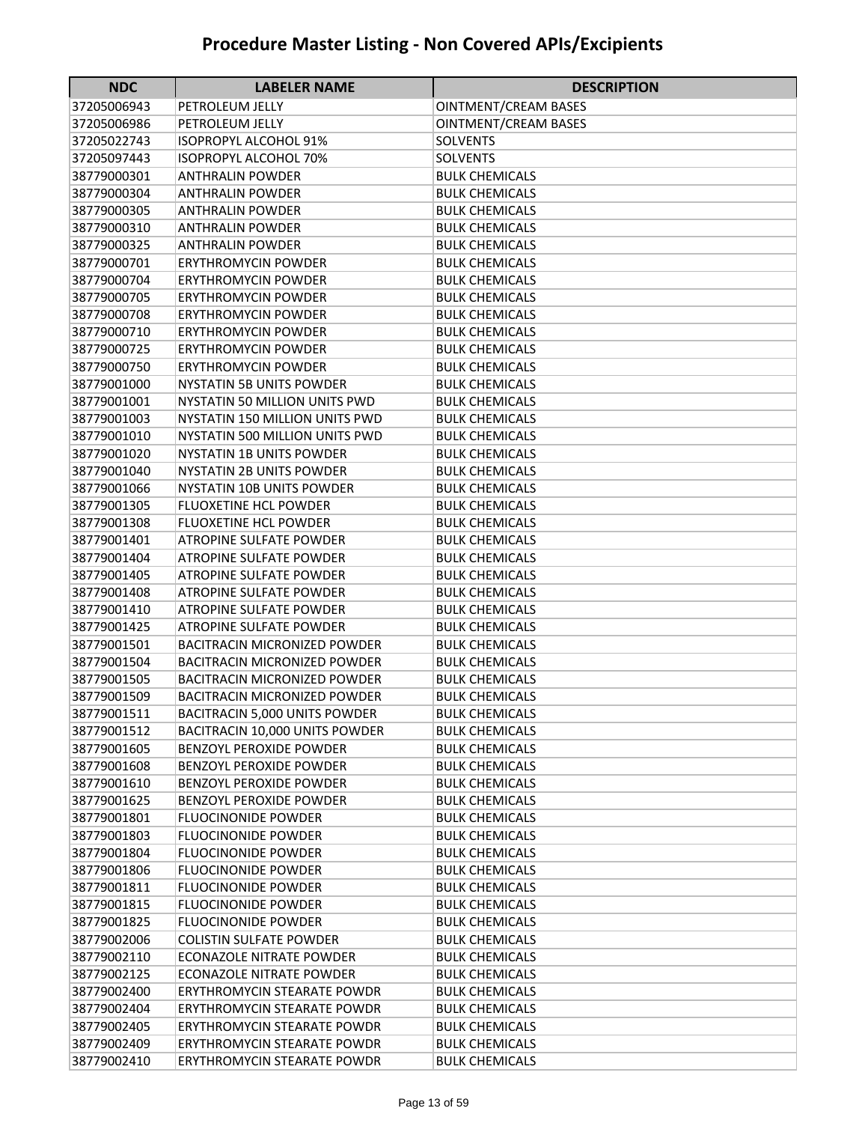| 37205006943<br>OINTMENT/CREAM BASES<br>PETROLEUM JELLY<br>37205006986<br>PETROLEUM JELLY<br>OINTMENT/CREAM BASES<br>37205022743<br>ISOPROPYL ALCOHOL 91%<br>SOLVENTS<br>37205097443<br><b>ISOPROPYL ALCOHOL 70%</b><br><b>SOLVENTS</b><br>38779000301<br><b>ANTHRALIN POWDER</b><br><b>BULK CHEMICALS</b><br>38779000304<br><b>ANTHRALIN POWDER</b><br><b>BULK CHEMICALS</b><br>38779000305<br><b>ANTHRALIN POWDER</b><br><b>BULK CHEMICALS</b><br>38779000310<br><b>ANTHRALIN POWDER</b><br><b>BULK CHEMICALS</b><br>38779000325<br><b>ANTHRALIN POWDER</b><br><b>BULK CHEMICALS</b><br>38779000701<br><b>ERYTHROMYCIN POWDER</b><br><b>BULK CHEMICALS</b><br>38779000704<br><b>ERYTHROMYCIN POWDER</b><br><b>BULK CHEMICALS</b><br>38779000705<br><b>ERYTHROMYCIN POWDER</b><br><b>BULK CHEMICALS</b><br>38779000708<br><b>ERYTHROMYCIN POWDER</b><br><b>BULK CHEMICALS</b><br>38779000710<br><b>ERYTHROMYCIN POWDER</b><br><b>BULK CHEMICALS</b><br>38779000725<br><b>ERYTHROMYCIN POWDER</b><br><b>BULK CHEMICALS</b><br>38779000750<br><b>ERYTHROMYCIN POWDER</b><br><b>BULK CHEMICALS</b><br>38779001000<br><b>NYSTATIN 5B UNITS POWDER</b><br><b>BULK CHEMICALS</b><br>38779001001<br><b>NYSTATIN 50 MILLION UNITS PWD</b><br><b>BULK CHEMICALS</b><br><b>BULK CHEMICALS</b><br>38779001003<br>NYSTATIN 150 MILLION UNITS PWD<br>38779001010<br>NYSTATIN 500 MILLION UNITS PWD<br><b>BULK CHEMICALS</b><br>38779001020<br><b>NYSTATIN 1B UNITS POWDER</b><br><b>BULK CHEMICALS</b><br>38779001040<br><b>NYSTATIN 2B UNITS POWDER</b><br><b>BULK CHEMICALS</b><br>38779001066<br><b>NYSTATIN 10B UNITS POWDER</b><br><b>BULK CHEMICALS</b><br>38779001305<br><b>FLUOXETINE HCL POWDER</b><br><b>BULK CHEMICALS</b><br>38779001308<br>FLUOXETINE HCL POWDER<br><b>BULK CHEMICALS</b><br>38779001401<br>ATROPINE SULFATE POWDER<br><b>BULK CHEMICALS</b><br>38779001404<br>ATROPINE SULFATE POWDER<br><b>BULK CHEMICALS</b><br>38779001405<br><b>ATROPINE SULFATE POWDER</b><br><b>BULK CHEMICALS</b><br>38779001408<br>ATROPINE SULFATE POWDER<br><b>BULK CHEMICALS</b><br>38779001410<br><b>ATROPINE SULFATE POWDER</b><br><b>BULK CHEMICALS</b><br>38779001425<br><b>ATROPINE SULFATE POWDER</b><br><b>BULK CHEMICALS</b><br>38779001501<br><b>BACITRACIN MICRONIZED POWDER</b><br><b>BULK CHEMICALS</b><br>38779001504<br>BACITRACIN MICRONIZED POWDER<br><b>BULK CHEMICALS</b><br>38779001505<br><b>BACITRACIN MICRONIZED POWDER</b><br><b>BULK CHEMICALS</b><br>38779001509<br><b>BACITRACIN MICRONIZED POWDER</b><br><b>BULK CHEMICALS</b><br><b>BACITRACIN 5,000 UNITS POWDER</b><br><b>BULK CHEMICALS</b><br>38779001511<br>38779001512<br>BACITRACIN 10,000 UNITS POWDER<br><b>BULK CHEMICALS</b><br><b>BENZOYL PEROXIDE POWDER</b><br>38779001605<br><b>BULK CHEMICALS</b><br>38779001608<br>BENZOYL PEROXIDE POWDER<br><b>BULK CHEMICALS</b><br>38779001610<br><b>BENZOYL PEROXIDE POWDER</b><br><b>BULK CHEMICALS</b><br>38779001625<br><b>BENZOYL PEROXIDE POWDER</b><br><b>BULK CHEMICALS</b><br>38779001801<br><b>FLUOCINONIDE POWDER</b><br><b>BULK CHEMICALS</b><br>38779001803<br><b>FLUOCINONIDE POWDER</b><br><b>BULK CHEMICALS</b><br>38779001804<br><b>FLUOCINONIDE POWDER</b><br><b>BULK CHEMICALS</b><br>38779001806<br><b>FLUOCINONIDE POWDER</b><br><b>BULK CHEMICALS</b><br>38779001811<br><b>FLUOCINONIDE POWDER</b><br><b>BULK CHEMICALS</b><br>38779001815<br><b>FLUOCINONIDE POWDER</b><br><b>BULK CHEMICALS</b><br>38779001825<br><b>FLUOCINONIDE POWDER</b><br><b>BULK CHEMICALS</b><br>38779002006<br><b>COLISTIN SULFATE POWDER</b><br><b>BULK CHEMICALS</b><br>38779002110<br>ECONAZOLE NITRATE POWDER<br><b>BULK CHEMICALS</b><br>38779002125<br><b>ECONAZOLE NITRATE POWDER</b><br><b>BULK CHEMICALS</b><br>38779002400<br>ERYTHROMYCIN STEARATE POWDR<br><b>BULK CHEMICALS</b><br>38779002404<br>ERYTHROMYCIN STEARATE POWDR<br><b>BULK CHEMICALS</b><br>38779002405<br>ERYTHROMYCIN STEARATE POWDR<br><b>BULK CHEMICALS</b><br>38779002409<br>ERYTHROMYCIN STEARATE POWDR<br><b>BULK CHEMICALS</b> | <b>NDC</b>  | <b>LABELER NAME</b>         | <b>DESCRIPTION</b>    |
|-------------------------------------------------------------------------------------------------------------------------------------------------------------------------------------------------------------------------------------------------------------------------------------------------------------------------------------------------------------------------------------------------------------------------------------------------------------------------------------------------------------------------------------------------------------------------------------------------------------------------------------------------------------------------------------------------------------------------------------------------------------------------------------------------------------------------------------------------------------------------------------------------------------------------------------------------------------------------------------------------------------------------------------------------------------------------------------------------------------------------------------------------------------------------------------------------------------------------------------------------------------------------------------------------------------------------------------------------------------------------------------------------------------------------------------------------------------------------------------------------------------------------------------------------------------------------------------------------------------------------------------------------------------------------------------------------------------------------------------------------------------------------------------------------------------------------------------------------------------------------------------------------------------------------------------------------------------------------------------------------------------------------------------------------------------------------------------------------------------------------------------------------------------------------------------------------------------------------------------------------------------------------------------------------------------------------------------------------------------------------------------------------------------------------------------------------------------------------------------------------------------------------------------------------------------------------------------------------------------------------------------------------------------------------------------------------------------------------------------------------------------------------------------------------------------------------------------------------------------------------------------------------------------------------------------------------------------------------------------------------------------------------------------------------------------------------------------------------------------------------------------------------------------------------------------------------------------------------------------------------------------------------------------------------------------------------------------------------------------------------------------------------------------------------------------------------------------------------------------------------------------------------------------------------------------------------------------------------------------------------------------------------------------------------------------------------------------------------------------------------------------------------------------------------------------------------------------------------------------------------------------------------------------------------------------------------------------------------------------------------------------------------------------------------|-------------|-----------------------------|-----------------------|
|                                                                                                                                                                                                                                                                                                                                                                                                                                                                                                                                                                                                                                                                                                                                                                                                                                                                                                                                                                                                                                                                                                                                                                                                                                                                                                                                                                                                                                                                                                                                                                                                                                                                                                                                                                                                                                                                                                                                                                                                                                                                                                                                                                                                                                                                                                                                                                                                                                                                                                                                                                                                                                                                                                                                                                                                                                                                                                                                                                                                                                                                                                                                                                                                                                                                                                                                                                                                                                                                                                                                                                                                                                                                                                                                                                                                                                                                                                                                                                                                                                                 |             |                             |                       |
|                                                                                                                                                                                                                                                                                                                                                                                                                                                                                                                                                                                                                                                                                                                                                                                                                                                                                                                                                                                                                                                                                                                                                                                                                                                                                                                                                                                                                                                                                                                                                                                                                                                                                                                                                                                                                                                                                                                                                                                                                                                                                                                                                                                                                                                                                                                                                                                                                                                                                                                                                                                                                                                                                                                                                                                                                                                                                                                                                                                                                                                                                                                                                                                                                                                                                                                                                                                                                                                                                                                                                                                                                                                                                                                                                                                                                                                                                                                                                                                                                                                 |             |                             |                       |
|                                                                                                                                                                                                                                                                                                                                                                                                                                                                                                                                                                                                                                                                                                                                                                                                                                                                                                                                                                                                                                                                                                                                                                                                                                                                                                                                                                                                                                                                                                                                                                                                                                                                                                                                                                                                                                                                                                                                                                                                                                                                                                                                                                                                                                                                                                                                                                                                                                                                                                                                                                                                                                                                                                                                                                                                                                                                                                                                                                                                                                                                                                                                                                                                                                                                                                                                                                                                                                                                                                                                                                                                                                                                                                                                                                                                                                                                                                                                                                                                                                                 |             |                             |                       |
|                                                                                                                                                                                                                                                                                                                                                                                                                                                                                                                                                                                                                                                                                                                                                                                                                                                                                                                                                                                                                                                                                                                                                                                                                                                                                                                                                                                                                                                                                                                                                                                                                                                                                                                                                                                                                                                                                                                                                                                                                                                                                                                                                                                                                                                                                                                                                                                                                                                                                                                                                                                                                                                                                                                                                                                                                                                                                                                                                                                                                                                                                                                                                                                                                                                                                                                                                                                                                                                                                                                                                                                                                                                                                                                                                                                                                                                                                                                                                                                                                                                 |             |                             |                       |
|                                                                                                                                                                                                                                                                                                                                                                                                                                                                                                                                                                                                                                                                                                                                                                                                                                                                                                                                                                                                                                                                                                                                                                                                                                                                                                                                                                                                                                                                                                                                                                                                                                                                                                                                                                                                                                                                                                                                                                                                                                                                                                                                                                                                                                                                                                                                                                                                                                                                                                                                                                                                                                                                                                                                                                                                                                                                                                                                                                                                                                                                                                                                                                                                                                                                                                                                                                                                                                                                                                                                                                                                                                                                                                                                                                                                                                                                                                                                                                                                                                                 |             |                             |                       |
|                                                                                                                                                                                                                                                                                                                                                                                                                                                                                                                                                                                                                                                                                                                                                                                                                                                                                                                                                                                                                                                                                                                                                                                                                                                                                                                                                                                                                                                                                                                                                                                                                                                                                                                                                                                                                                                                                                                                                                                                                                                                                                                                                                                                                                                                                                                                                                                                                                                                                                                                                                                                                                                                                                                                                                                                                                                                                                                                                                                                                                                                                                                                                                                                                                                                                                                                                                                                                                                                                                                                                                                                                                                                                                                                                                                                                                                                                                                                                                                                                                                 |             |                             |                       |
|                                                                                                                                                                                                                                                                                                                                                                                                                                                                                                                                                                                                                                                                                                                                                                                                                                                                                                                                                                                                                                                                                                                                                                                                                                                                                                                                                                                                                                                                                                                                                                                                                                                                                                                                                                                                                                                                                                                                                                                                                                                                                                                                                                                                                                                                                                                                                                                                                                                                                                                                                                                                                                                                                                                                                                                                                                                                                                                                                                                                                                                                                                                                                                                                                                                                                                                                                                                                                                                                                                                                                                                                                                                                                                                                                                                                                                                                                                                                                                                                                                                 |             |                             |                       |
|                                                                                                                                                                                                                                                                                                                                                                                                                                                                                                                                                                                                                                                                                                                                                                                                                                                                                                                                                                                                                                                                                                                                                                                                                                                                                                                                                                                                                                                                                                                                                                                                                                                                                                                                                                                                                                                                                                                                                                                                                                                                                                                                                                                                                                                                                                                                                                                                                                                                                                                                                                                                                                                                                                                                                                                                                                                                                                                                                                                                                                                                                                                                                                                                                                                                                                                                                                                                                                                                                                                                                                                                                                                                                                                                                                                                                                                                                                                                                                                                                                                 |             |                             |                       |
|                                                                                                                                                                                                                                                                                                                                                                                                                                                                                                                                                                                                                                                                                                                                                                                                                                                                                                                                                                                                                                                                                                                                                                                                                                                                                                                                                                                                                                                                                                                                                                                                                                                                                                                                                                                                                                                                                                                                                                                                                                                                                                                                                                                                                                                                                                                                                                                                                                                                                                                                                                                                                                                                                                                                                                                                                                                                                                                                                                                                                                                                                                                                                                                                                                                                                                                                                                                                                                                                                                                                                                                                                                                                                                                                                                                                                                                                                                                                                                                                                                                 |             |                             |                       |
|                                                                                                                                                                                                                                                                                                                                                                                                                                                                                                                                                                                                                                                                                                                                                                                                                                                                                                                                                                                                                                                                                                                                                                                                                                                                                                                                                                                                                                                                                                                                                                                                                                                                                                                                                                                                                                                                                                                                                                                                                                                                                                                                                                                                                                                                                                                                                                                                                                                                                                                                                                                                                                                                                                                                                                                                                                                                                                                                                                                                                                                                                                                                                                                                                                                                                                                                                                                                                                                                                                                                                                                                                                                                                                                                                                                                                                                                                                                                                                                                                                                 |             |                             |                       |
|                                                                                                                                                                                                                                                                                                                                                                                                                                                                                                                                                                                                                                                                                                                                                                                                                                                                                                                                                                                                                                                                                                                                                                                                                                                                                                                                                                                                                                                                                                                                                                                                                                                                                                                                                                                                                                                                                                                                                                                                                                                                                                                                                                                                                                                                                                                                                                                                                                                                                                                                                                                                                                                                                                                                                                                                                                                                                                                                                                                                                                                                                                                                                                                                                                                                                                                                                                                                                                                                                                                                                                                                                                                                                                                                                                                                                                                                                                                                                                                                                                                 |             |                             |                       |
|                                                                                                                                                                                                                                                                                                                                                                                                                                                                                                                                                                                                                                                                                                                                                                                                                                                                                                                                                                                                                                                                                                                                                                                                                                                                                                                                                                                                                                                                                                                                                                                                                                                                                                                                                                                                                                                                                                                                                                                                                                                                                                                                                                                                                                                                                                                                                                                                                                                                                                                                                                                                                                                                                                                                                                                                                                                                                                                                                                                                                                                                                                                                                                                                                                                                                                                                                                                                                                                                                                                                                                                                                                                                                                                                                                                                                                                                                                                                                                                                                                                 |             |                             |                       |
|                                                                                                                                                                                                                                                                                                                                                                                                                                                                                                                                                                                                                                                                                                                                                                                                                                                                                                                                                                                                                                                                                                                                                                                                                                                                                                                                                                                                                                                                                                                                                                                                                                                                                                                                                                                                                                                                                                                                                                                                                                                                                                                                                                                                                                                                                                                                                                                                                                                                                                                                                                                                                                                                                                                                                                                                                                                                                                                                                                                                                                                                                                                                                                                                                                                                                                                                                                                                                                                                                                                                                                                                                                                                                                                                                                                                                                                                                                                                                                                                                                                 |             |                             |                       |
|                                                                                                                                                                                                                                                                                                                                                                                                                                                                                                                                                                                                                                                                                                                                                                                                                                                                                                                                                                                                                                                                                                                                                                                                                                                                                                                                                                                                                                                                                                                                                                                                                                                                                                                                                                                                                                                                                                                                                                                                                                                                                                                                                                                                                                                                                                                                                                                                                                                                                                                                                                                                                                                                                                                                                                                                                                                                                                                                                                                                                                                                                                                                                                                                                                                                                                                                                                                                                                                                                                                                                                                                                                                                                                                                                                                                                                                                                                                                                                                                                                                 |             |                             |                       |
|                                                                                                                                                                                                                                                                                                                                                                                                                                                                                                                                                                                                                                                                                                                                                                                                                                                                                                                                                                                                                                                                                                                                                                                                                                                                                                                                                                                                                                                                                                                                                                                                                                                                                                                                                                                                                                                                                                                                                                                                                                                                                                                                                                                                                                                                                                                                                                                                                                                                                                                                                                                                                                                                                                                                                                                                                                                                                                                                                                                                                                                                                                                                                                                                                                                                                                                                                                                                                                                                                                                                                                                                                                                                                                                                                                                                                                                                                                                                                                                                                                                 |             |                             |                       |
|                                                                                                                                                                                                                                                                                                                                                                                                                                                                                                                                                                                                                                                                                                                                                                                                                                                                                                                                                                                                                                                                                                                                                                                                                                                                                                                                                                                                                                                                                                                                                                                                                                                                                                                                                                                                                                                                                                                                                                                                                                                                                                                                                                                                                                                                                                                                                                                                                                                                                                                                                                                                                                                                                                                                                                                                                                                                                                                                                                                                                                                                                                                                                                                                                                                                                                                                                                                                                                                                                                                                                                                                                                                                                                                                                                                                                                                                                                                                                                                                                                                 |             |                             |                       |
|                                                                                                                                                                                                                                                                                                                                                                                                                                                                                                                                                                                                                                                                                                                                                                                                                                                                                                                                                                                                                                                                                                                                                                                                                                                                                                                                                                                                                                                                                                                                                                                                                                                                                                                                                                                                                                                                                                                                                                                                                                                                                                                                                                                                                                                                                                                                                                                                                                                                                                                                                                                                                                                                                                                                                                                                                                                                                                                                                                                                                                                                                                                                                                                                                                                                                                                                                                                                                                                                                                                                                                                                                                                                                                                                                                                                                                                                                                                                                                                                                                                 |             |                             |                       |
|                                                                                                                                                                                                                                                                                                                                                                                                                                                                                                                                                                                                                                                                                                                                                                                                                                                                                                                                                                                                                                                                                                                                                                                                                                                                                                                                                                                                                                                                                                                                                                                                                                                                                                                                                                                                                                                                                                                                                                                                                                                                                                                                                                                                                                                                                                                                                                                                                                                                                                                                                                                                                                                                                                                                                                                                                                                                                                                                                                                                                                                                                                                                                                                                                                                                                                                                                                                                                                                                                                                                                                                                                                                                                                                                                                                                                                                                                                                                                                                                                                                 |             |                             |                       |
|                                                                                                                                                                                                                                                                                                                                                                                                                                                                                                                                                                                                                                                                                                                                                                                                                                                                                                                                                                                                                                                                                                                                                                                                                                                                                                                                                                                                                                                                                                                                                                                                                                                                                                                                                                                                                                                                                                                                                                                                                                                                                                                                                                                                                                                                                                                                                                                                                                                                                                                                                                                                                                                                                                                                                                                                                                                                                                                                                                                                                                                                                                                                                                                                                                                                                                                                                                                                                                                                                                                                                                                                                                                                                                                                                                                                                                                                                                                                                                                                                                                 |             |                             |                       |
|                                                                                                                                                                                                                                                                                                                                                                                                                                                                                                                                                                                                                                                                                                                                                                                                                                                                                                                                                                                                                                                                                                                                                                                                                                                                                                                                                                                                                                                                                                                                                                                                                                                                                                                                                                                                                                                                                                                                                                                                                                                                                                                                                                                                                                                                                                                                                                                                                                                                                                                                                                                                                                                                                                                                                                                                                                                                                                                                                                                                                                                                                                                                                                                                                                                                                                                                                                                                                                                                                                                                                                                                                                                                                                                                                                                                                                                                                                                                                                                                                                                 |             |                             |                       |
|                                                                                                                                                                                                                                                                                                                                                                                                                                                                                                                                                                                                                                                                                                                                                                                                                                                                                                                                                                                                                                                                                                                                                                                                                                                                                                                                                                                                                                                                                                                                                                                                                                                                                                                                                                                                                                                                                                                                                                                                                                                                                                                                                                                                                                                                                                                                                                                                                                                                                                                                                                                                                                                                                                                                                                                                                                                                                                                                                                                                                                                                                                                                                                                                                                                                                                                                                                                                                                                                                                                                                                                                                                                                                                                                                                                                                                                                                                                                                                                                                                                 |             |                             |                       |
|                                                                                                                                                                                                                                                                                                                                                                                                                                                                                                                                                                                                                                                                                                                                                                                                                                                                                                                                                                                                                                                                                                                                                                                                                                                                                                                                                                                                                                                                                                                                                                                                                                                                                                                                                                                                                                                                                                                                                                                                                                                                                                                                                                                                                                                                                                                                                                                                                                                                                                                                                                                                                                                                                                                                                                                                                                                                                                                                                                                                                                                                                                                                                                                                                                                                                                                                                                                                                                                                                                                                                                                                                                                                                                                                                                                                                                                                                                                                                                                                                                                 |             |                             |                       |
|                                                                                                                                                                                                                                                                                                                                                                                                                                                                                                                                                                                                                                                                                                                                                                                                                                                                                                                                                                                                                                                                                                                                                                                                                                                                                                                                                                                                                                                                                                                                                                                                                                                                                                                                                                                                                                                                                                                                                                                                                                                                                                                                                                                                                                                                                                                                                                                                                                                                                                                                                                                                                                                                                                                                                                                                                                                                                                                                                                                                                                                                                                                                                                                                                                                                                                                                                                                                                                                                                                                                                                                                                                                                                                                                                                                                                                                                                                                                                                                                                                                 |             |                             |                       |
|                                                                                                                                                                                                                                                                                                                                                                                                                                                                                                                                                                                                                                                                                                                                                                                                                                                                                                                                                                                                                                                                                                                                                                                                                                                                                                                                                                                                                                                                                                                                                                                                                                                                                                                                                                                                                                                                                                                                                                                                                                                                                                                                                                                                                                                                                                                                                                                                                                                                                                                                                                                                                                                                                                                                                                                                                                                                                                                                                                                                                                                                                                                                                                                                                                                                                                                                                                                                                                                                                                                                                                                                                                                                                                                                                                                                                                                                                                                                                                                                                                                 |             |                             |                       |
|                                                                                                                                                                                                                                                                                                                                                                                                                                                                                                                                                                                                                                                                                                                                                                                                                                                                                                                                                                                                                                                                                                                                                                                                                                                                                                                                                                                                                                                                                                                                                                                                                                                                                                                                                                                                                                                                                                                                                                                                                                                                                                                                                                                                                                                                                                                                                                                                                                                                                                                                                                                                                                                                                                                                                                                                                                                                                                                                                                                                                                                                                                                                                                                                                                                                                                                                                                                                                                                                                                                                                                                                                                                                                                                                                                                                                                                                                                                                                                                                                                                 |             |                             |                       |
|                                                                                                                                                                                                                                                                                                                                                                                                                                                                                                                                                                                                                                                                                                                                                                                                                                                                                                                                                                                                                                                                                                                                                                                                                                                                                                                                                                                                                                                                                                                                                                                                                                                                                                                                                                                                                                                                                                                                                                                                                                                                                                                                                                                                                                                                                                                                                                                                                                                                                                                                                                                                                                                                                                                                                                                                                                                                                                                                                                                                                                                                                                                                                                                                                                                                                                                                                                                                                                                                                                                                                                                                                                                                                                                                                                                                                                                                                                                                                                                                                                                 |             |                             |                       |
|                                                                                                                                                                                                                                                                                                                                                                                                                                                                                                                                                                                                                                                                                                                                                                                                                                                                                                                                                                                                                                                                                                                                                                                                                                                                                                                                                                                                                                                                                                                                                                                                                                                                                                                                                                                                                                                                                                                                                                                                                                                                                                                                                                                                                                                                                                                                                                                                                                                                                                                                                                                                                                                                                                                                                                                                                                                                                                                                                                                                                                                                                                                                                                                                                                                                                                                                                                                                                                                                                                                                                                                                                                                                                                                                                                                                                                                                                                                                                                                                                                                 |             |                             |                       |
|                                                                                                                                                                                                                                                                                                                                                                                                                                                                                                                                                                                                                                                                                                                                                                                                                                                                                                                                                                                                                                                                                                                                                                                                                                                                                                                                                                                                                                                                                                                                                                                                                                                                                                                                                                                                                                                                                                                                                                                                                                                                                                                                                                                                                                                                                                                                                                                                                                                                                                                                                                                                                                                                                                                                                                                                                                                                                                                                                                                                                                                                                                                                                                                                                                                                                                                                                                                                                                                                                                                                                                                                                                                                                                                                                                                                                                                                                                                                                                                                                                                 |             |                             |                       |
|                                                                                                                                                                                                                                                                                                                                                                                                                                                                                                                                                                                                                                                                                                                                                                                                                                                                                                                                                                                                                                                                                                                                                                                                                                                                                                                                                                                                                                                                                                                                                                                                                                                                                                                                                                                                                                                                                                                                                                                                                                                                                                                                                                                                                                                                                                                                                                                                                                                                                                                                                                                                                                                                                                                                                                                                                                                                                                                                                                                                                                                                                                                                                                                                                                                                                                                                                                                                                                                                                                                                                                                                                                                                                                                                                                                                                                                                                                                                                                                                                                                 |             |                             |                       |
|                                                                                                                                                                                                                                                                                                                                                                                                                                                                                                                                                                                                                                                                                                                                                                                                                                                                                                                                                                                                                                                                                                                                                                                                                                                                                                                                                                                                                                                                                                                                                                                                                                                                                                                                                                                                                                                                                                                                                                                                                                                                                                                                                                                                                                                                                                                                                                                                                                                                                                                                                                                                                                                                                                                                                                                                                                                                                                                                                                                                                                                                                                                                                                                                                                                                                                                                                                                                                                                                                                                                                                                                                                                                                                                                                                                                                                                                                                                                                                                                                                                 |             |                             |                       |
|                                                                                                                                                                                                                                                                                                                                                                                                                                                                                                                                                                                                                                                                                                                                                                                                                                                                                                                                                                                                                                                                                                                                                                                                                                                                                                                                                                                                                                                                                                                                                                                                                                                                                                                                                                                                                                                                                                                                                                                                                                                                                                                                                                                                                                                                                                                                                                                                                                                                                                                                                                                                                                                                                                                                                                                                                                                                                                                                                                                                                                                                                                                                                                                                                                                                                                                                                                                                                                                                                                                                                                                                                                                                                                                                                                                                                                                                                                                                                                                                                                                 |             |                             |                       |
|                                                                                                                                                                                                                                                                                                                                                                                                                                                                                                                                                                                                                                                                                                                                                                                                                                                                                                                                                                                                                                                                                                                                                                                                                                                                                                                                                                                                                                                                                                                                                                                                                                                                                                                                                                                                                                                                                                                                                                                                                                                                                                                                                                                                                                                                                                                                                                                                                                                                                                                                                                                                                                                                                                                                                                                                                                                                                                                                                                                                                                                                                                                                                                                                                                                                                                                                                                                                                                                                                                                                                                                                                                                                                                                                                                                                                                                                                                                                                                                                                                                 |             |                             |                       |
|                                                                                                                                                                                                                                                                                                                                                                                                                                                                                                                                                                                                                                                                                                                                                                                                                                                                                                                                                                                                                                                                                                                                                                                                                                                                                                                                                                                                                                                                                                                                                                                                                                                                                                                                                                                                                                                                                                                                                                                                                                                                                                                                                                                                                                                                                                                                                                                                                                                                                                                                                                                                                                                                                                                                                                                                                                                                                                                                                                                                                                                                                                                                                                                                                                                                                                                                                                                                                                                                                                                                                                                                                                                                                                                                                                                                                                                                                                                                                                                                                                                 |             |                             |                       |
|                                                                                                                                                                                                                                                                                                                                                                                                                                                                                                                                                                                                                                                                                                                                                                                                                                                                                                                                                                                                                                                                                                                                                                                                                                                                                                                                                                                                                                                                                                                                                                                                                                                                                                                                                                                                                                                                                                                                                                                                                                                                                                                                                                                                                                                                                                                                                                                                                                                                                                                                                                                                                                                                                                                                                                                                                                                                                                                                                                                                                                                                                                                                                                                                                                                                                                                                                                                                                                                                                                                                                                                                                                                                                                                                                                                                                                                                                                                                                                                                                                                 |             |                             |                       |
|                                                                                                                                                                                                                                                                                                                                                                                                                                                                                                                                                                                                                                                                                                                                                                                                                                                                                                                                                                                                                                                                                                                                                                                                                                                                                                                                                                                                                                                                                                                                                                                                                                                                                                                                                                                                                                                                                                                                                                                                                                                                                                                                                                                                                                                                                                                                                                                                                                                                                                                                                                                                                                                                                                                                                                                                                                                                                                                                                                                                                                                                                                                                                                                                                                                                                                                                                                                                                                                                                                                                                                                                                                                                                                                                                                                                                                                                                                                                                                                                                                                 |             |                             |                       |
|                                                                                                                                                                                                                                                                                                                                                                                                                                                                                                                                                                                                                                                                                                                                                                                                                                                                                                                                                                                                                                                                                                                                                                                                                                                                                                                                                                                                                                                                                                                                                                                                                                                                                                                                                                                                                                                                                                                                                                                                                                                                                                                                                                                                                                                                                                                                                                                                                                                                                                                                                                                                                                                                                                                                                                                                                                                                                                                                                                                                                                                                                                                                                                                                                                                                                                                                                                                                                                                                                                                                                                                                                                                                                                                                                                                                                                                                                                                                                                                                                                                 |             |                             |                       |
|                                                                                                                                                                                                                                                                                                                                                                                                                                                                                                                                                                                                                                                                                                                                                                                                                                                                                                                                                                                                                                                                                                                                                                                                                                                                                                                                                                                                                                                                                                                                                                                                                                                                                                                                                                                                                                                                                                                                                                                                                                                                                                                                                                                                                                                                                                                                                                                                                                                                                                                                                                                                                                                                                                                                                                                                                                                                                                                                                                                                                                                                                                                                                                                                                                                                                                                                                                                                                                                                                                                                                                                                                                                                                                                                                                                                                                                                                                                                                                                                                                                 |             |                             |                       |
|                                                                                                                                                                                                                                                                                                                                                                                                                                                                                                                                                                                                                                                                                                                                                                                                                                                                                                                                                                                                                                                                                                                                                                                                                                                                                                                                                                                                                                                                                                                                                                                                                                                                                                                                                                                                                                                                                                                                                                                                                                                                                                                                                                                                                                                                                                                                                                                                                                                                                                                                                                                                                                                                                                                                                                                                                                                                                                                                                                                                                                                                                                                                                                                                                                                                                                                                                                                                                                                                                                                                                                                                                                                                                                                                                                                                                                                                                                                                                                                                                                                 |             |                             |                       |
|                                                                                                                                                                                                                                                                                                                                                                                                                                                                                                                                                                                                                                                                                                                                                                                                                                                                                                                                                                                                                                                                                                                                                                                                                                                                                                                                                                                                                                                                                                                                                                                                                                                                                                                                                                                                                                                                                                                                                                                                                                                                                                                                                                                                                                                                                                                                                                                                                                                                                                                                                                                                                                                                                                                                                                                                                                                                                                                                                                                                                                                                                                                                                                                                                                                                                                                                                                                                                                                                                                                                                                                                                                                                                                                                                                                                                                                                                                                                                                                                                                                 |             |                             |                       |
|                                                                                                                                                                                                                                                                                                                                                                                                                                                                                                                                                                                                                                                                                                                                                                                                                                                                                                                                                                                                                                                                                                                                                                                                                                                                                                                                                                                                                                                                                                                                                                                                                                                                                                                                                                                                                                                                                                                                                                                                                                                                                                                                                                                                                                                                                                                                                                                                                                                                                                                                                                                                                                                                                                                                                                                                                                                                                                                                                                                                                                                                                                                                                                                                                                                                                                                                                                                                                                                                                                                                                                                                                                                                                                                                                                                                                                                                                                                                                                                                                                                 |             |                             |                       |
|                                                                                                                                                                                                                                                                                                                                                                                                                                                                                                                                                                                                                                                                                                                                                                                                                                                                                                                                                                                                                                                                                                                                                                                                                                                                                                                                                                                                                                                                                                                                                                                                                                                                                                                                                                                                                                                                                                                                                                                                                                                                                                                                                                                                                                                                                                                                                                                                                                                                                                                                                                                                                                                                                                                                                                                                                                                                                                                                                                                                                                                                                                                                                                                                                                                                                                                                                                                                                                                                                                                                                                                                                                                                                                                                                                                                                                                                                                                                                                                                                                                 |             |                             |                       |
|                                                                                                                                                                                                                                                                                                                                                                                                                                                                                                                                                                                                                                                                                                                                                                                                                                                                                                                                                                                                                                                                                                                                                                                                                                                                                                                                                                                                                                                                                                                                                                                                                                                                                                                                                                                                                                                                                                                                                                                                                                                                                                                                                                                                                                                                                                                                                                                                                                                                                                                                                                                                                                                                                                                                                                                                                                                                                                                                                                                                                                                                                                                                                                                                                                                                                                                                                                                                                                                                                                                                                                                                                                                                                                                                                                                                                                                                                                                                                                                                                                                 |             |                             |                       |
|                                                                                                                                                                                                                                                                                                                                                                                                                                                                                                                                                                                                                                                                                                                                                                                                                                                                                                                                                                                                                                                                                                                                                                                                                                                                                                                                                                                                                                                                                                                                                                                                                                                                                                                                                                                                                                                                                                                                                                                                                                                                                                                                                                                                                                                                                                                                                                                                                                                                                                                                                                                                                                                                                                                                                                                                                                                                                                                                                                                                                                                                                                                                                                                                                                                                                                                                                                                                                                                                                                                                                                                                                                                                                                                                                                                                                                                                                                                                                                                                                                                 |             |                             |                       |
|                                                                                                                                                                                                                                                                                                                                                                                                                                                                                                                                                                                                                                                                                                                                                                                                                                                                                                                                                                                                                                                                                                                                                                                                                                                                                                                                                                                                                                                                                                                                                                                                                                                                                                                                                                                                                                                                                                                                                                                                                                                                                                                                                                                                                                                                                                                                                                                                                                                                                                                                                                                                                                                                                                                                                                                                                                                                                                                                                                                                                                                                                                                                                                                                                                                                                                                                                                                                                                                                                                                                                                                                                                                                                                                                                                                                                                                                                                                                                                                                                                                 |             |                             |                       |
|                                                                                                                                                                                                                                                                                                                                                                                                                                                                                                                                                                                                                                                                                                                                                                                                                                                                                                                                                                                                                                                                                                                                                                                                                                                                                                                                                                                                                                                                                                                                                                                                                                                                                                                                                                                                                                                                                                                                                                                                                                                                                                                                                                                                                                                                                                                                                                                                                                                                                                                                                                                                                                                                                                                                                                                                                                                                                                                                                                                                                                                                                                                                                                                                                                                                                                                                                                                                                                                                                                                                                                                                                                                                                                                                                                                                                                                                                                                                                                                                                                                 |             |                             |                       |
|                                                                                                                                                                                                                                                                                                                                                                                                                                                                                                                                                                                                                                                                                                                                                                                                                                                                                                                                                                                                                                                                                                                                                                                                                                                                                                                                                                                                                                                                                                                                                                                                                                                                                                                                                                                                                                                                                                                                                                                                                                                                                                                                                                                                                                                                                                                                                                                                                                                                                                                                                                                                                                                                                                                                                                                                                                                                                                                                                                                                                                                                                                                                                                                                                                                                                                                                                                                                                                                                                                                                                                                                                                                                                                                                                                                                                                                                                                                                                                                                                                                 |             |                             |                       |
|                                                                                                                                                                                                                                                                                                                                                                                                                                                                                                                                                                                                                                                                                                                                                                                                                                                                                                                                                                                                                                                                                                                                                                                                                                                                                                                                                                                                                                                                                                                                                                                                                                                                                                                                                                                                                                                                                                                                                                                                                                                                                                                                                                                                                                                                                                                                                                                                                                                                                                                                                                                                                                                                                                                                                                                                                                                                                                                                                                                                                                                                                                                                                                                                                                                                                                                                                                                                                                                                                                                                                                                                                                                                                                                                                                                                                                                                                                                                                                                                                                                 |             |                             |                       |
|                                                                                                                                                                                                                                                                                                                                                                                                                                                                                                                                                                                                                                                                                                                                                                                                                                                                                                                                                                                                                                                                                                                                                                                                                                                                                                                                                                                                                                                                                                                                                                                                                                                                                                                                                                                                                                                                                                                                                                                                                                                                                                                                                                                                                                                                                                                                                                                                                                                                                                                                                                                                                                                                                                                                                                                                                                                                                                                                                                                                                                                                                                                                                                                                                                                                                                                                                                                                                                                                                                                                                                                                                                                                                                                                                                                                                                                                                                                                                                                                                                                 |             |                             |                       |
|                                                                                                                                                                                                                                                                                                                                                                                                                                                                                                                                                                                                                                                                                                                                                                                                                                                                                                                                                                                                                                                                                                                                                                                                                                                                                                                                                                                                                                                                                                                                                                                                                                                                                                                                                                                                                                                                                                                                                                                                                                                                                                                                                                                                                                                                                                                                                                                                                                                                                                                                                                                                                                                                                                                                                                                                                                                                                                                                                                                                                                                                                                                                                                                                                                                                                                                                                                                                                                                                                                                                                                                                                                                                                                                                                                                                                                                                                                                                                                                                                                                 |             |                             |                       |
|                                                                                                                                                                                                                                                                                                                                                                                                                                                                                                                                                                                                                                                                                                                                                                                                                                                                                                                                                                                                                                                                                                                                                                                                                                                                                                                                                                                                                                                                                                                                                                                                                                                                                                                                                                                                                                                                                                                                                                                                                                                                                                                                                                                                                                                                                                                                                                                                                                                                                                                                                                                                                                                                                                                                                                                                                                                                                                                                                                                                                                                                                                                                                                                                                                                                                                                                                                                                                                                                                                                                                                                                                                                                                                                                                                                                                                                                                                                                                                                                                                                 |             |                             |                       |
|                                                                                                                                                                                                                                                                                                                                                                                                                                                                                                                                                                                                                                                                                                                                                                                                                                                                                                                                                                                                                                                                                                                                                                                                                                                                                                                                                                                                                                                                                                                                                                                                                                                                                                                                                                                                                                                                                                                                                                                                                                                                                                                                                                                                                                                                                                                                                                                                                                                                                                                                                                                                                                                                                                                                                                                                                                                                                                                                                                                                                                                                                                                                                                                                                                                                                                                                                                                                                                                                                                                                                                                                                                                                                                                                                                                                                                                                                                                                                                                                                                                 |             |                             |                       |
|                                                                                                                                                                                                                                                                                                                                                                                                                                                                                                                                                                                                                                                                                                                                                                                                                                                                                                                                                                                                                                                                                                                                                                                                                                                                                                                                                                                                                                                                                                                                                                                                                                                                                                                                                                                                                                                                                                                                                                                                                                                                                                                                                                                                                                                                                                                                                                                                                                                                                                                                                                                                                                                                                                                                                                                                                                                                                                                                                                                                                                                                                                                                                                                                                                                                                                                                                                                                                                                                                                                                                                                                                                                                                                                                                                                                                                                                                                                                                                                                                                                 |             |                             |                       |
|                                                                                                                                                                                                                                                                                                                                                                                                                                                                                                                                                                                                                                                                                                                                                                                                                                                                                                                                                                                                                                                                                                                                                                                                                                                                                                                                                                                                                                                                                                                                                                                                                                                                                                                                                                                                                                                                                                                                                                                                                                                                                                                                                                                                                                                                                                                                                                                                                                                                                                                                                                                                                                                                                                                                                                                                                                                                                                                                                                                                                                                                                                                                                                                                                                                                                                                                                                                                                                                                                                                                                                                                                                                                                                                                                                                                                                                                                                                                                                                                                                                 |             |                             |                       |
|                                                                                                                                                                                                                                                                                                                                                                                                                                                                                                                                                                                                                                                                                                                                                                                                                                                                                                                                                                                                                                                                                                                                                                                                                                                                                                                                                                                                                                                                                                                                                                                                                                                                                                                                                                                                                                                                                                                                                                                                                                                                                                                                                                                                                                                                                                                                                                                                                                                                                                                                                                                                                                                                                                                                                                                                                                                                                                                                                                                                                                                                                                                                                                                                                                                                                                                                                                                                                                                                                                                                                                                                                                                                                                                                                                                                                                                                                                                                                                                                                                                 |             |                             |                       |
|                                                                                                                                                                                                                                                                                                                                                                                                                                                                                                                                                                                                                                                                                                                                                                                                                                                                                                                                                                                                                                                                                                                                                                                                                                                                                                                                                                                                                                                                                                                                                                                                                                                                                                                                                                                                                                                                                                                                                                                                                                                                                                                                                                                                                                                                                                                                                                                                                                                                                                                                                                                                                                                                                                                                                                                                                                                                                                                                                                                                                                                                                                                                                                                                                                                                                                                                                                                                                                                                                                                                                                                                                                                                                                                                                                                                                                                                                                                                                                                                                                                 | 38779002410 | ERYTHROMYCIN STEARATE POWDR | <b>BULK CHEMICALS</b> |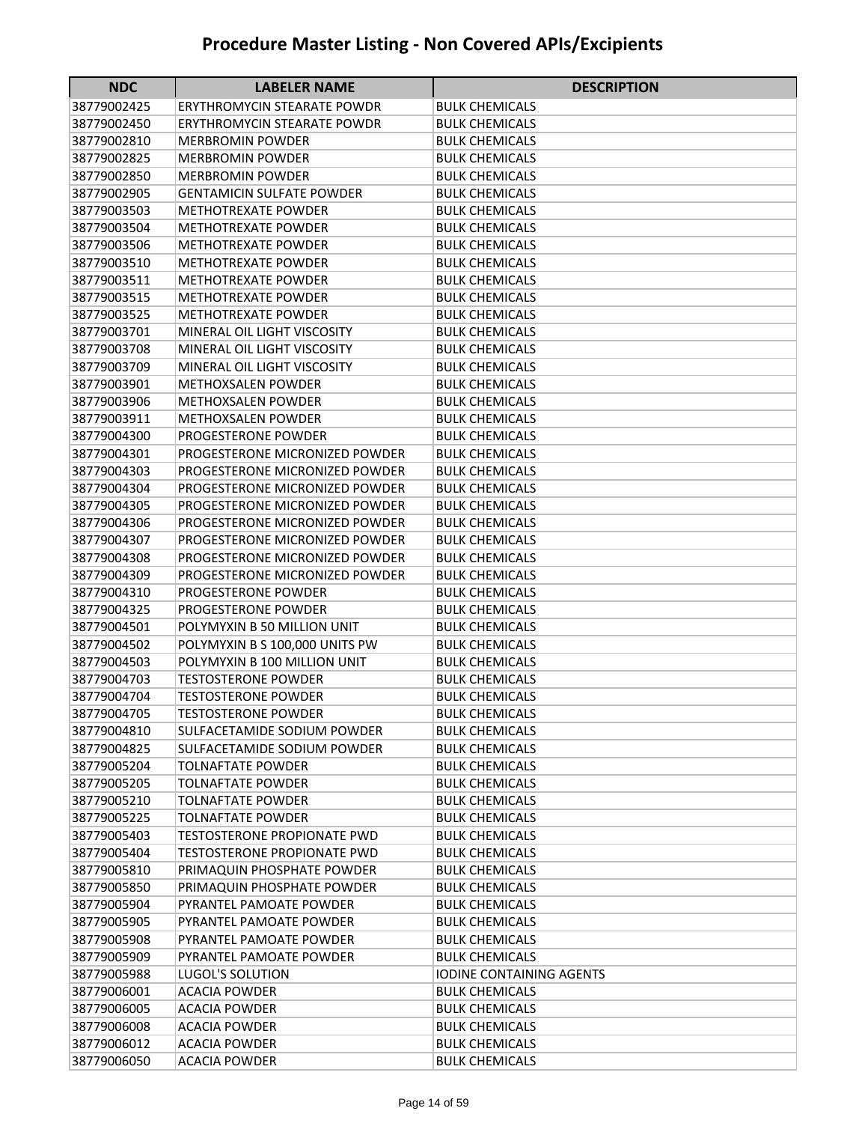| <b>NDC</b>                 | <b>LABELER NAME</b>                                | <b>DESCRIPTION</b>                             |
|----------------------------|----------------------------------------------------|------------------------------------------------|
| 38779002425                | <b>ERYTHROMYCIN STEARATE POWDR</b>                 | <b>BULK CHEMICALS</b>                          |
| 38779002450                | <b>ERYTHROMYCIN STEARATE POWDR</b>                 | <b>BULK CHEMICALS</b>                          |
| 38779002810                | MERBROMIN POWDER                                   | BULK CHEMICALS                                 |
| 38779002825                | MERBROMIN POWDER                                   | <b>BULK CHEMICALS</b>                          |
| 38779002850                | <b>MERBROMIN POWDER</b>                            | <b>BULK CHEMICALS</b>                          |
| 38779002905                | <b>GENTAMICIN SULFATE POWDER</b>                   | <b>BULK CHEMICALS</b>                          |
| 38779003503                | <b>METHOTREXATE POWDER</b>                         | <b>BULK CHEMICALS</b>                          |
| 38779003504                | <b>METHOTREXATE POWDER</b>                         | <b>BULK CHEMICALS</b>                          |
| 38779003506                | <b>METHOTREXATE POWDER</b>                         | <b>BULK CHEMICALS</b>                          |
| 38779003510                | <b>METHOTREXATE POWDER</b>                         | <b>BULK CHEMICALS</b>                          |
| 38779003511                | <b>METHOTREXATE POWDER</b>                         | <b>BULK CHEMICALS</b>                          |
| 38779003515                | <b>METHOTREXATE POWDER</b>                         | <b>BULK CHEMICALS</b>                          |
| 38779003525                | <b>METHOTREXATE POWDER</b>                         | <b>BULK CHEMICALS</b>                          |
| 38779003701                | MINERAL OIL LIGHT VISCOSITY                        | <b>BULK CHEMICALS</b>                          |
| 38779003708                | MINERAL OIL LIGHT VISCOSITY                        | <b>BULK CHEMICALS</b>                          |
| 38779003709                | MINERAL OIL LIGHT VISCOSITY                        | <b>BULK CHEMICALS</b>                          |
| 38779003901                | <b>METHOXSALEN POWDER</b>                          | <b>BULK CHEMICALS</b>                          |
| 38779003906                | <b>METHOXSALEN POWDER</b>                          | <b>BULK CHEMICALS</b>                          |
| 38779003911                | <b>METHOXSALEN POWDER</b>                          | <b>BULK CHEMICALS</b>                          |
| 38779004300                | PROGESTERONE POWDER                                | <b>BULK CHEMICALS</b>                          |
| 38779004301                | PROGESTERONE MICRONIZED POWDER                     | <b>BULK CHEMICALS</b>                          |
| 38779004303                | PROGESTERONE MICRONIZED POWDER                     | <b>BULK CHEMICALS</b>                          |
| 38779004304                | PROGESTERONE MICRONIZED POWDER                     | <b>BULK CHEMICALS</b>                          |
| 38779004305                | PROGESTERONE MICRONIZED POWDER                     | <b>BULK CHEMICALS</b>                          |
| 38779004306                | PROGESTERONE MICRONIZED POWDER                     | <b>BULK CHEMICALS</b>                          |
| 38779004307                | PROGESTERONE MICRONIZED POWDER                     | <b>BULK CHEMICALS</b>                          |
| 38779004308                | PROGESTERONE MICRONIZED POWDER                     | <b>BULK CHEMICALS</b>                          |
| 38779004309                | PROGESTERONE MICRONIZED POWDER                     | <b>BULK CHEMICALS</b>                          |
| 38779004310                | PROGESTERONE POWDER                                | BULK CHEMICALS                                 |
| 38779004325                | PROGESTERONE POWDER                                | <b>BULK CHEMICALS</b>                          |
| 38779004501                | POLYMYXIN B 50 MILLION UNIT                        | <b>BULK CHEMICALS</b>                          |
| 38779004502                | POLYMYXIN B S 100,000 UNITS PW                     | <b>BULK CHEMICALS</b>                          |
| 38779004503                | POLYMYXIN B 100 MILLION UNIT                       | <b>BULK CHEMICALS</b>                          |
| 38779004703                | <b>TESTOSTERONE POWDER</b>                         | <b>BULK CHEMICALS</b>                          |
| 38779004704                | <b>TESTOSTERONE POWDER</b>                         | <b>BULK CHEMICALS</b>                          |
| 38779004705                | <b>TESTOSTERONE POWDER</b>                         | <b>BULK CHEMICALS</b>                          |
| 38779004810                | SULFACETAMIDE SODIUM POWDER                        | <b>BULK CHEMICALS</b>                          |
| 38779004825                | SULFACETAMIDE SODIUM POWDER                        | <b>BULK CHEMICALS</b>                          |
| 38779005204                | <b>TOLNAFTATE POWDER</b>                           | <b>BULK CHEMICALS</b>                          |
| 38779005205                | <b>TOLNAFTATE POWDER</b>                           | <b>BULK CHEMICALS</b>                          |
| 38779005210                | <b>TOLNAFTATE POWDER</b>                           | <b>BULK CHEMICALS</b>                          |
| 38779005225                | <b>TOLNAFTATE POWDER</b>                           | <b>BULK CHEMICALS</b>                          |
| 38779005403                | <b>TESTOSTERONE PROPIONATE PWD</b>                 | <b>BULK CHEMICALS</b>                          |
| 38779005404<br>38779005810 | <b>TESTOSTERONE PROPIONATE PWD</b>                 | <b>BULK CHEMICALS</b><br><b>BULK CHEMICALS</b> |
|                            | PRIMAQUIN PHOSPHATE POWDER                         |                                                |
| 38779005850<br>38779005904 | PRIMAQUIN PHOSPHATE POWDER                         | <b>BULK CHEMICALS</b>                          |
| 38779005905                | PYRANTEL PAMOATE POWDER<br>PYRANTEL PAMOATE POWDER | BULK CHEMICALS<br><b>BULK CHEMICALS</b>        |
| 38779005908                | PYRANTEL PAMOATE POWDER                            | <b>BULK CHEMICALS</b>                          |
| 38779005909                | PYRANTEL PAMOATE POWDER                            | <b>BULK CHEMICALS</b>                          |
| 38779005988                | LUGOL'S SOLUTION                                   | <b>IODINE CONTAINING AGENTS</b>                |
| 38779006001                | <b>ACACIA POWDER</b>                               | <b>BULK CHEMICALS</b>                          |
| 38779006005                | <b>ACACIA POWDER</b>                               | <b>BULK CHEMICALS</b>                          |
| 38779006008                | <b>ACACIA POWDER</b>                               | BULK CHEMICALS                                 |
| 38779006012                | <b>ACACIA POWDER</b>                               | <b>BULK CHEMICALS</b>                          |
| 38779006050                | <b>ACACIA POWDER</b>                               | <b>BULK CHEMICALS</b>                          |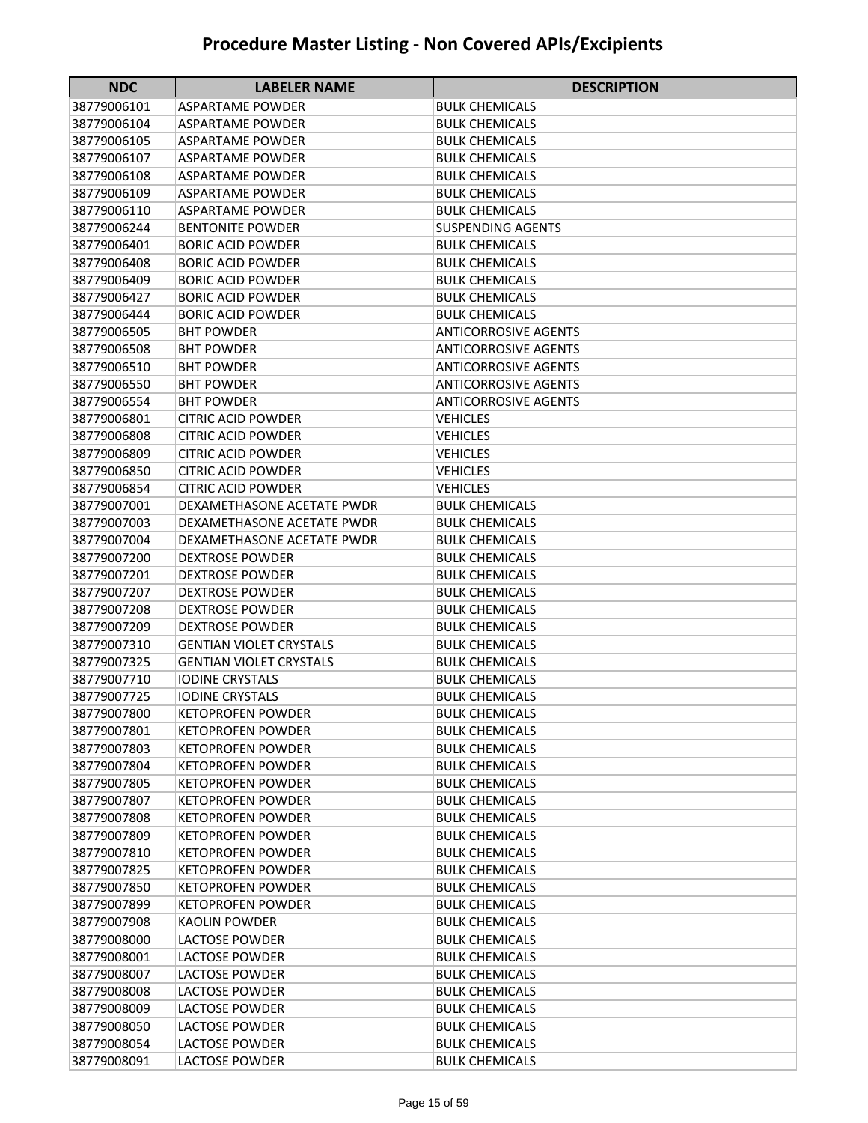| <b>NDC</b>                 | <b>LABELER NAME</b>                            | <b>DESCRIPTION</b>                             |
|----------------------------|------------------------------------------------|------------------------------------------------|
| 38779006101                | ASPARTAME POWDER                               | BULK CHEMICALS                                 |
| 38779006104                | ASPARTAME POWDER                               | <b>BULK CHEMICALS</b>                          |
| 38779006105                | ASPARTAME POWDER                               | <b>BULK CHEMICALS</b>                          |
| 38779006107                | <b>ASPARTAME POWDER</b>                        | <b>BULK CHEMICALS</b>                          |
| 38779006108                | <b>ASPARTAME POWDER</b>                        | <b>BULK CHEMICALS</b>                          |
| 38779006109                | <b>ASPARTAME POWDER</b>                        | <b>BULK CHEMICALS</b>                          |
| 38779006110                | <b>ASPARTAME POWDER</b>                        | <b>BULK CHEMICALS</b>                          |
| 38779006244                | <b>BENTONITE POWDER</b>                        | <b>SUSPENDING AGENTS</b>                       |
| 38779006401                | <b>BORIC ACID POWDER</b>                       | <b>BULK CHEMICALS</b>                          |
| 38779006408                | <b>BORIC ACID POWDER</b>                       | <b>BULK CHEMICALS</b>                          |
| 38779006409                | <b>BORIC ACID POWDER</b>                       | <b>BULK CHEMICALS</b>                          |
| 38779006427                | <b>BORIC ACID POWDER</b>                       | <b>BULK CHEMICALS</b>                          |
| 38779006444                | <b>BORIC ACID POWDER</b>                       | <b>BULK CHEMICALS</b>                          |
| 38779006505                | <b>BHT POWDER</b>                              | <b>ANTICORROSIVE AGENTS</b>                    |
| 38779006508                | <b>BHT POWDER</b>                              | <b>ANTICORROSIVE AGENTS</b>                    |
| 38779006510                | <b>BHT POWDER</b>                              | <b>ANTICORROSIVE AGENTS</b>                    |
| 38779006550                | <b>BHT POWDER</b>                              | <b>ANTICORROSIVE AGENTS</b>                    |
| 38779006554                | <b>BHT POWDER</b>                              | <b>ANTICORROSIVE AGENTS</b>                    |
| 38779006801                | <b>CITRIC ACID POWDER</b>                      | <b>VEHICLES</b>                                |
| 38779006808                | <b>CITRIC ACID POWDER</b>                      | <b>VEHICLES</b>                                |
| 38779006809                | <b>CITRIC ACID POWDER</b>                      | <b>VEHICLES</b>                                |
| 38779006850                | <b>CITRIC ACID POWDER</b>                      | <b>VEHICLES</b>                                |
| 38779006854                | <b>CITRIC ACID POWDER</b>                      | <b>VEHICLES</b>                                |
| 38779007001                | DEXAMETHASONE ACETATE PWDR                     | <b>BULK CHEMICALS</b>                          |
| 38779007003                | DEXAMETHASONE ACETATE PWDR                     | <b>BULK CHEMICALS</b>                          |
| 38779007004                | DEXAMETHASONE ACETATE PWDR                     | <b>BULK CHEMICALS</b>                          |
| 38779007200                | <b>DEXTROSE POWDER</b>                         | <b>BULK CHEMICALS</b>                          |
| 38779007201                | <b>DEXTROSE POWDER</b>                         | <b>BULK CHEMICALS</b>                          |
| 38779007207                | <b>DEXTROSE POWDER</b>                         | <b>BULK CHEMICALS</b>                          |
| 38779007208                | <b>DEXTROSE POWDER</b>                         | <b>BULK CHEMICALS</b>                          |
| 38779007209                | <b>DEXTROSE POWDER</b>                         | <b>BULK CHEMICALS</b>                          |
| 38779007310                | <b>GENTIAN VIOLET CRYSTALS</b>                 | <b>BULK CHEMICALS</b>                          |
| 38779007325                | <b>GENTIAN VIOLET CRYSTALS</b>                 | <b>BULK CHEMICALS</b>                          |
| 38779007710                | <b>IODINE CRYSTALS</b>                         | <b>BULK CHEMICALS</b>                          |
| 38779007725                | <b>IODINE CRYSTALS</b>                         | <b>BULK CHEMICALS</b>                          |
| 38779007800                | <b>KETOPROFEN POWDER</b>                       | <b>BULK CHEMICALS</b>                          |
| 38779007801                | <b>KETOPROFEN POWDER</b>                       | <b>BULK CHEMICALS</b>                          |
| 38779007803                | <b>KETOPROFEN POWDER</b>                       | <b>BULK CHEMICALS</b>                          |
| 38779007804                | <b>KETOPROFEN POWDER</b>                       | <b>BULK CHEMICALS</b>                          |
| 38779007805                | <b>KETOPROFEN POWDER</b>                       | <b>BULK CHEMICALS</b>                          |
| 38779007807                | <b>KETOPROFEN POWDER</b>                       | <b>BULK CHEMICALS</b>                          |
| 38779007808                | <b>KETOPROFEN POWDER</b>                       | <b>BULK CHEMICALS</b>                          |
| 38779007809                | <b>KETOPROFEN POWDER</b>                       | <b>BULK CHEMICALS</b>                          |
| 38779007810                | <b>KETOPROFEN POWDER</b>                       | <b>BULK CHEMICALS</b>                          |
| 38779007825                | <b>KETOPROFEN POWDER</b>                       | <b>BULK CHEMICALS</b>                          |
| 38779007850                | <b>KETOPROFEN POWDER</b>                       | <b>BULK CHEMICALS</b>                          |
| 38779007899                | <b>KETOPROFEN POWDER</b>                       | <b>BULK CHEMICALS</b>                          |
| 38779007908                | <b>KAOLIN POWDER</b>                           | <b>BULK CHEMICALS</b>                          |
| 38779008000                | <b>LACTOSE POWDER</b>                          | <b>BULK CHEMICALS</b>                          |
| 38779008001                | LACTOSE POWDER                                 | <b>BULK CHEMICALS</b>                          |
| 38779008007                | LACTOSE POWDER                                 | BULK CHEMICALS                                 |
| 38779008008<br>38779008009 | <b>LACTOSE POWDER</b><br><b>LACTOSE POWDER</b> | <b>BULK CHEMICALS</b>                          |
|                            | <b>LACTOSE POWDER</b>                          | <b>BULK CHEMICALS</b><br><b>BULK CHEMICALS</b> |
| 38779008050<br>38779008054 | <b>LACTOSE POWDER</b>                          | <b>BULK CHEMICALS</b>                          |
| 38779008091                | LACTOSE POWDER                                 | <b>BULK CHEMICALS</b>                          |
|                            |                                                |                                                |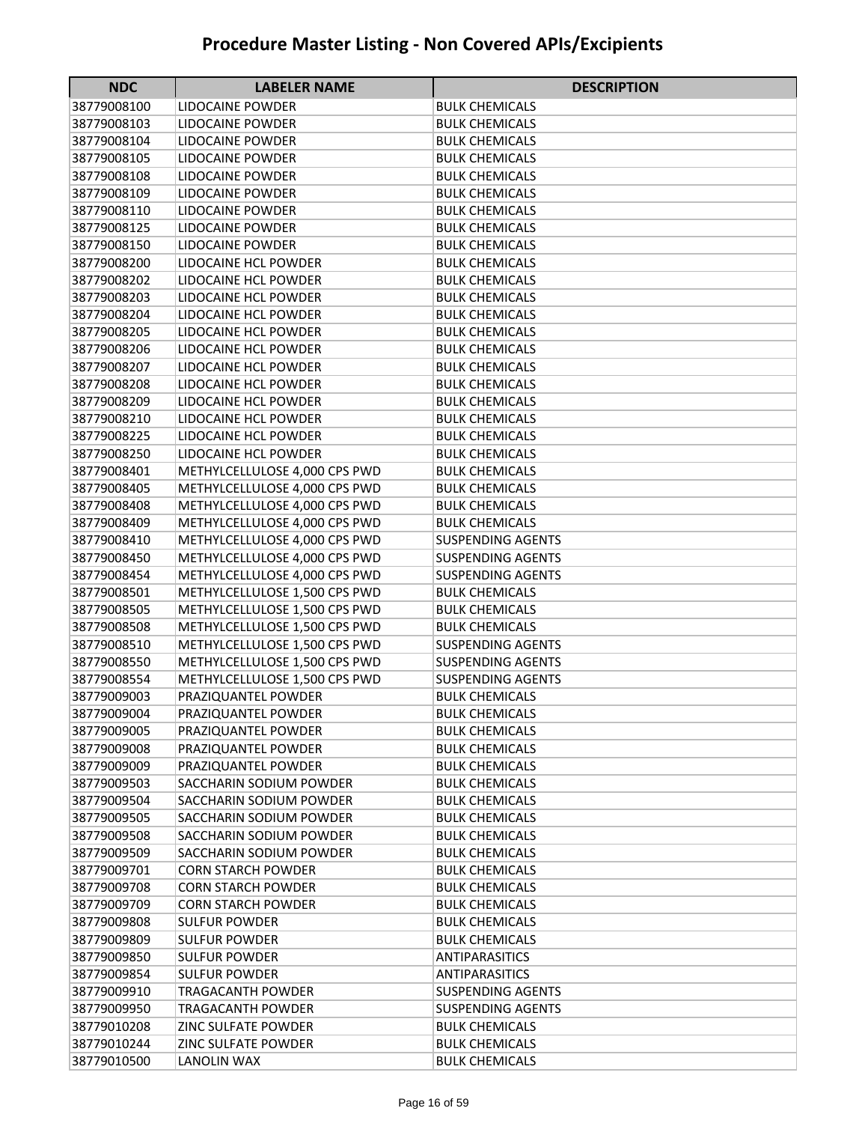| <b>NDC</b>                 | <b>LABELER NAME</b>                            | <b>DESCRIPTION</b>                             |
|----------------------------|------------------------------------------------|------------------------------------------------|
| 38779008100                | LIDOCAINE POWDER                               | <b>BULK CHEMICALS</b>                          |
| 38779008103                | LIDOCAINE POWDER                               | <b>BULK CHEMICALS</b>                          |
| 38779008104                | LIDOCAINE POWDER                               | <b>BULK CHEMICALS</b>                          |
| 38779008105                | LIDOCAINE POWDER                               | <b>BULK CHEMICALS</b>                          |
| 38779008108                | LIDOCAINE POWDER                               | <b>BULK CHEMICALS</b>                          |
| 38779008109                | LIDOCAINE POWDER                               | <b>BULK CHEMICALS</b>                          |
| 38779008110                | LIDOCAINE POWDER                               | <b>BULK CHEMICALS</b>                          |
| 38779008125                | <b>LIDOCAINE POWDER</b>                        | <b>BULK CHEMICALS</b>                          |
| 38779008150                | <b>LIDOCAINE POWDER</b>                        | <b>BULK CHEMICALS</b>                          |
| 38779008200                | LIDOCAINE HCL POWDER                           | <b>BULK CHEMICALS</b>                          |
| 38779008202                | LIDOCAINE HCL POWDER                           | <b>BULK CHEMICALS</b>                          |
| 38779008203                | LIDOCAINE HCL POWDER                           | <b>BULK CHEMICALS</b>                          |
| 38779008204                | LIDOCAINE HCL POWDER                           | <b>BULK CHEMICALS</b>                          |
| 38779008205                | LIDOCAINE HCL POWDER                           | <b>BULK CHEMICALS</b>                          |
| 38779008206                | LIDOCAINE HCL POWDER                           | <b>BULK CHEMICALS</b>                          |
| 38779008207                | LIDOCAINE HCL POWDER                           | <b>BULK CHEMICALS</b>                          |
| 38779008208                | LIDOCAINE HCL POWDER                           | <b>BULK CHEMICALS</b>                          |
| 38779008209                | LIDOCAINE HCL POWDER                           | <b>BULK CHEMICALS</b>                          |
| 38779008210                | LIDOCAINE HCL POWDER                           | <b>BULK CHEMICALS</b>                          |
| 38779008225                | LIDOCAINE HCL POWDER                           | <b>BULK CHEMICALS</b>                          |
| 38779008250                | LIDOCAINE HCL POWDER                           | <b>BULK CHEMICALS</b>                          |
| 38779008401                | METHYLCELLULOSE 4,000 CPS PWD                  | <b>BULK CHEMICALS</b>                          |
| 38779008405                | METHYLCELLULOSE 4,000 CPS PWD                  | <b>BULK CHEMICALS</b>                          |
| 38779008408                | METHYLCELLULOSE 4,000 CPS PWD                  | <b>BULK CHEMICALS</b>                          |
| 38779008409                | METHYLCELLULOSE 4,000 CPS PWD                  | <b>BULK CHEMICALS</b>                          |
| 38779008410                | METHYLCELLULOSE 4,000 CPS PWD                  | <b>SUSPENDING AGENTS</b>                       |
| 38779008450                | METHYLCELLULOSE 4,000 CPS PWD                  | <b>SUSPENDING AGENTS</b>                       |
| 38779008454                | METHYLCELLULOSE 4,000 CPS PWD                  | <b>SUSPENDING AGENTS</b>                       |
| 38779008501                | METHYLCELLULOSE 1,500 CPS PWD                  | <b>BULK CHEMICALS</b>                          |
| 38779008505                | METHYLCELLULOSE 1,500 CPS PWD                  | <b>BULK CHEMICALS</b>                          |
| 38779008508                | METHYLCELLULOSE 1,500 CPS PWD                  | <b>BULK CHEMICALS</b>                          |
| 38779008510                | METHYLCELLULOSE 1,500 CPS PWD                  | <b>SUSPENDING AGENTS</b>                       |
| 38779008550                | METHYLCELLULOSE 1,500 CPS PWD                  | <b>SUSPENDING AGENTS</b>                       |
| 38779008554                | METHYLCELLULOSE 1,500 CPS PWD                  | <b>SUSPENDING AGENTS</b>                       |
| 38779009003                | PRAZIQUANTEL POWDER                            | <b>BULK CHEMICALS</b>                          |
| 38779009004                | PRAZIQUANTEL POWDER                            | <b>BULK CHEMICALS</b><br><b>BULK CHEMICALS</b> |
| 38779009005                | PRAZIQUANTEL POWDER                            |                                                |
| 38779009008<br>38779009009 | PRAZIQUANTEL POWDER                            | <b>BULK CHEMICALS</b>                          |
|                            | PRAZIQUANTEL POWDER<br>SACCHARIN SODIUM POWDER | <b>BULK CHEMICALS</b>                          |
| 38779009503<br>38779009504 | SACCHARIN SODIUM POWDER                        | <b>BULK CHEMICALS</b><br><b>BULK CHEMICALS</b> |
| 38779009505                | SACCHARIN SODIUM POWDER                        | <b>BULK CHEMICALS</b>                          |
| 38779009508                | SACCHARIN SODIUM POWDER                        | <b>BULK CHEMICALS</b>                          |
| 38779009509                | SACCHARIN SODIUM POWDER                        | <b>BULK CHEMICALS</b>                          |
| 38779009701                | <b>CORN STARCH POWDER</b>                      | <b>BULK CHEMICALS</b>                          |
| 38779009708                | <b>CORN STARCH POWDER</b>                      | <b>BULK CHEMICALS</b>                          |
| 38779009709                | <b>CORN STARCH POWDER</b>                      | <b>BULK CHEMICALS</b>                          |
| 38779009808                | <b>SULFUR POWDER</b>                           | <b>BULK CHEMICALS</b>                          |
| 38779009809                | <b>SULFUR POWDER</b>                           | <b>BULK CHEMICALS</b>                          |
| 38779009850                | <b>SULFUR POWDER</b>                           | ANTIPARASITICS                                 |
| 38779009854                | <b>SULFUR POWDER</b>                           | <b>ANTIPARASITICS</b>                          |
| 38779009910                | TRAGACANTH POWDER                              | <b>SUSPENDING AGENTS</b>                       |
| 38779009950                | TRAGACANTH POWDER                              | <b>SUSPENDING AGENTS</b>                       |
| 38779010208                | ZINC SULFATE POWDER                            | <b>BULK CHEMICALS</b>                          |
| 38779010244                | ZINC SULFATE POWDER                            | <b>BULK CHEMICALS</b>                          |
| 38779010500                | LANOLIN WAX                                    | <b>BULK CHEMICALS</b>                          |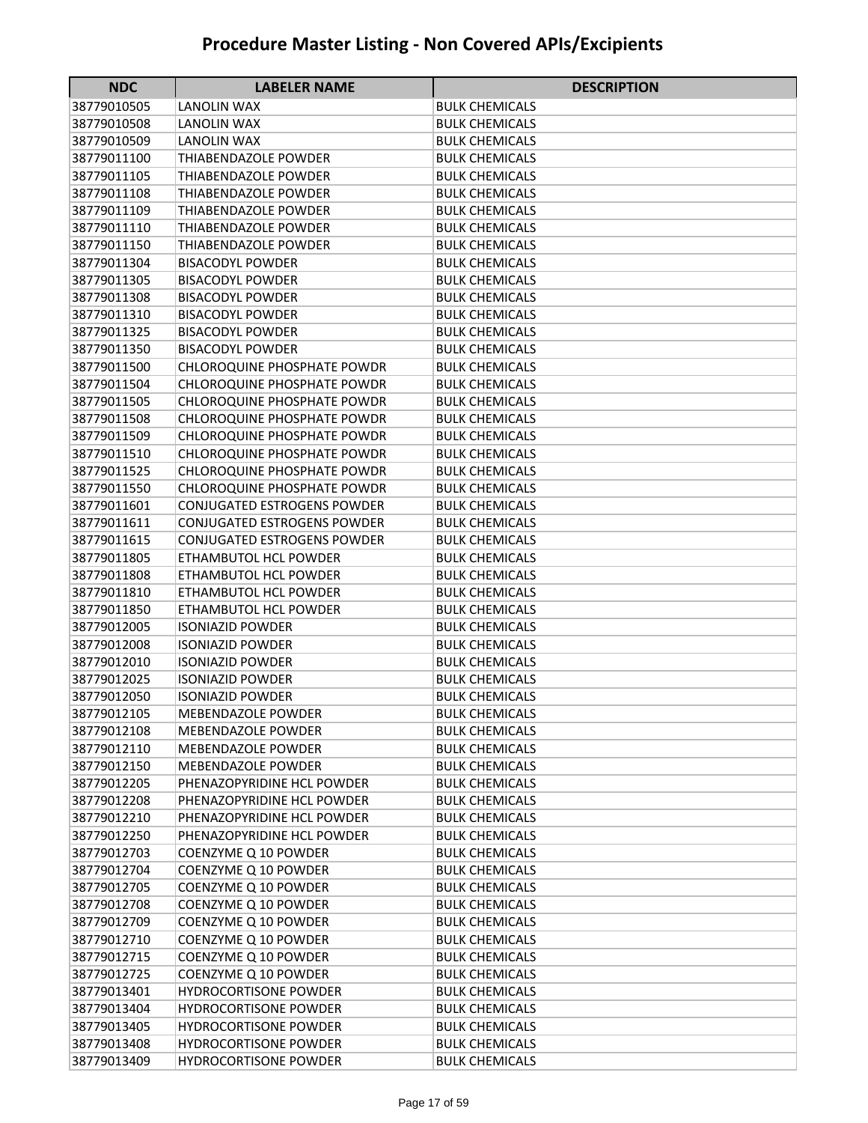| <b>NDC</b>  | <b>LABELER NAME</b>                | <b>DESCRIPTION</b>    |
|-------------|------------------------------------|-----------------------|
| 38779010505 | LANOLIN WAX                        | <b>BULK CHEMICALS</b> |
| 38779010508 | LANOLIN WAX                        | <b>BULK CHEMICALS</b> |
| 38779010509 | LANOLIN WAX                        | <b>BULK CHEMICALS</b> |
| 38779011100 | THIABENDAZOLE POWDER               | <b>BULK CHEMICALS</b> |
| 38779011105 | THIABENDAZOLE POWDER               | <b>BULK CHEMICALS</b> |
| 38779011108 | THIABENDAZOLE POWDER               | <b>BULK CHEMICALS</b> |
| 38779011109 | THIABENDAZOLE POWDER               | <b>BULK CHEMICALS</b> |
| 38779011110 | THIABENDAZOLE POWDER               | <b>BULK CHEMICALS</b> |
| 38779011150 | <b>THIABENDAZOLE POWDER</b>        | <b>BULK CHEMICALS</b> |
| 38779011304 | <b>BISACODYL POWDER</b>            | <b>BULK CHEMICALS</b> |
| 38779011305 | <b>BISACODYL POWDER</b>            | <b>BULK CHEMICALS</b> |
| 38779011308 | <b>BISACODYL POWDER</b>            | <b>BULK CHEMICALS</b> |
| 38779011310 | <b>BISACODYL POWDER</b>            | <b>BULK CHEMICALS</b> |
| 38779011325 | <b>BISACODYL POWDER</b>            | <b>BULK CHEMICALS</b> |
| 38779011350 | <b>BISACODYL POWDER</b>            | <b>BULK CHEMICALS</b> |
| 38779011500 | <b>CHLOROQUINE PHOSPHATE POWDR</b> | <b>BULK CHEMICALS</b> |
| 38779011504 | <b>CHLOROQUINE PHOSPHATE POWDR</b> | <b>BULK CHEMICALS</b> |
| 38779011505 | <b>CHLOROQUINE PHOSPHATE POWDR</b> | <b>BULK CHEMICALS</b> |
| 38779011508 | <b>CHLOROQUINE PHOSPHATE POWDR</b> | <b>BULK CHEMICALS</b> |
| 38779011509 | <b>CHLOROQUINE PHOSPHATE POWDR</b> | <b>BULK CHEMICALS</b> |
| 38779011510 | <b>CHLOROQUINE PHOSPHATE POWDR</b> | <b>BULK CHEMICALS</b> |
| 38779011525 | <b>CHLOROQUINE PHOSPHATE POWDR</b> | <b>BULK CHEMICALS</b> |
| 38779011550 | <b>CHLOROQUINE PHOSPHATE POWDR</b> | <b>BULK CHEMICALS</b> |
| 38779011601 | <b>CONJUGATED ESTROGENS POWDER</b> | <b>BULK CHEMICALS</b> |
| 38779011611 | CONJUGATED ESTROGENS POWDER        | <b>BULK CHEMICALS</b> |
| 38779011615 | <b>CONJUGATED ESTROGENS POWDER</b> | <b>BULK CHEMICALS</b> |
| 38779011805 | ETHAMBUTOL HCL POWDER              | <b>BULK CHEMICALS</b> |
| 38779011808 | ETHAMBUTOL HCL POWDER              | <b>BULK CHEMICALS</b> |
| 38779011810 | ETHAMBUTOL HCL POWDER              | <b>BULK CHEMICALS</b> |
| 38779011850 | ETHAMBUTOL HCL POWDER              | <b>BULK CHEMICALS</b> |
| 38779012005 | <b>ISONIAZID POWDER</b>            | <b>BULK CHEMICALS</b> |
| 38779012008 | <b>ISONIAZID POWDER</b>            | <b>BULK CHEMICALS</b> |
| 38779012010 | <b>ISONIAZID POWDER</b>            | <b>BULK CHEMICALS</b> |
| 38779012025 | <b>ISONIAZID POWDER</b>            | <b>BULK CHEMICALS</b> |
| 38779012050 | <b>ISONIAZID POWDER</b>            | <b>BULK CHEMICALS</b> |
| 38779012105 | MEBENDAZOLE POWDER                 | <b>BULK CHEMICALS</b> |
| 38779012108 | MEBENDAZOLE POWDER                 | <b>BULK CHEMICALS</b> |
| 38779012110 | MEBENDAZOLE POWDER                 | <b>BULK CHEMICALS</b> |
| 38779012150 | <b>MEBENDAZOLE POWDER</b>          | <b>BULK CHEMICALS</b> |
| 38779012205 | PHENAZOPYRIDINE HCL POWDER         | <b>BULK CHEMICALS</b> |
| 38779012208 | PHENAZOPYRIDINE HCL POWDER         | <b>BULK CHEMICALS</b> |
| 38779012210 | PHENAZOPYRIDINE HCL POWDER         | <b>BULK CHEMICALS</b> |
| 38779012250 | PHENAZOPYRIDINE HCL POWDER         | <b>BULK CHEMICALS</b> |
| 38779012703 | COENZYME Q 10 POWDER               | <b>BULK CHEMICALS</b> |
| 38779012704 | COENZYME Q 10 POWDER               | <b>BULK CHEMICALS</b> |
| 38779012705 | COENZYME Q 10 POWDER               | <b>BULK CHEMICALS</b> |
| 38779012708 | COENZYME Q 10 POWDER               | <b>BULK CHEMICALS</b> |
| 38779012709 | COENZYME Q 10 POWDER               | <b>BULK CHEMICALS</b> |
| 38779012710 | COENZYME Q 10 POWDER               | <b>BULK CHEMICALS</b> |
| 38779012715 | COENZYME Q 10 POWDER               | <b>BULK CHEMICALS</b> |
| 38779012725 | COENZYME Q 10 POWDER               | <b>BULK CHEMICALS</b> |
| 38779013401 | <b>HYDROCORTISONE POWDER</b>       | <b>BULK CHEMICALS</b> |
| 38779013404 | <b>HYDROCORTISONE POWDER</b>       | <b>BULK CHEMICALS</b> |
| 38779013405 | <b>HYDROCORTISONE POWDER</b>       | <b>BULK CHEMICALS</b> |
| 38779013408 | <b>HYDROCORTISONE POWDER</b>       | <b>BULK CHEMICALS</b> |
| 38779013409 | <b>HYDROCORTISONE POWDER</b>       | <b>BULK CHEMICALS</b> |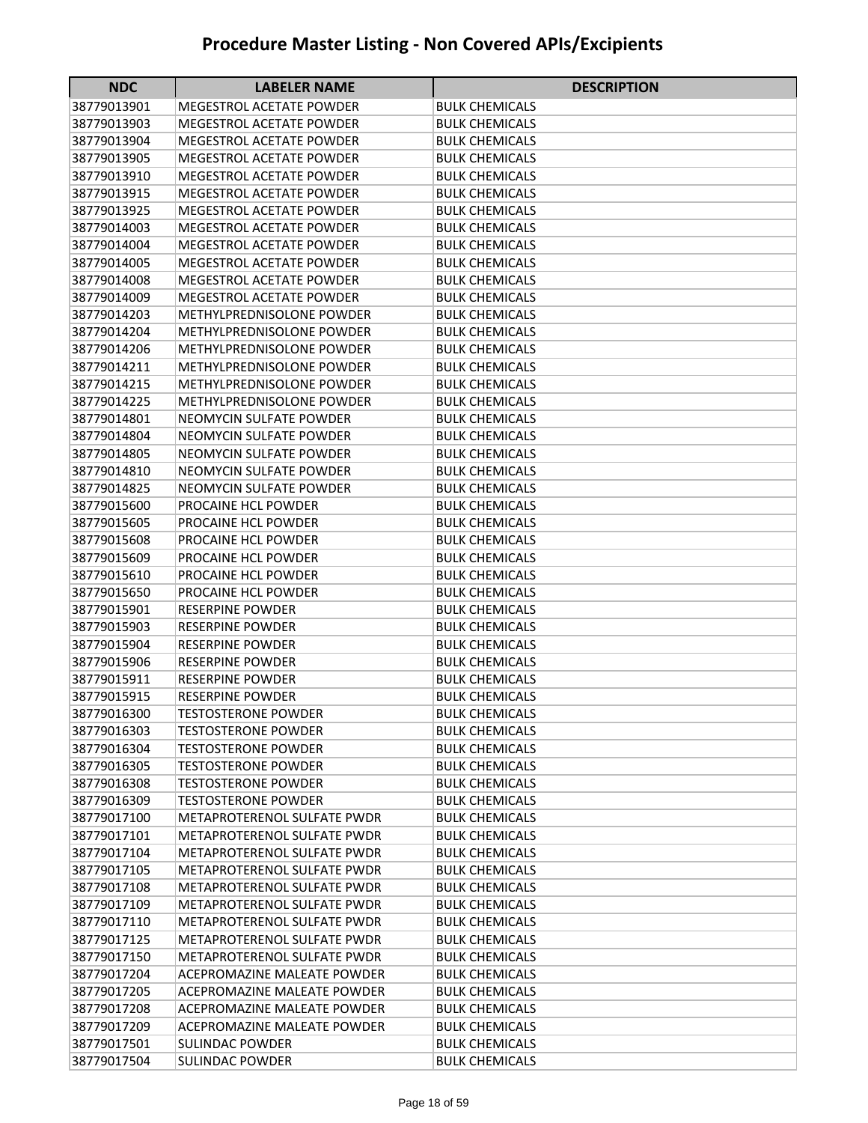| <b>NDC</b>                 | <b>LABELER NAME</b>                                        | <b>DESCRIPTION</b>                             |
|----------------------------|------------------------------------------------------------|------------------------------------------------|
| 38779013901                | <b>MEGESTROL ACETATE POWDER</b>                            | BULK CHEMICALS                                 |
| 38779013903                | <b>MEGESTROL ACETATE POWDER</b>                            | <b>BULK CHEMICALS</b>                          |
| 38779013904                | MEGESTROL ACETATE POWDER                                   | <b>BULK CHEMICALS</b>                          |
| 38779013905                | MEGESTROL ACETATE POWDER                                   | BULK CHEMICALS                                 |
| 38779013910                | <b>MEGESTROL ACETATE POWDER</b>                            | <b>BULK CHEMICALS</b>                          |
| 38779013915                | <b>MEGESTROL ACETATE POWDER</b>                            | <b>BULK CHEMICALS</b>                          |
| 38779013925                | <b>MEGESTROL ACETATE POWDER</b>                            | <b>BULK CHEMICALS</b>                          |
| 38779014003                | <b>MEGESTROL ACETATE POWDER</b>                            | <b>BULK CHEMICALS</b>                          |
| 38779014004                | <b>MEGESTROL ACETATE POWDER</b>                            | <b>BULK CHEMICALS</b>                          |
| 38779014005                | <b>MEGESTROL ACETATE POWDER</b>                            | <b>BULK CHEMICALS</b>                          |
| 38779014008                | <b>MEGESTROL ACETATE POWDER</b>                            | <b>BULK CHEMICALS</b>                          |
| 38779014009                | <b>MEGESTROL ACETATE POWDER</b>                            | <b>BULK CHEMICALS</b>                          |
| 38779014203                | METHYLPREDNISOLONE POWDER                                  | <b>BULK CHEMICALS</b>                          |
| 38779014204                | METHYLPREDNISOLONE POWDER                                  | <b>BULK CHEMICALS</b>                          |
| 38779014206                | METHYLPREDNISOLONE POWDER                                  | <b>BULK CHEMICALS</b>                          |
| 38779014211                | METHYLPREDNISOLONE POWDER                                  | <b>BULK CHEMICALS</b>                          |
| 38779014215                | METHYLPREDNISOLONE POWDER                                  | <b>BULK CHEMICALS</b>                          |
| 38779014225                | METHYLPREDNISOLONE POWDER                                  | <b>BULK CHEMICALS</b>                          |
| 38779014801                | NEOMYCIN SULFATE POWDER                                    | <b>BULK CHEMICALS</b>                          |
| 38779014804                | NEOMYCIN SULFATE POWDER                                    | <b>BULK CHEMICALS</b>                          |
| 38779014805                | NEOMYCIN SULFATE POWDER                                    | <b>BULK CHEMICALS</b>                          |
| 38779014810                | NEOMYCIN SULFATE POWDER                                    | BULK CHEMICALS                                 |
| 38779014825                | NEOMYCIN SULFATE POWDER                                    | <b>BULK CHEMICALS</b>                          |
| 38779015600                | PROCAINE HCL POWDER                                        | <b>BULK CHEMICALS</b>                          |
| 38779015605                | PROCAINE HCL POWDER                                        | <b>BULK CHEMICALS</b>                          |
| 38779015608                | PROCAINE HCL POWDER                                        | <b>BULK CHEMICALS</b>                          |
| 38779015609                | PROCAINE HCL POWDER                                        | <b>BULK CHEMICALS</b>                          |
| 38779015610                | PROCAINE HCL POWDER                                        | <b>BULK CHEMICALS</b>                          |
| 38779015650                | PROCAINE HCL POWDER                                        | <b>BULK CHEMICALS</b>                          |
| 38779015901                | <b>RESERPINE POWDER</b>                                    | <b>BULK CHEMICALS</b>                          |
| 38779015903                | <b>RESERPINE POWDER</b>                                    | <b>BULK CHEMICALS</b>                          |
| 38779015904                | <b>RESERPINE POWDER</b>                                    | <b>BULK CHEMICALS</b>                          |
| 38779015906                | <b>RESERPINE POWDER</b>                                    | <b>BULK CHEMICALS</b>                          |
| 38779015911                | <b>RESERPINE POWDER</b>                                    | <b>BULK CHEMICALS</b>                          |
| 38779015915                | <b>RESERPINE POWDER</b>                                    | <b>BULK CHEMICALS</b>                          |
| 38779016300                | <b>TESTOSTERONE POWDER</b>                                 | <b>BULK CHEMICALS</b>                          |
| 38779016303                | <b>TESTOSTERONE POWDER</b>                                 | <b>BULK CHEMICALS</b>                          |
| 38779016304                | <b>TESTOSTERONE POWDER</b>                                 | <b>BULK CHEMICALS</b>                          |
| 38779016305                | <b>TESTOSTERONE POWDER</b>                                 | <b>BULK CHEMICALS</b>                          |
| 38779016308                | <b>TESTOSTERONE POWDER</b>                                 | <b>BULK CHEMICALS</b>                          |
| 38779016309                | <b>TESTOSTERONE POWDER</b>                                 | <b>BULK CHEMICALS</b>                          |
| 38779017100                | <b>METAPROTERENOL SULFATE PWDR</b>                         | <b>BULK CHEMICALS</b>                          |
| 38779017101                | METAPROTERENOL SULFATE PWDR                                | <b>BULK CHEMICALS</b>                          |
| 38779017104                | METAPROTERENOL SULFATE PWDR                                | <b>BULK CHEMICALS</b>                          |
| 38779017105                | METAPROTERENOL SULFATE PWDR                                | <b>BULK CHEMICALS</b>                          |
| 38779017108<br>38779017109 | METAPROTERENOL SULFATE PWDR<br>METAPROTERENOL SULFATE PWDR | <b>BULK CHEMICALS</b>                          |
| 38779017110                | METAPROTERENOL SULFATE PWDR                                | <b>BULK CHEMICALS</b><br><b>BULK CHEMICALS</b> |
| 38779017125                | METAPROTERENOL SULFATE PWDR                                | <b>BULK CHEMICALS</b>                          |
| 38779017150                | METAPROTERENOL SULFATE PWDR                                | <b>BULK CHEMICALS</b>                          |
| 38779017204                | ACEPROMAZINE MALEATE POWDER                                | <b>BULK CHEMICALS</b>                          |
| 38779017205                | ACEPROMAZINE MALEATE POWDER                                | <b>BULK CHEMICALS</b>                          |
| 38779017208                | <b>ACEPROMAZINE MALEATE POWDER</b>                         | <b>BULK CHEMICALS</b>                          |
| 38779017209                | <b>ACEPROMAZINE MALEATE POWDER</b>                         | <b>BULK CHEMICALS</b>                          |
| 38779017501                | <b>SULINDAC POWDER</b>                                     | <b>BULK CHEMICALS</b>                          |
| 38779017504                | <b>SULINDAC POWDER</b>                                     | <b>BULK CHEMICALS</b>                          |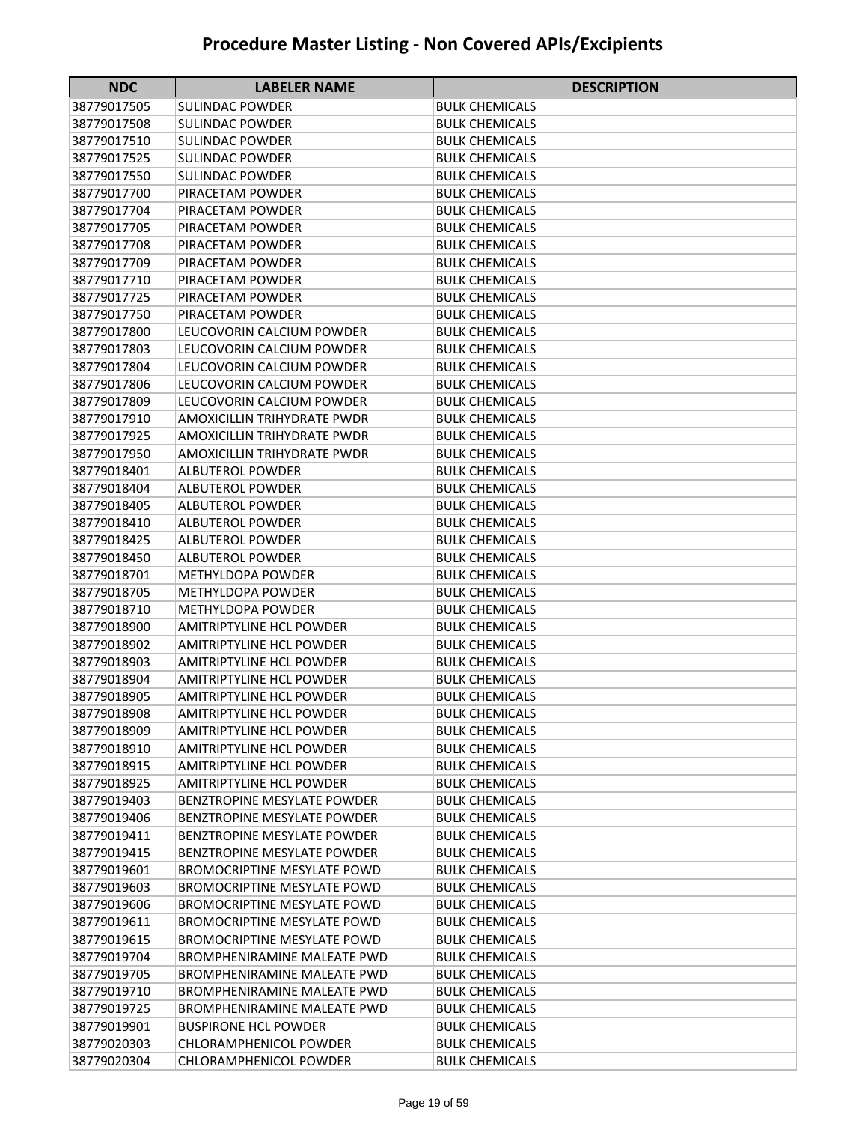| <b>NDC</b>  | <b>LABELER NAME</b>                | <b>DESCRIPTION</b>    |
|-------------|------------------------------------|-----------------------|
| 38779017505 | <b>SULINDAC POWDER</b>             | BULK CHEMICALS        |
| 38779017508 | SULINDAC POWDER                    | <b>BULK CHEMICALS</b> |
| 38779017510 | SULINDAC POWDER                    | <b>BULK CHEMICALS</b> |
| 38779017525 | SULINDAC POWDER                    | BULK CHEMICALS        |
| 38779017550 | <b>SULINDAC POWDER</b>             | <b>BULK CHEMICALS</b> |
| 38779017700 | PIRACETAM POWDER                   | <b>BULK CHEMICALS</b> |
| 38779017704 | PIRACETAM POWDER                   | <b>BULK CHEMICALS</b> |
| 38779017705 | PIRACETAM POWDER                   | <b>BULK CHEMICALS</b> |
| 38779017708 | PIRACETAM POWDER                   | <b>BULK CHEMICALS</b> |
| 38779017709 | PIRACETAM POWDER                   | <b>BULK CHEMICALS</b> |
| 38779017710 | PIRACETAM POWDER                   | <b>BULK CHEMICALS</b> |
| 38779017725 | PIRACETAM POWDER                   | <b>BULK CHEMICALS</b> |
| 38779017750 | PIRACETAM POWDER                   | <b>BULK CHEMICALS</b> |
| 38779017800 | LEUCOVORIN CALCIUM POWDER          | <b>BULK CHEMICALS</b> |
| 38779017803 | LEUCOVORIN CALCIUM POWDER          | <b>BULK CHEMICALS</b> |
| 38779017804 | LEUCOVORIN CALCIUM POWDER          | <b>BULK CHEMICALS</b> |
| 38779017806 | LEUCOVORIN CALCIUM POWDER          | <b>BULK CHEMICALS</b> |
| 38779017809 | LEUCOVORIN CALCIUM POWDER          | <b>BULK CHEMICALS</b> |
| 38779017910 | AMOXICILLIN TRIHYDRATE PWDR        | <b>BULK CHEMICALS</b> |
| 38779017925 | <b>AMOXICILLIN TRIHYDRATE PWDR</b> | <b>BULK CHEMICALS</b> |
| 38779017950 | AMOXICILLIN TRIHYDRATE PWDR        | <b>BULK CHEMICALS</b> |
| 38779018401 | ALBUTEROL POWDER                   | <b>BULK CHEMICALS</b> |
| 38779018404 | ALBUTEROL POWDER                   | <b>BULK CHEMICALS</b> |
| 38779018405 | <b>ALBUTEROL POWDER</b>            | <b>BULK CHEMICALS</b> |
| 38779018410 | <b>ALBUTEROL POWDER</b>            | <b>BULK CHEMICALS</b> |
| 38779018425 | <b>ALBUTEROL POWDER</b>            | <b>BULK CHEMICALS</b> |
| 38779018450 | <b>ALBUTEROL POWDER</b>            | <b>BULK CHEMICALS</b> |
| 38779018701 | METHYLDOPA POWDER                  | <b>BULK CHEMICALS</b> |
| 38779018705 | METHYLDOPA POWDER                  | <b>BULK CHEMICALS</b> |
| 38779018710 | METHYLDOPA POWDER                  | <b>BULK CHEMICALS</b> |
| 38779018900 | <b>AMITRIPTYLINE HCL POWDER</b>    | <b>BULK CHEMICALS</b> |
| 38779018902 | <b>AMITRIPTYLINE HCL POWDER</b>    | <b>BULK CHEMICALS</b> |
| 38779018903 | <b>AMITRIPTYLINE HCL POWDER</b>    | <b>BULK CHEMICALS</b> |
| 38779018904 | <b>AMITRIPTYLINE HCL POWDER</b>    | <b>BULK CHEMICALS</b> |
| 38779018905 | <b>AMITRIPTYLINE HCL POWDER</b>    | <b>BULK CHEMICALS</b> |
| 38779018908 | <b>AMITRIPTYLINE HCL POWDER</b>    | <b>BULK CHEMICALS</b> |
| 38779018909 | <b>AMITRIPTYLINE HCL POWDER</b>    | <b>BULK CHEMICALS</b> |
| 38779018910 | <b>AMITRIPTYLINE HCL POWDER</b>    | <b>BULK CHEMICALS</b> |
| 38779018915 | <b>AMITRIPTYLINE HCL POWDER</b>    | <b>BULK CHEMICALS</b> |
| 38779018925 | <b>AMITRIPTYLINE HCL POWDER</b>    | <b>BULK CHEMICALS</b> |
| 38779019403 | BENZTROPINE MESYLATE POWDER        | <b>BULK CHEMICALS</b> |
| 38779019406 | BENZTROPINE MESYLATE POWDER        | <b>BULK CHEMICALS</b> |
| 38779019411 | BENZTROPINE MESYLATE POWDER        | <b>BULK CHEMICALS</b> |
| 38779019415 | BENZTROPINE MESYLATE POWDER        | <b>BULK CHEMICALS</b> |
| 38779019601 | <b>BROMOCRIPTINE MESYLATE POWD</b> | <b>BULK CHEMICALS</b> |
| 38779019603 | <b>BROMOCRIPTINE MESYLATE POWD</b> | <b>BULK CHEMICALS</b> |
| 38779019606 | <b>BROMOCRIPTINE MESYLATE POWD</b> | BULK CHEMICALS        |
| 38779019611 | <b>BROMOCRIPTINE MESYLATE POWD</b> | <b>BULK CHEMICALS</b> |
| 38779019615 | <b>BROMOCRIPTINE MESYLATE POWD</b> | <b>BULK CHEMICALS</b> |
| 38779019704 | <b>BROMPHENIRAMINE MALEATE PWD</b> | <b>BULK CHEMICALS</b> |
| 38779019705 | <b>BROMPHENIRAMINE MALEATE PWD</b> | <b>BULK CHEMICALS</b> |
| 38779019710 | BROMPHENIRAMINE MALEATE PWD        | <b>BULK CHEMICALS</b> |
| 38779019725 | <b>BROMPHENIRAMINE MALEATE PWD</b> | <b>BULK CHEMICALS</b> |
| 38779019901 | <b>BUSPIRONE HCL POWDER</b>        | <b>BULK CHEMICALS</b> |
| 38779020303 | <b>CHLORAMPHENICOL POWDER</b>      | <b>BULK CHEMICALS</b> |
| 38779020304 | CHLORAMPHENICOL POWDER             | <b>BULK CHEMICALS</b> |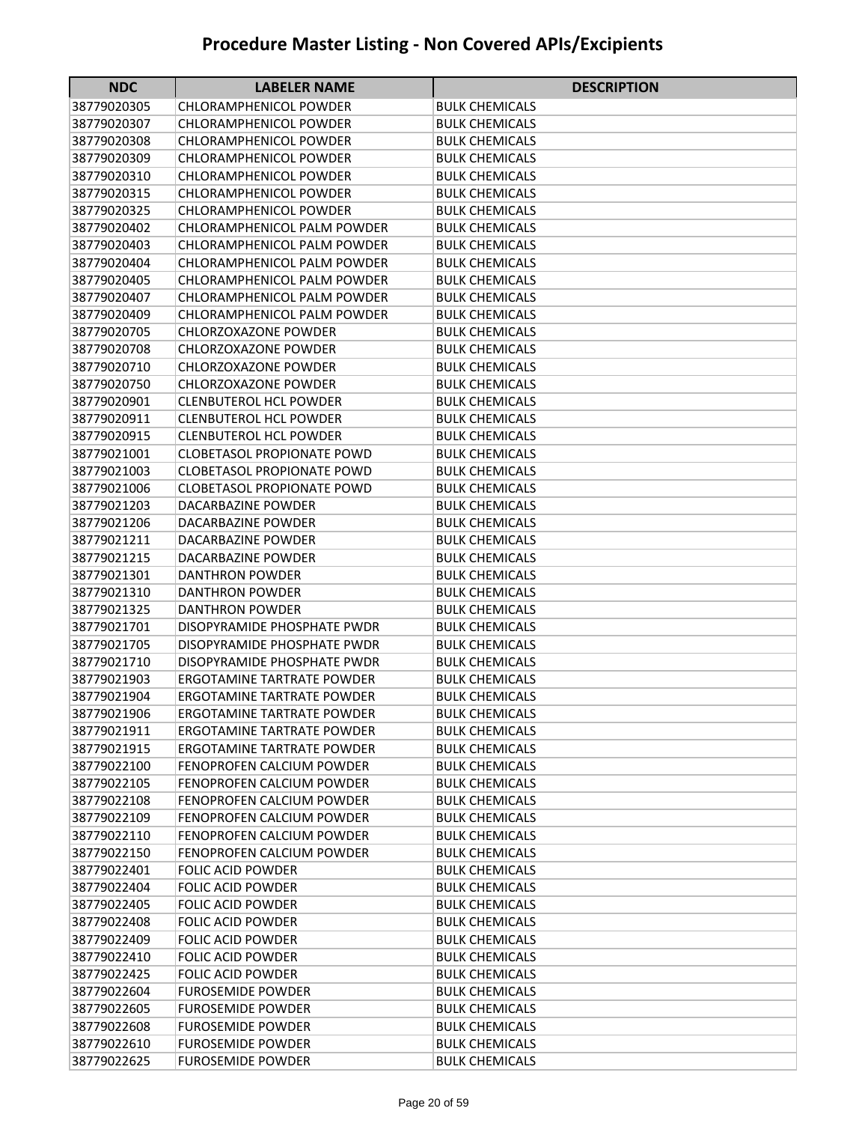| <b>NDC</b>  | <b>LABELER NAME</b>               | <b>DESCRIPTION</b>    |
|-------------|-----------------------------------|-----------------------|
| 38779020305 | <b>CHLORAMPHENICOL POWDER</b>     | BULK CHEMICALS        |
| 38779020307 | <b>CHLORAMPHENICOL POWDER</b>     | BULK CHEMICALS        |
| 38779020308 | <b>CHLORAMPHENICOL POWDER</b>     | BULK CHEMICALS        |
| 38779020309 | <b>CHLORAMPHENICOL POWDER</b>     | <b>BULK CHEMICALS</b> |
| 38779020310 | <b>CHLORAMPHENICOL POWDER</b>     | <b>BULK CHEMICALS</b> |
| 38779020315 | <b>CHLORAMPHENICOL POWDER</b>     | <b>BULK CHEMICALS</b> |
| 38779020325 | <b>CHLORAMPHENICOL POWDER</b>     | <b>BULK CHEMICALS</b> |
| 38779020402 | CHLORAMPHENICOL PALM POWDER       | <b>BULK CHEMICALS</b> |
| 38779020403 | CHLORAMPHENICOL PALM POWDER       | <b>BULK CHEMICALS</b> |
| 38779020404 | CHLORAMPHENICOL PALM POWDER       | <b>BULK CHEMICALS</b> |
| 38779020405 | CHLORAMPHENICOL PALM POWDER       | <b>BULK CHEMICALS</b> |
| 38779020407 | CHLORAMPHENICOL PALM POWDER       | <b>BULK CHEMICALS</b> |
| 38779020409 | CHLORAMPHENICOL PALM POWDER       | <b>BULK CHEMICALS</b> |
| 38779020705 | CHLORZOXAZONE POWDER              | <b>BULK CHEMICALS</b> |
| 38779020708 | CHLORZOXAZONE POWDER              | <b>BULK CHEMICALS</b> |
| 38779020710 | <b>CHLORZOXAZONE POWDER</b>       | <b>BULK CHEMICALS</b> |
| 38779020750 | <b>CHLORZOXAZONE POWDER</b>       | <b>BULK CHEMICALS</b> |
| 38779020901 | <b>CLENBUTEROL HCL POWDER</b>     | <b>BULK CHEMICALS</b> |
| 38779020911 | <b>CLENBUTEROL HCL POWDER</b>     | <b>BULK CHEMICALS</b> |
| 38779020915 | <b>CLENBUTEROL HCL POWDER</b>     | <b>BULK CHEMICALS</b> |
| 38779021001 | <b>CLOBETASOL PROPIONATE POWD</b> | <b>BULK CHEMICALS</b> |
| 38779021003 | <b>CLOBETASOL PROPIONATE POWD</b> | <b>BULK CHEMICALS</b> |
| 38779021006 | <b>CLOBETASOL PROPIONATE POWD</b> | <b>BULK CHEMICALS</b> |
| 38779021203 | DACARBAZINE POWDER                | <b>BULK CHEMICALS</b> |
| 38779021206 | DACARBAZINE POWDER                | <b>BULK CHEMICALS</b> |
| 38779021211 | DACARBAZINE POWDER                | <b>BULK CHEMICALS</b> |
| 38779021215 | DACARBAZINE POWDER                | <b>BULK CHEMICALS</b> |
| 38779021301 | DANTHRON POWDER                   | BULK CHEMICALS        |
| 38779021310 | DANTHRON POWDER                   | BULK CHEMICALS        |
| 38779021325 | <b>DANTHRON POWDER</b>            | <b>BULK CHEMICALS</b> |
| 38779021701 | DISOPYRAMIDE PHOSPHATE PWDR       | <b>BULK CHEMICALS</b> |
| 38779021705 | DISOPYRAMIDE PHOSPHATE PWDR       | <b>BULK CHEMICALS</b> |
| 38779021710 | DISOPYRAMIDE PHOSPHATE PWDR       | <b>BULK CHEMICALS</b> |
| 38779021903 | ERGOTAMINE TARTRATE POWDER        | BULK CHEMICALS        |
| 38779021904 | ERGOTAMINE TARTRATE POWDER        | <b>BULK CHEMICALS</b> |
| 38779021906 | <b>ERGOTAMINE TARTRATE POWDER</b> | <b>BULK CHEMICALS</b> |
| 38779021911 | <b>ERGOTAMINE TARTRATE POWDER</b> | <b>BULK CHEMICALS</b> |
| 38779021915 | <b>ERGOTAMINE TARTRATE POWDER</b> | <b>BULK CHEMICALS</b> |
| 38779022100 | FENOPROFEN CALCIUM POWDER         | <b>BULK CHEMICALS</b> |
| 38779022105 | FENOPROFEN CALCIUM POWDER         | <b>BULK CHEMICALS</b> |
| 38779022108 | FENOPROFEN CALCIUM POWDER         | <b>BULK CHEMICALS</b> |
| 38779022109 | FENOPROFEN CALCIUM POWDER         | <b>BULK CHEMICALS</b> |
| 38779022110 | <b>FENOPROFEN CALCIUM POWDER</b>  | <b>BULK CHEMICALS</b> |
| 38779022150 | FENOPROFEN CALCIUM POWDER         | <b>BULK CHEMICALS</b> |
| 38779022401 | <b>FOLIC ACID POWDER</b>          | <b>BULK CHEMICALS</b> |
| 38779022404 | <b>FOLIC ACID POWDER</b>          | <b>BULK CHEMICALS</b> |
| 38779022405 | <b>FOLIC ACID POWDER</b>          | BULK CHEMICALS        |
| 38779022408 | <b>FOLIC ACID POWDER</b>          | <b>BULK CHEMICALS</b> |
| 38779022409 | <b>FOLIC ACID POWDER</b>          | <b>BULK CHEMICALS</b> |
| 38779022410 | <b>FOLIC ACID POWDER</b>          | <b>BULK CHEMICALS</b> |
| 38779022425 | <b>FOLIC ACID POWDER</b>          | <b>BULK CHEMICALS</b> |
| 38779022604 | <b>FUROSEMIDE POWDER</b>          | <b>BULK CHEMICALS</b> |
| 38779022605 | <b>FUROSEMIDE POWDER</b>          | <b>BULK CHEMICALS</b> |
| 38779022608 | <b>FUROSEMIDE POWDER</b>          | <b>BULK CHEMICALS</b> |
| 38779022610 | <b>FUROSEMIDE POWDER</b>          | <b>BULK CHEMICALS</b> |
| 38779022625 | <b>FUROSEMIDE POWDER</b>          | <b>BULK CHEMICALS</b> |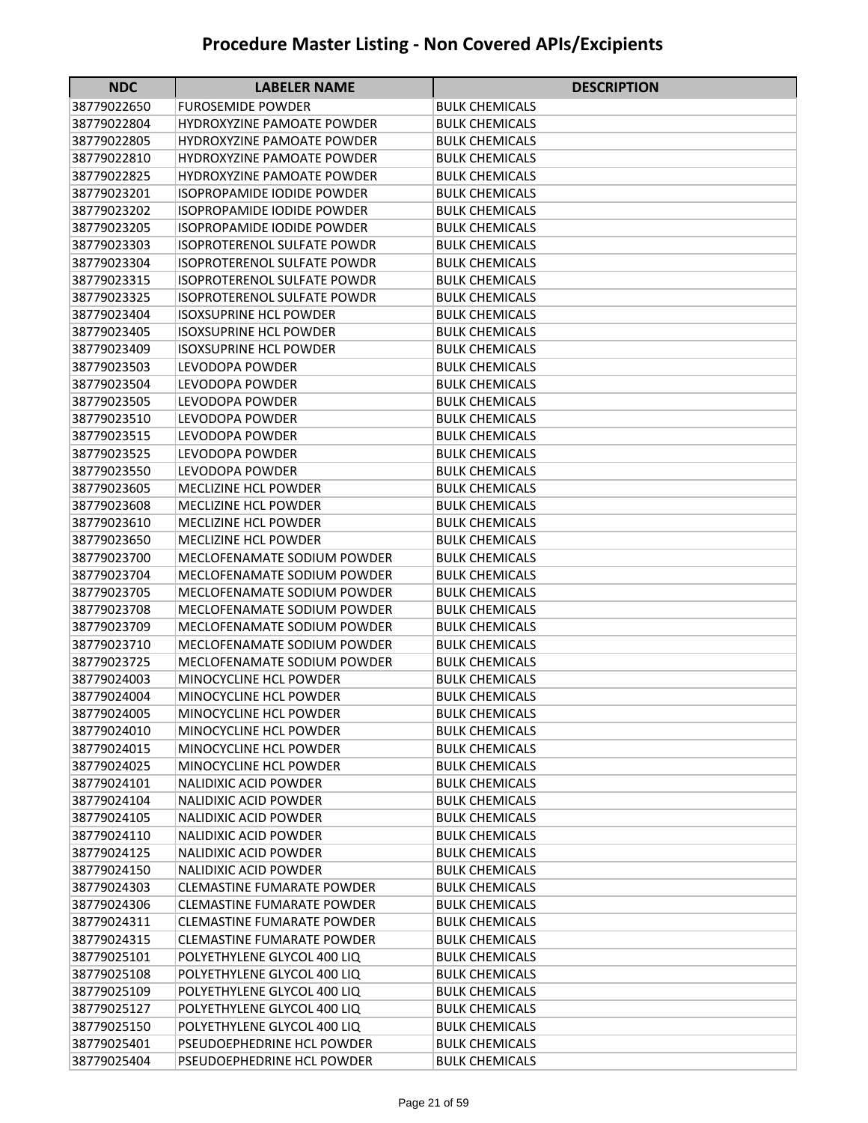| <b>NDC</b>                 | <b>LABELER NAME</b>                              | <b>DESCRIPTION</b>                             |
|----------------------------|--------------------------------------------------|------------------------------------------------|
| 38779022650                | FUROSEMIDE POWDER                                | BULK CHEMICALS                                 |
| 38779022804                | <b>HYDROXYZINE PAMOATE POWDER</b>                | <b>BULK CHEMICALS</b>                          |
| 38779022805                | <b>HYDROXYZINE PAMOATE POWDER</b>                | BULK CHEMICALS                                 |
| 38779022810                | <b>HYDROXYZINE PAMOATE POWDER</b>                | <b>BULK CHEMICALS</b>                          |
| 38779022825                | <b>HYDROXYZINE PAMOATE POWDER</b>                | <b>BULK CHEMICALS</b>                          |
| 38779023201                | <b>ISOPROPAMIDE IODIDE POWDER</b>                | <b>BULK CHEMICALS</b>                          |
| 38779023202                | <b>ISOPROPAMIDE IODIDE POWDER</b>                | <b>BULK CHEMICALS</b>                          |
| 38779023205                | <b>ISOPROPAMIDE IODIDE POWDER</b>                | <b>BULK CHEMICALS</b>                          |
| 38779023303                | <b>ISOPROTERENOL SULFATE POWDR</b>               | <b>BULK CHEMICALS</b>                          |
| 38779023304                | <b>ISOPROTERENOL SULFATE POWDR</b>               | <b>BULK CHEMICALS</b>                          |
| 38779023315                | <b>ISOPROTERENOL SULFATE POWDR</b>               | <b>BULK CHEMICALS</b>                          |
| 38779023325                | <b>ISOPROTERENOL SULFATE POWDR</b>               | <b>BULK CHEMICALS</b>                          |
| 38779023404                | <b>ISOXSUPRINE HCL POWDER</b>                    | <b>BULK CHEMICALS</b>                          |
| 38779023405                | <b>ISOXSUPRINE HCL POWDER</b>                    | <b>BULK CHEMICALS</b>                          |
| 38779023409                | <b>ISOXSUPRINE HCL POWDER</b>                    | <b>BULK CHEMICALS</b>                          |
| 38779023503                | <b>LEVODOPA POWDER</b>                           | <b>BULK CHEMICALS</b>                          |
| 38779023504                | <b>LEVODOPA POWDER</b>                           | <b>BULK CHEMICALS</b>                          |
| 38779023505                | LEVODOPA POWDER                                  | <b>BULK CHEMICALS</b>                          |
| 38779023510                | LEVODOPA POWDER                                  | <b>BULK CHEMICALS</b>                          |
| 38779023515                | LEVODOPA POWDER                                  | <b>BULK CHEMICALS</b>                          |
| 38779023525                | LEVODOPA POWDER                                  | <b>BULK CHEMICALS</b>                          |
| 38779023550                | LEVODOPA POWDER                                  | <b>BULK CHEMICALS</b>                          |
| 38779023605                | <b>MECLIZINE HCL POWDER</b>                      | <b>BULK CHEMICALS</b>                          |
| 38779023608                | <b>MECLIZINE HCL POWDER</b>                      | <b>BULK CHEMICALS</b>                          |
| 38779023610                | <b>MECLIZINE HCL POWDER</b>                      | <b>BULK CHEMICALS</b>                          |
| 38779023650                | <b>MECLIZINE HCL POWDER</b>                      | <b>BULK CHEMICALS</b>                          |
| 38779023700                | MECLOFENAMATE SODIUM POWDER                      | <b>BULK CHEMICALS</b>                          |
| 38779023704                | MECLOFENAMATE SODIUM POWDER                      | BULK CHEMICALS                                 |
| 38779023705                | MECLOFENAMATE SODIUM POWDER                      | <b>BULK CHEMICALS</b>                          |
| 38779023708                | MECLOFENAMATE SODIUM POWDER                      | <b>BULK CHEMICALS</b>                          |
| 38779023709                | MECLOFENAMATE SODIUM POWDER                      | <b>BULK CHEMICALS</b>                          |
| 38779023710                | MECLOFENAMATE SODIUM POWDER                      | <b>BULK CHEMICALS</b>                          |
| 38779023725                | MECLOFENAMATE SODIUM POWDER                      | <b>BULK CHEMICALS</b>                          |
| 38779024003                | MINOCYCLINE HCL POWDER                           | <b>BULK CHEMICALS</b>                          |
| 38779024004                | MINOCYCLINE HCL POWDER<br>MINOCYCLINE HCL POWDER | <b>BULK CHEMICALS</b>                          |
| 38779024005<br>38779024010 | MINOCYCLINE HCL POWDER                           | <b>BULK CHEMICALS</b><br><b>BULK CHEMICALS</b> |
| 38779024015                | <b>MINOCYCLINE HCL POWDER</b>                    | <b>BULK CHEMICALS</b>                          |
| 38779024025                | MINOCYCLINE HCL POWDER                           | <b>BULK CHEMICALS</b>                          |
| 38779024101                | NALIDIXIC ACID POWDER                            | <b>BULK CHEMICALS</b>                          |
| 38779024104                | <b>NALIDIXIC ACID POWDER</b>                     | <b>BULK CHEMICALS</b>                          |
| 38779024105                | <b>NALIDIXIC ACID POWDER</b>                     | <b>BULK CHEMICALS</b>                          |
| 38779024110                | <b>NALIDIXIC ACID POWDER</b>                     | <b>BULK CHEMICALS</b>                          |
| 38779024125                | NALIDIXIC ACID POWDER                            | <b>BULK CHEMICALS</b>                          |
| 38779024150                | NALIDIXIC ACID POWDER                            | <b>BULK CHEMICALS</b>                          |
| 38779024303                | <b>CLEMASTINE FUMARATE POWDER</b>                | <b>BULK CHEMICALS</b>                          |
| 38779024306                | <b>CLEMASTINE FUMARATE POWDER</b>                | <b>BULK CHEMICALS</b>                          |
| 38779024311                | <b>CLEMASTINE FUMARATE POWDER</b>                | <b>BULK CHEMICALS</b>                          |
| 38779024315                | <b>CLEMASTINE FUMARATE POWDER</b>                | <b>BULK CHEMICALS</b>                          |
| 38779025101                | POLYETHYLENE GLYCOL 400 LIQ                      | <b>BULK CHEMICALS</b>                          |
| 38779025108                | POLYETHYLENE GLYCOL 400 LIQ                      | <b>BULK CHEMICALS</b>                          |
| 38779025109                | POLYETHYLENE GLYCOL 400 LIQ                      | <b>BULK CHEMICALS</b>                          |
| 38779025127                | POLYETHYLENE GLYCOL 400 LIQ                      | <b>BULK CHEMICALS</b>                          |
| 38779025150                | POLYETHYLENE GLYCOL 400 LIQ                      | <b>BULK CHEMICALS</b>                          |
| 38779025401                | PSEUDOEPHEDRINE HCL POWDER                       | <b>BULK CHEMICALS</b>                          |
| 38779025404                | PSEUDOEPHEDRINE HCL POWDER                       | <b>BULK CHEMICALS</b>                          |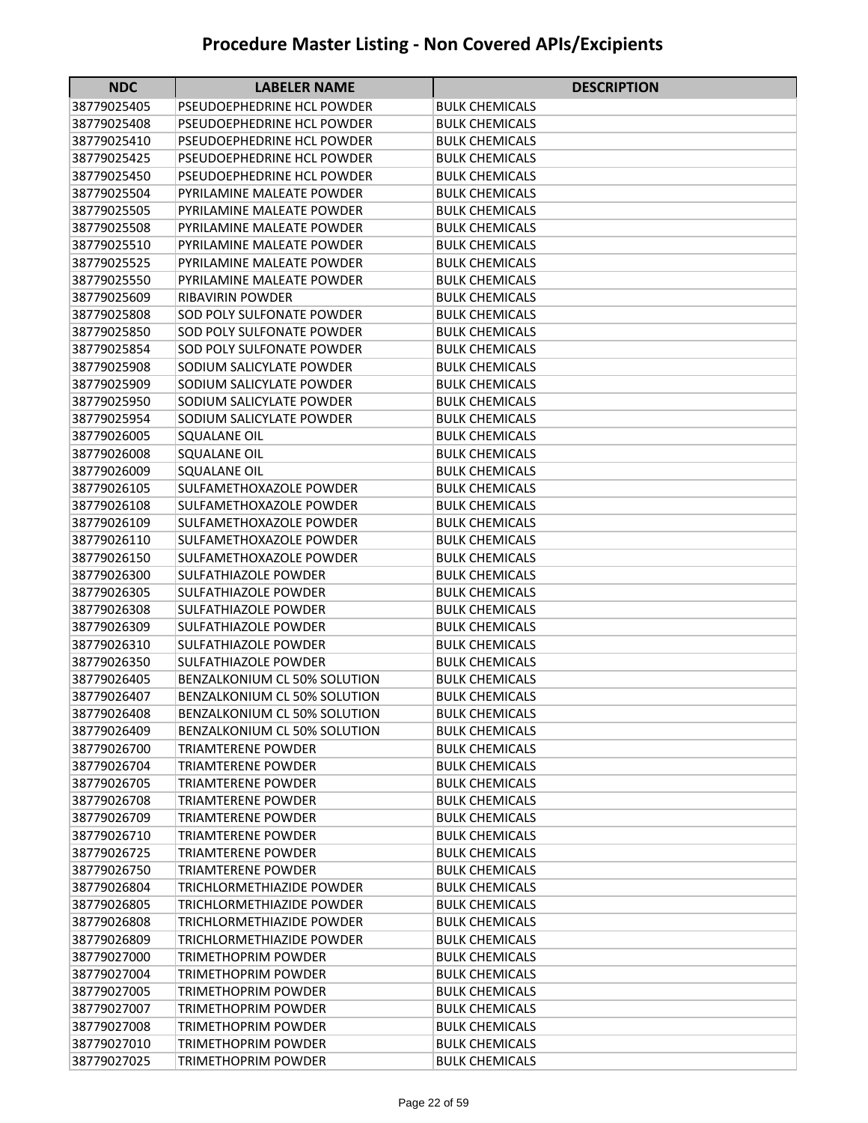| <b>NDC</b>                 | <b>LABELER NAME</b>                                    | <b>DESCRIPTION</b>                             |
|----------------------------|--------------------------------------------------------|------------------------------------------------|
| 38779025405                | PSEUDOEPHEDRINE HCL POWDER                             | <b>BULK CHEMICALS</b>                          |
| 38779025408                | PSEUDOEPHEDRINE HCL POWDER                             | <b>BULK CHEMICALS</b>                          |
| 38779025410                | PSEUDOEPHEDRINE HCL POWDER                             | <b>BULK CHEMICALS</b>                          |
| 38779025425                | PSEUDOEPHEDRINE HCL POWDER                             | <b>BULK CHEMICALS</b>                          |
| 38779025450                | PSEUDOEPHEDRINE HCL POWDER                             | <b>BULK CHEMICALS</b>                          |
| 38779025504                | PYRILAMINE MALEATE POWDER                              | <b>BULK CHEMICALS</b>                          |
| 38779025505                | PYRILAMINE MALEATE POWDER                              | <b>BULK CHEMICALS</b>                          |
| 38779025508                | PYRILAMINE MALEATE POWDER                              | <b>BULK CHEMICALS</b>                          |
| 38779025510                | PYRILAMINE MALEATE POWDER                              | <b>BULK CHEMICALS</b>                          |
| 38779025525                | PYRILAMINE MALEATE POWDER                              | <b>BULK CHEMICALS</b>                          |
| 38779025550                | PYRILAMINE MALEATE POWDER                              | <b>BULK CHEMICALS</b>                          |
| 38779025609                | <b>RIBAVIRIN POWDER</b>                                | <b>BULK CHEMICALS</b>                          |
| 38779025808                | SOD POLY SULFONATE POWDER                              | <b>BULK CHEMICALS</b>                          |
| 38779025850                | SOD POLY SULFONATE POWDER                              | <b>BULK CHEMICALS</b>                          |
| 38779025854                | SOD POLY SULFONATE POWDER                              | <b>BULK CHEMICALS</b>                          |
| 38779025908                | SODIUM SALICYLATE POWDER                               | <b>BULK CHEMICALS</b>                          |
| 38779025909                | SODIUM SALICYLATE POWDER                               | <b>BULK CHEMICALS</b>                          |
| 38779025950                | SODIUM SALICYLATE POWDER                               | <b>BULK CHEMICALS</b>                          |
| 38779025954                | SODIUM SALICYLATE POWDER                               | <b>BULK CHEMICALS</b>                          |
| 38779026005                | <b>SQUALANE OIL</b>                                    | <b>BULK CHEMICALS</b>                          |
| 38779026008                | <b>SQUALANE OIL</b>                                    | <b>BULK CHEMICALS</b>                          |
| 38779026009                | <b>SQUALANE OIL</b>                                    | <b>BULK CHEMICALS</b>                          |
| 38779026105                | SULFAMETHOXAZOLE POWDER                                | <b>BULK CHEMICALS</b>                          |
| 38779026108                | SULFAMETHOXAZOLE POWDER                                | <b>BULK CHEMICALS</b>                          |
| 38779026109                | SULFAMETHOXAZOLE POWDER                                | BULK CHEMICALS                                 |
| 38779026110                | SULFAMETHOXAZOLE POWDER                                | BULK CHEMICALS                                 |
| 38779026150                | SULFAMETHOXAZOLE POWDER                                | <b>BULK CHEMICALS</b>                          |
| 38779026300                | <b>SULFATHIAZOLE POWDER</b>                            | <b>BULK CHEMICALS</b>                          |
| 38779026305                | <b>SULFATHIAZOLE POWDER</b>                            | <b>BULK CHEMICALS</b>                          |
| 38779026308                | <b>SULFATHIAZOLE POWDER</b>                            | <b>BULK CHEMICALS</b>                          |
| 38779026309                | <b>SULFATHIAZOLE POWDER</b>                            | <b>BULK CHEMICALS</b>                          |
| 38779026310                | <b>SULFATHIAZOLE POWDER</b>                            | <b>BULK CHEMICALS</b>                          |
| 38779026350                | <b>SULFATHIAZOLE POWDER</b>                            | <b>BULK CHEMICALS</b>                          |
| 38779026405                | BENZALKONIUM CL 50% SOLUTION                           | <b>BULK CHEMICALS</b>                          |
| 38779026407                | BENZALKONIUM CL 50% SOLUTION                           | <b>BULK CHEMICALS</b>                          |
| 38779026408                | BENZALKONIUM CL 50% SOLUTION                           | <b>BULK CHEMICALS</b>                          |
| 38779026409                | <b>BENZALKONIUM CL 50% SOLUTION</b>                    | <b>BULK CHEMICALS</b>                          |
| 38779026700                | <b>TRIAMTERENE POWDER</b>                              | <b>BULK CHEMICALS</b>                          |
| 38779026704                | <b>TRIAMTERENE POWDER</b>                              | <b>BULK CHEMICALS</b>                          |
| 38779026705                | <b>TRIAMTERENE POWDER</b>                              | <b>BULK CHEMICALS</b>                          |
| 38779026708                | TRIAMTERENE POWDER                                     | <b>BULK CHEMICALS</b>                          |
| 38779026709<br>38779026710 | <b>TRIAMTERENE POWDER</b><br><b>TRIAMTERENE POWDER</b> | <b>BULK CHEMICALS</b><br><b>BULK CHEMICALS</b> |
| 38779026725                | <b>TRIAMTERENE POWDER</b>                              | <b>BULK CHEMICALS</b>                          |
| 38779026750                | <b>TRIAMTERENE POWDER</b>                              | <b>BULK CHEMICALS</b>                          |
| 38779026804                | <b>TRICHLORMETHIAZIDE POWDER</b>                       | <b>BULK CHEMICALS</b>                          |
| 38779026805                | TRICHLORMETHIAZIDE POWDER                              | <b>BULK CHEMICALS</b>                          |
| 38779026808                | TRICHLORMETHIAZIDE POWDER                              | <b>BULK CHEMICALS</b>                          |
| 38779026809                | TRICHLORMETHIAZIDE POWDER                              | <b>BULK CHEMICALS</b>                          |
| 38779027000                | TRIMETHOPRIM POWDER                                    | <b>BULK CHEMICALS</b>                          |
| 38779027004                | TRIMETHOPRIM POWDER                                    | <b>BULK CHEMICALS</b>                          |
| 38779027005                | TRIMETHOPRIM POWDER                                    | <b>BULK CHEMICALS</b>                          |
| 38779027007                | TRIMETHOPRIM POWDER                                    | <b>BULK CHEMICALS</b>                          |
| 38779027008                | TRIMETHOPRIM POWDER                                    | <b>BULK CHEMICALS</b>                          |
| 38779027010                | <b>TRIMETHOPRIM POWDER</b>                             | <b>BULK CHEMICALS</b>                          |
| 38779027025                | TRIMETHOPRIM POWDER                                    | <b>BULK CHEMICALS</b>                          |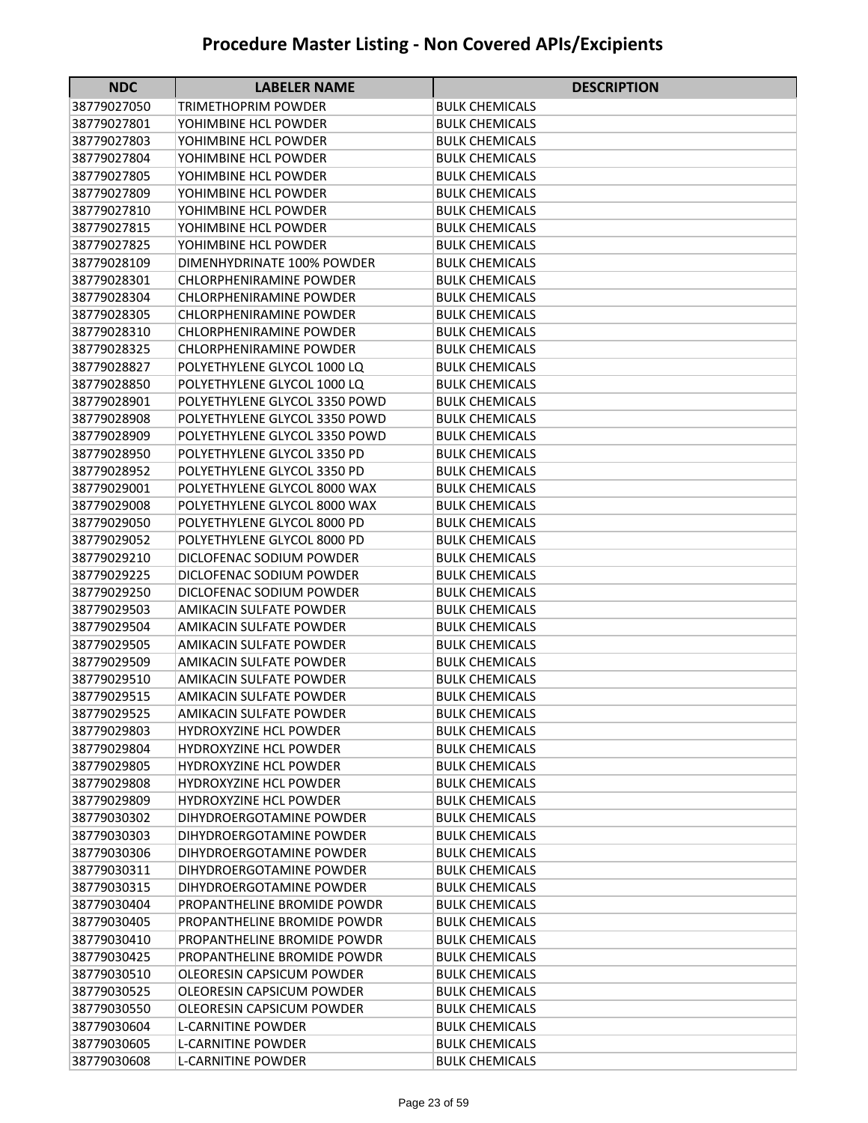| <b>NDC</b>                 | <b>LABELER NAME</b>                                  | <b>DESCRIPTION</b>                             |
|----------------------------|------------------------------------------------------|------------------------------------------------|
| 38779027050                | TRIMETHOPRIM POWDER                                  | <b>BULK CHEMICALS</b>                          |
| 38779027801                | YOHIMBINE HCL POWDER                                 | <b>BULK CHEMICALS</b>                          |
| 38779027803                | YOHIMBINE HCL POWDER                                 | <b>BULK CHEMICALS</b>                          |
| 38779027804                | YOHIMBINE HCL POWDER                                 | <b>BULK CHEMICALS</b>                          |
| 38779027805                | YOHIMBINE HCL POWDER                                 | <b>BULK CHEMICALS</b>                          |
| 38779027809                | YOHIMBINE HCL POWDER                                 | <b>BULK CHEMICALS</b>                          |
| 38779027810                | YOHIMBINE HCL POWDER                                 | <b>BULK CHEMICALS</b>                          |
| 38779027815                | YOHIMBINE HCL POWDER                                 | <b>BULK CHEMICALS</b>                          |
| 38779027825                | YOHIMBINE HCL POWDER                                 | <b>BULK CHEMICALS</b>                          |
| 38779028109                | DIMENHYDRINATE 100% POWDER                           | <b>BULK CHEMICALS</b>                          |
| 38779028301                | CHLORPHENIRAMINE POWDER                              | <b>BULK CHEMICALS</b>                          |
| 38779028304                | <b>CHLORPHENIRAMINE POWDER</b>                       | <b>BULK CHEMICALS</b>                          |
| 38779028305                | <b>CHLORPHENIRAMINE POWDER</b>                       | <b>BULK CHEMICALS</b>                          |
| 38779028310                | CHLORPHENIRAMINE POWDER                              | <b>BULK CHEMICALS</b>                          |
| 38779028325                | <b>CHLORPHENIRAMINE POWDER</b>                       | <b>BULK CHEMICALS</b>                          |
| 38779028827                | POLYETHYLENE GLYCOL 1000 LQ                          | <b>BULK CHEMICALS</b>                          |
| 38779028850                | POLYETHYLENE GLYCOL 1000 LQ                          | <b>BULK CHEMICALS</b>                          |
| 38779028901                | POLYETHYLENE GLYCOL 3350 POWD                        | <b>BULK CHEMICALS</b>                          |
| 38779028908                | POLYETHYLENE GLYCOL 3350 POWD                        | <b>BULK CHEMICALS</b>                          |
| 38779028909                | POLYETHYLENE GLYCOL 3350 POWD                        | <b>BULK CHEMICALS</b>                          |
| 38779028950                | POLYETHYLENE GLYCOL 3350 PD                          | <b>BULK CHEMICALS</b>                          |
| 38779028952                | POLYETHYLENE GLYCOL 3350 PD                          | <b>BULK CHEMICALS</b>                          |
| 38779029001                | POLYETHYLENE GLYCOL 8000 WAX                         | <b>BULK CHEMICALS</b>                          |
| 38779029008                | POLYETHYLENE GLYCOL 8000 WAX                         | <b>BULK CHEMICALS</b>                          |
| 38779029050                | POLYETHYLENE GLYCOL 8000 PD                          | <b>BULK CHEMICALS</b>                          |
| 38779029052                | POLYETHYLENE GLYCOL 8000 PD                          | <b>BULK CHEMICALS</b>                          |
| 38779029210                | DICLOFENAC SODIUM POWDER                             | <b>BULK CHEMICALS</b>                          |
| 38779029225                | DICLOFENAC SODIUM POWDER                             | <b>BULK CHEMICALS</b>                          |
| 38779029250                | DICLOFENAC SODIUM POWDER                             | <b>BULK CHEMICALS</b>                          |
| 38779029503                | AMIKACIN SULFATE POWDER                              | <b>BULK CHEMICALS</b>                          |
| 38779029504                | AMIKACIN SULFATE POWDER                              | <b>BULK CHEMICALS</b>                          |
| 38779029505                | <b>AMIKACIN SULFATE POWDER</b>                       | <b>BULK CHEMICALS</b>                          |
| 38779029509                | <b>AMIKACIN SULFATE POWDER</b>                       | <b>BULK CHEMICALS</b>                          |
| 38779029510                | AMIKACIN SULFATE POWDER                              | <b>BULK CHEMICALS</b>                          |
| 38779029515                | <b>AMIKACIN SULFATE POWDER</b>                       | <b>BULK CHEMICALS</b>                          |
| 38779029525                | AMIKACIN SULFATE POWDER                              | <b>BULK CHEMICALS</b>                          |
| 38779029803                | <b>HYDROXYZINE HCL POWDER</b>                        | <b>BULK CHEMICALS</b>                          |
| 38779029804                | <b>HYDROXYZINE HCL POWDER</b>                        | <b>BULK CHEMICALS</b>                          |
| 38779029805                | <b>HYDROXYZINE HCL POWDER</b>                        | <b>BULK CHEMICALS</b>                          |
| 38779029808                | <b>HYDROXYZINE HCL POWDER</b>                        | <b>BULK CHEMICALS</b>                          |
| 38779029809                | <b>HYDROXYZINE HCL POWDER</b>                        | <b>BULK CHEMICALS</b>                          |
| 38779030302                | DIHYDROERGOTAMINE POWDER                             | <b>BULK CHEMICALS</b><br><b>BULK CHEMICALS</b> |
| 38779030303<br>38779030306 | DIHYDROERGOTAMINE POWDER                             | <b>BULK CHEMICALS</b>                          |
| 38779030311                | DIHYDROERGOTAMINE POWDER<br>DIHYDROERGOTAMINE POWDER |                                                |
| 38779030315                | DIHYDROERGOTAMINE POWDER                             | <b>BULK CHEMICALS</b><br><b>BULK CHEMICALS</b> |
| 38779030404                | PROPANTHELINE BROMIDE POWDR                          | <b>BULK CHEMICALS</b>                          |
| 38779030405                | PROPANTHELINE BROMIDE POWDR                          | <b>BULK CHEMICALS</b>                          |
| 38779030410                | PROPANTHELINE BROMIDE POWDR                          | <b>BULK CHEMICALS</b>                          |
| 38779030425                | PROPANTHELINE BROMIDE POWDR                          | <b>BULK CHEMICALS</b>                          |
| 38779030510                | OLEORESIN CAPSICUM POWDER                            | <b>BULK CHEMICALS</b>                          |
| 38779030525                | OLEORESIN CAPSICUM POWDER                            | <b>BULK CHEMICALS</b>                          |
| 38779030550                | OLEORESIN CAPSICUM POWDER                            | <b>BULK CHEMICALS</b>                          |
| 38779030604                | <b>L-CARNITINE POWDER</b>                            | <b>BULK CHEMICALS</b>                          |
| 38779030605                | <b>L-CARNITINE POWDER</b>                            | <b>BULK CHEMICALS</b>                          |
| 38779030608                | L-CARNITINE POWDER                                   | <b>BULK CHEMICALS</b>                          |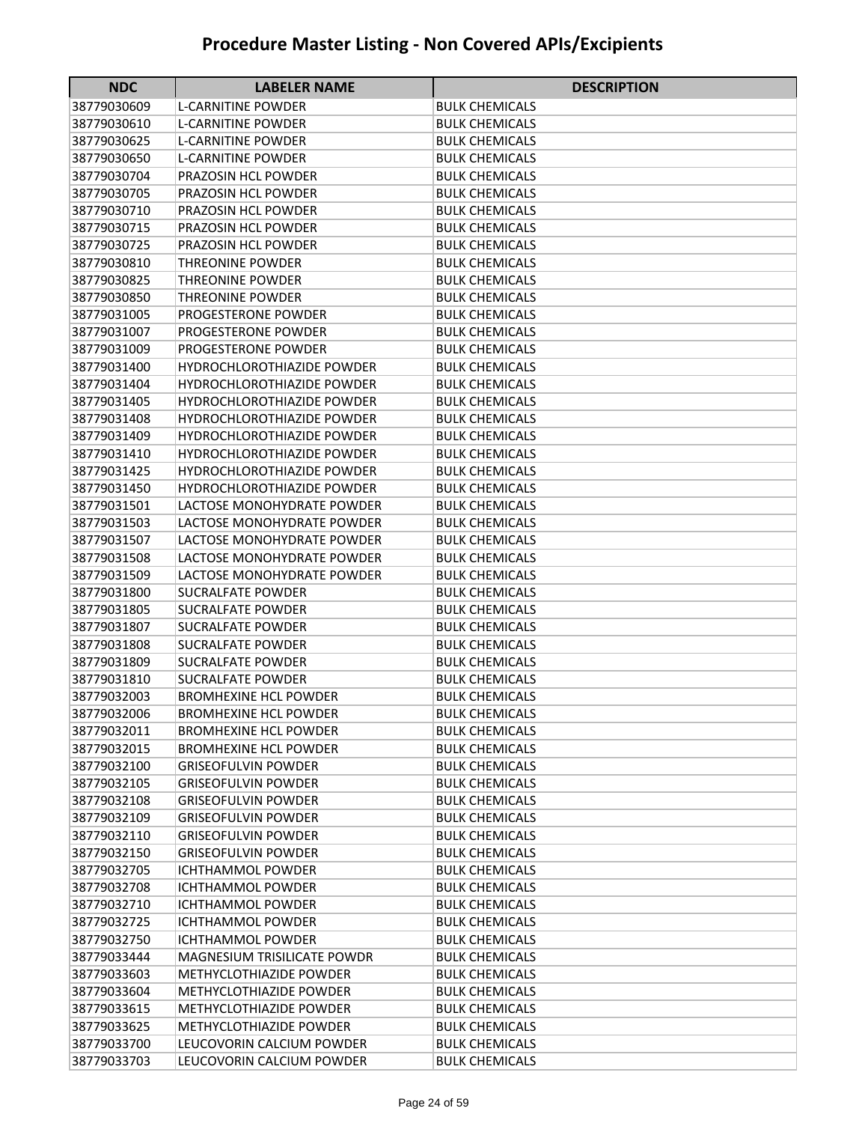| <b>NDC</b>                 | <b>LABELER NAME</b>                                    | <b>DESCRIPTION</b>                      |
|----------------------------|--------------------------------------------------------|-----------------------------------------|
| 38779030609                | <b>L-CARNITINE POWDER</b>                              | BULK CHEMICALS                          |
| 38779030610                | <b>L-CARNITINE POWDER</b>                              | <b>BULK CHEMICALS</b>                   |
| 38779030625                | <b>L-CARNITINE POWDER</b>                              | <b>BULK CHEMICALS</b>                   |
| 38779030650                | <b>L-CARNITINE POWDER</b>                              | <b>BULK CHEMICALS</b>                   |
| 38779030704                | PRAZOSIN HCL POWDER                                    | <b>BULK CHEMICALS</b>                   |
| 38779030705                | PRAZOSIN HCL POWDER                                    | <b>BULK CHEMICALS</b>                   |
| 38779030710                | PRAZOSIN HCL POWDER                                    | <b>BULK CHEMICALS</b>                   |
| 38779030715                | PRAZOSIN HCL POWDER                                    | <b>BULK CHEMICALS</b>                   |
| 38779030725                | PRAZOSIN HCL POWDER                                    | <b>BULK CHEMICALS</b>                   |
| 38779030810                | <b>THREONINE POWDER</b>                                | <b>BULK CHEMICALS</b>                   |
| 38779030825                | <b>THREONINE POWDER</b>                                | <b>BULK CHEMICALS</b>                   |
| 38779030850                | <b>THREONINE POWDER</b>                                | <b>BULK CHEMICALS</b>                   |
| 38779031005                | PROGESTERONE POWDER                                    | <b>BULK CHEMICALS</b>                   |
| 38779031007                | PROGESTERONE POWDER                                    | <b>BULK CHEMICALS</b>                   |
| 38779031009                | PROGESTERONE POWDER                                    | <b>BULK CHEMICALS</b>                   |
| 38779031400                | <b>HYDROCHLOROTHIAZIDE POWDER</b>                      | <b>BULK CHEMICALS</b>                   |
| 38779031404                | <b>HYDROCHLOROTHIAZIDE POWDER</b>                      | <b>BULK CHEMICALS</b>                   |
| 38779031405                | <b>HYDROCHLOROTHIAZIDE POWDER</b>                      | <b>BULK CHEMICALS</b>                   |
| 38779031408                | <b>HYDROCHLOROTHIAZIDE POWDER</b>                      | <b>BULK CHEMICALS</b>                   |
| 38779031409                | <b>HYDROCHLOROTHIAZIDE POWDER</b>                      | <b>BULK CHEMICALS</b>                   |
| 38779031410                | <b>HYDROCHLOROTHIAZIDE POWDER</b>                      | <b>BULK CHEMICALS</b>                   |
| 38779031425                | <b>HYDROCHLOROTHIAZIDE POWDER</b>                      | BULK CHEMICALS                          |
| 38779031450                | <b>HYDROCHLOROTHIAZIDE POWDER</b>                      | <b>BULK CHEMICALS</b>                   |
| 38779031501                | LACTOSE MONOHYDRATE POWDER                             | <b>BULK CHEMICALS</b>                   |
| 38779031503                | LACTOSE MONOHYDRATE POWDER                             | <b>BULK CHEMICALS</b>                   |
| 38779031507                | LACTOSE MONOHYDRATE POWDER                             | <b>BULK CHEMICALS</b>                   |
| 38779031508                | LACTOSE MONOHYDRATE POWDER                             | <b>BULK CHEMICALS</b>                   |
| 38779031509                | LACTOSE MONOHYDRATE POWDER                             | <b>BULK CHEMICALS</b>                   |
| 38779031800                | <b>SUCRALFATE POWDER</b>                               | <b>BULK CHEMICALS</b>                   |
| 38779031805                | <b>SUCRALFATE POWDER</b>                               | <b>BULK CHEMICALS</b>                   |
| 38779031807                | <b>SUCRALFATE POWDER</b>                               | <b>BULK CHEMICALS</b>                   |
| 38779031808                | <b>SUCRALFATE POWDER</b>                               | <b>BULK CHEMICALS</b>                   |
| 38779031809                | <b>SUCRALFATE POWDER</b>                               | <b>BULK CHEMICALS</b>                   |
| 38779031810                | <b>SUCRALFATE POWDER</b>                               | <b>BULK CHEMICALS</b>                   |
| 38779032003                | <b>BROMHEXINE HCL POWDER</b>                           | <b>BULK CHEMICALS</b>                   |
| 38779032006                | <b>BROMHEXINE HCL POWDER</b>                           | <b>BULK CHEMICALS</b>                   |
| 38779032011                | <b>BROMHEXINE HCL POWDER</b>                           | <b>BULK CHEMICALS</b>                   |
| 38779032015                | <b>BROMHEXINE HCL POWDER</b>                           | <b>BULK CHEMICALS</b>                   |
| 38779032100                | <b>GRISEOFULVIN POWDER</b>                             | <b>BULK CHEMICALS</b>                   |
| 38779032105                | <b>GRISEOFULVIN POWDER</b>                             | <b>BULK CHEMICALS</b>                   |
| 38779032108                | <b>GRISEOFULVIN POWDER</b>                             | <b>BULK CHEMICALS</b>                   |
| 38779032109                | <b>GRISEOFULVIN POWDER</b>                             | <b>BULK CHEMICALS</b>                   |
| 38779032110                | <b>GRISEOFULVIN POWDER</b>                             | <b>BULK CHEMICALS</b>                   |
| 38779032150<br>38779032705 | <b>GRISEOFULVIN POWDER</b><br><b>ICHTHAMMOL POWDER</b> | <b>BULK CHEMICALS</b>                   |
|                            |                                                        | <b>BULK CHEMICALS</b>                   |
| 38779032708<br>38779032710 | <b>ICHTHAMMOL POWDER</b><br><b>ICHTHAMMOL POWDER</b>   | <b>BULK CHEMICALS</b><br>BULK CHEMICALS |
| 38779032725                | <b>ICHTHAMMOL POWDER</b>                               | <b>BULK CHEMICALS</b>                   |
| 38779032750                | <b>ICHTHAMMOL POWDER</b>                               | <b>BULK CHEMICALS</b>                   |
| 38779033444                | MAGNESIUM TRISILICATE POWDR                            | <b>BULK CHEMICALS</b>                   |
| 38779033603                | METHYCLOTHIAZIDE POWDER                                | <b>BULK CHEMICALS</b>                   |
| 38779033604                | <b>METHYCLOTHIAZIDE POWDER</b>                         | <b>BULK CHEMICALS</b>                   |
| 38779033615                | METHYCLOTHIAZIDE POWDER                                | <b>BULK CHEMICALS</b>                   |
| 38779033625                | <b>METHYCLOTHIAZIDE POWDER</b>                         | <b>BULK CHEMICALS</b>                   |
| 38779033700                | LEUCOVORIN CALCIUM POWDER                              | <b>BULK CHEMICALS</b>                   |
| 38779033703                | LEUCOVORIN CALCIUM POWDER                              | <b>BULK CHEMICALS</b>                   |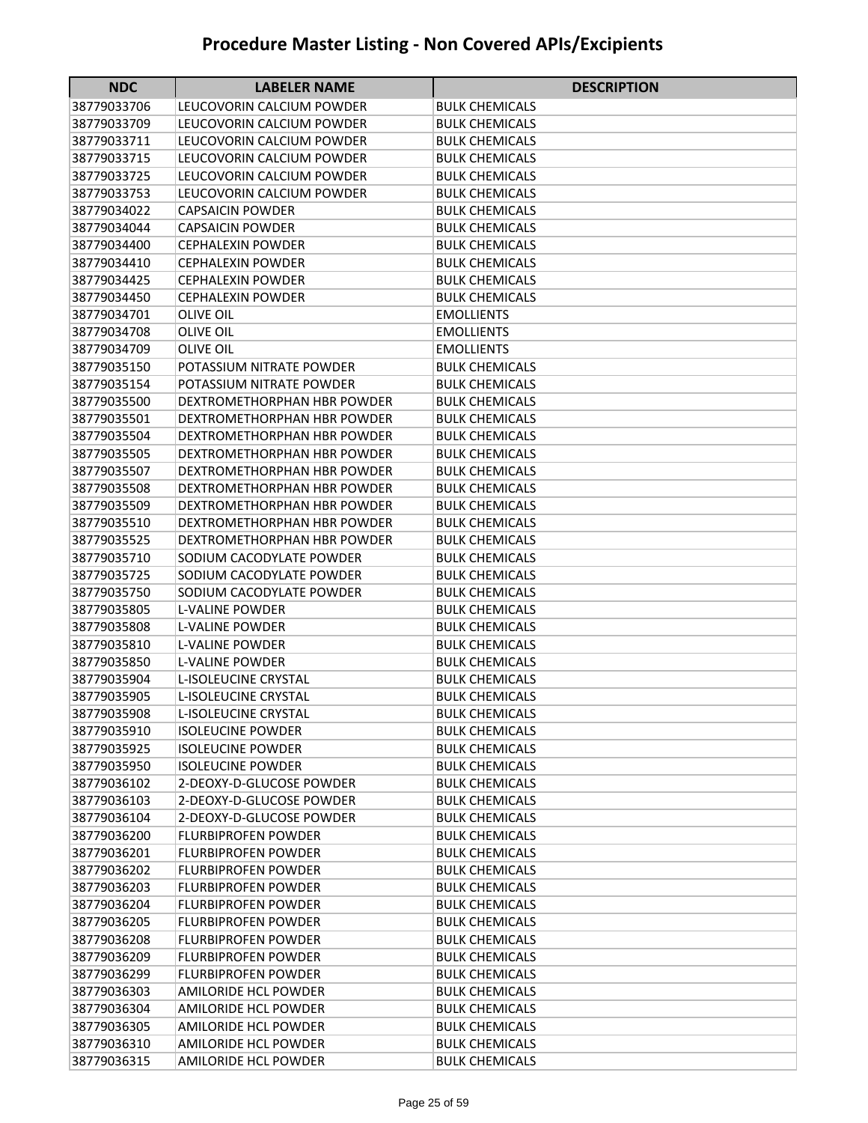| <b>NDC</b><br><b>DESCRIPTION</b><br><b>LABELER NAME</b><br>38779033706<br>LEUCOVORIN CALCIUM POWDER<br>BULK CHEMICALS<br>38779033709<br>LEUCOVORIN CALCIUM POWDER<br><b>BULK CHEMICALS</b><br>38779033711<br>LEUCOVORIN CALCIUM POWDER<br><b>BULK CHEMICALS</b><br>38779033715<br>LEUCOVORIN CALCIUM POWDER<br><b>BULK CHEMICALS</b><br>38779033725<br>LEUCOVORIN CALCIUM POWDER<br><b>BULK CHEMICALS</b><br>38779033753<br>LEUCOVORIN CALCIUM POWDER<br><b>BULK CHEMICALS</b><br>38779034022<br><b>CAPSAICIN POWDER</b><br><b>BULK CHEMICALS</b><br><b>CAPSAICIN POWDER</b><br><b>BULK CHEMICALS</b><br>38779034044<br>38779034400<br><b>CEPHALEXIN POWDER</b><br><b>BULK CHEMICALS</b><br>38779034410<br><b>CEPHALEXIN POWDER</b><br><b>BULK CHEMICALS</b><br>38779034425<br><b>CEPHALEXIN POWDER</b><br><b>BULK CHEMICALS</b><br>38779034450<br><b>CEPHALEXIN POWDER</b><br><b>BULK CHEMICALS</b><br>38779034701<br><b>OLIVE OIL</b><br>EMOLLIENTS<br>38779034708<br><b>OLIVE OIL</b><br>EMOLLIENTS<br>38779034709<br><b>OLIVE OIL</b><br><b>EMOLLIENTS</b><br>38779035150<br>POTASSIUM NITRATE POWDER<br><b>BULK CHEMICALS</b><br>38779035154<br>POTASSIUM NITRATE POWDER<br><b>BULK CHEMICALS</b><br>DEXTROMETHORPHAN HBR POWDER<br><b>BULK CHEMICALS</b><br>38779035500<br>38779035501<br>DEXTROMETHORPHAN HBR POWDER<br>BULK CHEMICALS<br>38779035504<br>DEXTROMETHORPHAN HBR POWDER<br>BULK CHEMICALS<br>38779035505<br>DEXTROMETHORPHAN HBR POWDER<br><b>BULK CHEMICALS</b><br>38779035507<br>DEXTROMETHORPHAN HBR POWDER<br><b>BULK CHEMICALS</b><br>38779035508<br>DEXTROMETHORPHAN HBR POWDER<br><b>BULK CHEMICALS</b><br>38779035509<br>DEXTROMETHORPHAN HBR POWDER<br><b>BULK CHEMICALS</b><br>38779035510<br>DEXTROMETHORPHAN HBR POWDER<br>BULK CHEMICALS<br>38779035525<br>DEXTROMETHORPHAN HBR POWDER<br>BULK CHEMICALS<br>38779035710<br>SODIUM CACODYLATE POWDER<br><b>BULK CHEMICALS</b><br>38779035725<br>SODIUM CACODYLATE POWDER<br><b>BULK CHEMICALS</b><br>38779035750<br>SODIUM CACODYLATE POWDER<br><b>BULK CHEMICALS</b><br>38779035805<br><b>L-VALINE POWDER</b><br><b>BULK CHEMICALS</b><br>38779035808<br><b>L-VALINE POWDER</b><br><b>BULK CHEMICALS</b><br>38779035810<br><b>L-VALINE POWDER</b><br><b>BULK CHEMICALS</b><br>38779035850<br><b>L-VALINE POWDER</b><br>BULK CHEMICALS<br>38779035904<br><b>L-ISOLEUCINE CRYSTAL</b><br><b>BULK CHEMICALS</b><br>38779035905<br><b>L-ISOLEUCINE CRYSTAL</b><br><b>BULK CHEMICALS</b><br><b>L-ISOLEUCINE CRYSTAL</b><br><b>BULK CHEMICALS</b><br>38779035908<br>38779035910<br><b>ISOLEUCINE POWDER</b><br><b>BULK CHEMICALS</b><br>38779035925<br><b>ISOLEUCINE POWDER</b><br><b>BULK CHEMICALS</b><br>38779035950<br><b>ISOLEUCINE POWDER</b><br><b>BULK CHEMICALS</b><br>38779036102<br>2-DEOXY-D-GLUCOSE POWDER<br><b>BULK CHEMICALS</b><br>38779036103<br>2-DEOXY-D-GLUCOSE POWDER<br><b>BULK CHEMICALS</b> |
|-------------------------------------------------------------------------------------------------------------------------------------------------------------------------------------------------------------------------------------------------------------------------------------------------------------------------------------------------------------------------------------------------------------------------------------------------------------------------------------------------------------------------------------------------------------------------------------------------------------------------------------------------------------------------------------------------------------------------------------------------------------------------------------------------------------------------------------------------------------------------------------------------------------------------------------------------------------------------------------------------------------------------------------------------------------------------------------------------------------------------------------------------------------------------------------------------------------------------------------------------------------------------------------------------------------------------------------------------------------------------------------------------------------------------------------------------------------------------------------------------------------------------------------------------------------------------------------------------------------------------------------------------------------------------------------------------------------------------------------------------------------------------------------------------------------------------------------------------------------------------------------------------------------------------------------------------------------------------------------------------------------------------------------------------------------------------------------------------------------------------------------------------------------------------------------------------------------------------------------------------------------------------------------------------------------------------------------------------------------------------------------------------------------------------------------------------------------------------------------------------------------------------------------------------------------------------------------------------------------------------------------------------------------------------------------------------------------------------------------------------------------------------------------------------------------------------------------------------------------------------------------------------|
|                                                                                                                                                                                                                                                                                                                                                                                                                                                                                                                                                                                                                                                                                                                                                                                                                                                                                                                                                                                                                                                                                                                                                                                                                                                                                                                                                                                                                                                                                                                                                                                                                                                                                                                                                                                                                                                                                                                                                                                                                                                                                                                                                                                                                                                                                                                                                                                                                                                                                                                                                                                                                                                                                                                                                                                                                                                                                                 |
|                                                                                                                                                                                                                                                                                                                                                                                                                                                                                                                                                                                                                                                                                                                                                                                                                                                                                                                                                                                                                                                                                                                                                                                                                                                                                                                                                                                                                                                                                                                                                                                                                                                                                                                                                                                                                                                                                                                                                                                                                                                                                                                                                                                                                                                                                                                                                                                                                                                                                                                                                                                                                                                                                                                                                                                                                                                                                                 |
|                                                                                                                                                                                                                                                                                                                                                                                                                                                                                                                                                                                                                                                                                                                                                                                                                                                                                                                                                                                                                                                                                                                                                                                                                                                                                                                                                                                                                                                                                                                                                                                                                                                                                                                                                                                                                                                                                                                                                                                                                                                                                                                                                                                                                                                                                                                                                                                                                                                                                                                                                                                                                                                                                                                                                                                                                                                                                                 |
|                                                                                                                                                                                                                                                                                                                                                                                                                                                                                                                                                                                                                                                                                                                                                                                                                                                                                                                                                                                                                                                                                                                                                                                                                                                                                                                                                                                                                                                                                                                                                                                                                                                                                                                                                                                                                                                                                                                                                                                                                                                                                                                                                                                                                                                                                                                                                                                                                                                                                                                                                                                                                                                                                                                                                                                                                                                                                                 |
|                                                                                                                                                                                                                                                                                                                                                                                                                                                                                                                                                                                                                                                                                                                                                                                                                                                                                                                                                                                                                                                                                                                                                                                                                                                                                                                                                                                                                                                                                                                                                                                                                                                                                                                                                                                                                                                                                                                                                                                                                                                                                                                                                                                                                                                                                                                                                                                                                                                                                                                                                                                                                                                                                                                                                                                                                                                                                                 |
|                                                                                                                                                                                                                                                                                                                                                                                                                                                                                                                                                                                                                                                                                                                                                                                                                                                                                                                                                                                                                                                                                                                                                                                                                                                                                                                                                                                                                                                                                                                                                                                                                                                                                                                                                                                                                                                                                                                                                                                                                                                                                                                                                                                                                                                                                                                                                                                                                                                                                                                                                                                                                                                                                                                                                                                                                                                                                                 |
|                                                                                                                                                                                                                                                                                                                                                                                                                                                                                                                                                                                                                                                                                                                                                                                                                                                                                                                                                                                                                                                                                                                                                                                                                                                                                                                                                                                                                                                                                                                                                                                                                                                                                                                                                                                                                                                                                                                                                                                                                                                                                                                                                                                                                                                                                                                                                                                                                                                                                                                                                                                                                                                                                                                                                                                                                                                                                                 |
|                                                                                                                                                                                                                                                                                                                                                                                                                                                                                                                                                                                                                                                                                                                                                                                                                                                                                                                                                                                                                                                                                                                                                                                                                                                                                                                                                                                                                                                                                                                                                                                                                                                                                                                                                                                                                                                                                                                                                                                                                                                                                                                                                                                                                                                                                                                                                                                                                                                                                                                                                                                                                                                                                                                                                                                                                                                                                                 |
|                                                                                                                                                                                                                                                                                                                                                                                                                                                                                                                                                                                                                                                                                                                                                                                                                                                                                                                                                                                                                                                                                                                                                                                                                                                                                                                                                                                                                                                                                                                                                                                                                                                                                                                                                                                                                                                                                                                                                                                                                                                                                                                                                                                                                                                                                                                                                                                                                                                                                                                                                                                                                                                                                                                                                                                                                                                                                                 |
|                                                                                                                                                                                                                                                                                                                                                                                                                                                                                                                                                                                                                                                                                                                                                                                                                                                                                                                                                                                                                                                                                                                                                                                                                                                                                                                                                                                                                                                                                                                                                                                                                                                                                                                                                                                                                                                                                                                                                                                                                                                                                                                                                                                                                                                                                                                                                                                                                                                                                                                                                                                                                                                                                                                                                                                                                                                                                                 |
|                                                                                                                                                                                                                                                                                                                                                                                                                                                                                                                                                                                                                                                                                                                                                                                                                                                                                                                                                                                                                                                                                                                                                                                                                                                                                                                                                                                                                                                                                                                                                                                                                                                                                                                                                                                                                                                                                                                                                                                                                                                                                                                                                                                                                                                                                                                                                                                                                                                                                                                                                                                                                                                                                                                                                                                                                                                                                                 |
|                                                                                                                                                                                                                                                                                                                                                                                                                                                                                                                                                                                                                                                                                                                                                                                                                                                                                                                                                                                                                                                                                                                                                                                                                                                                                                                                                                                                                                                                                                                                                                                                                                                                                                                                                                                                                                                                                                                                                                                                                                                                                                                                                                                                                                                                                                                                                                                                                                                                                                                                                                                                                                                                                                                                                                                                                                                                                                 |
|                                                                                                                                                                                                                                                                                                                                                                                                                                                                                                                                                                                                                                                                                                                                                                                                                                                                                                                                                                                                                                                                                                                                                                                                                                                                                                                                                                                                                                                                                                                                                                                                                                                                                                                                                                                                                                                                                                                                                                                                                                                                                                                                                                                                                                                                                                                                                                                                                                                                                                                                                                                                                                                                                                                                                                                                                                                                                                 |
|                                                                                                                                                                                                                                                                                                                                                                                                                                                                                                                                                                                                                                                                                                                                                                                                                                                                                                                                                                                                                                                                                                                                                                                                                                                                                                                                                                                                                                                                                                                                                                                                                                                                                                                                                                                                                                                                                                                                                                                                                                                                                                                                                                                                                                                                                                                                                                                                                                                                                                                                                                                                                                                                                                                                                                                                                                                                                                 |
|                                                                                                                                                                                                                                                                                                                                                                                                                                                                                                                                                                                                                                                                                                                                                                                                                                                                                                                                                                                                                                                                                                                                                                                                                                                                                                                                                                                                                                                                                                                                                                                                                                                                                                                                                                                                                                                                                                                                                                                                                                                                                                                                                                                                                                                                                                                                                                                                                                                                                                                                                                                                                                                                                                                                                                                                                                                                                                 |
|                                                                                                                                                                                                                                                                                                                                                                                                                                                                                                                                                                                                                                                                                                                                                                                                                                                                                                                                                                                                                                                                                                                                                                                                                                                                                                                                                                                                                                                                                                                                                                                                                                                                                                                                                                                                                                                                                                                                                                                                                                                                                                                                                                                                                                                                                                                                                                                                                                                                                                                                                                                                                                                                                                                                                                                                                                                                                                 |
|                                                                                                                                                                                                                                                                                                                                                                                                                                                                                                                                                                                                                                                                                                                                                                                                                                                                                                                                                                                                                                                                                                                                                                                                                                                                                                                                                                                                                                                                                                                                                                                                                                                                                                                                                                                                                                                                                                                                                                                                                                                                                                                                                                                                                                                                                                                                                                                                                                                                                                                                                                                                                                                                                                                                                                                                                                                                                                 |
|                                                                                                                                                                                                                                                                                                                                                                                                                                                                                                                                                                                                                                                                                                                                                                                                                                                                                                                                                                                                                                                                                                                                                                                                                                                                                                                                                                                                                                                                                                                                                                                                                                                                                                                                                                                                                                                                                                                                                                                                                                                                                                                                                                                                                                                                                                                                                                                                                                                                                                                                                                                                                                                                                                                                                                                                                                                                                                 |
|                                                                                                                                                                                                                                                                                                                                                                                                                                                                                                                                                                                                                                                                                                                                                                                                                                                                                                                                                                                                                                                                                                                                                                                                                                                                                                                                                                                                                                                                                                                                                                                                                                                                                                                                                                                                                                                                                                                                                                                                                                                                                                                                                                                                                                                                                                                                                                                                                                                                                                                                                                                                                                                                                                                                                                                                                                                                                                 |
|                                                                                                                                                                                                                                                                                                                                                                                                                                                                                                                                                                                                                                                                                                                                                                                                                                                                                                                                                                                                                                                                                                                                                                                                                                                                                                                                                                                                                                                                                                                                                                                                                                                                                                                                                                                                                                                                                                                                                                                                                                                                                                                                                                                                                                                                                                                                                                                                                                                                                                                                                                                                                                                                                                                                                                                                                                                                                                 |
|                                                                                                                                                                                                                                                                                                                                                                                                                                                                                                                                                                                                                                                                                                                                                                                                                                                                                                                                                                                                                                                                                                                                                                                                                                                                                                                                                                                                                                                                                                                                                                                                                                                                                                                                                                                                                                                                                                                                                                                                                                                                                                                                                                                                                                                                                                                                                                                                                                                                                                                                                                                                                                                                                                                                                                                                                                                                                                 |
|                                                                                                                                                                                                                                                                                                                                                                                                                                                                                                                                                                                                                                                                                                                                                                                                                                                                                                                                                                                                                                                                                                                                                                                                                                                                                                                                                                                                                                                                                                                                                                                                                                                                                                                                                                                                                                                                                                                                                                                                                                                                                                                                                                                                                                                                                                                                                                                                                                                                                                                                                                                                                                                                                                                                                                                                                                                                                                 |
|                                                                                                                                                                                                                                                                                                                                                                                                                                                                                                                                                                                                                                                                                                                                                                                                                                                                                                                                                                                                                                                                                                                                                                                                                                                                                                                                                                                                                                                                                                                                                                                                                                                                                                                                                                                                                                                                                                                                                                                                                                                                                                                                                                                                                                                                                                                                                                                                                                                                                                                                                                                                                                                                                                                                                                                                                                                                                                 |
|                                                                                                                                                                                                                                                                                                                                                                                                                                                                                                                                                                                                                                                                                                                                                                                                                                                                                                                                                                                                                                                                                                                                                                                                                                                                                                                                                                                                                                                                                                                                                                                                                                                                                                                                                                                                                                                                                                                                                                                                                                                                                                                                                                                                                                                                                                                                                                                                                                                                                                                                                                                                                                                                                                                                                                                                                                                                                                 |
|                                                                                                                                                                                                                                                                                                                                                                                                                                                                                                                                                                                                                                                                                                                                                                                                                                                                                                                                                                                                                                                                                                                                                                                                                                                                                                                                                                                                                                                                                                                                                                                                                                                                                                                                                                                                                                                                                                                                                                                                                                                                                                                                                                                                                                                                                                                                                                                                                                                                                                                                                                                                                                                                                                                                                                                                                                                                                                 |
|                                                                                                                                                                                                                                                                                                                                                                                                                                                                                                                                                                                                                                                                                                                                                                                                                                                                                                                                                                                                                                                                                                                                                                                                                                                                                                                                                                                                                                                                                                                                                                                                                                                                                                                                                                                                                                                                                                                                                                                                                                                                                                                                                                                                                                                                                                                                                                                                                                                                                                                                                                                                                                                                                                                                                                                                                                                                                                 |
|                                                                                                                                                                                                                                                                                                                                                                                                                                                                                                                                                                                                                                                                                                                                                                                                                                                                                                                                                                                                                                                                                                                                                                                                                                                                                                                                                                                                                                                                                                                                                                                                                                                                                                                                                                                                                                                                                                                                                                                                                                                                                                                                                                                                                                                                                                                                                                                                                                                                                                                                                                                                                                                                                                                                                                                                                                                                                                 |
|                                                                                                                                                                                                                                                                                                                                                                                                                                                                                                                                                                                                                                                                                                                                                                                                                                                                                                                                                                                                                                                                                                                                                                                                                                                                                                                                                                                                                                                                                                                                                                                                                                                                                                                                                                                                                                                                                                                                                                                                                                                                                                                                                                                                                                                                                                                                                                                                                                                                                                                                                                                                                                                                                                                                                                                                                                                                                                 |
|                                                                                                                                                                                                                                                                                                                                                                                                                                                                                                                                                                                                                                                                                                                                                                                                                                                                                                                                                                                                                                                                                                                                                                                                                                                                                                                                                                                                                                                                                                                                                                                                                                                                                                                                                                                                                                                                                                                                                                                                                                                                                                                                                                                                                                                                                                                                                                                                                                                                                                                                                                                                                                                                                                                                                                                                                                                                                                 |
|                                                                                                                                                                                                                                                                                                                                                                                                                                                                                                                                                                                                                                                                                                                                                                                                                                                                                                                                                                                                                                                                                                                                                                                                                                                                                                                                                                                                                                                                                                                                                                                                                                                                                                                                                                                                                                                                                                                                                                                                                                                                                                                                                                                                                                                                                                                                                                                                                                                                                                                                                                                                                                                                                                                                                                                                                                                                                                 |
|                                                                                                                                                                                                                                                                                                                                                                                                                                                                                                                                                                                                                                                                                                                                                                                                                                                                                                                                                                                                                                                                                                                                                                                                                                                                                                                                                                                                                                                                                                                                                                                                                                                                                                                                                                                                                                                                                                                                                                                                                                                                                                                                                                                                                                                                                                                                                                                                                                                                                                                                                                                                                                                                                                                                                                                                                                                                                                 |
|                                                                                                                                                                                                                                                                                                                                                                                                                                                                                                                                                                                                                                                                                                                                                                                                                                                                                                                                                                                                                                                                                                                                                                                                                                                                                                                                                                                                                                                                                                                                                                                                                                                                                                                                                                                                                                                                                                                                                                                                                                                                                                                                                                                                                                                                                                                                                                                                                                                                                                                                                                                                                                                                                                                                                                                                                                                                                                 |
|                                                                                                                                                                                                                                                                                                                                                                                                                                                                                                                                                                                                                                                                                                                                                                                                                                                                                                                                                                                                                                                                                                                                                                                                                                                                                                                                                                                                                                                                                                                                                                                                                                                                                                                                                                                                                                                                                                                                                                                                                                                                                                                                                                                                                                                                                                                                                                                                                                                                                                                                                                                                                                                                                                                                                                                                                                                                                                 |
|                                                                                                                                                                                                                                                                                                                                                                                                                                                                                                                                                                                                                                                                                                                                                                                                                                                                                                                                                                                                                                                                                                                                                                                                                                                                                                                                                                                                                                                                                                                                                                                                                                                                                                                                                                                                                                                                                                                                                                                                                                                                                                                                                                                                                                                                                                                                                                                                                                                                                                                                                                                                                                                                                                                                                                                                                                                                                                 |
|                                                                                                                                                                                                                                                                                                                                                                                                                                                                                                                                                                                                                                                                                                                                                                                                                                                                                                                                                                                                                                                                                                                                                                                                                                                                                                                                                                                                                                                                                                                                                                                                                                                                                                                                                                                                                                                                                                                                                                                                                                                                                                                                                                                                                                                                                                                                                                                                                                                                                                                                                                                                                                                                                                                                                                                                                                                                                                 |
|                                                                                                                                                                                                                                                                                                                                                                                                                                                                                                                                                                                                                                                                                                                                                                                                                                                                                                                                                                                                                                                                                                                                                                                                                                                                                                                                                                                                                                                                                                                                                                                                                                                                                                                                                                                                                                                                                                                                                                                                                                                                                                                                                                                                                                                                                                                                                                                                                                                                                                                                                                                                                                                                                                                                                                                                                                                                                                 |
|                                                                                                                                                                                                                                                                                                                                                                                                                                                                                                                                                                                                                                                                                                                                                                                                                                                                                                                                                                                                                                                                                                                                                                                                                                                                                                                                                                                                                                                                                                                                                                                                                                                                                                                                                                                                                                                                                                                                                                                                                                                                                                                                                                                                                                                                                                                                                                                                                                                                                                                                                                                                                                                                                                                                                                                                                                                                                                 |
|                                                                                                                                                                                                                                                                                                                                                                                                                                                                                                                                                                                                                                                                                                                                                                                                                                                                                                                                                                                                                                                                                                                                                                                                                                                                                                                                                                                                                                                                                                                                                                                                                                                                                                                                                                                                                                                                                                                                                                                                                                                                                                                                                                                                                                                                                                                                                                                                                                                                                                                                                                                                                                                                                                                                                                                                                                                                                                 |
|                                                                                                                                                                                                                                                                                                                                                                                                                                                                                                                                                                                                                                                                                                                                                                                                                                                                                                                                                                                                                                                                                                                                                                                                                                                                                                                                                                                                                                                                                                                                                                                                                                                                                                                                                                                                                                                                                                                                                                                                                                                                                                                                                                                                                                                                                                                                                                                                                                                                                                                                                                                                                                                                                                                                                                                                                                                                                                 |
|                                                                                                                                                                                                                                                                                                                                                                                                                                                                                                                                                                                                                                                                                                                                                                                                                                                                                                                                                                                                                                                                                                                                                                                                                                                                                                                                                                                                                                                                                                                                                                                                                                                                                                                                                                                                                                                                                                                                                                                                                                                                                                                                                                                                                                                                                                                                                                                                                                                                                                                                                                                                                                                                                                                                                                                                                                                                                                 |
|                                                                                                                                                                                                                                                                                                                                                                                                                                                                                                                                                                                                                                                                                                                                                                                                                                                                                                                                                                                                                                                                                                                                                                                                                                                                                                                                                                                                                                                                                                                                                                                                                                                                                                                                                                                                                                                                                                                                                                                                                                                                                                                                                                                                                                                                                                                                                                                                                                                                                                                                                                                                                                                                                                                                                                                                                                                                                                 |
| 38779036104<br>2-DEOXY-D-GLUCOSE POWDER<br><b>BULK CHEMICALS</b>                                                                                                                                                                                                                                                                                                                                                                                                                                                                                                                                                                                                                                                                                                                                                                                                                                                                                                                                                                                                                                                                                                                                                                                                                                                                                                                                                                                                                                                                                                                                                                                                                                                                                                                                                                                                                                                                                                                                                                                                                                                                                                                                                                                                                                                                                                                                                                                                                                                                                                                                                                                                                                                                                                                                                                                                                                |
| 38779036200<br><b>FLURBIPROFEN POWDER</b><br><b>BULK CHEMICALS</b>                                                                                                                                                                                                                                                                                                                                                                                                                                                                                                                                                                                                                                                                                                                                                                                                                                                                                                                                                                                                                                                                                                                                                                                                                                                                                                                                                                                                                                                                                                                                                                                                                                                                                                                                                                                                                                                                                                                                                                                                                                                                                                                                                                                                                                                                                                                                                                                                                                                                                                                                                                                                                                                                                                                                                                                                                              |
| 38779036201<br><b>FLURBIPROFEN POWDER</b><br><b>BULK CHEMICALS</b>                                                                                                                                                                                                                                                                                                                                                                                                                                                                                                                                                                                                                                                                                                                                                                                                                                                                                                                                                                                                                                                                                                                                                                                                                                                                                                                                                                                                                                                                                                                                                                                                                                                                                                                                                                                                                                                                                                                                                                                                                                                                                                                                                                                                                                                                                                                                                                                                                                                                                                                                                                                                                                                                                                                                                                                                                              |
| 38779036202<br><b>BULK CHEMICALS</b><br><b>FLURBIPROFEN POWDER</b>                                                                                                                                                                                                                                                                                                                                                                                                                                                                                                                                                                                                                                                                                                                                                                                                                                                                                                                                                                                                                                                                                                                                                                                                                                                                                                                                                                                                                                                                                                                                                                                                                                                                                                                                                                                                                                                                                                                                                                                                                                                                                                                                                                                                                                                                                                                                                                                                                                                                                                                                                                                                                                                                                                                                                                                                                              |
| 38779036203<br><b>FLURBIPROFEN POWDER</b><br><b>BULK CHEMICALS</b><br><b>FLURBIPROFEN POWDER</b><br><b>BULK CHEMICALS</b>                                                                                                                                                                                                                                                                                                                                                                                                                                                                                                                                                                                                                                                                                                                                                                                                                                                                                                                                                                                                                                                                                                                                                                                                                                                                                                                                                                                                                                                                                                                                                                                                                                                                                                                                                                                                                                                                                                                                                                                                                                                                                                                                                                                                                                                                                                                                                                                                                                                                                                                                                                                                                                                                                                                                                                       |
| 38779036204                                                                                                                                                                                                                                                                                                                                                                                                                                                                                                                                                                                                                                                                                                                                                                                                                                                                                                                                                                                                                                                                                                                                                                                                                                                                                                                                                                                                                                                                                                                                                                                                                                                                                                                                                                                                                                                                                                                                                                                                                                                                                                                                                                                                                                                                                                                                                                                                                                                                                                                                                                                                                                                                                                                                                                                                                                                                                     |
| 38779036205<br><b>FLURBIPROFEN POWDER</b><br><b>BULK CHEMICALS</b><br><b>FLURBIPROFEN POWDER</b><br><b>BULK CHEMICALS</b>                                                                                                                                                                                                                                                                                                                                                                                                                                                                                                                                                                                                                                                                                                                                                                                                                                                                                                                                                                                                                                                                                                                                                                                                                                                                                                                                                                                                                                                                                                                                                                                                                                                                                                                                                                                                                                                                                                                                                                                                                                                                                                                                                                                                                                                                                                                                                                                                                                                                                                                                                                                                                                                                                                                                                                       |
| 38779036208<br>38779036209<br><b>BULK CHEMICALS</b><br><b>FLURBIPROFEN POWDER</b>                                                                                                                                                                                                                                                                                                                                                                                                                                                                                                                                                                                                                                                                                                                                                                                                                                                                                                                                                                                                                                                                                                                                                                                                                                                                                                                                                                                                                                                                                                                                                                                                                                                                                                                                                                                                                                                                                                                                                                                                                                                                                                                                                                                                                                                                                                                                                                                                                                                                                                                                                                                                                                                                                                                                                                                                               |
| 38779036299<br><b>FLURBIPROFEN POWDER</b><br><b>BULK CHEMICALS</b>                                                                                                                                                                                                                                                                                                                                                                                                                                                                                                                                                                                                                                                                                                                                                                                                                                                                                                                                                                                                                                                                                                                                                                                                                                                                                                                                                                                                                                                                                                                                                                                                                                                                                                                                                                                                                                                                                                                                                                                                                                                                                                                                                                                                                                                                                                                                                                                                                                                                                                                                                                                                                                                                                                                                                                                                                              |
| 38779036303<br><b>AMILORIDE HCL POWDER</b><br><b>BULK CHEMICALS</b>                                                                                                                                                                                                                                                                                                                                                                                                                                                                                                                                                                                                                                                                                                                                                                                                                                                                                                                                                                                                                                                                                                                                                                                                                                                                                                                                                                                                                                                                                                                                                                                                                                                                                                                                                                                                                                                                                                                                                                                                                                                                                                                                                                                                                                                                                                                                                                                                                                                                                                                                                                                                                                                                                                                                                                                                                             |
| 38779036304<br><b>AMILORIDE HCL POWDER</b><br><b>BULK CHEMICALS</b>                                                                                                                                                                                                                                                                                                                                                                                                                                                                                                                                                                                                                                                                                                                                                                                                                                                                                                                                                                                                                                                                                                                                                                                                                                                                                                                                                                                                                                                                                                                                                                                                                                                                                                                                                                                                                                                                                                                                                                                                                                                                                                                                                                                                                                                                                                                                                                                                                                                                                                                                                                                                                                                                                                                                                                                                                             |
| 38779036305<br><b>AMILORIDE HCL POWDER</b><br><b>BULK CHEMICALS</b>                                                                                                                                                                                                                                                                                                                                                                                                                                                                                                                                                                                                                                                                                                                                                                                                                                                                                                                                                                                                                                                                                                                                                                                                                                                                                                                                                                                                                                                                                                                                                                                                                                                                                                                                                                                                                                                                                                                                                                                                                                                                                                                                                                                                                                                                                                                                                                                                                                                                                                                                                                                                                                                                                                                                                                                                                             |
| 38779036310<br><b>AMILORIDE HCL POWDER</b><br><b>BULK CHEMICALS</b>                                                                                                                                                                                                                                                                                                                                                                                                                                                                                                                                                                                                                                                                                                                                                                                                                                                                                                                                                                                                                                                                                                                                                                                                                                                                                                                                                                                                                                                                                                                                                                                                                                                                                                                                                                                                                                                                                                                                                                                                                                                                                                                                                                                                                                                                                                                                                                                                                                                                                                                                                                                                                                                                                                                                                                                                                             |
| 38779036315<br><b>AMILORIDE HCL POWDER</b><br><b>BULK CHEMICALS</b>                                                                                                                                                                                                                                                                                                                                                                                                                                                                                                                                                                                                                                                                                                                                                                                                                                                                                                                                                                                                                                                                                                                                                                                                                                                                                                                                                                                                                                                                                                                                                                                                                                                                                                                                                                                                                                                                                                                                                                                                                                                                                                                                                                                                                                                                                                                                                                                                                                                                                                                                                                                                                                                                                                                                                                                                                             |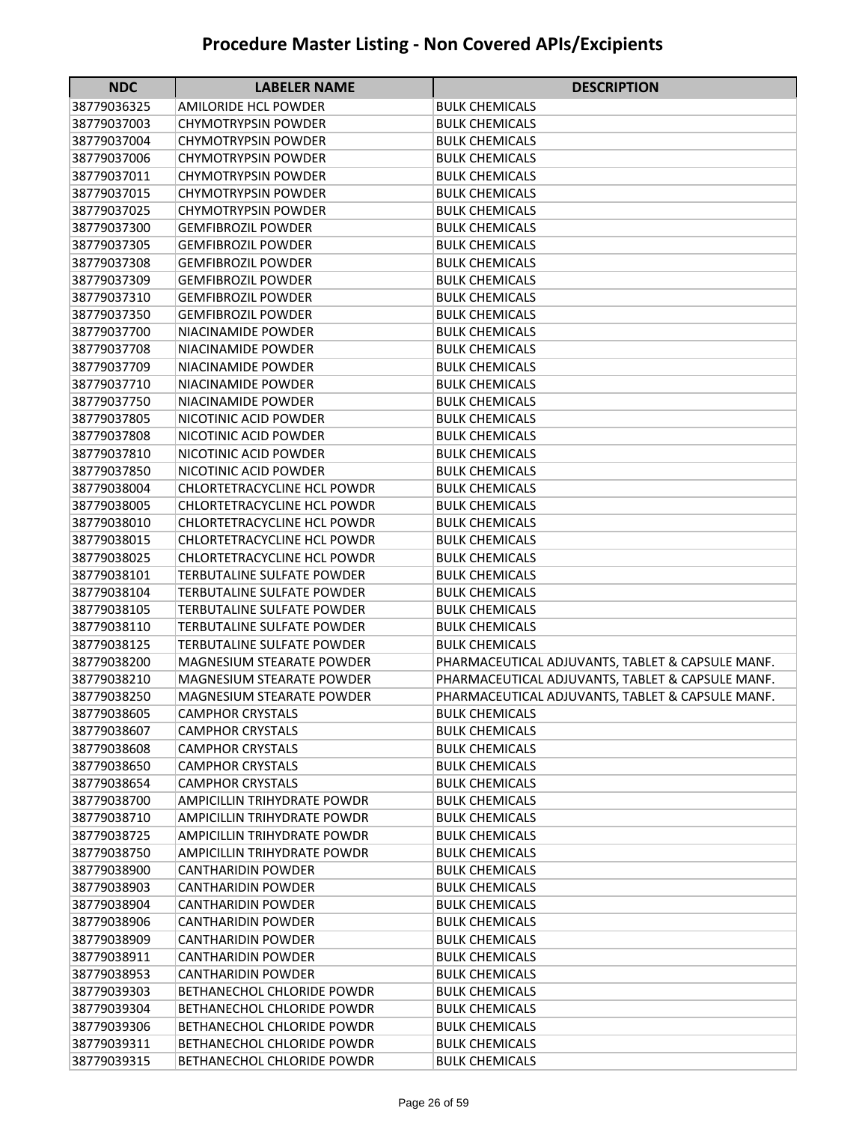| <b>NDC</b>                 | <b>LABELER NAME</b>                                           | <b>DESCRIPTION</b>                               |
|----------------------------|---------------------------------------------------------------|--------------------------------------------------|
| 38779036325                | <b>AMILORIDE HCL POWDER</b>                                   | <b>BULK CHEMICALS</b>                            |
| 38779037003                | <b>CHYMOTRYPSIN POWDER</b>                                    | <b>BULK CHEMICALS</b>                            |
| 38779037004                | <b>CHYMOTRYPSIN POWDER</b>                                    | <b>BULK CHEMICALS</b>                            |
| 38779037006                | <b>CHYMOTRYPSIN POWDER</b>                                    | <b>BULK CHEMICALS</b>                            |
| 38779037011                | <b>CHYMOTRYPSIN POWDER</b>                                    | <b>BULK CHEMICALS</b>                            |
| 38779037015                | <b>CHYMOTRYPSIN POWDER</b>                                    | <b>BULK CHEMICALS</b>                            |
| 38779037025                | <b>CHYMOTRYPSIN POWDER</b>                                    | <b>BULK CHEMICALS</b>                            |
| 38779037300                | <b>GEMFIBROZIL POWDER</b>                                     | <b>BULK CHEMICALS</b>                            |
| 38779037305                | <b>GEMFIBROZIL POWDER</b>                                     | <b>BULK CHEMICALS</b>                            |
| 38779037308                | <b>GEMFIBROZIL POWDER</b>                                     | <b>BULK CHEMICALS</b>                            |
| 38779037309                | <b>GEMFIBROZIL POWDER</b>                                     | <b>BULK CHEMICALS</b>                            |
| 38779037310                | <b>GEMFIBROZIL POWDER</b>                                     | <b>BULK CHEMICALS</b>                            |
| 38779037350                | <b>GEMFIBROZIL POWDER</b>                                     | <b>BULK CHEMICALS</b>                            |
| 38779037700                | NIACINAMIDE POWDER                                            | <b>BULK CHEMICALS</b>                            |
| 38779037708                | <b>NIACINAMIDE POWDER</b>                                     | <b>BULK CHEMICALS</b>                            |
| 38779037709                | NIACINAMIDE POWDER                                            | <b>BULK CHEMICALS</b>                            |
| 38779037710                | NIACINAMIDE POWDER                                            | <b>BULK CHEMICALS</b>                            |
| 38779037750                | NIACINAMIDE POWDER                                            | <b>BULK CHEMICALS</b>                            |
| 38779037805                | NICOTINIC ACID POWDER                                         | <b>BULK CHEMICALS</b>                            |
| 38779037808                | NICOTINIC ACID POWDER                                         | <b>BULK CHEMICALS</b>                            |
| 38779037810                | NICOTINIC ACID POWDER                                         | <b>BULK CHEMICALS</b>                            |
| 38779037850                | NICOTINIC ACID POWDER                                         | <b>BULK CHEMICALS</b>                            |
| 38779038004                | <b>CHLORTETRACYCLINE HCL POWDR</b>                            | BULK CHEMICALS                                   |
| 38779038005                | <b>CHLORTETRACYCLINE HCL POWDR</b>                            | <b>BULK CHEMICALS</b>                            |
| 38779038010                | <b>CHLORTETRACYCLINE HCL POWDR</b>                            | <b>BULK CHEMICALS</b>                            |
| 38779038015                | <b>CHLORTETRACYCLINE HCL POWDR</b>                            | <b>BULK CHEMICALS</b>                            |
| 38779038025                | CHLORTETRACYCLINE HCL POWDR                                   | <b>BULK CHEMICALS</b>                            |
| 38779038101                | TERBUTALINE SULFATE POWDER                                    | <b>BULK CHEMICALS</b>                            |
| 38779038104                | TERBUTALINE SULFATE POWDER                                    | <b>BULK CHEMICALS</b>                            |
| 38779038105                | TERBUTALINE SULFATE POWDER                                    | <b>BULK CHEMICALS</b>                            |
| 38779038110                | TERBUTALINE SULFATE POWDER                                    | <b>BULK CHEMICALS</b>                            |
| 38779038125                | TERBUTALINE SULFATE POWDER                                    | <b>BULK CHEMICALS</b>                            |
| 38779038200                | <b>MAGNESIUM STEARATE POWDER</b>                              | PHARMACEUTICAL ADJUVANTS, TABLET & CAPSULE MANF. |
| 38779038210                | MAGNESIUM STEARATE POWDER                                     | PHARMACEUTICAL ADJUVANTS, TABLET & CAPSULE MANF. |
| 38779038250                | <b>MAGNESIUM STEARATE POWDER</b>                              | PHARMACEUTICAL ADJUVANTS, TABLET & CAPSULE MANF. |
| 38779038605                | <b>CAMPHOR CRYSTALS</b>                                       | <b>BULK CHEMICALS</b>                            |
| 38779038607                | <b>CAMPHOR CRYSTALS</b>                                       | <b>BULK CHEMICALS</b>                            |
| 38779038608                | <b>CAMPHOR CRYSTALS</b>                                       | <b>BULK CHEMICALS</b>                            |
| 38779038650                | <b>CAMPHOR CRYSTALS</b>                                       | <b>BULK CHEMICALS</b>                            |
| 38779038654<br>38779038700 | <b>CAMPHOR CRYSTALS</b><br><b>AMPICILLIN TRIHYDRATE POWDR</b> | <b>BULK CHEMICALS</b><br><b>BULK CHEMICALS</b>   |
| 38779038710                | <b>AMPICILLIN TRIHYDRATE POWDR</b>                            | <b>BULK CHEMICALS</b>                            |
| 38779038725                | <b>AMPICILLIN TRIHYDRATE POWDR</b>                            | <b>BULK CHEMICALS</b>                            |
| 38779038750                | AMPICILLIN TRIHYDRATE POWDR                                   | <b>BULK CHEMICALS</b>                            |
| 38779038900                | <b>CANTHARIDIN POWDER</b>                                     | <b>BULK CHEMICALS</b>                            |
| 38779038903                | <b>CANTHARIDIN POWDER</b>                                     | <b>BULK CHEMICALS</b>                            |
| 38779038904                | <b>CANTHARIDIN POWDER</b>                                     | <b>BULK CHEMICALS</b>                            |
| 38779038906                | CANTHARIDIN POWDER                                            | BULK CHEMICALS                                   |
| 38779038909                | <b>CANTHARIDIN POWDER</b>                                     | <b>BULK CHEMICALS</b>                            |
| 38779038911                | CANTHARIDIN POWDER                                            | <b>BULK CHEMICALS</b>                            |
| 38779038953                | <b>CANTHARIDIN POWDER</b>                                     | <b>BULK CHEMICALS</b>                            |
| 38779039303                | BETHANECHOL CHLORIDE POWDR                                    | <b>BULK CHEMICALS</b>                            |
| 38779039304                | BETHANECHOL CHLORIDE POWDR                                    | <b>BULK CHEMICALS</b>                            |
| 38779039306                | BETHANECHOL CHLORIDE POWDR                                    | <b>BULK CHEMICALS</b>                            |
| 38779039311                | BETHANECHOL CHLORIDE POWDR                                    | <b>BULK CHEMICALS</b>                            |
| 38779039315                | BETHANECHOL CHLORIDE POWDR                                    | <b>BULK CHEMICALS</b>                            |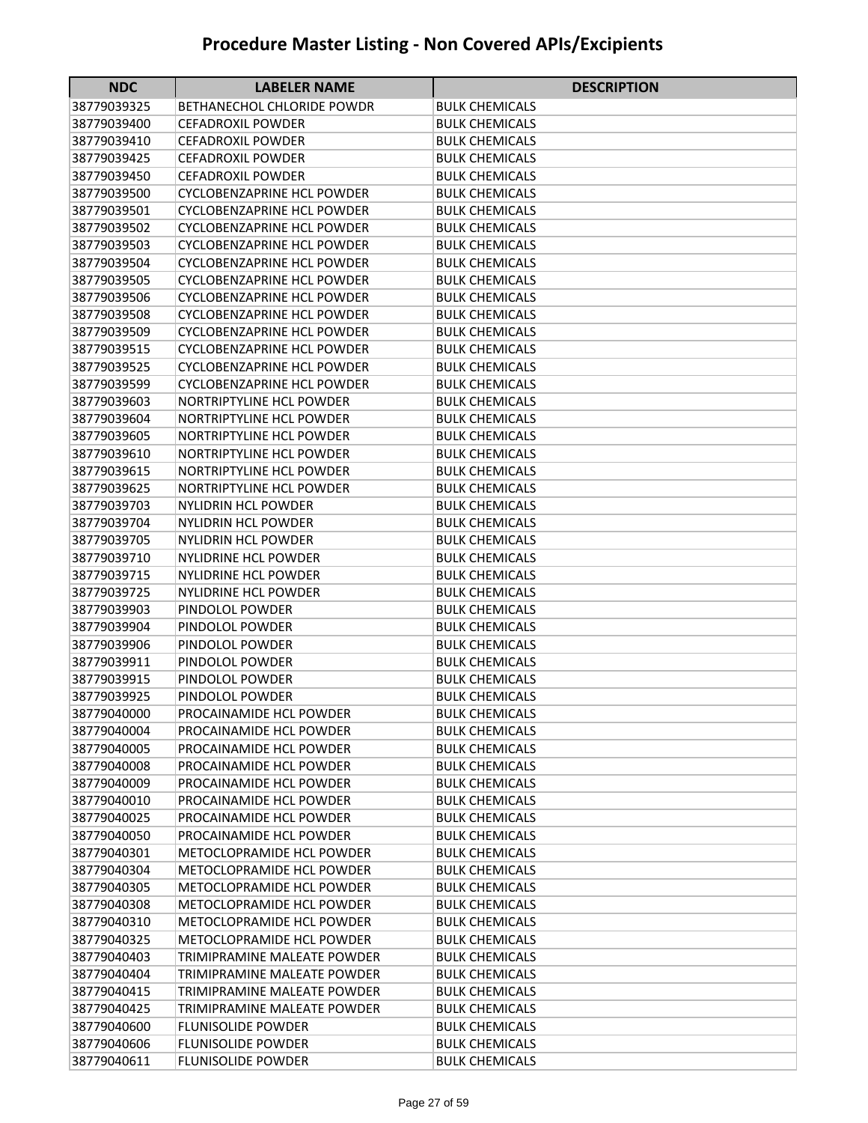| <b>NDC</b>                 | <b>LABELER NAME</b>                                | <b>DESCRIPTION</b>                             |
|----------------------------|----------------------------------------------------|------------------------------------------------|
| 38779039325                | BETHANECHOL CHLORIDE POWDR                         | BULK CHEMICALS                                 |
| 38779039400                | <b>CEFADROXIL POWDER</b>                           | <b>BULK CHEMICALS</b>                          |
| 38779039410                | <b>CEFADROXIL POWDER</b>                           | <b>BULK CHEMICALS</b>                          |
| 38779039425                | <b>CEFADROXIL POWDER</b>                           | <b>BULK CHEMICALS</b>                          |
| 38779039450                | <b>CEFADROXIL POWDER</b>                           | <b>BULK CHEMICALS</b>                          |
| 38779039500                | <b>CYCLOBENZAPRINE HCL POWDER</b>                  | <b>BULK CHEMICALS</b>                          |
| 38779039501                | <b>CYCLOBENZAPRINE HCL POWDER</b>                  | <b>BULK CHEMICALS</b>                          |
| 38779039502                | <b>CYCLOBENZAPRINE HCL POWDER</b>                  | <b>BULK CHEMICALS</b>                          |
| 38779039503                | <b>CYCLOBENZAPRINE HCL POWDER</b>                  | <b>BULK CHEMICALS</b>                          |
| 38779039504                | <b>CYCLOBENZAPRINE HCL POWDER</b>                  | <b>BULK CHEMICALS</b>                          |
| 38779039505                | <b>CYCLOBENZAPRINE HCL POWDER</b>                  | <b>BULK CHEMICALS</b>                          |
| 38779039506                | <b>CYCLOBENZAPRINE HCL POWDER</b>                  | <b>BULK CHEMICALS</b>                          |
| 38779039508                | <b>CYCLOBENZAPRINE HCL POWDER</b>                  | <b>BULK CHEMICALS</b>                          |
| 38779039509                | <b>CYCLOBENZAPRINE HCL POWDER</b>                  | <b>BULK CHEMICALS</b>                          |
| 38779039515                | <b>CYCLOBENZAPRINE HCL POWDER</b>                  | <b>BULK CHEMICALS</b>                          |
| 38779039525                | <b>CYCLOBENZAPRINE HCL POWDER</b>                  | <b>BULK CHEMICALS</b>                          |
| 38779039599                | <b>CYCLOBENZAPRINE HCL POWDER</b>                  | <b>BULK CHEMICALS</b>                          |
| 38779039603                | NORTRIPTYLINE HCL POWDER                           | <b>BULK CHEMICALS</b>                          |
| 38779039604                | NORTRIPTYLINE HCL POWDER                           | <b>BULK CHEMICALS</b>                          |
| 38779039605                | <b>NORTRIPTYLINE HCL POWDER</b>                    | <b>BULK CHEMICALS</b>                          |
| 38779039610                | <b>NORTRIPTYLINE HCL POWDER</b>                    | <b>BULK CHEMICALS</b>                          |
| 38779039615                | <b>NORTRIPTYLINE HCL POWDER</b>                    | <b>BULK CHEMICALS</b>                          |
| 38779039625                | <b>NORTRIPTYLINE HCL POWDER</b>                    | <b>BULK CHEMICALS</b>                          |
| 38779039703                | <b>NYLIDRIN HCL POWDER</b>                         | <b>BULK CHEMICALS</b>                          |
| 38779039704                | NYLIDRIN HCL POWDER                                | <b>BULK CHEMICALS</b>                          |
| 38779039705                | NYLIDRIN HCL POWDER                                | <b>BULK CHEMICALS</b>                          |
| 38779039710                | <b>NYLIDRINE HCL POWDER</b>                        | <b>BULK CHEMICALS</b>                          |
| 38779039715                | <b>NYLIDRINE HCL POWDER</b>                        | <b>BULK CHEMICALS</b>                          |
| 38779039725                | <b>NYLIDRINE HCL POWDER</b>                        | <b>BULK CHEMICALS</b>                          |
| 38779039903                | PINDOLOL POWDER                                    | <b>BULK CHEMICALS</b>                          |
| 38779039904                | PINDOLOL POWDER                                    | <b>BULK CHEMICALS</b>                          |
| 38779039906                | PINDOLOL POWDER                                    | <b>BULK CHEMICALS</b>                          |
| 38779039911                | PINDOLOL POWDER                                    | <b>BULK CHEMICALS</b>                          |
| 38779039915                | PINDOLOL POWDER                                    | <b>BULK CHEMICALS</b>                          |
| 38779039925                | PINDOLOL POWDER                                    | <b>BULK CHEMICALS</b>                          |
| 38779040000                | PROCAINAMIDE HCL POWDER                            | <b>BULK CHEMICALS</b><br><b>BULK CHEMICALS</b> |
| 38779040004                | PROCAINAMIDE HCL POWDER<br>PROCAINAMIDE HCL POWDER | <b>BULK CHEMICALS</b>                          |
| 38779040005<br>38779040008 | PROCAINAMIDE HCL POWDER                            | <b>BULK CHEMICALS</b>                          |
| 38779040009                | PROCAINAMIDE HCL POWDER                            | <b>BULK CHEMICALS</b>                          |
| 38779040010                | PROCAINAMIDE HCL POWDER                            | <b>BULK CHEMICALS</b>                          |
| 38779040025                | PROCAINAMIDE HCL POWDER                            | <b>BULK CHEMICALS</b>                          |
| 38779040050                | PROCAINAMIDE HCL POWDER                            | BULK CHEMICALS                                 |
| 38779040301                | METOCLOPRAMIDE HCL POWDER                          | <b>BULK CHEMICALS</b>                          |
| 38779040304                | METOCLOPRAMIDE HCL POWDER                          | <b>BULK CHEMICALS</b>                          |
| 38779040305                | <b>METOCLOPRAMIDE HCL POWDER</b>                   | <b>BULK CHEMICALS</b>                          |
| 38779040308                | METOCLOPRAMIDE HCL POWDER                          | <b>BULK CHEMICALS</b>                          |
| 38779040310                | METOCLOPRAMIDE HCL POWDER                          | <b>BULK CHEMICALS</b>                          |
| 38779040325                | METOCLOPRAMIDE HCL POWDER                          | <b>BULK CHEMICALS</b>                          |
| 38779040403                | TRIMIPRAMINE MALEATE POWDER                        | <b>BULK CHEMICALS</b>                          |
| 38779040404                | TRIMIPRAMINE MALEATE POWDER                        | <b>BULK CHEMICALS</b>                          |
| 38779040415                | TRIMIPRAMINE MALEATE POWDER                        | <b>BULK CHEMICALS</b>                          |
| 38779040425                | TRIMIPRAMINE MALEATE POWDER                        | <b>BULK CHEMICALS</b>                          |
| 38779040600                | <b>FLUNISOLIDE POWDER</b>                          | <b>BULK CHEMICALS</b>                          |
| 38779040606                | <b>FLUNISOLIDE POWDER</b>                          | <b>BULK CHEMICALS</b>                          |
| 38779040611                | <b>FLUNISOLIDE POWDER</b>                          | <b>BULK CHEMICALS</b>                          |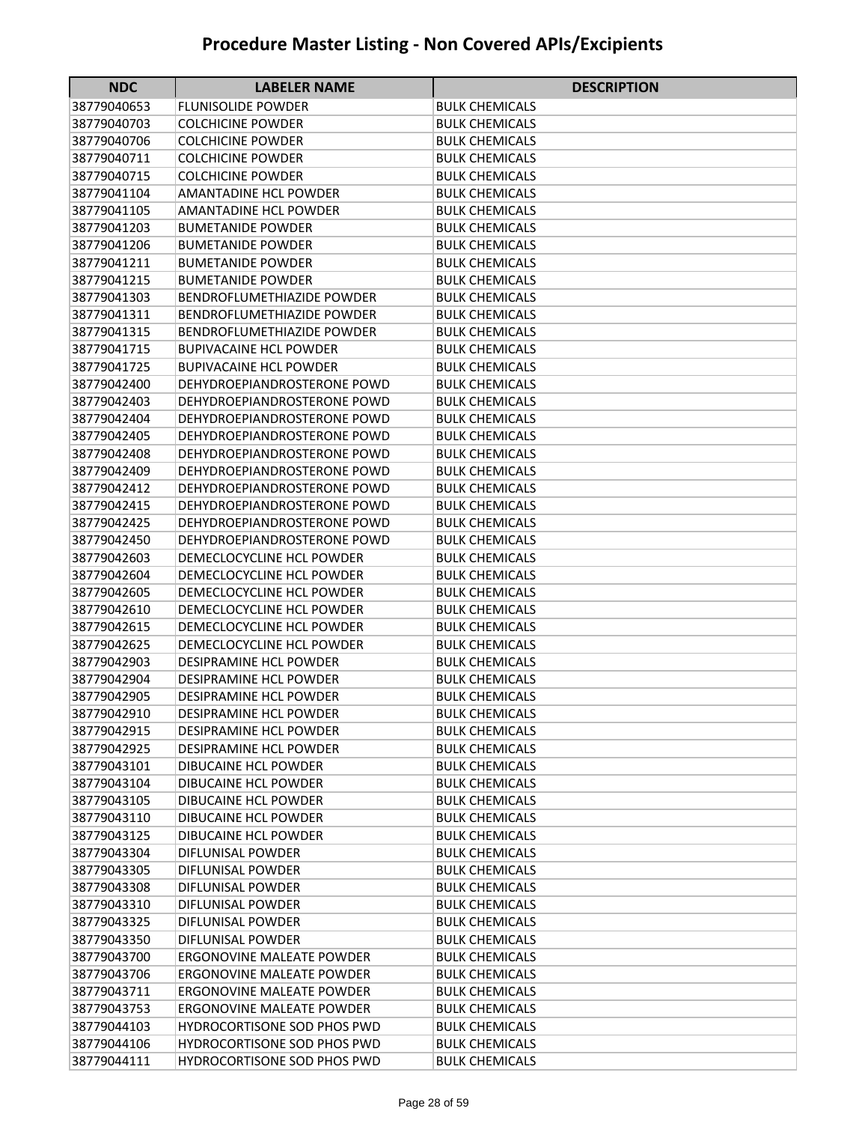| <b>NDC</b>                 | <b>LABELER NAME</b>                                            | <b>DESCRIPTION</b>                             |
|----------------------------|----------------------------------------------------------------|------------------------------------------------|
| 38779040653                | <b>FLUNISOLIDE POWDER</b>                                      | BULK CHEMICALS                                 |
| 38779040703                | <b>COLCHICINE POWDER</b>                                       | <b>BULK CHEMICALS</b>                          |
| 38779040706                | <b>COLCHICINE POWDER</b>                                       | <b>BULK CHEMICALS</b>                          |
| 38779040711                | <b>COLCHICINE POWDER</b>                                       | BULK CHEMICALS                                 |
| 38779040715                | <b>COLCHICINE POWDER</b>                                       | <b>BULK CHEMICALS</b>                          |
| 38779041104                | <b>AMANTADINE HCL POWDER</b>                                   | <b>BULK CHEMICALS</b>                          |
| 38779041105                | <b>AMANTADINE HCL POWDER</b>                                   | <b>BULK CHEMICALS</b>                          |
| 38779041203                | <b>BUMETANIDE POWDER</b>                                       | <b>BULK CHEMICALS</b>                          |
| 38779041206                | <b>BUMETANIDE POWDER</b>                                       | <b>BULK CHEMICALS</b>                          |
| 38779041211                | <b>BUMETANIDE POWDER</b>                                       | <b>BULK CHEMICALS</b>                          |
| 38779041215                | <b>BUMETANIDE POWDER</b>                                       | <b>BULK CHEMICALS</b>                          |
| 38779041303                | <b>BENDROFLUMETHIAZIDE POWDER</b>                              | <b>BULK CHEMICALS</b>                          |
| 38779041311                | <b>BENDROFLUMETHIAZIDE POWDER</b>                              | <b>BULK CHEMICALS</b>                          |
| 38779041315                | <b>BENDROFLUMETHIAZIDE POWDER</b>                              | <b>BULK CHEMICALS</b>                          |
| 38779041715                | <b>BUPIVACAINE HCL POWDER</b>                                  | <b>BULK CHEMICALS</b>                          |
| 38779041725                | <b>BUPIVACAINE HCL POWDER</b>                                  | <b>BULK CHEMICALS</b>                          |
| 38779042400                | DEHYDROEPIANDROSTERONE POWD                                    | <b>BULK CHEMICALS</b>                          |
| 38779042403                | DEHYDROEPIANDROSTERONE POWD                                    | <b>BULK CHEMICALS</b>                          |
| 38779042404                | DEHYDROEPIANDROSTERONE POWD                                    | <b>BULK CHEMICALS</b>                          |
| 38779042405                | DEHYDROEPIANDROSTERONE POWD                                    | <b>BULK CHEMICALS</b>                          |
| 38779042408                | DEHYDROEPIANDROSTERONE POWD                                    | <b>BULK CHEMICALS</b>                          |
| 38779042409                | DEHYDROEPIANDROSTERONE POWD                                    | <b>BULK CHEMICALS</b>                          |
| 38779042412                | DEHYDROEPIANDROSTERONE POWD                                    | <b>BULK CHEMICALS</b>                          |
| 38779042415                | DEHYDROEPIANDROSTERONE POWD                                    | <b>BULK CHEMICALS</b>                          |
| 38779042425                | DEHYDROEPIANDROSTERONE POWD                                    | <b>BULK CHEMICALS</b>                          |
| 38779042450                | DEHYDROEPIANDROSTERONE POWD                                    | <b>BULK CHEMICALS</b>                          |
| 38779042603                | DEMECLOCYCLINE HCL POWDER                                      | <b>BULK CHEMICALS</b>                          |
| 38779042604                | DEMECLOCYCLINE HCL POWDER                                      | BULK CHEMICALS                                 |
| 38779042605                | DEMECLOCYCLINE HCL POWDER                                      | <b>BULK CHEMICALS</b>                          |
| 38779042610                | DEMECLOCYCLINE HCL POWDER                                      | <b>BULK CHEMICALS</b>                          |
| 38779042615                | DEMECLOCYCLINE HCL POWDER                                      | <b>BULK CHEMICALS</b>                          |
| 38779042625                | DEMECLOCYCLINE HCL POWDER                                      | <b>BULK CHEMICALS</b>                          |
| 38779042903                | DESIPRAMINE HCL POWDER                                         | <b>BULK CHEMICALS</b>                          |
| 38779042904                | DESIPRAMINE HCL POWDER                                         | BULK CHEMICALS                                 |
| 38779042905                | DESIPRAMINE HCL POWDER                                         | <b>BULK CHEMICALS</b>                          |
| 38779042910                | <b>DESIPRAMINE HCL POWDER</b>                                  | <b>BULK CHEMICALS</b>                          |
| 38779042915                | <b>DESIPRAMINE HCL POWDER</b><br><b>DESIPRAMINE HCL POWDER</b> | <b>BULK CHEMICALS</b><br><b>BULK CHEMICALS</b> |
| 38779042925<br>38779043101 | <b>DIBUCAINE HCL POWDER</b>                                    |                                                |
| 38779043104                | <b>DIBUCAINE HCL POWDER</b>                                    | <b>BULK CHEMICALS</b><br><b>BULK CHEMICALS</b> |
| 38779043105                | <b>DIBUCAINE HCL POWDER</b>                                    | <b>BULK CHEMICALS</b>                          |
| 38779043110                | DIBUCAINE HCL POWDER                                           | <b>BULK CHEMICALS</b>                          |
| 38779043125                | DIBUCAINE HCL POWDER                                           | <b>BULK CHEMICALS</b>                          |
| 38779043304                | DIFLUNISAL POWDER                                              | <b>BULK CHEMICALS</b>                          |
| 38779043305                | <b>DIFLUNISAL POWDER</b>                                       | <b>BULK CHEMICALS</b>                          |
| 38779043308                | DIFLUNISAL POWDER                                              | <b>BULK CHEMICALS</b>                          |
| 38779043310                | DIFLUNISAL POWDER                                              | BULK CHEMICALS                                 |
| 38779043325                | DIFLUNISAL POWDER                                              | <b>BULK CHEMICALS</b>                          |
| 38779043350                | DIFLUNISAL POWDER                                              | <b>BULK CHEMICALS</b>                          |
| 38779043700                | ERGONOVINE MALEATE POWDER                                      | <b>BULK CHEMICALS</b>                          |
| 38779043706                | <b>ERGONOVINE MALEATE POWDER</b>                               | <b>BULK CHEMICALS</b>                          |
| 38779043711                | <b>ERGONOVINE MALEATE POWDER</b>                               | <b>BULK CHEMICALS</b>                          |
| 38779043753                | <b>ERGONOVINE MALEATE POWDER</b>                               | <b>BULK CHEMICALS</b>                          |
| 38779044103                | <b>HYDROCORTISONE SOD PHOS PWD</b>                             | <b>BULK CHEMICALS</b>                          |
| 38779044106                | HYDROCORTISONE SOD PHOS PWD                                    | <b>BULK CHEMICALS</b>                          |
| 38779044111                | HYDROCORTISONE SOD PHOS PWD                                    | <b>BULK CHEMICALS</b>                          |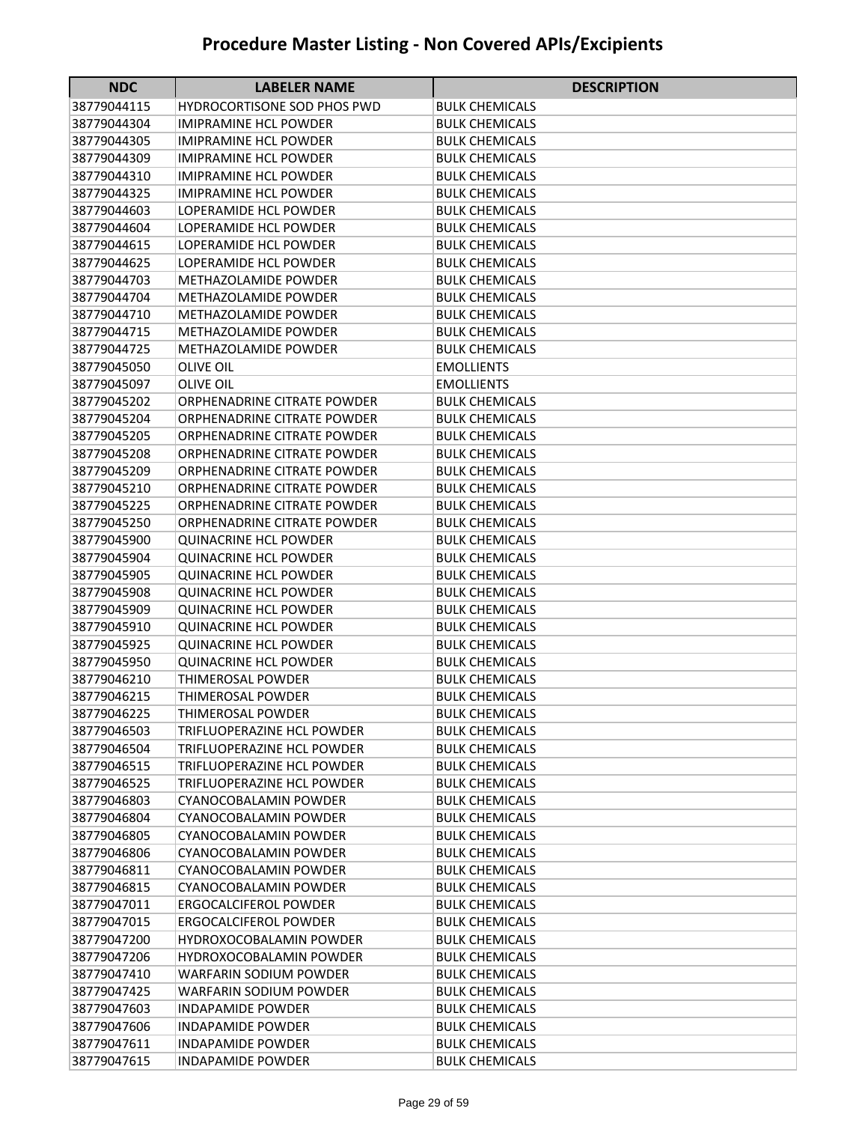| <b>NDC</b>                 | <b>LABELER NAME</b>                            | <b>DESCRIPTION</b>                             |
|----------------------------|------------------------------------------------|------------------------------------------------|
| 38779044115                | <b>HYDROCORTISONE SOD PHOS PWD</b>             | BULK CHEMICALS                                 |
| 38779044304                | <b>IMIPRAMINE HCL POWDER</b>                   | <b>BULK CHEMICALS</b>                          |
| 38779044305                | <b>IMIPRAMINE HCL POWDER</b>                   | <b>BULK CHEMICALS</b>                          |
| 38779044309                | <b>IMIPRAMINE HCL POWDER</b>                   | BULK CHEMICALS                                 |
| 38779044310                | <b>IMIPRAMINE HCL POWDER</b>                   | BULK CHEMICALS                                 |
| 38779044325                | <b>IMIPRAMINE HCL POWDER</b>                   | <b>BULK CHEMICALS</b>                          |
| 38779044603                | LOPERAMIDE HCL POWDER                          | <b>BULK CHEMICALS</b>                          |
| 38779044604                | LOPERAMIDE HCL POWDER                          | <b>BULK CHEMICALS</b>                          |
| 38779044615                | LOPERAMIDE HCL POWDER                          | <b>BULK CHEMICALS</b>                          |
| 38779044625                | LOPERAMIDE HCL POWDER                          | <b>BULK CHEMICALS</b>                          |
| 38779044703                | METHAZOLAMIDE POWDER                           | <b>BULK CHEMICALS</b>                          |
| 38779044704                | METHAZOLAMIDE POWDER                           | <b>BULK CHEMICALS</b>                          |
| 38779044710                | METHAZOLAMIDE POWDER                           | <b>BULK CHEMICALS</b>                          |
| 38779044715                | METHAZOLAMIDE POWDER                           | <b>BULK CHEMICALS</b>                          |
| 38779044725                | METHAZOLAMIDE POWDER                           | <b>BULK CHEMICALS</b>                          |
| 38779045050                | <b>OLIVE OIL</b>                               | <b>EMOLLIENTS</b>                              |
| 38779045097                | <b>OLIVE OIL</b>                               | EMOLLIENTS                                     |
| 38779045202                | ORPHENADRINE CITRATE POWDER                    | <b>BULK CHEMICALS</b>                          |
| 38779045204                | ORPHENADRINE CITRATE POWDER                    | <b>BULK CHEMICALS</b>                          |
| 38779045205                | ORPHENADRINE CITRATE POWDER                    | <b>BULK CHEMICALS</b>                          |
| 38779045208                | ORPHENADRINE CITRATE POWDER                    | <b>BULK CHEMICALS</b>                          |
| 38779045209                | <b>ORPHENADRINE CITRATE POWDER</b>             | <b>BULK CHEMICALS</b>                          |
| 38779045210                | ORPHENADRINE CITRATE POWDER                    | <b>BULK CHEMICALS</b>                          |
| 38779045225                | <b>ORPHENADRINE CITRATE POWDER</b>             | <b>BULK CHEMICALS</b>                          |
| 38779045250                | <b>ORPHENADRINE CITRATE POWDER</b>             | <b>BULK CHEMICALS</b>                          |
| 38779045900                | <b>QUINACRINE HCL POWDER</b>                   | <b>BULK CHEMICALS</b>                          |
| 38779045904                | <b>QUINACRINE HCL POWDER</b>                   | <b>BULK CHEMICALS</b>                          |
| 38779045905                | <b>QUINACRINE HCL POWDER</b>                   | <b>BULK CHEMICALS</b>                          |
| 38779045908                | <b>QUINACRINE HCL POWDER</b>                   | <b>BULK CHEMICALS</b>                          |
| 38779045909                | <b>QUINACRINE HCL POWDER</b>                   | <b>BULK CHEMICALS</b>                          |
| 38779045910                | <b>QUINACRINE HCL POWDER</b>                   | BULK CHEMICALS                                 |
| 38779045925                | <b>QUINACRINE HCL POWDER</b>                   | <b>BULK CHEMICALS</b>                          |
| 38779045950                | <b>QUINACRINE HCL POWDER</b>                   | <b>BULK CHEMICALS</b>                          |
| 38779046210                | THIMEROSAL POWDER                              | <b>BULK CHEMICALS</b>                          |
| 38779046215                | THIMEROSAL POWDER                              | <b>BULK CHEMICALS</b>                          |
| 38779046225                | THIMEROSAL POWDER                              | <b>BULK CHEMICALS</b>                          |
| 38779046503                | TRIFLUOPERAZINE HCL POWDER                     | <b>BULK CHEMICALS</b>                          |
| 38779046504                | TRIFLUOPERAZINE HCL POWDER                     | <b>BULK CHEMICALS</b>                          |
| 38779046515                | TRIFLUOPERAZINE HCL POWDER                     | <b>BULK CHEMICALS</b>                          |
| 38779046525                | TRIFLUOPERAZINE HCL POWDER                     | <b>BULK CHEMICALS</b>                          |
| 38779046803                | CYANOCOBALAMIN POWDER                          | <b>BULK CHEMICALS</b>                          |
| 38779046804                | CYANOCOBALAMIN POWDER                          | <b>BULK CHEMICALS</b>                          |
| 38779046805                | CYANOCOBALAMIN POWDER                          | <b>BULK CHEMICALS</b>                          |
| 38779046806                | CYANOCOBALAMIN POWDER                          | <b>BULK CHEMICALS</b>                          |
| 38779046811<br>38779046815 | CYANOCOBALAMIN POWDER<br>CYANOCOBALAMIN POWDER | <b>BULK CHEMICALS</b><br><b>BULK CHEMICALS</b> |
| 38779047011                | ERGOCALCIFEROL POWDER                          |                                                |
| 38779047015                | ERGOCALCIFEROL POWDER                          | <b>BULK CHEMICALS</b><br>BULK CHEMICALS        |
| 38779047200                | <b>HYDROXOCOBALAMIN POWDER</b>                 | <b>BULK CHEMICALS</b>                          |
| 38779047206                | HYDROXOCOBALAMIN POWDER                        | <b>BULK CHEMICALS</b>                          |
| 38779047410                | <b>WARFARIN SODIUM POWDER</b>                  | <b>BULK CHEMICALS</b>                          |
| 38779047425                | <b>WARFARIN SODIUM POWDER</b>                  | <b>BULK CHEMICALS</b>                          |
| 38779047603                | INDAPAMIDE POWDER                              | <b>BULK CHEMICALS</b>                          |
| 38779047606                | INDAPAMIDE POWDER                              | <b>BULK CHEMICALS</b>                          |
| 38779047611                | INDAPAMIDE POWDER                              | <b>BULK CHEMICALS</b>                          |
| 38779047615                | INDAPAMIDE POWDER                              | <b>BULK CHEMICALS</b>                          |
|                            |                                                |                                                |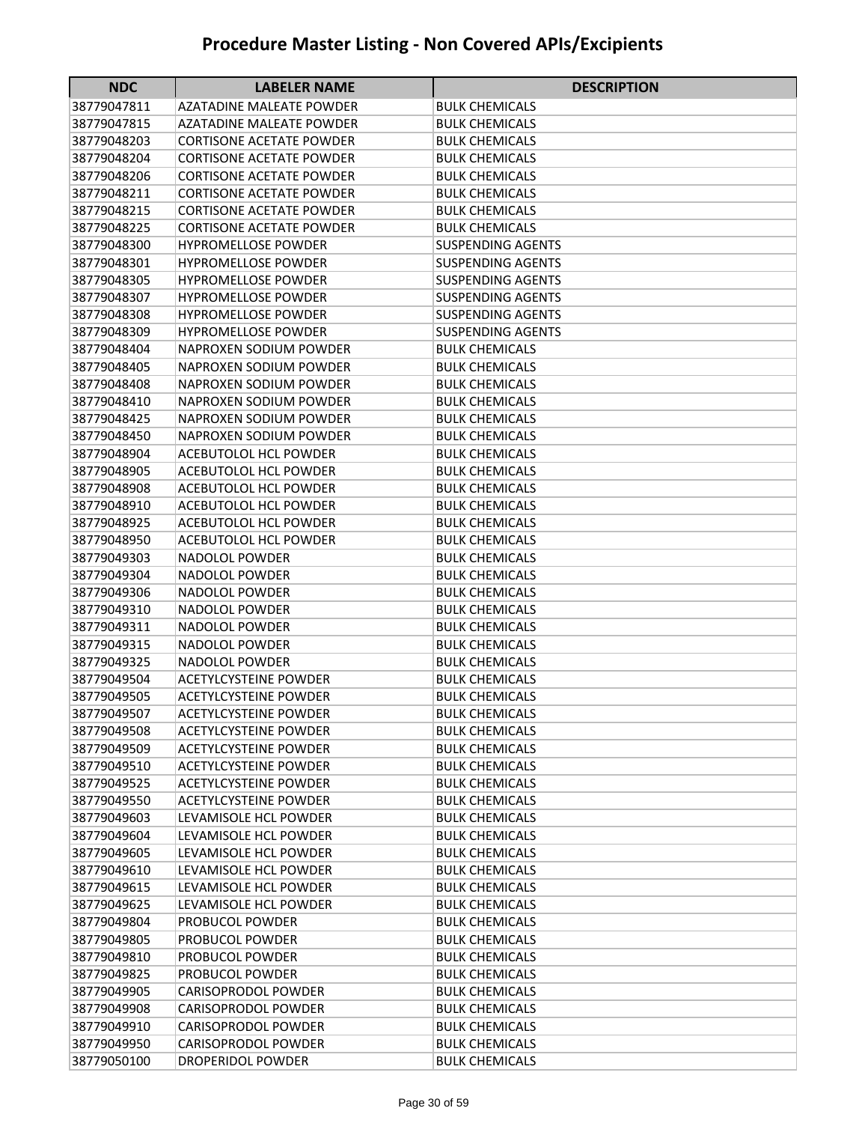| <b>NDC</b>  | <b>LABELER NAME</b>             | <b>DESCRIPTION</b>       |
|-------------|---------------------------------|--------------------------|
| 38779047811 | AZATADINE MALEATE POWDER        | BULK CHEMICALS           |
| 38779047815 | <b>AZATADINE MALEATE POWDER</b> | BULK CHEMICALS           |
| 38779048203 | CORTISONE ACETATE POWDER        | BULK CHEMICALS           |
| 38779048204 | <b>CORTISONE ACETATE POWDER</b> | <b>BULK CHEMICALS</b>    |
| 38779048206 | <b>CORTISONE ACETATE POWDER</b> | <b>BULK CHEMICALS</b>    |
| 38779048211 | <b>CORTISONE ACETATE POWDER</b> | <b>BULK CHEMICALS</b>    |
| 38779048215 | <b>CORTISONE ACETATE POWDER</b> | <b>BULK CHEMICALS</b>    |
| 38779048225 | <b>CORTISONE ACETATE POWDER</b> | <b>BULK CHEMICALS</b>    |
| 38779048300 | <b>HYPROMELLOSE POWDER</b>      | <b>SUSPENDING AGENTS</b> |
| 38779048301 | <b>HYPROMELLOSE POWDER</b>      | <b>SUSPENDING AGENTS</b> |
| 38779048305 | <b>HYPROMELLOSE POWDER</b>      | <b>SUSPENDING AGENTS</b> |
| 38779048307 | <b>HYPROMELLOSE POWDER</b>      | <b>SUSPENDING AGENTS</b> |
| 38779048308 | <b>HYPROMELLOSE POWDER</b>      | <b>SUSPENDING AGENTS</b> |
| 38779048309 | <b>HYPROMELLOSE POWDER</b>      | <b>SUSPENDING AGENTS</b> |
| 38779048404 | NAPROXEN SODIUM POWDER          | <b>BULK CHEMICALS</b>    |
| 38779048405 | NAPROXEN SODIUM POWDER          | <b>BULK CHEMICALS</b>    |
| 38779048408 | NAPROXEN SODIUM POWDER          | <b>BULK CHEMICALS</b>    |
| 38779048410 | NAPROXEN SODIUM POWDER          | <b>BULK CHEMICALS</b>    |
| 38779048425 | NAPROXEN SODIUM POWDER          | <b>BULK CHEMICALS</b>    |
| 38779048450 | NAPROXEN SODIUM POWDER          | <b>BULK CHEMICALS</b>    |
| 38779048904 | <b>ACEBUTOLOL HCL POWDER</b>    | <b>BULK CHEMICALS</b>    |
| 38779048905 | ACEBUTOLOL HCL POWDER           | BULK CHEMICALS           |
| 38779048908 | <b>ACEBUTOLOL HCL POWDER</b>    | <b>BULK CHEMICALS</b>    |
| 38779048910 | <b>ACEBUTOLOL HCL POWDER</b>    | <b>BULK CHEMICALS</b>    |
| 38779048925 | <b>ACEBUTOLOL HCL POWDER</b>    | <b>BULK CHEMICALS</b>    |
| 38779048950 | <b>ACEBUTOLOL HCL POWDER</b>    | <b>BULK CHEMICALS</b>    |
| 38779049303 | NADOLOL POWDER                  | <b>BULK CHEMICALS</b>    |
| 38779049304 | NADOLOL POWDER                  | <b>BULK CHEMICALS</b>    |
| 38779049306 | NADOLOL POWDER                  | BULK CHEMICALS           |
| 38779049310 | <b>NADOLOL POWDER</b>           | <b>BULK CHEMICALS</b>    |
| 38779049311 | <b>NADOLOL POWDER</b>           | <b>BULK CHEMICALS</b>    |
| 38779049315 | <b>NADOLOL POWDER</b>           | <b>BULK CHEMICALS</b>    |
| 38779049325 | <b>NADOLOL POWDER</b>           | <b>BULK CHEMICALS</b>    |
| 38779049504 | <b>ACETYLCYSTEINE POWDER</b>    | <b>BULK CHEMICALS</b>    |
| 38779049505 | <b>ACETYLCYSTEINE POWDER</b>    | <b>BULK CHEMICALS</b>    |
| 38779049507 | <b>ACETYLCYSTEINE POWDER</b>    | <b>BULK CHEMICALS</b>    |
| 38779049508 | <b>ACETYLCYSTEINE POWDER</b>    | <b>BULK CHEMICALS</b>    |
| 38779049509 | <b>ACETYLCYSTEINE POWDER</b>    | <b>BULK CHEMICALS</b>    |
| 38779049510 | <b>ACETYLCYSTEINE POWDER</b>    | <b>BULK CHEMICALS</b>    |
| 38779049525 | <b>ACETYLCYSTEINE POWDER</b>    | <b>BULK CHEMICALS</b>    |
| 38779049550 | <b>ACETYLCYSTEINE POWDER</b>    | <b>BULK CHEMICALS</b>    |
| 38779049603 | LEVAMISOLE HCL POWDER           | <b>BULK CHEMICALS</b>    |
| 38779049604 | LEVAMISOLE HCL POWDER           | <b>BULK CHEMICALS</b>    |
| 38779049605 | LEVAMISOLE HCL POWDER           | <b>BULK CHEMICALS</b>    |
| 38779049610 | LEVAMISOLE HCL POWDER           | <b>BULK CHEMICALS</b>    |
| 38779049615 | LEVAMISOLE HCL POWDER           | <b>BULK CHEMICALS</b>    |
| 38779049625 | LEVAMISOLE HCL POWDER           | <b>BULK CHEMICALS</b>    |
| 38779049804 | PROBUCOL POWDER                 | <b>BULK CHEMICALS</b>    |
| 38779049805 | PROBUCOL POWDER                 | <b>BULK CHEMICALS</b>    |
| 38779049810 | PROBUCOL POWDER                 | <b>BULK CHEMICALS</b>    |
| 38779049825 | PROBUCOL POWDER                 | <b>BULK CHEMICALS</b>    |
| 38779049905 | CARISOPRODOL POWDER             | <b>BULK CHEMICALS</b>    |
| 38779049908 | CARISOPRODOL POWDER             | <b>BULK CHEMICALS</b>    |
| 38779049910 | CARISOPRODOL POWDER             | <b>BULK CHEMICALS</b>    |
| 38779049950 | <b>CARISOPRODOL POWDER</b>      | <b>BULK CHEMICALS</b>    |
| 38779050100 | DROPERIDOL POWDER               | <b>BULK CHEMICALS</b>    |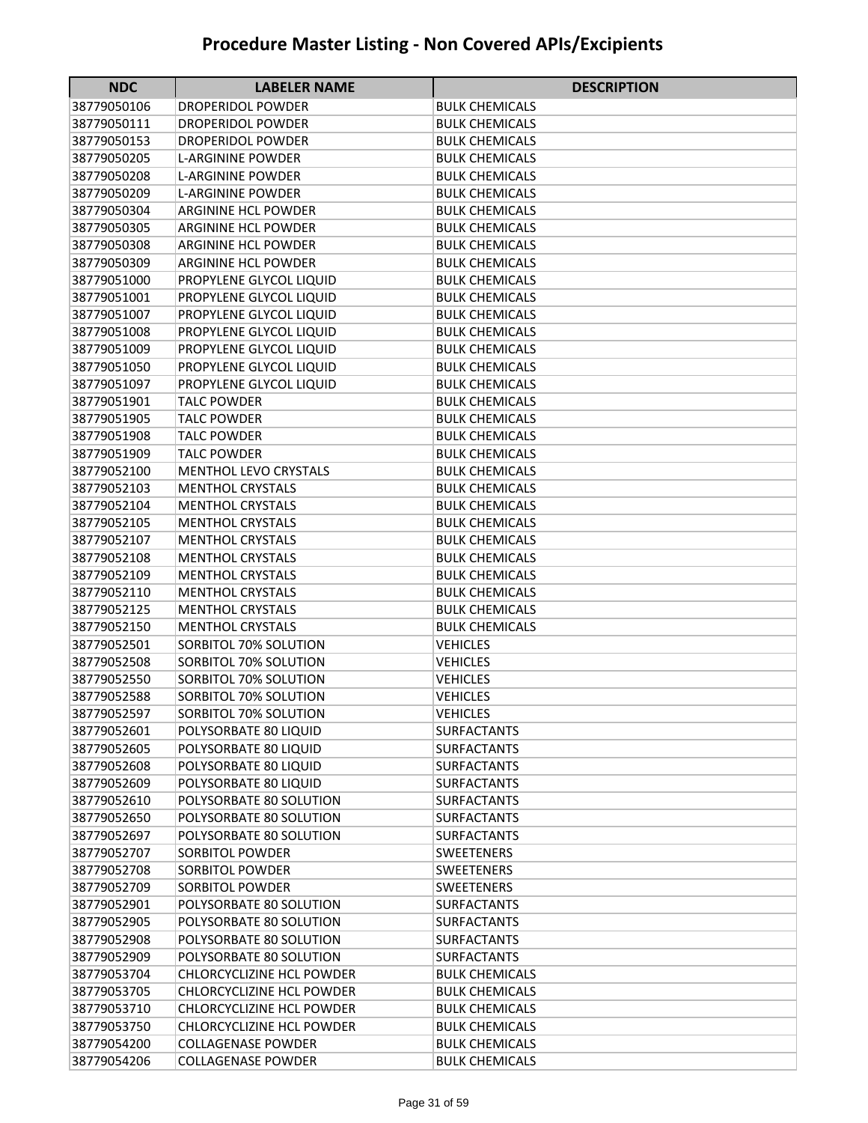| <b>NDC</b>  | <b>LABELER NAME</b>              | <b>DESCRIPTION</b>    |
|-------------|----------------------------------|-----------------------|
| 38779050106 | <b>DROPERIDOL POWDER</b>         | <b>BULK CHEMICALS</b> |
| 38779050111 | <b>DROPERIDOL POWDER</b>         | <b>BULK CHEMICALS</b> |
| 38779050153 | <b>DROPERIDOL POWDER</b>         | <b>BULK CHEMICALS</b> |
| 38779050205 | <b>L-ARGININE POWDER</b>         | <b>BULK CHEMICALS</b> |
| 38779050208 | <b>L-ARGININE POWDER</b>         | <b>BULK CHEMICALS</b> |
| 38779050209 | <b>L-ARGININE POWDER</b>         | <b>BULK CHEMICALS</b> |
| 38779050304 | <b>ARGININE HCL POWDER</b>       | <b>BULK CHEMICALS</b> |
| 38779050305 | <b>ARGININE HCL POWDER</b>       | <b>BULK CHEMICALS</b> |
| 38779050308 | <b>ARGININE HCL POWDER</b>       | <b>BULK CHEMICALS</b> |
| 38779050309 | <b>ARGININE HCL POWDER</b>       | <b>BULK CHEMICALS</b> |
| 38779051000 | PROPYLENE GLYCOL LIQUID          | <b>BULK CHEMICALS</b> |
| 38779051001 | PROPYLENE GLYCOL LIQUID          | <b>BULK CHEMICALS</b> |
| 38779051007 | PROPYLENE GLYCOL LIQUID          | <b>BULK CHEMICALS</b> |
| 38779051008 | PROPYLENE GLYCOL LIQUID          | <b>BULK CHEMICALS</b> |
| 38779051009 | PROPYLENE GLYCOL LIQUID          | <b>BULK CHEMICALS</b> |
| 38779051050 | PROPYLENE GLYCOL LIQUID          | <b>BULK CHEMICALS</b> |
| 38779051097 | PROPYLENE GLYCOL LIQUID          | <b>BULK CHEMICALS</b> |
| 38779051901 | <b>TALC POWDER</b>               | <b>BULK CHEMICALS</b> |
| 38779051905 | <b>TALC POWDER</b>               | <b>BULK CHEMICALS</b> |
| 38779051908 | <b>TALC POWDER</b>               | <b>BULK CHEMICALS</b> |
| 38779051909 | <b>TALC POWDER</b>               | <b>BULK CHEMICALS</b> |
| 38779052100 | <b>MENTHOL LEVO CRYSTALS</b>     | <b>BULK CHEMICALS</b> |
| 38779052103 | <b>MENTHOL CRYSTALS</b>          | <b>BULK CHEMICALS</b> |
| 38779052104 | <b>MENTHOL CRYSTALS</b>          | <b>BULK CHEMICALS</b> |
| 38779052105 | <b>MENTHOL CRYSTALS</b>          | <b>BULK CHEMICALS</b> |
| 38779052107 | <b>MENTHOL CRYSTALS</b>          | <b>BULK CHEMICALS</b> |
| 38779052108 | <b>MENTHOL CRYSTALS</b>          | <b>BULK CHEMICALS</b> |
| 38779052109 | <b>MENTHOL CRYSTALS</b>          | <b>BULK CHEMICALS</b> |
| 38779052110 | <b>MENTHOL CRYSTALS</b>          | <b>BULK CHEMICALS</b> |
| 38779052125 | <b>MENTHOL CRYSTALS</b>          | <b>BULK CHEMICALS</b> |
| 38779052150 | <b>MENTHOL CRYSTALS</b>          | <b>BULK CHEMICALS</b> |
| 38779052501 | SORBITOL 70% SOLUTION            | <b>VEHICLES</b>       |
| 38779052508 | SORBITOL 70% SOLUTION            | <b>VEHICLES</b>       |
| 38779052550 | SORBITOL 70% SOLUTION            | <b>VEHICLES</b>       |
| 38779052588 | SORBITOL 70% SOLUTION            | <b>VEHICLES</b>       |
| 38779052597 | SORBITOL 70% SOLUTION            | <b>VEHICLES</b>       |
| 38779052601 | POLYSORBATE 80 LIQUID            | <b>SURFACTANTS</b>    |
| 38779052605 | POLYSORBATE 80 LIQUID            | <b>SURFACTANTS</b>    |
| 38779052608 | POLYSORBATE 80 LIQUID            | <b>SURFACTANTS</b>    |
| 38779052609 | POLYSORBATE 80 LIQUID            | <b>SURFACTANTS</b>    |
| 38779052610 | POLYSORBATE 80 SOLUTION          | <b>SURFACTANTS</b>    |
| 38779052650 | POLYSORBATE 80 SOLUTION          | <b>SURFACTANTS</b>    |
| 38779052697 | POLYSORBATE 80 SOLUTION          | <b>SURFACTANTS</b>    |
| 38779052707 | <b>SORBITOL POWDER</b>           | SWEETENERS            |
| 38779052708 | <b>SORBITOL POWDER</b>           | <b>SWEETENERS</b>     |
| 38779052709 | <b>SORBITOL POWDER</b>           | SWEETENERS            |
| 38779052901 | POLYSORBATE 80 SOLUTION          | <b>SURFACTANTS</b>    |
| 38779052905 | POLYSORBATE 80 SOLUTION          | SURFACTANTS           |
| 38779052908 | POLYSORBATE 80 SOLUTION          | <b>SURFACTANTS</b>    |
| 38779052909 | POLYSORBATE 80 SOLUTION          | <b>SURFACTANTS</b>    |
| 38779053704 | <b>CHLORCYCLIZINE HCL POWDER</b> | <b>BULK CHEMICALS</b> |
| 38779053705 | <b>CHLORCYCLIZINE HCL POWDER</b> | <b>BULK CHEMICALS</b> |
| 38779053710 | CHLORCYCLIZINE HCL POWDER        | <b>BULK CHEMICALS</b> |
| 38779053750 | <b>CHLORCYCLIZINE HCL POWDER</b> | <b>BULK CHEMICALS</b> |
| 38779054200 | <b>COLLAGENASE POWDER</b>        | <b>BULK CHEMICALS</b> |
| 38779054206 | <b>COLLAGENASE POWDER</b>        | <b>BULK CHEMICALS</b> |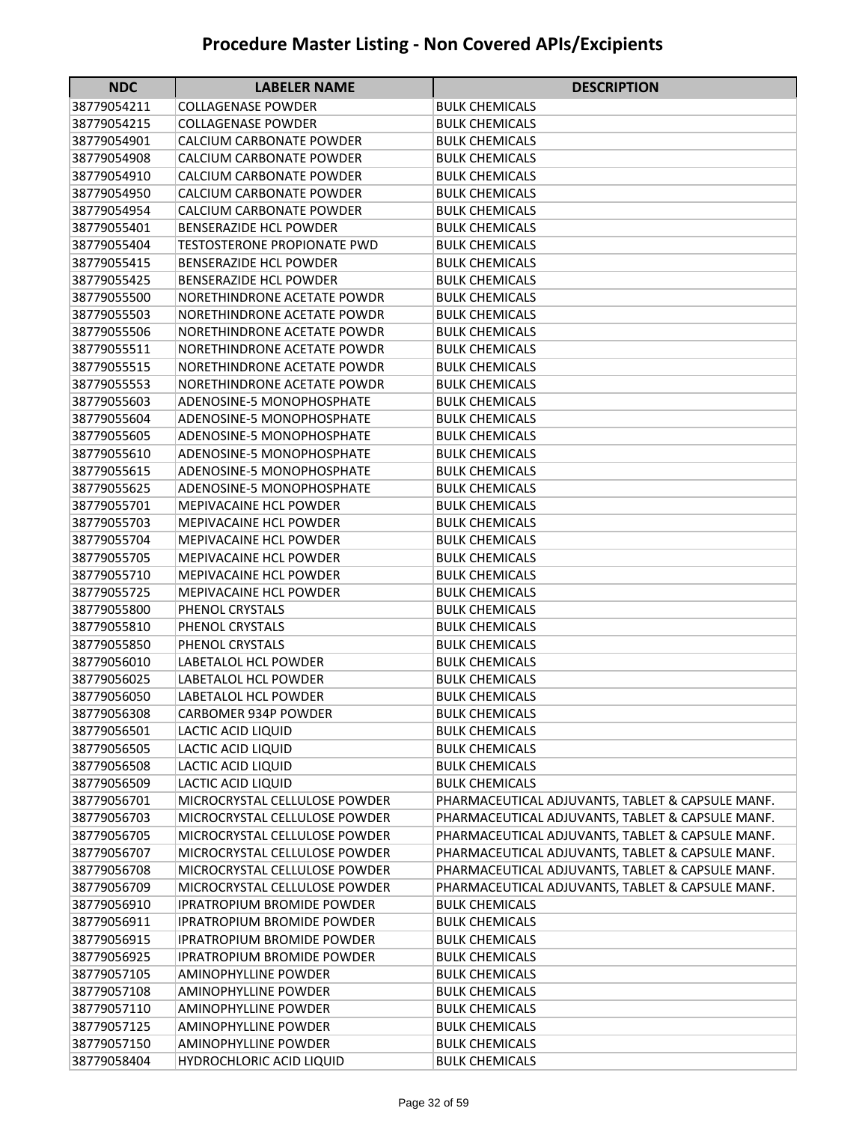| <b>NDC</b>                 | <b>LABELER NAME</b>                          | <b>DESCRIPTION</b>                               |
|----------------------------|----------------------------------------------|--------------------------------------------------|
| 38779054211                | COLLAGENASE POWDER                           | BULK CHEMICALS                                   |
| 38779054215                | <b>COLLAGENASE POWDER</b>                    | BULK CHEMICALS                                   |
| 38779054901                | CALCIUM CARBONATE POWDER                     | BULK CHEMICALS                                   |
| 38779054908                | CALCIUM CARBONATE POWDER                     | <b>BULK CHEMICALS</b>                            |
| 38779054910                | CALCIUM CARBONATE POWDER                     | <b>BULK CHEMICALS</b>                            |
| 38779054950                | CALCIUM CARBONATE POWDER                     | <b>BULK CHEMICALS</b>                            |
| 38779054954                | CALCIUM CARBONATE POWDER                     | <b>BULK CHEMICALS</b>                            |
| 38779055401                | <b>BENSERAZIDE HCL POWDER</b>                | <b>BULK CHEMICALS</b>                            |
| 38779055404                | <b>TESTOSTERONE PROPIONATE PWD</b>           | <b>BULK CHEMICALS</b>                            |
| 38779055415                | <b>BENSERAZIDE HCL POWDER</b>                | <b>BULK CHEMICALS</b>                            |
| 38779055425                | <b>BENSERAZIDE HCL POWDER</b>                | <b>BULK CHEMICALS</b>                            |
| 38779055500                | NORETHINDRONE ACETATE POWDR                  | <b>BULK CHEMICALS</b>                            |
| 38779055503                | NORETHINDRONE ACETATE POWDR                  | <b>BULK CHEMICALS</b>                            |
| 38779055506                | NORETHINDRONE ACETATE POWDR                  | <b>BULK CHEMICALS</b>                            |
| 38779055511                | NORETHINDRONE ACETATE POWDR                  | <b>BULK CHEMICALS</b>                            |
| 38779055515                | NORETHINDRONE ACETATE POWDR                  | <b>BULK CHEMICALS</b>                            |
| 38779055553                | NORETHINDRONE ACETATE POWDR                  | <b>BULK CHEMICALS</b>                            |
| 38779055603                | <b>ADENOSINE-5 MONOPHOSPHATE</b>             | <b>BULK CHEMICALS</b>                            |
| 38779055604                | ADENOSINE-5 MONOPHOSPHATE                    | <b>BULK CHEMICALS</b>                            |
| 38779055605                | ADENOSINE-5 MONOPHOSPHATE                    | <b>BULK CHEMICALS</b>                            |
| 38779055610                | ADENOSINE-5 MONOPHOSPHATE                    | <b>BULK CHEMICALS</b>                            |
| 38779055615                | <b>ADENOSINE-5 MONOPHOSPHATE</b>             | <b>BULK CHEMICALS</b>                            |
| 38779055625                | ADENOSINE-5 MONOPHOSPHATE                    | <b>BULK CHEMICALS</b>                            |
| 38779055701                | <b>MEPIVACAINE HCL POWDER</b>                | <b>BULK CHEMICALS</b>                            |
| 38779055703                | <b>MEPIVACAINE HCL POWDER</b>                | <b>BULK CHEMICALS</b>                            |
| 38779055704                | <b>MEPIVACAINE HCL POWDER</b>                | <b>BULK CHEMICALS</b>                            |
| 38779055705                | <b>MEPIVACAINE HCL POWDER</b>                | BULK CHEMICALS                                   |
| 38779055710                | MEPIVACAINE HCL POWDER                       | BULK CHEMICALS                                   |
| 38779055725                | <b>MEPIVACAINE HCL POWDER</b>                | <b>BULK CHEMICALS</b>                            |
| 38779055800                | PHENOL CRYSTALS                              | <b>BULK CHEMICALS</b>                            |
| 38779055810                | PHENOL CRYSTALS                              | <b>BULK CHEMICALS</b>                            |
| 38779055850                | PHENOL CRYSTALS                              | <b>BULK CHEMICALS</b>                            |
| 38779056010<br>38779056025 | LABETALOL HCL POWDER<br>LABETALOL HCL POWDER | <b>BULK CHEMICALS</b>                            |
| 38779056050                | LABETALOL HCL POWDER                         | BULK CHEMICALS<br><b>BULK CHEMICALS</b>          |
| 38779056308                | CARBOMER 934P POWDER                         | <b>BULK CHEMICALS</b>                            |
| 38779056501                | LACTIC ACID LIQUID                           | <b>BULK CHEMICALS</b>                            |
| 38779056505                | LACTIC ACID LIQUID                           | <b>BULK CHEMICALS</b>                            |
| 38779056508                | LACTIC ACID LIQUID                           | <b>BULK CHEMICALS</b>                            |
| 38779056509                | LACTIC ACID LIQUID                           | <b>BULK CHEMICALS</b>                            |
| 38779056701                | MICROCRYSTAL CELLULOSE POWDER                | PHARMACEUTICAL ADJUVANTS, TABLET & CAPSULE MANF. |
| 38779056703                | MICROCRYSTAL CELLULOSE POWDER                | PHARMACEUTICAL ADJUVANTS, TABLET & CAPSULE MANF. |
| 38779056705                | MICROCRYSTAL CELLULOSE POWDER                | PHARMACEUTICAL ADJUVANTS, TABLET & CAPSULE MANF. |
| 38779056707                | MICROCRYSTAL CELLULOSE POWDER                | PHARMACEUTICAL ADJUVANTS, TABLET & CAPSULE MANF. |
| 38779056708                | MICROCRYSTAL CELLULOSE POWDER                | PHARMACEUTICAL ADJUVANTS, TABLET & CAPSULE MANF. |
| 38779056709                | MICROCRYSTAL CELLULOSE POWDER                | PHARMACEUTICAL ADJUVANTS, TABLET & CAPSULE MANF. |
| 38779056910                | <b>IPRATROPIUM BROMIDE POWDER</b>            | <b>BULK CHEMICALS</b>                            |
| 38779056911                | <b>IPRATROPIUM BROMIDE POWDER</b>            | <b>BULK CHEMICALS</b>                            |
| 38779056915                | <b>IPRATROPIUM BROMIDE POWDER</b>            | <b>BULK CHEMICALS</b>                            |
| 38779056925                | <b>IPRATROPIUM BROMIDE POWDER</b>            | <b>BULK CHEMICALS</b>                            |
| 38779057105                | AMINOPHYLLINE POWDER                         | <b>BULK CHEMICALS</b>                            |
| 38779057108                | AMINOPHYLLINE POWDER                         | <b>BULK CHEMICALS</b>                            |
| 38779057110                | AMINOPHYLLINE POWDER                         | <b>BULK CHEMICALS</b>                            |
| 38779057125                | AMINOPHYLLINE POWDER                         | <b>BULK CHEMICALS</b>                            |
| 38779057150                | AMINOPHYLLINE POWDER                         | <b>BULK CHEMICALS</b>                            |
| 38779058404                | <b>HYDROCHLORIC ACID LIQUID</b>              | <b>BULK CHEMICALS</b>                            |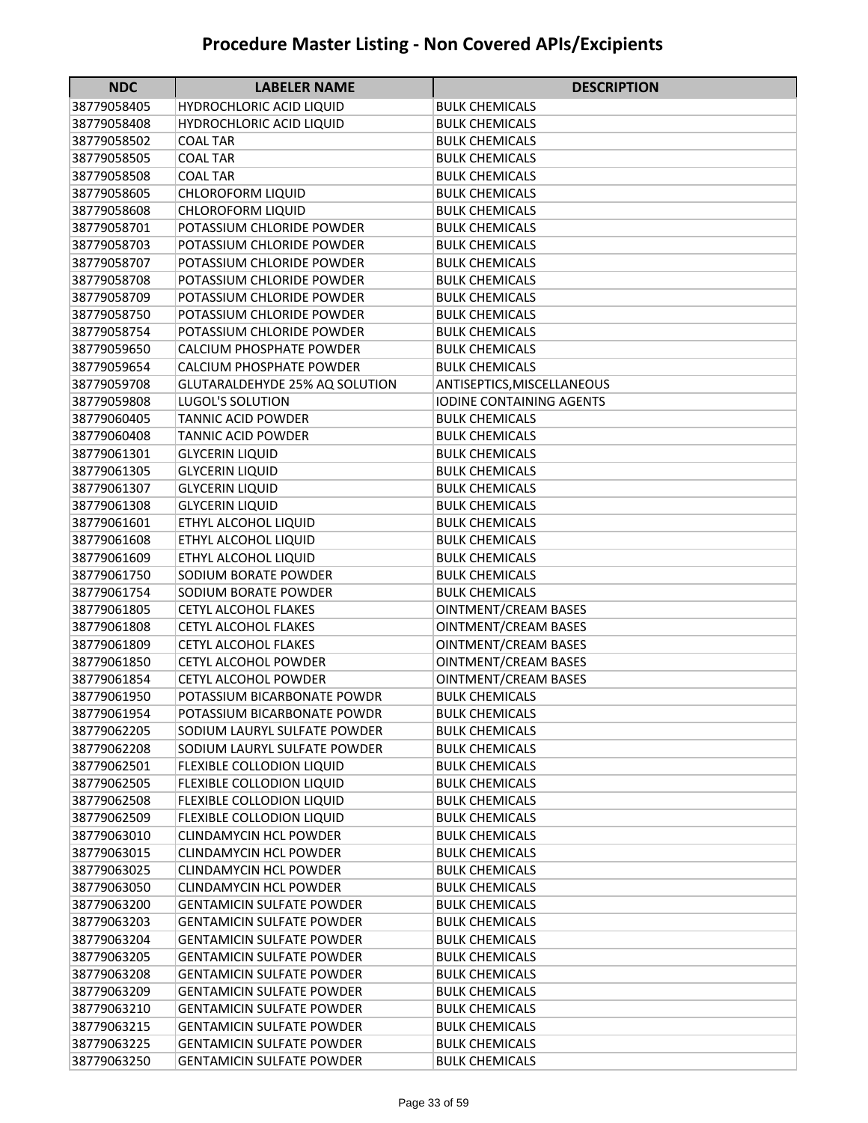| <b>NDC</b>  | <b>LABELER NAME</b>              | <b>DESCRIPTION</b>          |
|-------------|----------------------------------|-----------------------------|
| 38779058405 | <b>HYDROCHLORIC ACID LIQUID</b>  | <b>BULK CHEMICALS</b>       |
| 38779058408 | <b>HYDROCHLORIC ACID LIQUID</b>  | <b>BULK CHEMICALS</b>       |
| 38779058502 | COAL TAR                         | <b>BULK CHEMICALS</b>       |
| 38779058505 | <b>COAL TAR</b>                  | <b>BULK CHEMICALS</b>       |
| 38779058508 | <b>COAL TAR</b>                  | <b>BULK CHEMICALS</b>       |
| 38779058605 | <b>CHLOROFORM LIQUID</b>         | <b>BULK CHEMICALS</b>       |
| 38779058608 | <b>CHLOROFORM LIQUID</b>         | <b>BULK CHEMICALS</b>       |
| 38779058701 | POTASSIUM CHLORIDE POWDER        | <b>BULK CHEMICALS</b>       |
| 38779058703 | POTASSIUM CHLORIDE POWDER        | <b>BULK CHEMICALS</b>       |
| 38779058707 | POTASSIUM CHLORIDE POWDER        | <b>BULK CHEMICALS</b>       |
| 38779058708 | POTASSIUM CHLORIDE POWDER        | <b>BULK CHEMICALS</b>       |
| 38779058709 | POTASSIUM CHLORIDE POWDER        | <b>BULK CHEMICALS</b>       |
| 38779058750 | POTASSIUM CHLORIDE POWDER        | <b>BULK CHEMICALS</b>       |
| 38779058754 | POTASSIUM CHLORIDE POWDER        | <b>BULK CHEMICALS</b>       |
| 38779059650 | CALCIUM PHOSPHATE POWDER         | <b>BULK CHEMICALS</b>       |
| 38779059654 | CALCIUM PHOSPHATE POWDER         | <b>BULK CHEMICALS</b>       |
| 38779059708 | GLUTARALDEHYDE 25% AQ SOLUTION   | ANTISEPTICS, MISCELLANEOUS  |
| 38779059808 | <b>LUGOL'S SOLUTION</b>          | IODINE CONTAINING AGENTS    |
| 38779060405 | <b>TANNIC ACID POWDER</b>        | <b>BULK CHEMICALS</b>       |
| 38779060408 | <b>TANNIC ACID POWDER</b>        | <b>BULK CHEMICALS</b>       |
| 38779061301 | <b>GLYCERIN LIQUID</b>           | <b>BULK CHEMICALS</b>       |
| 38779061305 | <b>GLYCERIN LIQUID</b>           | <b>BULK CHEMICALS</b>       |
| 38779061307 | <b>GLYCERIN LIQUID</b>           | <b>BULK CHEMICALS</b>       |
| 38779061308 | <b>GLYCERIN LIQUID</b>           | <b>BULK CHEMICALS</b>       |
| 38779061601 | ETHYL ALCOHOL LIQUID             | <b>BULK CHEMICALS</b>       |
| 38779061608 | ETHYL ALCOHOL LIQUID             | <b>BULK CHEMICALS</b>       |
| 38779061609 | ETHYL ALCOHOL LIQUID             | <b>BULK CHEMICALS</b>       |
| 38779061750 | SODIUM BORATE POWDER             | <b>BULK CHEMICALS</b>       |
| 38779061754 | SODIUM BORATE POWDER             | <b>BULK CHEMICALS</b>       |
| 38779061805 | <b>CETYL ALCOHOL FLAKES</b>      | <b>OINTMENT/CREAM BASES</b> |
| 38779061808 | <b>CETYL ALCOHOL FLAKES</b>      | <b>OINTMENT/CREAM BASES</b> |
| 38779061809 | <b>CETYL ALCOHOL FLAKES</b>      | <b>OINTMENT/CREAM BASES</b> |
| 38779061850 | CETYL ALCOHOL POWDER             | <b>OINTMENT/CREAM BASES</b> |
| 38779061854 | <b>CETYL ALCOHOL POWDER</b>      | <b>OINTMENT/CREAM BASES</b> |
| 38779061950 | POTASSIUM BICARBONATE POWDR      | <b>BULK CHEMICALS</b>       |
| 38779061954 | POTASSIUM BICARBONATE POWDR      | <b>BULK CHEMICALS</b>       |
| 38779062205 | SODIUM LAURYL SULFATE POWDER     | <b>BULK CHEMICALS</b>       |
| 38779062208 | SODIUM LAURYL SULFATE POWDER     | <b>BULK CHEMICALS</b>       |
| 38779062501 | FLEXIBLE COLLODION LIQUID        | <b>BULK CHEMICALS</b>       |
| 38779062505 | FLEXIBLE COLLODION LIQUID        | <b>BULK CHEMICALS</b>       |
| 38779062508 | FLEXIBLE COLLODION LIQUID        | <b>BULK CHEMICALS</b>       |
| 38779062509 | FLEXIBLE COLLODION LIQUID        | <b>BULK CHEMICALS</b>       |
| 38779063010 | <b>CLINDAMYCIN HCL POWDER</b>    | <b>BULK CHEMICALS</b>       |
| 38779063015 | <b>CLINDAMYCIN HCL POWDER</b>    | <b>BULK CHEMICALS</b>       |
| 38779063025 | <b>CLINDAMYCIN HCL POWDER</b>    | <b>BULK CHEMICALS</b>       |
| 38779063050 | <b>CLINDAMYCIN HCL POWDER</b>    | <b>BULK CHEMICALS</b>       |
| 38779063200 | <b>GENTAMICIN SULFATE POWDER</b> | <b>BULK CHEMICALS</b>       |
| 38779063203 | <b>GENTAMICIN SULFATE POWDER</b> | <b>BULK CHEMICALS</b>       |
| 38779063204 | <b>GENTAMICIN SULFATE POWDER</b> | <b>BULK CHEMICALS</b>       |
| 38779063205 | <b>GENTAMICIN SULFATE POWDER</b> | <b>BULK CHEMICALS</b>       |
| 38779063208 | <b>GENTAMICIN SULFATE POWDER</b> | <b>BULK CHEMICALS</b>       |
| 38779063209 | <b>GENTAMICIN SULFATE POWDER</b> | <b>BULK CHEMICALS</b>       |
| 38779063210 | <b>GENTAMICIN SULFATE POWDER</b> | <b>BULK CHEMICALS</b>       |
| 38779063215 | <b>GENTAMICIN SULFATE POWDER</b> | <b>BULK CHEMICALS</b>       |
| 38779063225 | <b>GENTAMICIN SULFATE POWDER</b> | <b>BULK CHEMICALS</b>       |
| 38779063250 | <b>GENTAMICIN SULFATE POWDER</b> | <b>BULK CHEMICALS</b>       |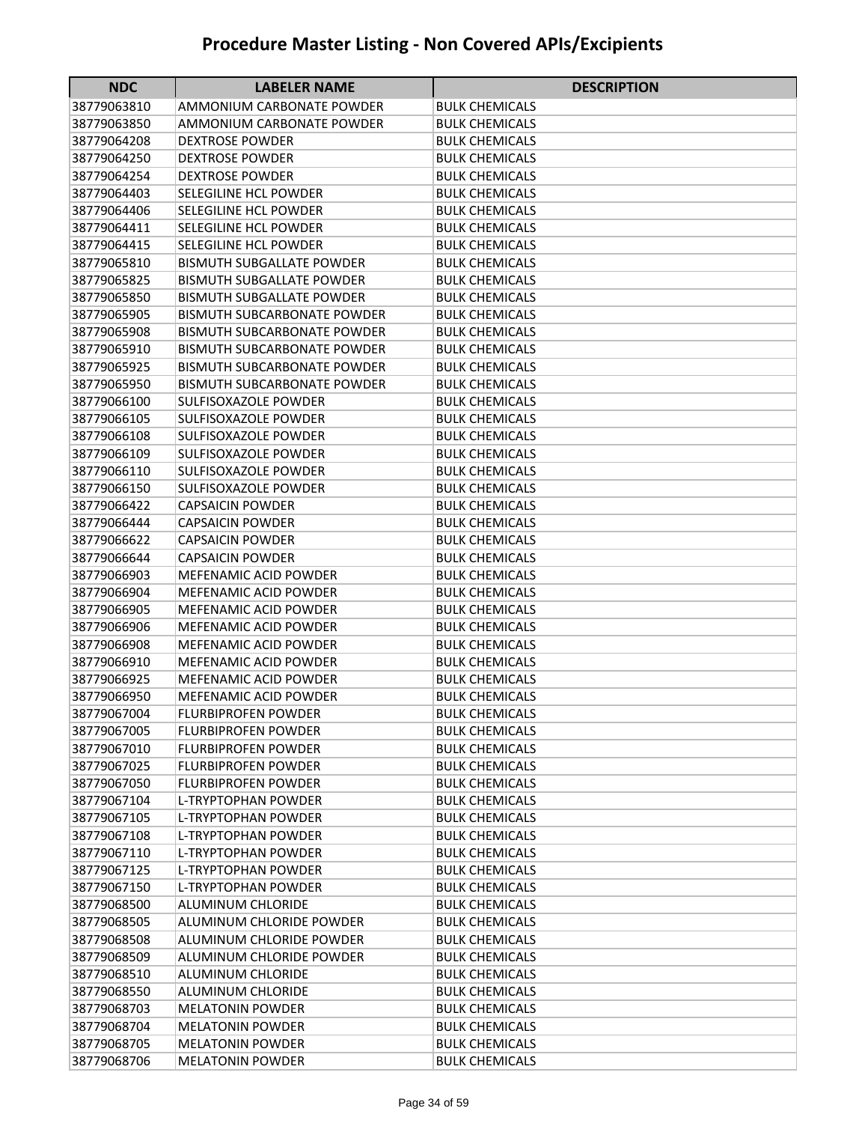| <b>NDC</b>                 | <b>LABELER NAME</b>                                      | <b>DESCRIPTION</b>                             |
|----------------------------|----------------------------------------------------------|------------------------------------------------|
| 38779063810                | AMMONIUM CARBONATE POWDER                                | BULK CHEMICALS                                 |
| 38779063850                | AMMONIUM CARBONATE POWDER                                | <b>BULK CHEMICALS</b>                          |
| 38779064208                | <b>DEXTROSE POWDER</b>                                   | <b>BULK CHEMICALS</b>                          |
| 38779064250                | <b>DEXTROSE POWDER</b>                                   | <b>BULK CHEMICALS</b>                          |
| 38779064254                | <b>DEXTROSE POWDER</b>                                   | <b>BULK CHEMICALS</b>                          |
| 38779064403                | SELEGILINE HCL POWDER                                    | <b>BULK CHEMICALS</b>                          |
| 38779064406                | SELEGILINE HCL POWDER                                    | <b>BULK CHEMICALS</b>                          |
| 38779064411                | SELEGILINE HCL POWDER                                    | <b>BULK CHEMICALS</b>                          |
| 38779064415                | SELEGILINE HCL POWDER                                    | <b>BULK CHEMICALS</b>                          |
| 38779065810                | <b>BISMUTH SUBGALLATE POWDER</b>                         | <b>BULK CHEMICALS</b>                          |
| 38779065825                | <b>BISMUTH SUBGALLATE POWDER</b>                         | <b>BULK CHEMICALS</b>                          |
| 38779065850                | <b>BISMUTH SUBGALLATE POWDER</b>                         | <b>BULK CHEMICALS</b>                          |
| 38779065905                | <b>BISMUTH SUBCARBONATE POWDER</b>                       | <b>BULK CHEMICALS</b>                          |
| 38779065908                | <b>BISMUTH SUBCARBONATE POWDER</b>                       | <b>BULK CHEMICALS</b>                          |
| 38779065910                | <b>BISMUTH SUBCARBONATE POWDER</b>                       | <b>BULK CHEMICALS</b>                          |
| 38779065925                | <b>BISMUTH SUBCARBONATE POWDER</b>                       | <b>BULK CHEMICALS</b>                          |
| 38779065950                | <b>BISMUTH SUBCARBONATE POWDER</b>                       | <b>BULK CHEMICALS</b>                          |
| 38779066100                | SULFISOXAZOLE POWDER                                     | <b>BULK CHEMICALS</b>                          |
| 38779066105                | SULFISOXAZOLE POWDER                                     | <b>BULK CHEMICALS</b>                          |
| 38779066108                | <b>SULFISOXAZOLE POWDER</b>                              | <b>BULK CHEMICALS</b>                          |
| 38779066109                | <b>SULFISOXAZOLE POWDER</b>                              | <b>BULK CHEMICALS</b>                          |
| 38779066110                | <b>SULFISOXAZOLE POWDER</b>                              | <b>BULK CHEMICALS</b>                          |
| 38779066150                | <b>SULFISOXAZOLE POWDER</b>                              | <b>BULK CHEMICALS</b>                          |
| 38779066422                | <b>CAPSAICIN POWDER</b>                                  | <b>BULK CHEMICALS</b>                          |
| 38779066444                | <b>CAPSAICIN POWDER</b>                                  | <b>BULK CHEMICALS</b>                          |
| 38779066622                | <b>CAPSAICIN POWDER</b>                                  | <b>BULK CHEMICALS</b>                          |
| 38779066644                | <b>CAPSAICIN POWDER</b>                                  | <b>BULK CHEMICALS</b>                          |
| 38779066903                | <b>MEFENAMIC ACID POWDER</b>                             | <b>BULK CHEMICALS</b>                          |
| 38779066904                | MEFENAMIC ACID POWDER                                    | BULK CHEMICALS                                 |
| 38779066905                | <b>MEFENAMIC ACID POWDER</b>                             | <b>BULK CHEMICALS</b>                          |
| 38779066906                | <b>MEFENAMIC ACID POWDER</b>                             | <b>BULK CHEMICALS</b>                          |
| 38779066908                | MEFENAMIC ACID POWDER                                    | <b>BULK CHEMICALS</b>                          |
| 38779066910                | MEFENAMIC ACID POWDER                                    | <b>BULK CHEMICALS</b>                          |
| 38779066925                | MEFENAMIC ACID POWDER                                    | <b>BULK CHEMICALS</b>                          |
| 38779066950                | <b>MEFENAMIC ACID POWDER</b>                             | <b>BULK CHEMICALS</b>                          |
| 38779067004                | <b>FLURBIPROFEN POWDER</b>                               | <b>BULK CHEMICALS</b>                          |
| 38779067005                | <b>FLURBIPROFEN POWDER</b><br><b>FLURBIPROFEN POWDER</b> | <b>BULK CHEMICALS</b><br><b>BULK CHEMICALS</b> |
| 38779067010                | <b>FLURBIPROFEN POWDER</b>                               |                                                |
| 38779067025                | <b>FLURBIPROFEN POWDER</b>                               | <b>BULK CHEMICALS</b>                          |
| 38779067050<br>38779067104 | L-TRYPTOPHAN POWDER                                      | <b>BULK CHEMICALS</b><br><b>BULK CHEMICALS</b> |
| 38779067105                | <b>L-TRYPTOPHAN POWDER</b>                               | <b>BULK CHEMICALS</b>                          |
| 38779067108                | L-TRYPTOPHAN POWDER                                      | <b>BULK CHEMICALS</b>                          |
| 38779067110                | L-TRYPTOPHAN POWDER                                      | <b>BULK CHEMICALS</b>                          |
| 38779067125                | L-TRYPTOPHAN POWDER                                      | <b>BULK CHEMICALS</b>                          |
| 38779067150                | <b>L-TRYPTOPHAN POWDER</b>                               | <b>BULK CHEMICALS</b>                          |
| 38779068500                | <b>ALUMINUM CHLORIDE</b>                                 | <b>BULK CHEMICALS</b>                          |
| 38779068505                | ALUMINUM CHLORIDE POWDER                                 | <b>BULK CHEMICALS</b>                          |
| 38779068508                | ALUMINUM CHLORIDE POWDER                                 | <b>BULK CHEMICALS</b>                          |
| 38779068509                | ALUMINUM CHLORIDE POWDER                                 | <b>BULK CHEMICALS</b>                          |
| 38779068510                | <b>ALUMINUM CHLORIDE</b>                                 | <b>BULK CHEMICALS</b>                          |
| 38779068550                | <b>ALUMINUM CHLORIDE</b>                                 | <b>BULK CHEMICALS</b>                          |
| 38779068703                | <b>MELATONIN POWDER</b>                                  | <b>BULK CHEMICALS</b>                          |
| 38779068704                | <b>MELATONIN POWDER</b>                                  | <b>BULK CHEMICALS</b>                          |
| 38779068705                | <b>MELATONIN POWDER</b>                                  | <b>BULK CHEMICALS</b>                          |
| 38779068706                | <b>MELATONIN POWDER</b>                                  | <b>BULK CHEMICALS</b>                          |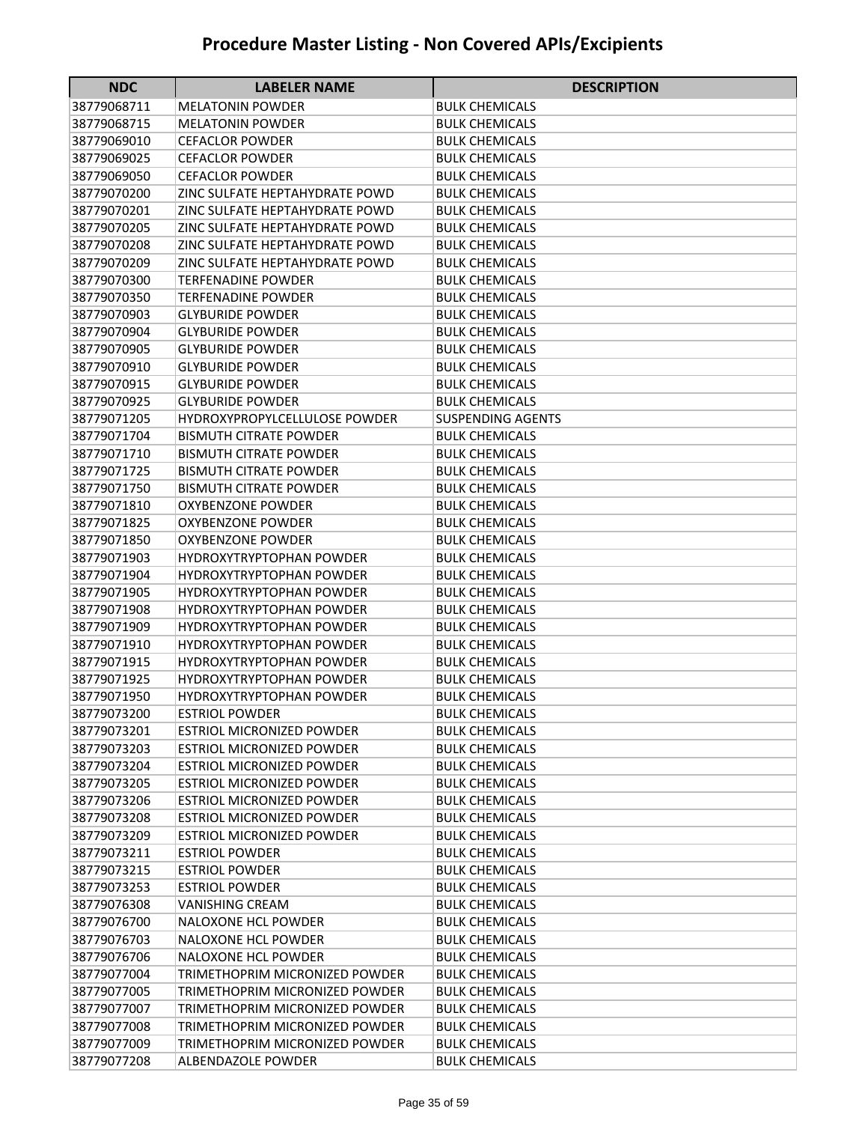| <b>NDC</b>                 | <b>LABELER NAME</b>                                      | <b>DESCRIPTION</b>                             |
|----------------------------|----------------------------------------------------------|------------------------------------------------|
| 38779068711                | MELATONIN POWDER                                         | BULK CHEMICALS                                 |
| 38779068715                | MELATONIN POWDER                                         | BULK CHEMICALS                                 |
| 38779069010                | CEFACLOR POWDER                                          | <b>BULK CHEMICALS</b>                          |
| 38779069025                | <b>CEFACLOR POWDER</b>                                   | BULK CHEMICALS                                 |
| 38779069050                | <b>CEFACLOR POWDER</b>                                   | <b>BULK CHEMICALS</b>                          |
| 38779070200                | ZINC SULFATE HEPTAHYDRATE POWD                           | <b>BULK CHEMICALS</b>                          |
| 38779070201                | ZINC SULFATE HEPTAHYDRATE POWD                           | <b>BULK CHEMICALS</b>                          |
| 38779070205                | ZINC SULFATE HEPTAHYDRATE POWD                           | <b>BULK CHEMICALS</b>                          |
| 38779070208                | ZINC SULFATE HEPTAHYDRATE POWD                           | <b>BULK CHEMICALS</b>                          |
| 38779070209                | ZINC SULFATE HEPTAHYDRATE POWD                           | <b>BULK CHEMICALS</b>                          |
| 38779070300                | <b>TERFENADINE POWDER</b>                                | <b>BULK CHEMICALS</b>                          |
| 38779070350                | <b>TERFENADINE POWDER</b>                                | <b>BULK CHEMICALS</b>                          |
| 38779070903                | <b>GLYBURIDE POWDER</b>                                  | <b>BULK CHEMICALS</b>                          |
| 38779070904                | <b>GLYBURIDE POWDER</b>                                  | <b>BULK CHEMICALS</b>                          |
| 38779070905                | <b>GLYBURIDE POWDER</b>                                  | <b>BULK CHEMICALS</b>                          |
| 38779070910                | <b>GLYBURIDE POWDER</b>                                  | <b>BULK CHEMICALS</b>                          |
| 38779070915                | <b>GLYBURIDE POWDER</b>                                  | <b>BULK CHEMICALS</b>                          |
| 38779070925                | <b>GLYBURIDE POWDER</b>                                  | <b>BULK CHEMICALS</b>                          |
| 38779071205                | <b>HYDROXYPROPYLCELLULOSE POWDER</b>                     | <b>SUSPENDING AGENTS</b>                       |
| 38779071704                | <b>BISMUTH CITRATE POWDER</b>                            | <b>BULK CHEMICALS</b>                          |
| 38779071710                | <b>BISMUTH CITRATE POWDER</b>                            | <b>BULK CHEMICALS</b>                          |
| 38779071725                | <b>BISMUTH CITRATE POWDER</b>                            | <b>BULK CHEMICALS</b>                          |
| 38779071750                | <b>BISMUTH CITRATE POWDER</b>                            | <b>BULK CHEMICALS</b>                          |
| 38779071810                | <b>OXYBENZONE POWDER</b>                                 | <b>BULK CHEMICALS</b>                          |
| 38779071825                | <b>OXYBENZONE POWDER</b>                                 | <b>BULK CHEMICALS</b>                          |
| 38779071850                | <b>OXYBENZONE POWDER</b>                                 | <b>BULK CHEMICALS</b>                          |
| 38779071903                | <b>HYDROXYTRYPTOPHAN POWDER</b>                          | <b>BULK CHEMICALS</b>                          |
| 38779071904                | <b>HYDROXYTRYPTOPHAN POWDER</b>                          | BULK CHEMICALS                                 |
| 38779071905                | <b>HYDROXYTRYPTOPHAN POWDER</b>                          | BULK CHEMICALS                                 |
| 38779071908                | <b>HYDROXYTRYPTOPHAN POWDER</b>                          | <b>BULK CHEMICALS</b>                          |
| 38779071909                | <b>HYDROXYTRYPTOPHAN POWDER</b>                          | <b>BULK CHEMICALS</b>                          |
| 38779071910                | <b>HYDROXYTRYPTOPHAN POWDER</b>                          | <b>BULK CHEMICALS</b>                          |
| 38779071915                | <b>HYDROXYTRYPTOPHAN POWDER</b>                          | <b>BULK CHEMICALS</b>                          |
| 38779071925                | <b>HYDROXYTRYPTOPHAN POWDER</b>                          | <b>BULK CHEMICALS</b>                          |
| 38779071950<br>38779073200 | <b>HYDROXYTRYPTOPHAN POWDER</b><br><b>ESTRIOL POWDER</b> | <b>BULK CHEMICALS</b><br><b>BULK CHEMICALS</b> |
| 38779073201                | <b>ESTRIOL MICRONIZED POWDER</b>                         | <b>BULK CHEMICALS</b>                          |
| 38779073203                | <b>ESTRIOL MICRONIZED POWDER</b>                         | <b>BULK CHEMICALS</b>                          |
| 38779073204                | <b>ESTRIOL MICRONIZED POWDER</b>                         | <b>BULK CHEMICALS</b>                          |
| 38779073205                | <b>ESTRIOL MICRONIZED POWDER</b>                         | <b>BULK CHEMICALS</b>                          |
| 38779073206                | <b>ESTRIOL MICRONIZED POWDER</b>                         | <b>BULK CHEMICALS</b>                          |
| 38779073208                | <b>ESTRIOL MICRONIZED POWDER</b>                         | <b>BULK CHEMICALS</b>                          |
| 38779073209                | <b>ESTRIOL MICRONIZED POWDER</b>                         | <b>BULK CHEMICALS</b>                          |
| 38779073211                | <b>ESTRIOL POWDER</b>                                    | <b>BULK CHEMICALS</b>                          |
| 38779073215                | <b>ESTRIOL POWDER</b>                                    | <b>BULK CHEMICALS</b>                          |
| 38779073253                | ESTRIOL POWDER                                           | <b>BULK CHEMICALS</b>                          |
| 38779076308                | VANISHING CREAM                                          | BULK CHEMICALS                                 |
| 38779076700                | <b>NALOXONE HCL POWDER</b>                               | <b>BULK CHEMICALS</b>                          |
| 38779076703                | <b>NALOXONE HCL POWDER</b>                               | <b>BULK CHEMICALS</b>                          |
| 38779076706                | <b>NALOXONE HCL POWDER</b>                               | <b>BULK CHEMICALS</b>                          |
| 38779077004                | TRIMETHOPRIM MICRONIZED POWDER                           | <b>BULK CHEMICALS</b>                          |
| 38779077005                | TRIMETHOPRIM MICRONIZED POWDER                           | <b>BULK CHEMICALS</b>                          |
| 38779077007                | TRIMETHOPRIM MICRONIZED POWDER                           | BULK CHEMICALS                                 |
| 38779077008                | TRIMETHOPRIM MICRONIZED POWDER                           | BULK CHEMICALS                                 |
| 38779077009                | TRIMETHOPRIM MICRONIZED POWDER                           | <b>BULK CHEMICALS</b>                          |
| 38779077208                | ALBENDAZOLE POWDER                                       | <b>BULK CHEMICALS</b>                          |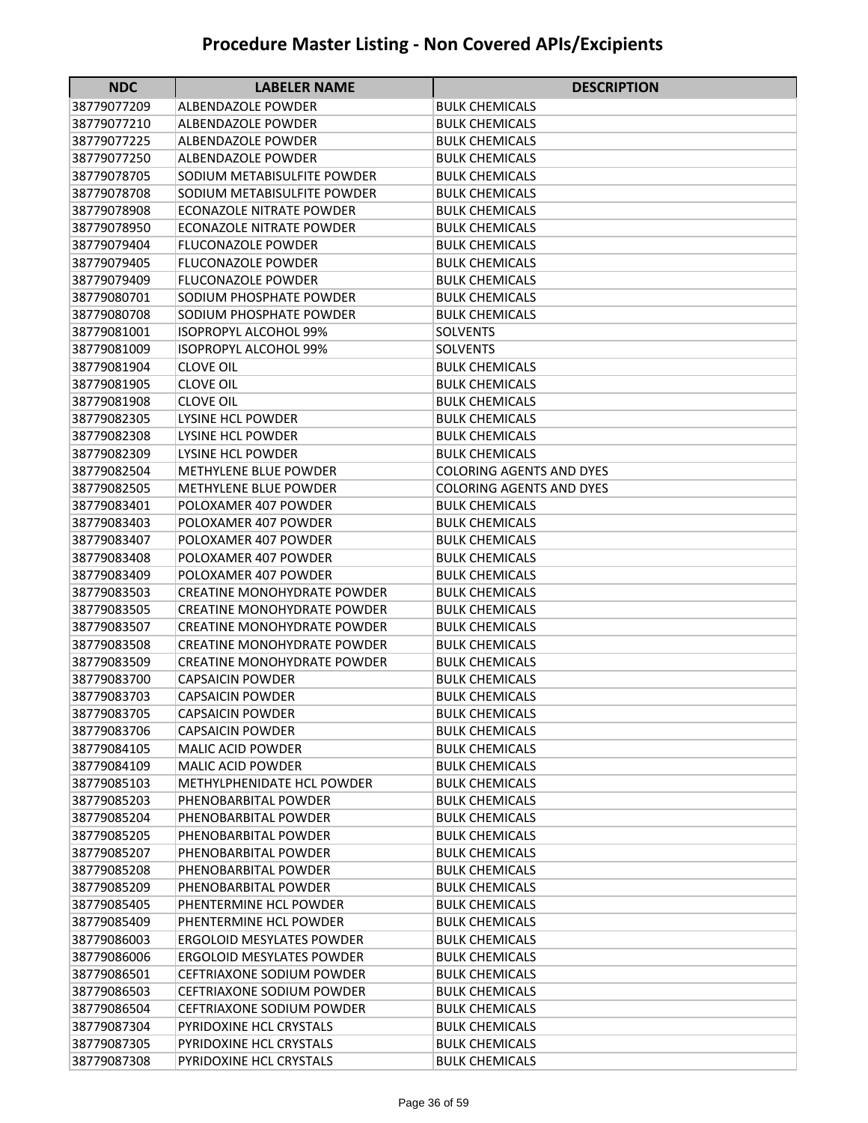| <b>NDC</b>                 | <b>LABELER NAME</b>                                    | <b>DESCRIPTION</b>                             |
|----------------------------|--------------------------------------------------------|------------------------------------------------|
| 38779077209                | ALBENDAZOLE POWDER                                     | BULK CHEMICALS                                 |
| 38779077210                | ALBENDAZOLE POWDER                                     | BULK CHEMICALS                                 |
| 38779077225                | ALBENDAZOLE POWDER                                     | <b>BULK CHEMICALS</b>                          |
| 38779077250                | ALBENDAZOLE POWDER                                     | BULK CHEMICALS                                 |
| 38779078705                | SODIUM METABISULFITE POWDER                            | <b>BULK CHEMICALS</b>                          |
| 38779078708                | SODIUM METABISULFITE POWDER                            | <b>BULK CHEMICALS</b>                          |
| 38779078908                | ECONAZOLE NITRATE POWDER                               | <b>BULK CHEMICALS</b>                          |
| 38779078950                | ECONAZOLE NITRATE POWDER                               | <b>BULK CHEMICALS</b>                          |
| 38779079404                | <b>FLUCONAZOLE POWDER</b>                              | <b>BULK CHEMICALS</b>                          |
| 38779079405                | <b>FLUCONAZOLE POWDER</b>                              | <b>BULK CHEMICALS</b>                          |
| 38779079409                | <b>FLUCONAZOLE POWDER</b>                              | <b>BULK CHEMICALS</b>                          |
| 38779080701                | SODIUM PHOSPHATE POWDER                                | <b>BULK CHEMICALS</b>                          |
| 38779080708                | SODIUM PHOSPHATE POWDER                                | <b>BULK CHEMICALS</b>                          |
| 38779081001                | <b>ISOPROPYL ALCOHOL 99%</b>                           | <b>SOLVENTS</b>                                |
| 38779081009                | <b>ISOPROPYL ALCOHOL 99%</b>                           | <b>SOLVENTS</b>                                |
| 38779081904                | <b>CLOVE OIL</b>                                       | <b>BULK CHEMICALS</b>                          |
| 38779081905                | <b>CLOVE OIL</b>                                       | <b>BULK CHEMICALS</b>                          |
| 38779081908                | <b>CLOVE OIL</b>                                       | <b>BULK CHEMICALS</b>                          |
| 38779082305                | LYSINE HCL POWDER                                      | <b>BULK CHEMICALS</b>                          |
| 38779082308                | LYSINE HCL POWDER                                      | <b>BULK CHEMICALS</b>                          |
| 38779082309                | LYSINE HCL POWDER                                      | <b>BULK CHEMICALS</b>                          |
| 38779082504                | METHYLENE BLUE POWDER                                  | <b>COLORING AGENTS AND DYES</b>                |
| 38779082505                | <b>METHYLENE BLUE POWDER</b>                           | COLORING AGENTS AND DYES                       |
| 38779083401                | POLOXAMER 407 POWDER                                   | <b>BULK CHEMICALS</b>                          |
| 38779083403                | POLOXAMER 407 POWDER                                   | <b>BULK CHEMICALS</b>                          |
| 38779083407                | POLOXAMER 407 POWDER                                   | <b>BULK CHEMICALS</b>                          |
| 38779083408                | POLOXAMER 407 POWDER                                   | <b>BULK CHEMICALS</b>                          |
| 38779083409                | POLOXAMER 407 POWDER                                   | <b>BULK CHEMICALS</b>                          |
| 38779083503                | <b>CREATINE MONOHYDRATE POWDER</b>                     | <b>BULK CHEMICALS</b>                          |
| 38779083505                | <b>CREATINE MONOHYDRATE POWDER</b>                     | <b>BULK CHEMICALS</b>                          |
| 38779083507                | <b>CREATINE MONOHYDRATE POWDER</b>                     | <b>BULK CHEMICALS</b>                          |
| 38779083508                | <b>CREATINE MONOHYDRATE POWDER</b>                     | <b>BULK CHEMICALS</b>                          |
| 38779083509                | <b>CREATINE MONOHYDRATE POWDER</b>                     | <b>BULK CHEMICALS</b>                          |
| 38779083700                | <b>CAPSAICIN POWDER</b>                                | <b>BULK CHEMICALS</b>                          |
| 38779083703                | <b>CAPSAICIN POWDER</b>                                | <b>BULK CHEMICALS</b>                          |
| 38779083705                | <b>CAPSAICIN POWDER</b>                                | <b>BULK CHEMICALS</b>                          |
| 38779083706                | <b>CAPSAICIN POWDER</b>                                | <b>BULK CHEMICALS</b>                          |
| 38779084105                | <b>MALIC ACID POWDER</b>                               | <b>BULK CHEMICALS</b>                          |
| 38779084109<br>38779085103 | <b>MALIC ACID POWDER</b><br>METHYLPHENIDATE HCL POWDER | <b>BULK CHEMICALS</b><br><b>BULK CHEMICALS</b> |
| 38779085203                | PHENOBARBITAL POWDER                                   | <b>BULK CHEMICALS</b>                          |
| 38779085204                | PHENOBARBITAL POWDER                                   | <b>BULK CHEMICALS</b>                          |
| 38779085205                | PHENOBARBITAL POWDER                                   | <b>BULK CHEMICALS</b>                          |
| 38779085207                | PHENOBARBITAL POWDER                                   | <b>BULK CHEMICALS</b>                          |
| 38779085208                | PHENOBARBITAL POWDER                                   | <b>BULK CHEMICALS</b>                          |
| 38779085209                | PHENOBARBITAL POWDER                                   | <b>BULK CHEMICALS</b>                          |
| 38779085405                | PHENTERMINE HCL POWDER                                 | BULK CHEMICALS                                 |
| 38779085409                | PHENTERMINE HCL POWDER                                 | BULK CHEMICALS                                 |
| 38779086003                | <b>ERGOLOID MESYLATES POWDER</b>                       | <b>BULK CHEMICALS</b>                          |
| 38779086006                | <b>ERGOLOID MESYLATES POWDER</b>                       | <b>BULK CHEMICALS</b>                          |
| 38779086501                | <b>CEFTRIAXONE SODIUM POWDER</b>                       | <b>BULK CHEMICALS</b>                          |
| 38779086503                | <b>CEFTRIAXONE SODIUM POWDER</b>                       | <b>BULK CHEMICALS</b>                          |
| 38779086504                | <b>CEFTRIAXONE SODIUM POWDER</b>                       | <b>BULK CHEMICALS</b>                          |
| 38779087304                | PYRIDOXINE HCL CRYSTALS                                | <b>BULK CHEMICALS</b>                          |
| 38779087305                | PYRIDOXINE HCL CRYSTALS                                | <b>BULK CHEMICALS</b>                          |
| 38779087308                | PYRIDOXINE HCL CRYSTALS                                | <b>BULK CHEMICALS</b>                          |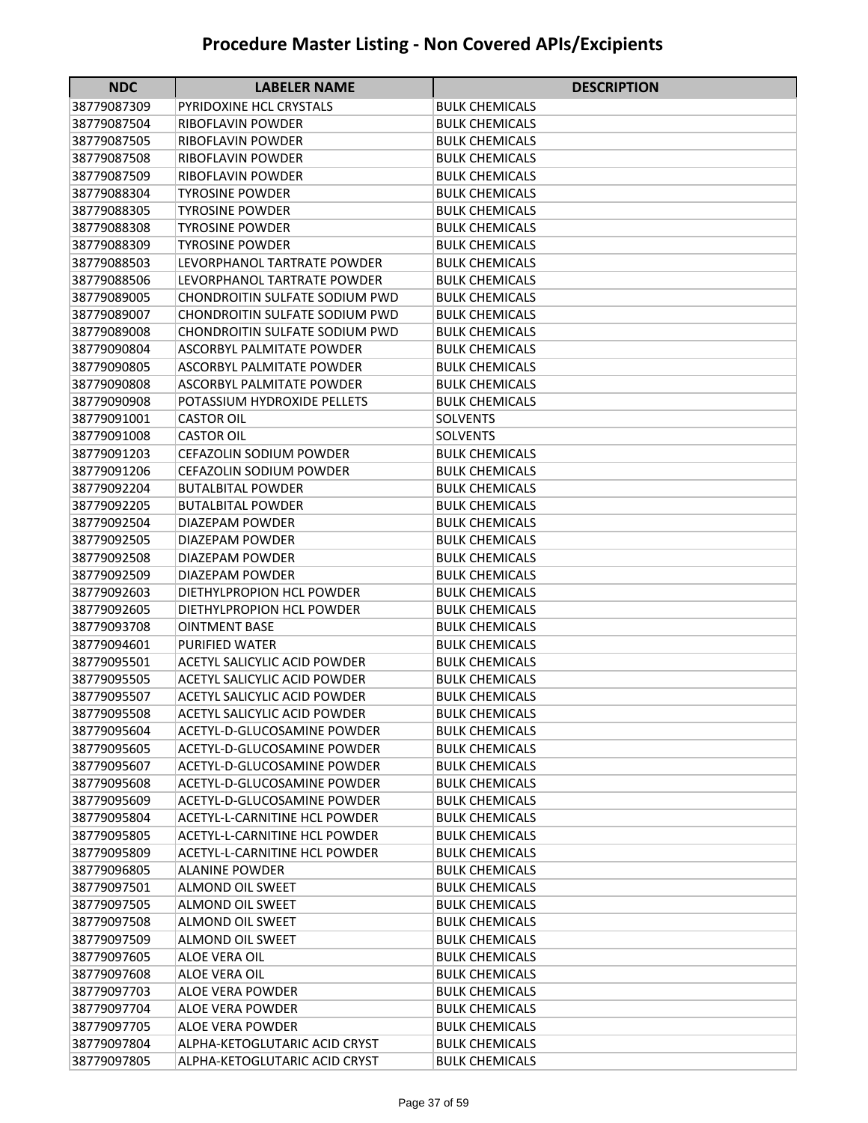| <b>NDC</b>                 | <b>LABELER NAME</b>                                        | <b>DESCRIPTION</b>                             |
|----------------------------|------------------------------------------------------------|------------------------------------------------|
| 38779087309                | <b>PYRIDOXINE HCL CRYSTALS</b>                             | BULK CHEMICALS                                 |
| 38779087504                | RIBOFLAVIN POWDER                                          | <b>BULK CHEMICALS</b>                          |
| 38779087505                | RIBOFLAVIN POWDER                                          | <b>BULK CHEMICALS</b>                          |
| 38779087508                | <b>RIBOFLAVIN POWDER</b>                                   | <b>BULK CHEMICALS</b>                          |
| 38779087509                | RIBOFLAVIN POWDER                                          | <b>BULK CHEMICALS</b>                          |
| 38779088304                | TYROSINE POWDER                                            | <b>BULK CHEMICALS</b>                          |
| 38779088305                | <b>TYROSINE POWDER</b>                                     | <b>BULK CHEMICALS</b>                          |
| 38779088308                | <b>TYROSINE POWDER</b>                                     | <b>BULK CHEMICALS</b>                          |
| 38779088309                | <b>TYROSINE POWDER</b>                                     | <b>BULK CHEMICALS</b>                          |
| 38779088503                | LEVORPHANOL TARTRATE POWDER                                | <b>BULK CHEMICALS</b>                          |
| 38779088506                | LEVORPHANOL TARTRATE POWDER                                | BULK CHEMICALS                                 |
| 38779089005                | CHONDROITIN SULFATE SODIUM PWD                             | <b>BULK CHEMICALS</b>                          |
| 38779089007                | CHONDROITIN SULFATE SODIUM PWD                             | <b>BULK CHEMICALS</b>                          |
| 38779089008                | CHONDROITIN SULFATE SODIUM PWD                             | <b>BULK CHEMICALS</b>                          |
| 38779090804                | <b>ASCORBYL PALMITATE POWDER</b>                           | <b>BULK CHEMICALS</b>                          |
| 38779090805                | <b>ASCORBYL PALMITATE POWDER</b>                           | <b>BULK CHEMICALS</b>                          |
| 38779090808                | <b>ASCORBYL PALMITATE POWDER</b>                           | BULK CHEMICALS                                 |
| 38779090908                | POTASSIUM HYDROXIDE PELLETS                                | <b>BULK CHEMICALS</b>                          |
| 38779091001                | <b>CASTOR OIL</b>                                          | SOLVENTS                                       |
| 38779091008                | <b>CASTOR OIL</b>                                          | <b>SOLVENTS</b>                                |
| 38779091203                | <b>CEFAZOLIN SODIUM POWDER</b>                             | <b>BULK CHEMICALS</b>                          |
| 38779091206                | <b>CEFAZOLIN SODIUM POWDER</b>                             | <b>BULK CHEMICALS</b>                          |
| 38779092204                | <b>BUTALBITAL POWDER</b>                                   | BULK CHEMICALS                                 |
| 38779092205                | <b>BUTALBITAL POWDER</b>                                   | <b>BULK CHEMICALS</b>                          |
| 38779092504                | DIAZEPAM POWDER                                            | <b>BULK CHEMICALS</b>                          |
| 38779092505                | <b>DIAZEPAM POWDER</b>                                     | <b>BULK CHEMICALS</b>                          |
| 38779092508                | <b>DIAZEPAM POWDER</b>                                     | <b>BULK CHEMICALS</b>                          |
| 38779092509                | <b>DIAZEPAM POWDER</b>                                     | <b>BULK CHEMICALS</b>                          |
| 38779092603                | DIETHYLPROPION HCL POWDER                                  | <b>BULK CHEMICALS</b>                          |
| 38779092605                | DIETHYLPROPION HCL POWDER                                  | <b>BULK CHEMICALS</b>                          |
| 38779093708                | <b>OINTMENT BASE</b>                                       | <b>BULK CHEMICALS</b>                          |
| 38779094601                | PURIFIED WATER                                             | <b>BULK CHEMICALS</b>                          |
| 38779095501                | ACETYL SALICYLIC ACID POWDER                               | <b>BULK CHEMICALS</b>                          |
| 38779095505                | <b>ACETYL SALICYLIC ACID POWDER</b>                        | <b>BULK CHEMICALS</b>                          |
| 38779095507                | ACETYL SALICYLIC ACID POWDER                               | <b>BULK CHEMICALS</b>                          |
| 38779095508                | ACETYL SALICYLIC ACID POWDER                               | <b>BULK CHEMICALS</b>                          |
| 38779095604                | ACETYL-D-GLUCOSAMINE POWDER                                | <b>BULK CHEMICALS</b>                          |
| 38779095605                | ACETYL-D-GLUCOSAMINE POWDER                                | <b>BULK CHEMICALS</b><br><b>BULK CHEMICALS</b> |
| 38779095607                | ACETYL-D-GLUCOSAMINE POWDER                                |                                                |
| 38779095608<br>38779095609 | ACETYL-D-GLUCOSAMINE POWDER<br>ACETYL-D-GLUCOSAMINE POWDER | <b>BULK CHEMICALS</b><br><b>BULK CHEMICALS</b> |
| 38779095804                | ACETYL-L-CARNITINE HCL POWDER                              | <b>BULK CHEMICALS</b>                          |
| 38779095805                | <b>ACETYL-L-CARNITINE HCL POWDER</b>                       | <b>BULK CHEMICALS</b>                          |
| 38779095809                | ACETYL-L-CARNITINE HCL POWDER                              | <b>BULK CHEMICALS</b>                          |
| 38779096805                | <b>ALANINE POWDER</b>                                      | <b>BULK CHEMICALS</b>                          |
| 38779097501                | <b>ALMOND OIL SWEET</b>                                    | <b>BULK CHEMICALS</b>                          |
| 38779097505                | <b>ALMOND OIL SWEET</b>                                    | <b>BULK CHEMICALS</b>                          |
| 38779097508                | <b>ALMOND OIL SWEET</b>                                    | <b>BULK CHEMICALS</b>                          |
| 38779097509                | <b>ALMOND OIL SWEET</b>                                    | <b>BULK CHEMICALS</b>                          |
| 38779097605                | ALOE VERA OIL                                              | <b>BULK CHEMICALS</b>                          |
| 38779097608                | ALOE VERA OIL                                              | <b>BULK CHEMICALS</b>                          |
| 38779097703                | <b>ALOE VERA POWDER</b>                                    | <b>BULK CHEMICALS</b>                          |
| 38779097704                | ALOE VERA POWDER                                           | <b>BULK CHEMICALS</b>                          |
| 38779097705                | <b>ALOE VERA POWDER</b>                                    | <b>BULK CHEMICALS</b>                          |
| 38779097804                | ALPHA-KETOGLUTARIC ACID CRYST                              | <b>BULK CHEMICALS</b>                          |
| 38779097805                | ALPHA-KETOGLUTARIC ACID CRYST                              | <b>BULK CHEMICALS</b>                          |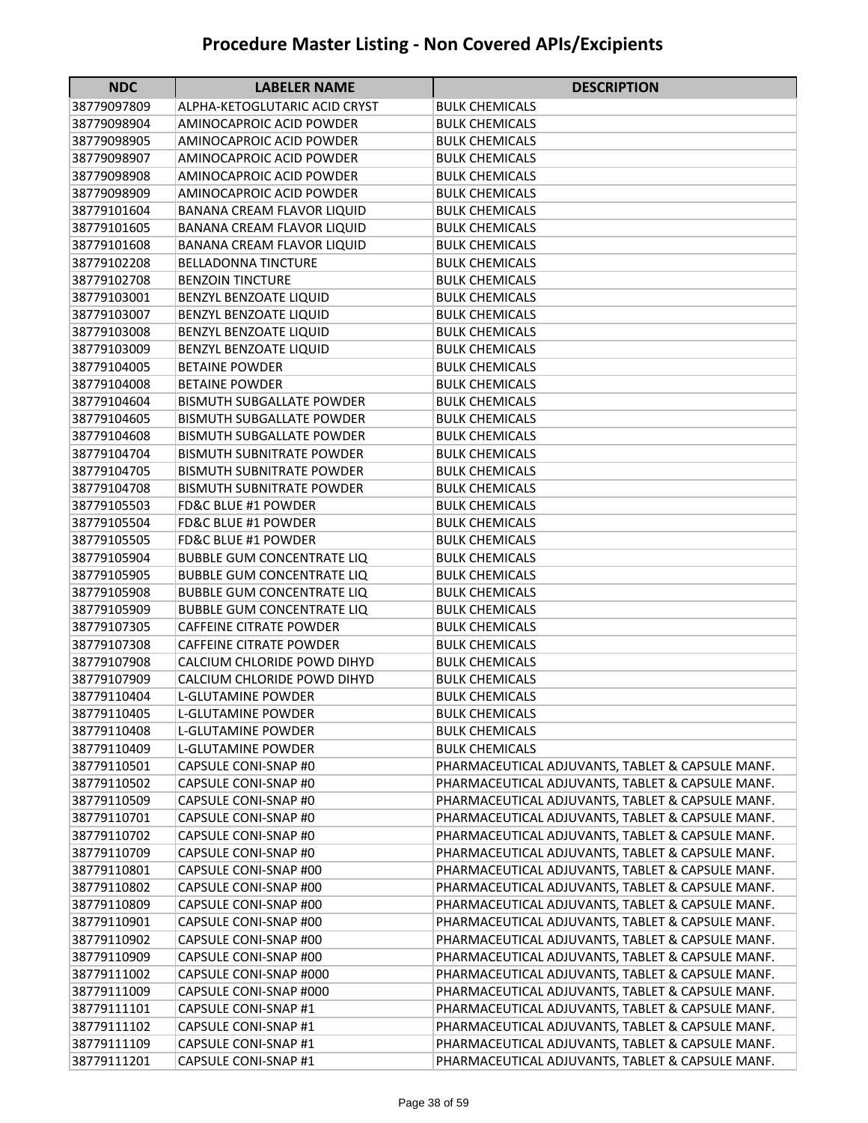| <b>NDC</b>                 | <b>LABELER NAME</b>                            | <b>DESCRIPTION</b>                                                                                   |
|----------------------------|------------------------------------------------|------------------------------------------------------------------------------------------------------|
| 38779097809                | ALPHA-KETOGLUTARIC ACID CRYST                  | <b>BULK CHEMICALS</b>                                                                                |
| 38779098904                | AMINOCAPROIC ACID POWDER                       | <b>BULK CHEMICALS</b>                                                                                |
| 38779098905                | AMINOCAPROIC ACID POWDER                       | BULK CHEMICALS                                                                                       |
| 38779098907                | AMINOCAPROIC ACID POWDER                       | BULK CHEMICALS                                                                                       |
| 38779098908                | AMINOCAPROIC ACID POWDER                       | <b>BULK CHEMICALS</b>                                                                                |
| 38779098909                | AMINOCAPROIC ACID POWDER                       | <b>BULK CHEMICALS</b>                                                                                |
| 38779101604                | BANANA CREAM FLAVOR LIQUID                     | <b>BULK CHEMICALS</b>                                                                                |
| 38779101605                | BANANA CREAM FLAVOR LIQUID                     | <b>BULK CHEMICALS</b>                                                                                |
| 38779101608                | BANANA CREAM FLAVOR LIQUID                     | <b>BULK CHEMICALS</b>                                                                                |
| 38779102208                | <b>BELLADONNA TINCTURE</b>                     | <b>BULK CHEMICALS</b>                                                                                |
| 38779102708                | <b>BENZOIN TINCTURE</b>                        | <b>BULK CHEMICALS</b>                                                                                |
| 38779103001                | BENZYL BENZOATE LIQUID                         | <b>BULK CHEMICALS</b>                                                                                |
| 38779103007                | BENZYL BENZOATE LIQUID                         | <b>BULK CHEMICALS</b>                                                                                |
| 38779103008                | BENZYL BENZOATE LIQUID                         | <b>BULK CHEMICALS</b>                                                                                |
| 38779103009                | BENZYL BENZOATE LIQUID                         | <b>BULK CHEMICALS</b>                                                                                |
| 38779104005                | <b>BETAINE POWDER</b>                          | <b>BULK CHEMICALS</b>                                                                                |
| 38779104008                | <b>BETAINE POWDER</b>                          | <b>BULK CHEMICALS</b>                                                                                |
| 38779104604                | <b>BISMUTH SUBGALLATE POWDER</b>               | <b>BULK CHEMICALS</b>                                                                                |
| 38779104605                | <b>BISMUTH SUBGALLATE POWDER</b>               | <b>BULK CHEMICALS</b>                                                                                |
| 38779104608                | <b>BISMUTH SUBGALLATE POWDER</b>               | <b>BULK CHEMICALS</b>                                                                                |
| 38779104704                | <b>BISMUTH SUBNITRATE POWDER</b>               | <b>BULK CHEMICALS</b>                                                                                |
| 38779104705                | <b>BISMUTH SUBNITRATE POWDER</b>               | BULK CHEMICALS                                                                                       |
| 38779104708                | <b>BISMUTH SUBNITRATE POWDER</b>               | <b>BULK CHEMICALS</b>                                                                                |
| 38779105503                | <b>FD&amp;C BLUE #1 POWDER</b>                 | <b>BULK CHEMICALS</b>                                                                                |
| 38779105504                | <b>FD&amp;C BLUE #1 POWDER</b>                 | <b>BULK CHEMICALS</b>                                                                                |
| 38779105505                | <b>FD&amp;C BLUE #1 POWDER</b>                 | <b>BULK CHEMICALS</b>                                                                                |
| 38779105904                | <b>BUBBLE GUM CONCENTRATE LIQ</b>              | <b>BULK CHEMICALS</b>                                                                                |
| 38779105905                | <b>BUBBLE GUM CONCENTRATE LIQ</b>              | <b>BULK CHEMICALS</b>                                                                                |
| 38779105908                | <b>BUBBLE GUM CONCENTRATE LIQ</b>              | BULK CHEMICALS                                                                                       |
| 38779105909                | <b>BUBBLE GUM CONCENTRATE LIQ</b>              | <b>BULK CHEMICALS</b>                                                                                |
| 38779107305                | <b>CAFFEINE CITRATE POWDER</b>                 | <b>BULK CHEMICALS</b>                                                                                |
| 38779107308                | <b>CAFFEINE CITRATE POWDER</b>                 | <b>BULK CHEMICALS</b>                                                                                |
| 38779107908                | CALCIUM CHLORIDE POWD DIHYD                    | <b>BULK CHEMICALS</b>                                                                                |
| 38779107909                | CALCIUM CHLORIDE POWD DIHYD                    | <b>BULK CHEMICALS</b>                                                                                |
| 38779110404                | L-GLUTAMINE POWDER                             | <b>BULK CHEMICALS</b>                                                                                |
| 38779110405                | L-GLUTAMINE POWDER                             | <b>BULK CHEMICALS</b>                                                                                |
| 38779110408                | L-GLUTAMINE POWDER                             | <b>BULK CHEMICALS</b>                                                                                |
| 38779110409                | L-GLUTAMINE POWDER                             | <b>BULK CHEMICALS</b>                                                                                |
| 38779110501                | CAPSULE CONI-SNAP #0                           | PHARMACEUTICAL ADJUVANTS, TABLET & CAPSULE MANF.                                                     |
| 38779110502                | CAPSULE CONI-SNAP #0                           | PHARMACEUTICAL ADJUVANTS, TABLET & CAPSULE MANF.                                                     |
| 38779110509                | CAPSULE CONI-SNAP #0                           | PHARMACEUTICAL ADJUVANTS, TABLET & CAPSULE MANF.                                                     |
| 38779110701                | CAPSULE CONI-SNAP #0                           | PHARMACEUTICAL ADJUVANTS, TABLET & CAPSULE MANF.                                                     |
| 38779110702                | CAPSULE CONI-SNAP #0                           | PHARMACEUTICAL ADJUVANTS, TABLET & CAPSULE MANF.                                                     |
| 38779110709                | CAPSULE CONI-SNAP #0                           | PHARMACEUTICAL ADJUVANTS, TABLET & CAPSULE MANF.                                                     |
| 38779110801                | CAPSULE CONI-SNAP #00                          | PHARMACEUTICAL ADJUVANTS, TABLET & CAPSULE MANF.                                                     |
| 38779110802                | CAPSULE CONI-SNAP #00                          | PHARMACEUTICAL ADJUVANTS, TABLET & CAPSULE MANF.                                                     |
| 38779110809<br>38779110901 | CAPSULE CONI-SNAP #00<br>CAPSULE CONI-SNAP #00 | PHARMACEUTICAL ADJUVANTS, TABLET & CAPSULE MANF.<br>PHARMACEUTICAL ADJUVANTS, TABLET & CAPSULE MANF. |
| 38779110902                | CAPSULE CONI-SNAP #00                          | PHARMACEUTICAL ADJUVANTS, TABLET & CAPSULE MANF.                                                     |
| 38779110909                | CAPSULE CONI-SNAP #00                          | PHARMACEUTICAL ADJUVANTS, TABLET & CAPSULE MANF.                                                     |
| 38779111002                | CAPSULE CONI-SNAP #000                         | PHARMACEUTICAL ADJUVANTS, TABLET & CAPSULE MANF.                                                     |
| 38779111009                | CAPSULE CONI-SNAP #000                         | PHARMACEUTICAL ADJUVANTS, TABLET & CAPSULE MANF.                                                     |
| 38779111101                | CAPSULE CONI-SNAP #1                           | PHARMACEUTICAL ADJUVANTS, TABLET & CAPSULE MANF.                                                     |
| 38779111102                | CAPSULE CONI-SNAP #1                           | PHARMACEUTICAL ADJUVANTS, TABLET & CAPSULE MANF.                                                     |
| 38779111109                | CAPSULE CONI-SNAP #1                           | PHARMACEUTICAL ADJUVANTS, TABLET & CAPSULE MANF.                                                     |
| 38779111201                | CAPSULE CONI-SNAP #1                           | PHARMACEUTICAL ADJUVANTS, TABLET & CAPSULE MANF.                                                     |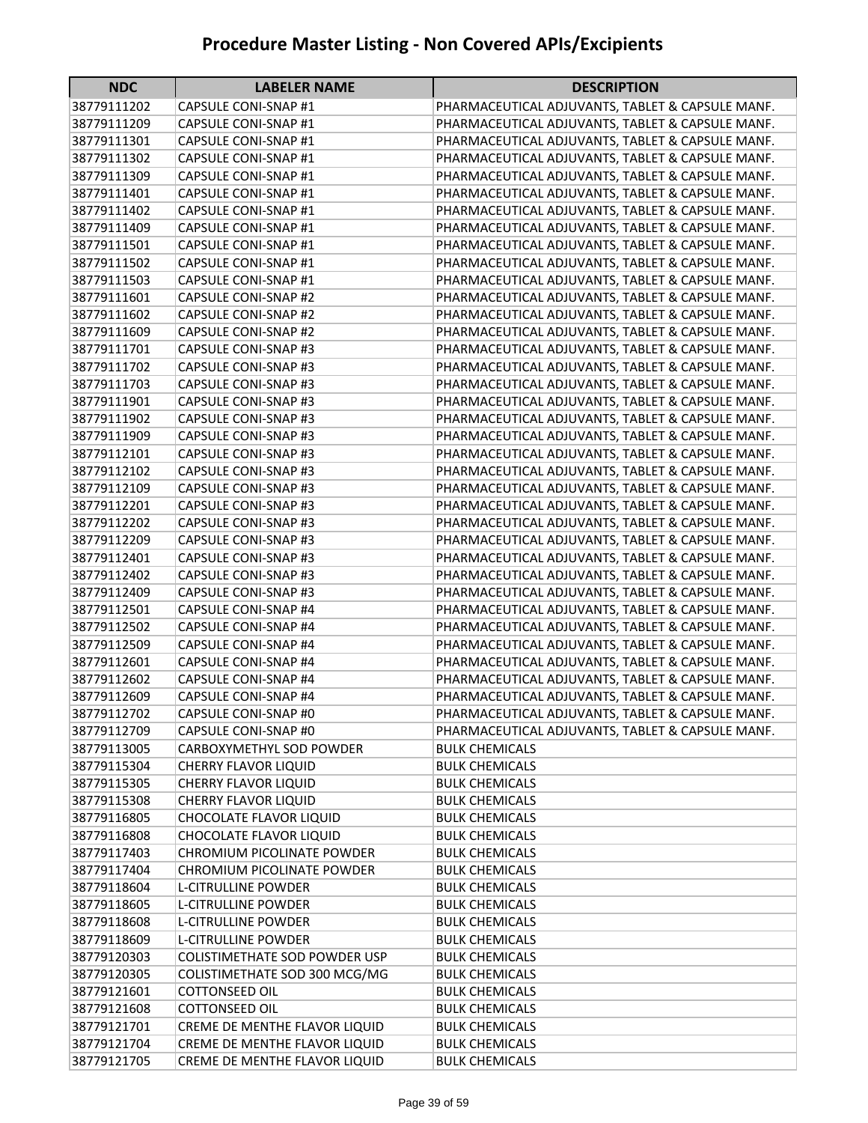| <b>NDC</b>                 | <b>LABELER NAME</b>                             | <b>DESCRIPTION</b>                               |
|----------------------------|-------------------------------------------------|--------------------------------------------------|
| 38779111202                | CAPSULE CONI-SNAP #1                            | PHARMACEUTICAL ADJUVANTS, TABLET & CAPSULE MANF. |
| 38779111209                | CAPSULE CONI-SNAP #1                            | PHARMACEUTICAL ADJUVANTS, TABLET & CAPSULE MANF. |
| 38779111301                | CAPSULE CONI-SNAP #1                            | PHARMACEUTICAL ADJUVANTS, TABLET & CAPSULE MANF. |
| 38779111302                | CAPSULE CONI-SNAP #1                            | PHARMACEUTICAL ADJUVANTS, TABLET & CAPSULE MANF. |
| 38779111309                | CAPSULE CONI-SNAP #1                            | PHARMACEUTICAL ADJUVANTS, TABLET & CAPSULE MANF. |
| 38779111401                | CAPSULE CONI-SNAP #1                            | PHARMACEUTICAL ADJUVANTS, TABLET & CAPSULE MANF. |
| 38779111402                | CAPSULE CONI-SNAP #1                            | PHARMACEUTICAL ADJUVANTS, TABLET & CAPSULE MANF. |
| 38779111409                | CAPSULE CONI-SNAP #1                            | PHARMACEUTICAL ADJUVANTS, TABLET & CAPSULE MANF. |
| 38779111501                | CAPSULE CONI-SNAP #1                            | PHARMACEUTICAL ADJUVANTS, TABLET & CAPSULE MANF. |
| 38779111502                | CAPSULE CONI-SNAP #1                            | PHARMACEUTICAL ADJUVANTS, TABLET & CAPSULE MANF. |
| 38779111503                | CAPSULE CONI-SNAP #1                            | PHARMACEUTICAL ADJUVANTS, TABLET & CAPSULE MANF. |
| 38779111601                | <b>CAPSULE CONI-SNAP #2</b>                     | PHARMACEUTICAL ADJUVANTS, TABLET & CAPSULE MANF. |
| 38779111602                | CAPSULE CONI-SNAP #2                            | PHARMACEUTICAL ADJUVANTS, TABLET & CAPSULE MANF. |
| 38779111609                | <b>CAPSULE CONI-SNAP #2</b>                     | PHARMACEUTICAL ADJUVANTS, TABLET & CAPSULE MANF. |
| 38779111701                | CAPSULE CONI-SNAP #3                            | PHARMACEUTICAL ADJUVANTS, TABLET & CAPSULE MANF. |
| 38779111702                | CAPSULE CONI-SNAP #3                            | PHARMACEUTICAL ADJUVANTS, TABLET & CAPSULE MANF. |
| 38779111703                | <b>CAPSULE CONI-SNAP #3</b>                     | PHARMACEUTICAL ADJUVANTS, TABLET & CAPSULE MANF. |
| 38779111901                | <b>CAPSULE CONI-SNAP #3</b>                     | PHARMACEUTICAL ADJUVANTS, TABLET & CAPSULE MANF. |
| 38779111902                | CAPSULE CONI-SNAP #3                            | PHARMACEUTICAL ADJUVANTS, TABLET & CAPSULE MANF. |
| 38779111909                | <b>CAPSULE CONI-SNAP #3</b>                     | PHARMACEUTICAL ADJUVANTS, TABLET & CAPSULE MANF. |
| 38779112101                | <b>CAPSULE CONI-SNAP #3</b>                     | PHARMACEUTICAL ADJUVANTS, TABLET & CAPSULE MANF. |
| 38779112102                | CAPSULE CONI-SNAP #3                            | PHARMACEUTICAL ADJUVANTS, TABLET & CAPSULE MANF. |
| 38779112109                | <b>CAPSULE CONI-SNAP #3</b>                     | PHARMACEUTICAL ADJUVANTS, TABLET & CAPSULE MANF. |
| 38779112201                | <b>CAPSULE CONI-SNAP #3</b>                     | PHARMACEUTICAL ADJUVANTS, TABLET & CAPSULE MANF. |
| 38779112202                | <b>CAPSULE CONI-SNAP #3</b>                     | PHARMACEUTICAL ADJUVANTS, TABLET & CAPSULE MANF. |
| 38779112209                | <b>CAPSULE CONI-SNAP #3</b>                     | PHARMACEUTICAL ADJUVANTS, TABLET & CAPSULE MANF. |
| 38779112401                | CAPSULE CONI-SNAP #3                            | PHARMACEUTICAL ADJUVANTS, TABLET & CAPSULE MANF. |
| 38779112402                | CAPSULE CONI-SNAP #3                            | PHARMACEUTICAL ADJUVANTS, TABLET & CAPSULE MANF. |
| 38779112409                | <b>CAPSULE CONI-SNAP #3</b>                     | PHARMACEUTICAL ADJUVANTS, TABLET & CAPSULE MANF. |
| 38779112501                | <b>CAPSULE CONI-SNAP #4</b>                     | PHARMACEUTICAL ADJUVANTS, TABLET & CAPSULE MANF. |
| 38779112502                | <b>CAPSULE CONI-SNAP #4</b>                     | PHARMACEUTICAL ADJUVANTS, TABLET & CAPSULE MANF. |
| 38779112509                | <b>CAPSULE CONI-SNAP #4</b>                     | PHARMACEUTICAL ADJUVANTS, TABLET & CAPSULE MANF. |
| 38779112601                | CAPSULE CONI-SNAP #4                            | PHARMACEUTICAL ADJUVANTS, TABLET & CAPSULE MANF. |
| 38779112602                | CAPSULE CONI-SNAP #4                            | PHARMACEUTICAL ADJUVANTS, TABLET & CAPSULE MANF. |
| 38779112609                | <b>CAPSULE CONI-SNAP #4</b>                     | PHARMACEUTICAL ADJUVANTS, TABLET & CAPSULE MANF. |
| 38779112702                | CAPSULE CONI-SNAP #0                            | PHARMACEUTICAL ADJUVANTS, TABLET & CAPSULE MANF. |
| 38779112709                | CAPSULE CONI-SNAP #0                            | PHARMACEUTICAL ADJUVANTS, TABLET & CAPSULE MANF. |
| 38779113005                | CARBOXYMETHYL SOD POWDER                        | <b>BULK CHEMICALS</b>                            |
| 38779115304                | <b>CHERRY FLAVOR LIQUID</b>                     | <b>BULK CHEMICALS</b>                            |
| 38779115305                | <b>CHERRY FLAVOR LIQUID</b>                     | <b>BULK CHEMICALS</b>                            |
| 38779115308<br>38779116805 | CHERRY FLAVOR LIQUID<br>CHOCOLATE FLAVOR LIQUID | <b>BULK CHEMICALS</b><br><b>BULK CHEMICALS</b>   |
|                            | CHOCOLATE FLAVOR LIQUID                         |                                                  |
| 38779116808<br>38779117403 | CHROMIUM PICOLINATE POWDER                      | <b>BULK CHEMICALS</b><br><b>BULK CHEMICALS</b>   |
| 38779117404                | <b>CHROMIUM PICOLINATE POWDER</b>               | <b>BULK CHEMICALS</b>                            |
| 38779118604                | <b>L-CITRULLINE POWDER</b>                      | <b>BULK CHEMICALS</b>                            |
| 38779118605                | L-CITRULLINE POWDER                             | <b>BULK CHEMICALS</b>                            |
| 38779118608                | L-CITRULLINE POWDER                             | <b>BULK CHEMICALS</b>                            |
| 38779118609                | <b>L-CITRULLINE POWDER</b>                      | <b>BULK CHEMICALS</b>                            |
| 38779120303                | COLISTIMETHATE SOD POWDER USP                   | <b>BULK CHEMICALS</b>                            |
| 38779120305                | COLISTIMETHATE SOD 300 MCG/MG                   | <b>BULK CHEMICALS</b>                            |
| 38779121601                | COTTONSEED OIL                                  | <b>BULK CHEMICALS</b>                            |
| 38779121608                | COTTONSEED OIL                                  | <b>BULK CHEMICALS</b>                            |
| 38779121701                | CREME DE MENTHE FLAVOR LIQUID                   | <b>BULK CHEMICALS</b>                            |
| 38779121704                | CREME DE MENTHE FLAVOR LIQUID                   | <b>BULK CHEMICALS</b>                            |
| 38779121705                | CREME DE MENTHE FLAVOR LIQUID                   | <b>BULK CHEMICALS</b>                            |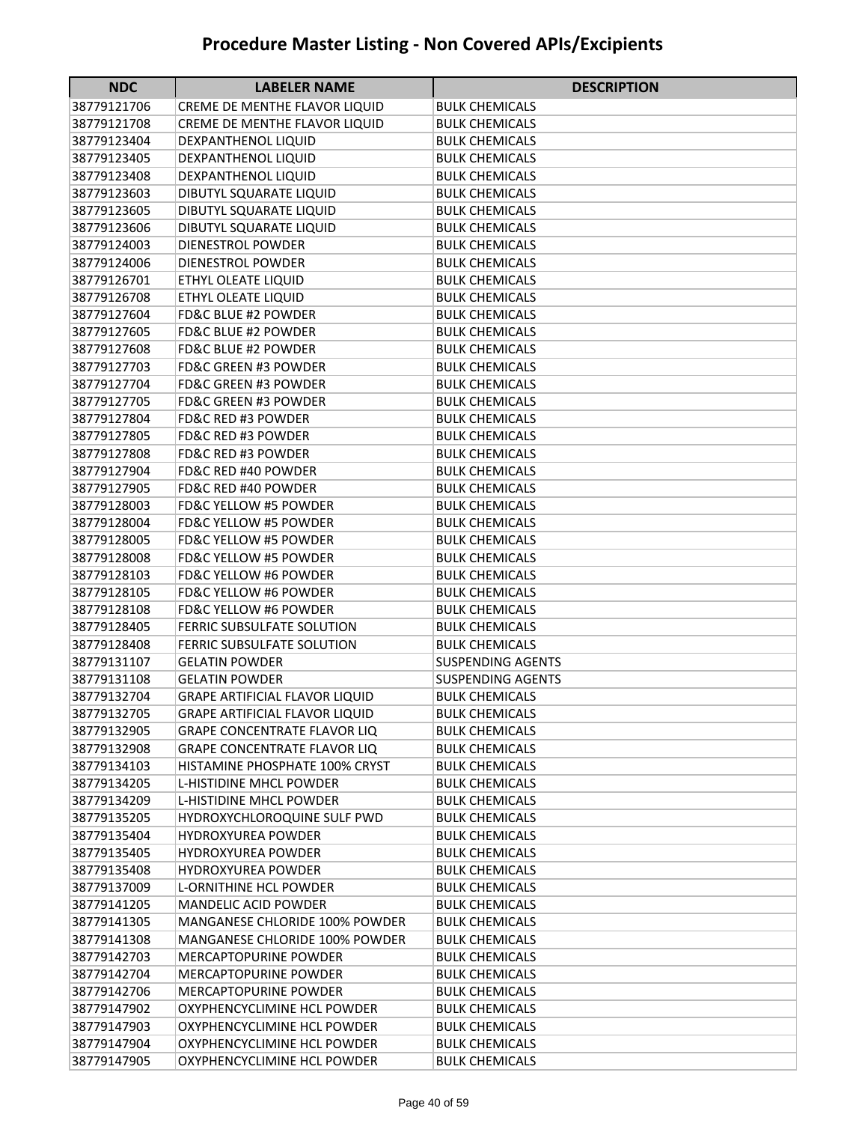| <b>NDC</b>  | <b>LABELER NAME</b>                   | <b>DESCRIPTION</b>       |
|-------------|---------------------------------------|--------------------------|
| 38779121706 | CREME DE MENTHE FLAVOR LIQUID         | <b>BULK CHEMICALS</b>    |
| 38779121708 | CREME DE MENTHE FLAVOR LIQUID         | <b>BULK CHEMICALS</b>    |
| 38779123404 | DEXPANTHENOL LIQUID                   | <b>BULK CHEMICALS</b>    |
| 38779123405 | DEXPANTHENOL LIQUID                   | <b>BULK CHEMICALS</b>    |
| 38779123408 | DEXPANTHENOL LIQUID                   | <b>BULK CHEMICALS</b>    |
| 38779123603 | DIBUTYL SQUARATE LIQUID               | <b>BULK CHEMICALS</b>    |
| 38779123605 | DIBUTYL SQUARATE LIQUID               | <b>BULK CHEMICALS</b>    |
| 38779123606 | DIBUTYL SQUARATE LIQUID               | <b>BULK CHEMICALS</b>    |
| 38779124003 | <b>DIENESTROL POWDER</b>              | <b>BULK CHEMICALS</b>    |
| 38779124006 | DIENESTROL POWDER                     | <b>BULK CHEMICALS</b>    |
| 38779126701 | ETHYL OLEATE LIQUID                   | <b>BULK CHEMICALS</b>    |
| 38779126708 | ETHYL OLEATE LIQUID                   | <b>BULK CHEMICALS</b>    |
| 38779127604 | <b>FD&amp;C BLUE #2 POWDER</b>        | <b>BULK CHEMICALS</b>    |
| 38779127605 | <b>FD&amp;C BLUE #2 POWDER</b>        | <b>BULK CHEMICALS</b>    |
| 38779127608 | <b>FD&amp;C BLUE #2 POWDER</b>        | <b>BULK CHEMICALS</b>    |
| 38779127703 | <b>FD&amp;C GREEN #3 POWDER</b>       | <b>BULK CHEMICALS</b>    |
| 38779127704 | <b>FD&amp;C GREEN #3 POWDER</b>       | <b>BULK CHEMICALS</b>    |
| 38779127705 | <b>FD&amp;C GREEN #3 POWDER</b>       | <b>BULK CHEMICALS</b>    |
| 38779127804 | <b>FD&amp;C RED #3 POWDER</b>         | <b>BULK CHEMICALS</b>    |
| 38779127805 | <b>FD&amp;C RED #3 POWDER</b>         | <b>BULK CHEMICALS</b>    |
| 38779127808 | <b>FD&amp;C RED #3 POWDER</b>         | <b>BULK CHEMICALS</b>    |
| 38779127904 | <b>FD&amp;C RED #40 POWDER</b>        | <b>BULK CHEMICALS</b>    |
| 38779127905 | <b>FD&amp;C RED #40 POWDER</b>        | <b>BULK CHEMICALS</b>    |
| 38779128003 | <b>FD&amp;C YELLOW #5 POWDER</b>      | <b>BULK CHEMICALS</b>    |
| 38779128004 | <b>FD&amp;C YELLOW #5 POWDER</b>      | <b>BULK CHEMICALS</b>    |
| 38779128005 | FD&C YELLOW #5 POWDER                 | BULK CHEMICALS           |
| 38779128008 | <b>FD&amp;C YELLOW #5 POWDER</b>      | <b>BULK CHEMICALS</b>    |
| 38779128103 | <b>FD&amp;C YELLOW #6 POWDER</b>      | <b>BULK CHEMICALS</b>    |
| 38779128105 | <b>FD&amp;C YELLOW #6 POWDER</b>      | <b>BULK CHEMICALS</b>    |
| 38779128108 | <b>FD&amp;C YELLOW #6 POWDER</b>      | <b>BULK CHEMICALS</b>    |
| 38779128405 | <b>FERRIC SUBSULFATE SOLUTION</b>     | <b>BULK CHEMICALS</b>    |
| 38779128408 | <b>FERRIC SUBSULFATE SOLUTION</b>     | <b>BULK CHEMICALS</b>    |
| 38779131107 | <b>GELATIN POWDER</b>                 | <b>SUSPENDING AGENTS</b> |
| 38779131108 | <b>GELATIN POWDER</b>                 | <b>SUSPENDING AGENTS</b> |
| 38779132704 | <b>GRAPE ARTIFICIAL FLAVOR LIQUID</b> | <b>BULK CHEMICALS</b>    |
| 38779132705 | <b>GRAPE ARTIFICIAL FLAVOR LIQUID</b> | <b>BULK CHEMICALS</b>    |
| 38779132905 | <b>GRAPE CONCENTRATE FLAVOR LIQ</b>   | <b>BULK CHEMICALS</b>    |
| 38779132908 | <b>GRAPE CONCENTRATE FLAVOR LIQ</b>   | <b>BULK CHEMICALS</b>    |
| 38779134103 | HISTAMINE PHOSPHATE 100% CRYST        | <b>BULK CHEMICALS</b>    |
| 38779134205 | <b>L-HISTIDINE MHCL POWDER</b>        | <b>BULK CHEMICALS</b>    |
| 38779134209 | L-HISTIDINE MHCL POWDER               | <b>BULK CHEMICALS</b>    |
| 38779135205 | HYDROXYCHLOROQUINE SULF PWD           | <b>BULK CHEMICALS</b>    |
| 38779135404 | <b>HYDROXYUREA POWDER</b>             | <b>BULK CHEMICALS</b>    |
| 38779135405 | <b>HYDROXYUREA POWDER</b>             | <b>BULK CHEMICALS</b>    |
| 38779135408 | <b>HYDROXYUREA POWDER</b>             | <b>BULK CHEMICALS</b>    |
| 38779137009 | <b>L-ORNITHINE HCL POWDER</b>         | <b>BULK CHEMICALS</b>    |
| 38779141205 | <b>MANDELIC ACID POWDER</b>           | <b>BULK CHEMICALS</b>    |
| 38779141305 | MANGANESE CHLORIDE 100% POWDER        | <b>BULK CHEMICALS</b>    |
| 38779141308 | MANGANESE CHLORIDE 100% POWDER        | <b>BULK CHEMICALS</b>    |
| 38779142703 | <b>MERCAPTOPURINE POWDER</b>          | <b>BULK CHEMICALS</b>    |
| 38779142704 | <b>MERCAPTOPURINE POWDER</b>          | <b>BULK CHEMICALS</b>    |
| 38779142706 | <b>MERCAPTOPURINE POWDER</b>          | <b>BULK CHEMICALS</b>    |
| 38779147902 | OXYPHENCYCLIMINE HCL POWDER           | <b>BULK CHEMICALS</b>    |
| 38779147903 | OXYPHENCYCLIMINE HCL POWDER           | <b>BULK CHEMICALS</b>    |
| 38779147904 | OXYPHENCYCLIMINE HCL POWDER           | <b>BULK CHEMICALS</b>    |
| 38779147905 | OXYPHENCYCLIMINE HCL POWDER           | <b>BULK CHEMICALS</b>    |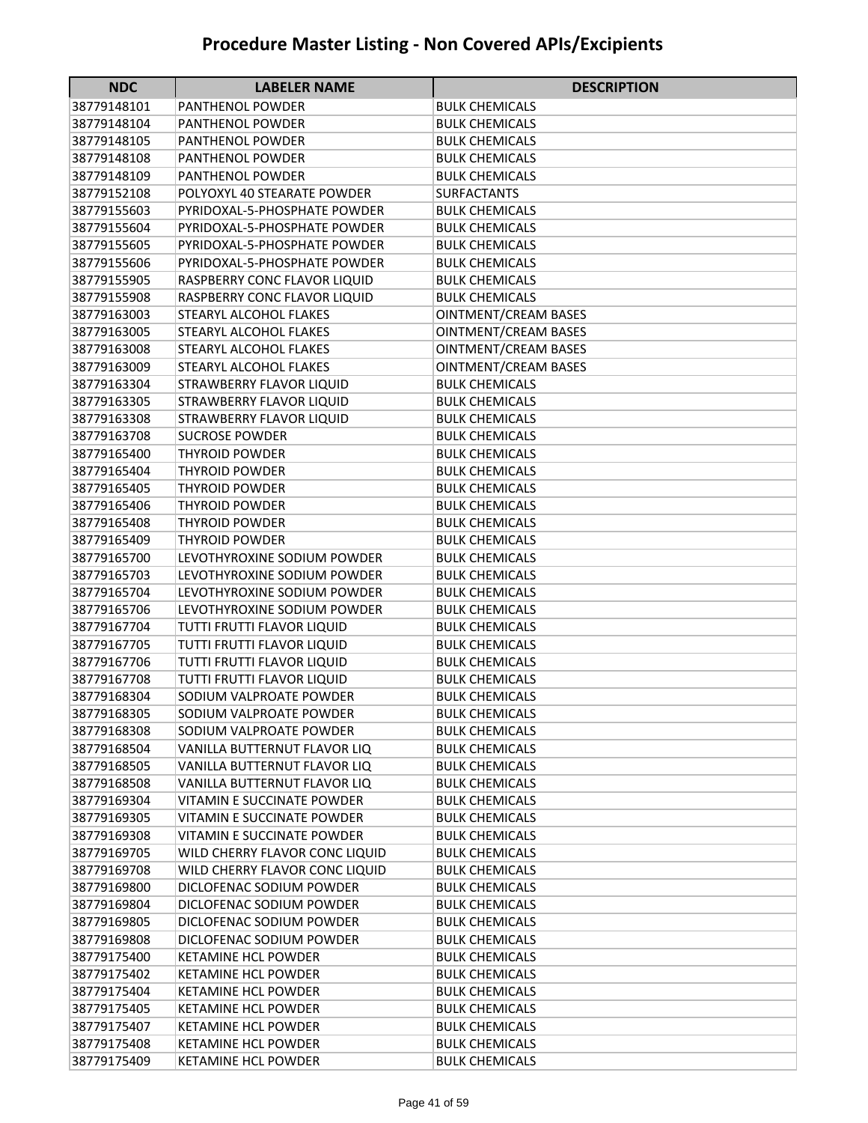| <b>NDC</b>                 | <b>LABELER NAME</b>                                               | <b>DESCRIPTION</b>                             |
|----------------------------|-------------------------------------------------------------------|------------------------------------------------|
| 38779148101                | PANTHENOL POWDER                                                  | <b>BULK CHEMICALS</b>                          |
| 38779148104                | <b>PANTHENOL POWDER</b>                                           | <b>BULK CHEMICALS</b>                          |
| 38779148105                | <b>PANTHENOL POWDER</b>                                           | <b>BULK CHEMICALS</b>                          |
| 38779148108                | <b>PANTHENOL POWDER</b>                                           | <b>BULK CHEMICALS</b>                          |
| 38779148109                | <b>PANTHENOL POWDER</b>                                           | <b>BULK CHEMICALS</b>                          |
| 38779152108                | POLYOXYL 40 STEARATE POWDER                                       | <b>SURFACTANTS</b>                             |
| 38779155603                | PYRIDOXAL-5-PHOSPHATE POWDER                                      | <b>BULK CHEMICALS</b>                          |
| 38779155604                | PYRIDOXAL-5-PHOSPHATE POWDER                                      | <b>BULK CHEMICALS</b>                          |
| 38779155605                | PYRIDOXAL-5-PHOSPHATE POWDER                                      | <b>BULK CHEMICALS</b>                          |
| 38779155606                | PYRIDOXAL-5-PHOSPHATE POWDER                                      | <b>BULK CHEMICALS</b>                          |
| 38779155905                | RASPBERRY CONC FLAVOR LIQUID                                      | <b>BULK CHEMICALS</b>                          |
| 38779155908                | RASPBERRY CONC FLAVOR LIQUID                                      | <b>BULK CHEMICALS</b>                          |
| 38779163003                | <b>STEARYL ALCOHOL FLAKES</b>                                     | <b>OINTMENT/CREAM BASES</b>                    |
| 38779163005                | STEARYL ALCOHOL FLAKES                                            | <b>OINTMENT/CREAM BASES</b>                    |
| 38779163008                | <b>STEARYL ALCOHOL FLAKES</b>                                     | <b>OINTMENT/CREAM BASES</b>                    |
| 38779163009                | <b>STEARYL ALCOHOL FLAKES</b>                                     | <b>OINTMENT/CREAM BASES</b>                    |
| 38779163304                | STRAWBERRY FLAVOR LIQUID                                          | <b>BULK CHEMICALS</b>                          |
| 38779163305                | STRAWBERRY FLAVOR LIQUID                                          | <b>BULK CHEMICALS</b>                          |
| 38779163308                | STRAWBERRY FLAVOR LIQUID                                          | <b>BULK CHEMICALS</b>                          |
| 38779163708                | <b>SUCROSE POWDER</b>                                             | <b>BULK CHEMICALS</b>                          |
| 38779165400                | <b>THYROID POWDER</b>                                             | <b>BULK CHEMICALS</b>                          |
| 38779165404                | <b>THYROID POWDER</b>                                             | <b>BULK CHEMICALS</b>                          |
| 38779165405                | <b>THYROID POWDER</b>                                             | <b>BULK CHEMICALS</b>                          |
| 38779165406                | <b>THYROID POWDER</b>                                             | <b>BULK CHEMICALS</b>                          |
| 38779165408                | <b>THYROID POWDER</b>                                             | <b>BULK CHEMICALS</b>                          |
| 38779165409                | <b>THYROID POWDER</b>                                             | <b>BULK CHEMICALS</b>                          |
| 38779165700                | LEVOTHYROXINE SODIUM POWDER                                       | <b>BULK CHEMICALS</b>                          |
| 38779165703                | LEVOTHYROXINE SODIUM POWDER                                       | <b>BULK CHEMICALS</b>                          |
| 38779165704                | LEVOTHYROXINE SODIUM POWDER                                       | <b>BULK CHEMICALS</b>                          |
| 38779165706                | LEVOTHYROXINE SODIUM POWDER                                       | <b>BULK CHEMICALS</b>                          |
| 38779167704                | TUTTI FRUTTI FLAVOR LIQUID                                        | <b>BULK CHEMICALS</b>                          |
| 38779167705                | TUTTI FRUTTI FLAVOR LIQUID                                        | <b>BULK CHEMICALS</b>                          |
| 38779167706                | TUTTI FRUTTI FLAVOR LIQUID                                        | <b>BULK CHEMICALS</b>                          |
| 38779167708                | TUTTI FRUTTI FLAVOR LIQUID                                        | <b>BULK CHEMICALS</b>                          |
| 38779168304                | SODIUM VALPROATE POWDER                                           | <b>BULK CHEMICALS</b>                          |
| 38779168305                | SODIUM VALPROATE POWDER                                           | <b>BULK CHEMICALS</b>                          |
| 38779168308                | SODIUM VALPROATE POWDER                                           | <b>BULK CHEMICALS</b>                          |
| 38779168504                | VANILLA BUTTERNUT FLAVOR LIQ                                      | <b>BULK CHEMICALS</b>                          |
| 38779168505                | VANILLA BUTTERNUT FLAVOR LIQ                                      | <b>BULK CHEMICALS</b>                          |
| 38779168508                | VANILLA BUTTERNUT FLAVOR LIQ<br><b>VITAMIN E SUCCINATE POWDER</b> | <b>BULK CHEMICALS</b>                          |
| 38779169304<br>38779169305 | VITAMIN E SUCCINATE POWDER                                        | <b>BULK CHEMICALS</b><br><b>BULK CHEMICALS</b> |
| 38779169308                | VITAMIN E SUCCINATE POWDER                                        | <b>BULK CHEMICALS</b>                          |
| 38779169705                | WILD CHERRY FLAVOR CONC LIQUID                                    | <b>BULK CHEMICALS</b>                          |
| 38779169708                | WILD CHERRY FLAVOR CONC LIQUID                                    | <b>BULK CHEMICALS</b>                          |
| 38779169800                | DICLOFENAC SODIUM POWDER                                          | <b>BULK CHEMICALS</b>                          |
| 38779169804                | DICLOFENAC SODIUM POWDER                                          | <b>BULK CHEMICALS</b>                          |
| 38779169805                | DICLOFENAC SODIUM POWDER                                          | <b>BULK CHEMICALS</b>                          |
| 38779169808                | DICLOFENAC SODIUM POWDER                                          | <b>BULK CHEMICALS</b>                          |
| 38779175400                | <b>KETAMINE HCL POWDER</b>                                        | <b>BULK CHEMICALS</b>                          |
| 38779175402                | <b>KETAMINE HCL POWDER</b>                                        | <b>BULK CHEMICALS</b>                          |
| 38779175404                | <b>KETAMINE HCL POWDER</b>                                        | <b>BULK CHEMICALS</b>                          |
| 38779175405                | <b>KETAMINE HCL POWDER</b>                                        | <b>BULK CHEMICALS</b>                          |
| 38779175407                | KETAMINE HCL POWDER                                               | <b>BULK CHEMICALS</b>                          |
| 38779175408                | <b>KETAMINE HCL POWDER</b>                                        | <b>BULK CHEMICALS</b>                          |
| 38779175409                | KETAMINE HCL POWDER                                               | <b>BULK CHEMICALS</b>                          |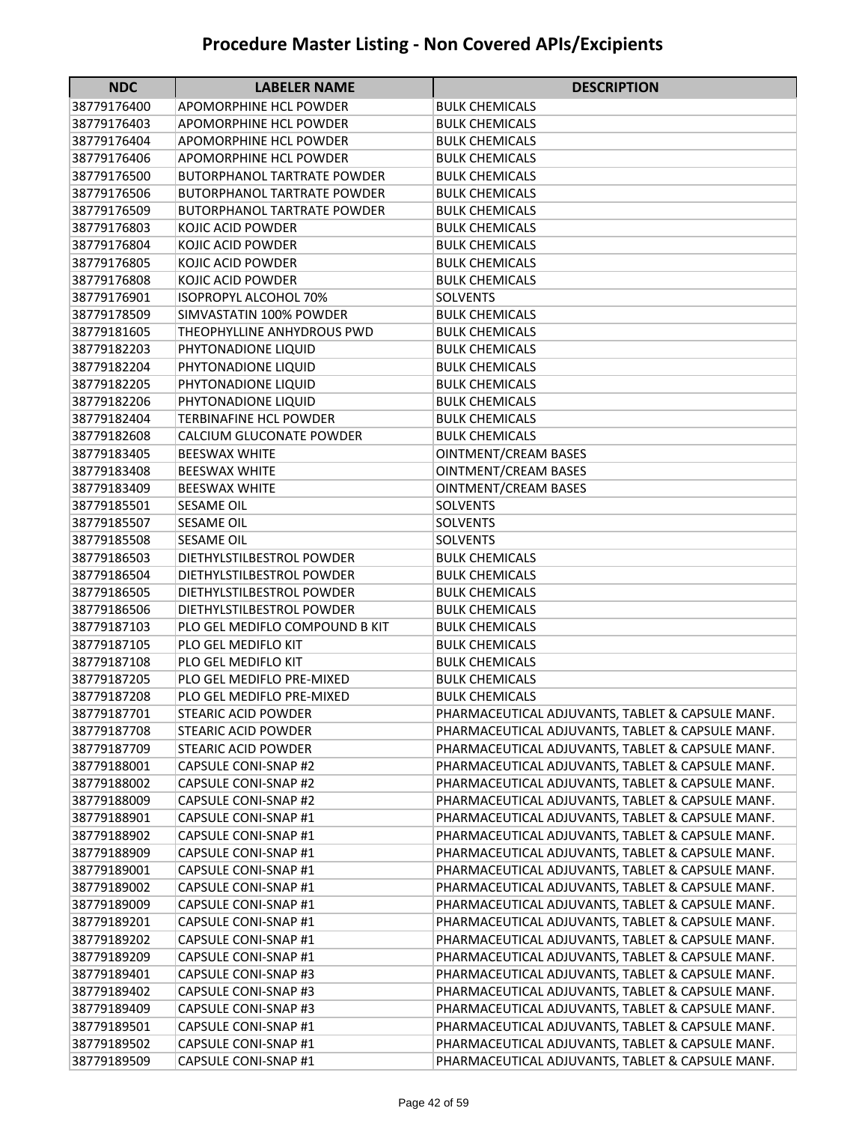| 38779176400<br>APOMORPHINE HCL POWDER<br><b>BULK CHEMICALS</b><br>38779176403<br>APOMORPHINE HCL POWDER<br>BULK CHEMICALS<br>38779176404<br>APOMORPHINE HCL POWDER<br>BULK CHEMICALS<br>38779176406<br>APOMORPHINE HCL POWDER<br><b>BULK CHEMICALS</b><br>38779176500<br><b>BUTORPHANOL TARTRATE POWDER</b><br><b>BULK CHEMICALS</b><br>38779176506<br><b>BUTORPHANOL TARTRATE POWDER</b><br><b>BULK CHEMICALS</b><br>38779176509<br><b>BUTORPHANOL TARTRATE POWDER</b><br><b>BULK CHEMICALS</b><br>38779176803<br>KOJIC ACID POWDER<br><b>BULK CHEMICALS</b><br>38779176804<br>KOJIC ACID POWDER<br><b>BULK CHEMICALS</b><br>38779176805<br>KOJIC ACID POWDER<br><b>BULK CHEMICALS</b><br>38779176808<br>KOJIC ACID POWDER<br><b>BULK CHEMICALS</b><br>38779176901<br><b>ISOPROPYL ALCOHOL 70%</b><br><b>SOLVENTS</b><br>SIMVASTATIN 100% POWDER<br>38779178509<br><b>BULK CHEMICALS</b><br>38779181605<br>THEOPHYLLINE ANHYDROUS PWD<br><b>BULK CHEMICALS</b><br>38779182203<br>PHYTONADIONE LIQUID<br><b>BULK CHEMICALS</b><br>38779182204<br>PHYTONADIONE LIQUID<br><b>BULK CHEMICALS</b><br>38779182205<br>PHYTONADIONE LIQUID<br><b>BULK CHEMICALS</b><br>38779182206<br>PHYTONADIONE LIQUID<br><b>BULK CHEMICALS</b><br>38779182404<br><b>TERBINAFINE HCL POWDER</b><br><b>BULK CHEMICALS</b><br>38779182608<br>CALCIUM GLUCONATE POWDER<br><b>BULK CHEMICALS</b><br><b>OINTMENT/CREAM BASES</b><br>38779183405<br><b>BEESWAX WHITE</b><br><b>BEESWAX WHITE</b><br><b>OINTMENT/CREAM BASES</b><br>38779183408<br>38779183409<br><b>BEESWAX WHITE</b><br>OINTMENT/CREAM BASES<br>38779185501<br><b>SESAME OIL</b><br><b>SOLVENTS</b><br>38779185507<br><b>SESAME OIL</b><br><b>SOLVENTS</b><br>38779185508<br><b>SESAME OIL</b><br><b>SOLVENTS</b><br>38779186503<br>DIETHYLSTILBESTROL POWDER<br><b>BULK CHEMICALS</b><br>38779186504<br>DIETHYLSTILBESTROL POWDER<br><b>BULK CHEMICALS</b><br>38779186505<br>DIETHYLSTILBESTROL POWDER<br><b>BULK CHEMICALS</b><br>38779186506<br>DIETHYLSTILBESTROL POWDER<br><b>BULK CHEMICALS</b><br>38779187103<br>PLO GEL MEDIFLO COMPOUND B KIT<br><b>BULK CHEMICALS</b><br>38779187105<br>PLO GEL MEDIFLO KIT<br><b>BULK CHEMICALS</b><br>38779187108<br>PLO GEL MEDIFLO KIT<br><b>BULK CHEMICALS</b><br>38779187205<br>PLO GEL MEDIFLO PRE-MIXED<br><b>BULK CHEMICALS</b><br>38779187208<br>PLO GEL MEDIFLO PRE-MIXED<br><b>BULK CHEMICALS</b><br><b>STEARIC ACID POWDER</b><br>PHARMACEUTICAL ADJUVANTS, TABLET & CAPSULE MANF.<br>38779187701<br>PHARMACEUTICAL ADJUVANTS, TABLET & CAPSULE MANF.<br>38779187708<br>STEARIC ACID POWDER<br><b>STEARIC ACID POWDER</b><br>PHARMACEUTICAL ADJUVANTS, TABLET & CAPSULE MANF.<br>38779187709<br>PHARMACEUTICAL ADJUVANTS, TABLET & CAPSULE MANF.<br>38779188001<br><b>CAPSULE CONI-SNAP #2</b><br>PHARMACEUTICAL ADJUVANTS, TABLET & CAPSULE MANF.<br>38779188002<br><b>CAPSULE CONI-SNAP #2</b><br>PHARMACEUTICAL ADJUVANTS, TABLET & CAPSULE MANF.<br>38779188009<br><b>CAPSULE CONI-SNAP #2</b><br>PHARMACEUTICAL ADJUVANTS, TABLET & CAPSULE MANF.<br>38779188901<br>CAPSULE CONI-SNAP #1<br>PHARMACEUTICAL ADJUVANTS, TABLET & CAPSULE MANF.<br>38779188902<br>CAPSULE CONI-SNAP #1<br>38779188909<br>CAPSULE CONI-SNAP #1<br>PHARMACEUTICAL ADJUVANTS, TABLET & CAPSULE MANF.<br>PHARMACEUTICAL ADJUVANTS, TABLET & CAPSULE MANF.<br>38779189001<br>CAPSULE CONI-SNAP #1<br>38779189002<br>PHARMACEUTICAL ADJUVANTS, TABLET & CAPSULE MANF.<br>CAPSULE CONI-SNAP #1<br>38779189009<br>CAPSULE CONI-SNAP #1<br>PHARMACEUTICAL ADJUVANTS, TABLET & CAPSULE MANF.<br>38779189201<br>CAPSULE CONI-SNAP #1<br>PHARMACEUTICAL ADJUVANTS, TABLET & CAPSULE MANF.<br>38779189202<br>PHARMACEUTICAL ADJUVANTS, TABLET & CAPSULE MANF.<br>CAPSULE CONI-SNAP #1<br>38779189209<br>CAPSULE CONI-SNAP #1<br>PHARMACEUTICAL ADJUVANTS, TABLET & CAPSULE MANF.<br>CAPSULE CONI-SNAP #3<br>38779189401<br>PHARMACEUTICAL ADJUVANTS, TABLET & CAPSULE MANF.<br>38779189402<br>CAPSULE CONI-SNAP #3<br>PHARMACEUTICAL ADJUVANTS, TABLET & CAPSULE MANF.<br>38779189409<br>CAPSULE CONI-SNAP #3<br>PHARMACEUTICAL ADJUVANTS, TABLET & CAPSULE MANF.<br>38779189501<br>CAPSULE CONI-SNAP #1<br>PHARMACEUTICAL ADJUVANTS, TABLET & CAPSULE MANF.<br>38779189502<br>CAPSULE CONI-SNAP #1<br>PHARMACEUTICAL ADJUVANTS, TABLET & CAPSULE MANF. | <b>NDC</b> | <b>LABELER NAME</b> | <b>DESCRIPTION</b> |
|----------------------------------------------------------------------------------------------------------------------------------------------------------------------------------------------------------------------------------------------------------------------------------------------------------------------------------------------------------------------------------------------------------------------------------------------------------------------------------------------------------------------------------------------------------------------------------------------------------------------------------------------------------------------------------------------------------------------------------------------------------------------------------------------------------------------------------------------------------------------------------------------------------------------------------------------------------------------------------------------------------------------------------------------------------------------------------------------------------------------------------------------------------------------------------------------------------------------------------------------------------------------------------------------------------------------------------------------------------------------------------------------------------------------------------------------------------------------------------------------------------------------------------------------------------------------------------------------------------------------------------------------------------------------------------------------------------------------------------------------------------------------------------------------------------------------------------------------------------------------------------------------------------------------------------------------------------------------------------------------------------------------------------------------------------------------------------------------------------------------------------------------------------------------------------------------------------------------------------------------------------------------------------------------------------------------------------------------------------------------------------------------------------------------------------------------------------------------------------------------------------------------------------------------------------------------------------------------------------------------------------------------------------------------------------------------------------------------------------------------------------------------------------------------------------------------------------------------------------------------------------------------------------------------------------------------------------------------------------------------------------------------------------------------------------------------------------------------------------------------------------------------------------------------------------------------------------------------------------------------------------------------------------------------------------------------------------------------------------------------------------------------------------------------------------------------------------------------------------------------------------------------------------------------------------------------------------------------------------------------------------------------------------------------------------------------------------------------------------------------------------------------------------------------------------------------------------------------------------------------------------------------------------------------------------------------------------------------------------------------------------------------------------------------------------------------------------------------------------------------------------------------------------------------------------------------------------------------------------------------------------------------------------------------------------------------------|------------|---------------------|--------------------|
|                                                                                                                                                                                                                                                                                                                                                                                                                                                                                                                                                                                                                                                                                                                                                                                                                                                                                                                                                                                                                                                                                                                                                                                                                                                                                                                                                                                                                                                                                                                                                                                                                                                                                                                                                                                                                                                                                                                                                                                                                                                                                                                                                                                                                                                                                                                                                                                                                                                                                                                                                                                                                                                                                                                                                                                                                                                                                                                                                                                                                                                                                                                                                                                                                                                                                                                                                                                                                                                                                                                                                                                                                                                                                                                                                                                                                                                                                                                                                                                                                                                                                                                                                                                                                                                                                                                            |            |                     |                    |
|                                                                                                                                                                                                                                                                                                                                                                                                                                                                                                                                                                                                                                                                                                                                                                                                                                                                                                                                                                                                                                                                                                                                                                                                                                                                                                                                                                                                                                                                                                                                                                                                                                                                                                                                                                                                                                                                                                                                                                                                                                                                                                                                                                                                                                                                                                                                                                                                                                                                                                                                                                                                                                                                                                                                                                                                                                                                                                                                                                                                                                                                                                                                                                                                                                                                                                                                                                                                                                                                                                                                                                                                                                                                                                                                                                                                                                                                                                                                                                                                                                                                                                                                                                                                                                                                                                                            |            |                     |                    |
|                                                                                                                                                                                                                                                                                                                                                                                                                                                                                                                                                                                                                                                                                                                                                                                                                                                                                                                                                                                                                                                                                                                                                                                                                                                                                                                                                                                                                                                                                                                                                                                                                                                                                                                                                                                                                                                                                                                                                                                                                                                                                                                                                                                                                                                                                                                                                                                                                                                                                                                                                                                                                                                                                                                                                                                                                                                                                                                                                                                                                                                                                                                                                                                                                                                                                                                                                                                                                                                                                                                                                                                                                                                                                                                                                                                                                                                                                                                                                                                                                                                                                                                                                                                                                                                                                                                            |            |                     |                    |
|                                                                                                                                                                                                                                                                                                                                                                                                                                                                                                                                                                                                                                                                                                                                                                                                                                                                                                                                                                                                                                                                                                                                                                                                                                                                                                                                                                                                                                                                                                                                                                                                                                                                                                                                                                                                                                                                                                                                                                                                                                                                                                                                                                                                                                                                                                                                                                                                                                                                                                                                                                                                                                                                                                                                                                                                                                                                                                                                                                                                                                                                                                                                                                                                                                                                                                                                                                                                                                                                                                                                                                                                                                                                                                                                                                                                                                                                                                                                                                                                                                                                                                                                                                                                                                                                                                                            |            |                     |                    |
|                                                                                                                                                                                                                                                                                                                                                                                                                                                                                                                                                                                                                                                                                                                                                                                                                                                                                                                                                                                                                                                                                                                                                                                                                                                                                                                                                                                                                                                                                                                                                                                                                                                                                                                                                                                                                                                                                                                                                                                                                                                                                                                                                                                                                                                                                                                                                                                                                                                                                                                                                                                                                                                                                                                                                                                                                                                                                                                                                                                                                                                                                                                                                                                                                                                                                                                                                                                                                                                                                                                                                                                                                                                                                                                                                                                                                                                                                                                                                                                                                                                                                                                                                                                                                                                                                                                            |            |                     |                    |
|                                                                                                                                                                                                                                                                                                                                                                                                                                                                                                                                                                                                                                                                                                                                                                                                                                                                                                                                                                                                                                                                                                                                                                                                                                                                                                                                                                                                                                                                                                                                                                                                                                                                                                                                                                                                                                                                                                                                                                                                                                                                                                                                                                                                                                                                                                                                                                                                                                                                                                                                                                                                                                                                                                                                                                                                                                                                                                                                                                                                                                                                                                                                                                                                                                                                                                                                                                                                                                                                                                                                                                                                                                                                                                                                                                                                                                                                                                                                                                                                                                                                                                                                                                                                                                                                                                                            |            |                     |                    |
|                                                                                                                                                                                                                                                                                                                                                                                                                                                                                                                                                                                                                                                                                                                                                                                                                                                                                                                                                                                                                                                                                                                                                                                                                                                                                                                                                                                                                                                                                                                                                                                                                                                                                                                                                                                                                                                                                                                                                                                                                                                                                                                                                                                                                                                                                                                                                                                                                                                                                                                                                                                                                                                                                                                                                                                                                                                                                                                                                                                                                                                                                                                                                                                                                                                                                                                                                                                                                                                                                                                                                                                                                                                                                                                                                                                                                                                                                                                                                                                                                                                                                                                                                                                                                                                                                                                            |            |                     |                    |
|                                                                                                                                                                                                                                                                                                                                                                                                                                                                                                                                                                                                                                                                                                                                                                                                                                                                                                                                                                                                                                                                                                                                                                                                                                                                                                                                                                                                                                                                                                                                                                                                                                                                                                                                                                                                                                                                                                                                                                                                                                                                                                                                                                                                                                                                                                                                                                                                                                                                                                                                                                                                                                                                                                                                                                                                                                                                                                                                                                                                                                                                                                                                                                                                                                                                                                                                                                                                                                                                                                                                                                                                                                                                                                                                                                                                                                                                                                                                                                                                                                                                                                                                                                                                                                                                                                                            |            |                     |                    |
|                                                                                                                                                                                                                                                                                                                                                                                                                                                                                                                                                                                                                                                                                                                                                                                                                                                                                                                                                                                                                                                                                                                                                                                                                                                                                                                                                                                                                                                                                                                                                                                                                                                                                                                                                                                                                                                                                                                                                                                                                                                                                                                                                                                                                                                                                                                                                                                                                                                                                                                                                                                                                                                                                                                                                                                                                                                                                                                                                                                                                                                                                                                                                                                                                                                                                                                                                                                                                                                                                                                                                                                                                                                                                                                                                                                                                                                                                                                                                                                                                                                                                                                                                                                                                                                                                                                            |            |                     |                    |
|                                                                                                                                                                                                                                                                                                                                                                                                                                                                                                                                                                                                                                                                                                                                                                                                                                                                                                                                                                                                                                                                                                                                                                                                                                                                                                                                                                                                                                                                                                                                                                                                                                                                                                                                                                                                                                                                                                                                                                                                                                                                                                                                                                                                                                                                                                                                                                                                                                                                                                                                                                                                                                                                                                                                                                                                                                                                                                                                                                                                                                                                                                                                                                                                                                                                                                                                                                                                                                                                                                                                                                                                                                                                                                                                                                                                                                                                                                                                                                                                                                                                                                                                                                                                                                                                                                                            |            |                     |                    |
|                                                                                                                                                                                                                                                                                                                                                                                                                                                                                                                                                                                                                                                                                                                                                                                                                                                                                                                                                                                                                                                                                                                                                                                                                                                                                                                                                                                                                                                                                                                                                                                                                                                                                                                                                                                                                                                                                                                                                                                                                                                                                                                                                                                                                                                                                                                                                                                                                                                                                                                                                                                                                                                                                                                                                                                                                                                                                                                                                                                                                                                                                                                                                                                                                                                                                                                                                                                                                                                                                                                                                                                                                                                                                                                                                                                                                                                                                                                                                                                                                                                                                                                                                                                                                                                                                                                            |            |                     |                    |
|                                                                                                                                                                                                                                                                                                                                                                                                                                                                                                                                                                                                                                                                                                                                                                                                                                                                                                                                                                                                                                                                                                                                                                                                                                                                                                                                                                                                                                                                                                                                                                                                                                                                                                                                                                                                                                                                                                                                                                                                                                                                                                                                                                                                                                                                                                                                                                                                                                                                                                                                                                                                                                                                                                                                                                                                                                                                                                                                                                                                                                                                                                                                                                                                                                                                                                                                                                                                                                                                                                                                                                                                                                                                                                                                                                                                                                                                                                                                                                                                                                                                                                                                                                                                                                                                                                                            |            |                     |                    |
|                                                                                                                                                                                                                                                                                                                                                                                                                                                                                                                                                                                                                                                                                                                                                                                                                                                                                                                                                                                                                                                                                                                                                                                                                                                                                                                                                                                                                                                                                                                                                                                                                                                                                                                                                                                                                                                                                                                                                                                                                                                                                                                                                                                                                                                                                                                                                                                                                                                                                                                                                                                                                                                                                                                                                                                                                                                                                                                                                                                                                                                                                                                                                                                                                                                                                                                                                                                                                                                                                                                                                                                                                                                                                                                                                                                                                                                                                                                                                                                                                                                                                                                                                                                                                                                                                                                            |            |                     |                    |
|                                                                                                                                                                                                                                                                                                                                                                                                                                                                                                                                                                                                                                                                                                                                                                                                                                                                                                                                                                                                                                                                                                                                                                                                                                                                                                                                                                                                                                                                                                                                                                                                                                                                                                                                                                                                                                                                                                                                                                                                                                                                                                                                                                                                                                                                                                                                                                                                                                                                                                                                                                                                                                                                                                                                                                                                                                                                                                                                                                                                                                                                                                                                                                                                                                                                                                                                                                                                                                                                                                                                                                                                                                                                                                                                                                                                                                                                                                                                                                                                                                                                                                                                                                                                                                                                                                                            |            |                     |                    |
|                                                                                                                                                                                                                                                                                                                                                                                                                                                                                                                                                                                                                                                                                                                                                                                                                                                                                                                                                                                                                                                                                                                                                                                                                                                                                                                                                                                                                                                                                                                                                                                                                                                                                                                                                                                                                                                                                                                                                                                                                                                                                                                                                                                                                                                                                                                                                                                                                                                                                                                                                                                                                                                                                                                                                                                                                                                                                                                                                                                                                                                                                                                                                                                                                                                                                                                                                                                                                                                                                                                                                                                                                                                                                                                                                                                                                                                                                                                                                                                                                                                                                                                                                                                                                                                                                                                            |            |                     |                    |
|                                                                                                                                                                                                                                                                                                                                                                                                                                                                                                                                                                                                                                                                                                                                                                                                                                                                                                                                                                                                                                                                                                                                                                                                                                                                                                                                                                                                                                                                                                                                                                                                                                                                                                                                                                                                                                                                                                                                                                                                                                                                                                                                                                                                                                                                                                                                                                                                                                                                                                                                                                                                                                                                                                                                                                                                                                                                                                                                                                                                                                                                                                                                                                                                                                                                                                                                                                                                                                                                                                                                                                                                                                                                                                                                                                                                                                                                                                                                                                                                                                                                                                                                                                                                                                                                                                                            |            |                     |                    |
|                                                                                                                                                                                                                                                                                                                                                                                                                                                                                                                                                                                                                                                                                                                                                                                                                                                                                                                                                                                                                                                                                                                                                                                                                                                                                                                                                                                                                                                                                                                                                                                                                                                                                                                                                                                                                                                                                                                                                                                                                                                                                                                                                                                                                                                                                                                                                                                                                                                                                                                                                                                                                                                                                                                                                                                                                                                                                                                                                                                                                                                                                                                                                                                                                                                                                                                                                                                                                                                                                                                                                                                                                                                                                                                                                                                                                                                                                                                                                                                                                                                                                                                                                                                                                                                                                                                            |            |                     |                    |
|                                                                                                                                                                                                                                                                                                                                                                                                                                                                                                                                                                                                                                                                                                                                                                                                                                                                                                                                                                                                                                                                                                                                                                                                                                                                                                                                                                                                                                                                                                                                                                                                                                                                                                                                                                                                                                                                                                                                                                                                                                                                                                                                                                                                                                                                                                                                                                                                                                                                                                                                                                                                                                                                                                                                                                                                                                                                                                                                                                                                                                                                                                                                                                                                                                                                                                                                                                                                                                                                                                                                                                                                                                                                                                                                                                                                                                                                                                                                                                                                                                                                                                                                                                                                                                                                                                                            |            |                     |                    |
|                                                                                                                                                                                                                                                                                                                                                                                                                                                                                                                                                                                                                                                                                                                                                                                                                                                                                                                                                                                                                                                                                                                                                                                                                                                                                                                                                                                                                                                                                                                                                                                                                                                                                                                                                                                                                                                                                                                                                                                                                                                                                                                                                                                                                                                                                                                                                                                                                                                                                                                                                                                                                                                                                                                                                                                                                                                                                                                                                                                                                                                                                                                                                                                                                                                                                                                                                                                                                                                                                                                                                                                                                                                                                                                                                                                                                                                                                                                                                                                                                                                                                                                                                                                                                                                                                                                            |            |                     |                    |
|                                                                                                                                                                                                                                                                                                                                                                                                                                                                                                                                                                                                                                                                                                                                                                                                                                                                                                                                                                                                                                                                                                                                                                                                                                                                                                                                                                                                                                                                                                                                                                                                                                                                                                                                                                                                                                                                                                                                                                                                                                                                                                                                                                                                                                                                                                                                                                                                                                                                                                                                                                                                                                                                                                                                                                                                                                                                                                                                                                                                                                                                                                                                                                                                                                                                                                                                                                                                                                                                                                                                                                                                                                                                                                                                                                                                                                                                                                                                                                                                                                                                                                                                                                                                                                                                                                                            |            |                     |                    |
|                                                                                                                                                                                                                                                                                                                                                                                                                                                                                                                                                                                                                                                                                                                                                                                                                                                                                                                                                                                                                                                                                                                                                                                                                                                                                                                                                                                                                                                                                                                                                                                                                                                                                                                                                                                                                                                                                                                                                                                                                                                                                                                                                                                                                                                                                                                                                                                                                                                                                                                                                                                                                                                                                                                                                                                                                                                                                                                                                                                                                                                                                                                                                                                                                                                                                                                                                                                                                                                                                                                                                                                                                                                                                                                                                                                                                                                                                                                                                                                                                                                                                                                                                                                                                                                                                                                            |            |                     |                    |
|                                                                                                                                                                                                                                                                                                                                                                                                                                                                                                                                                                                                                                                                                                                                                                                                                                                                                                                                                                                                                                                                                                                                                                                                                                                                                                                                                                                                                                                                                                                                                                                                                                                                                                                                                                                                                                                                                                                                                                                                                                                                                                                                                                                                                                                                                                                                                                                                                                                                                                                                                                                                                                                                                                                                                                                                                                                                                                                                                                                                                                                                                                                                                                                                                                                                                                                                                                                                                                                                                                                                                                                                                                                                                                                                                                                                                                                                                                                                                                                                                                                                                                                                                                                                                                                                                                                            |            |                     |                    |
|                                                                                                                                                                                                                                                                                                                                                                                                                                                                                                                                                                                                                                                                                                                                                                                                                                                                                                                                                                                                                                                                                                                                                                                                                                                                                                                                                                                                                                                                                                                                                                                                                                                                                                                                                                                                                                                                                                                                                                                                                                                                                                                                                                                                                                                                                                                                                                                                                                                                                                                                                                                                                                                                                                                                                                                                                                                                                                                                                                                                                                                                                                                                                                                                                                                                                                                                                                                                                                                                                                                                                                                                                                                                                                                                                                                                                                                                                                                                                                                                                                                                                                                                                                                                                                                                                                                            |            |                     |                    |
|                                                                                                                                                                                                                                                                                                                                                                                                                                                                                                                                                                                                                                                                                                                                                                                                                                                                                                                                                                                                                                                                                                                                                                                                                                                                                                                                                                                                                                                                                                                                                                                                                                                                                                                                                                                                                                                                                                                                                                                                                                                                                                                                                                                                                                                                                                                                                                                                                                                                                                                                                                                                                                                                                                                                                                                                                                                                                                                                                                                                                                                                                                                                                                                                                                                                                                                                                                                                                                                                                                                                                                                                                                                                                                                                                                                                                                                                                                                                                                                                                                                                                                                                                                                                                                                                                                                            |            |                     |                    |
|                                                                                                                                                                                                                                                                                                                                                                                                                                                                                                                                                                                                                                                                                                                                                                                                                                                                                                                                                                                                                                                                                                                                                                                                                                                                                                                                                                                                                                                                                                                                                                                                                                                                                                                                                                                                                                                                                                                                                                                                                                                                                                                                                                                                                                                                                                                                                                                                                                                                                                                                                                                                                                                                                                                                                                                                                                                                                                                                                                                                                                                                                                                                                                                                                                                                                                                                                                                                                                                                                                                                                                                                                                                                                                                                                                                                                                                                                                                                                                                                                                                                                                                                                                                                                                                                                                                            |            |                     |                    |
|                                                                                                                                                                                                                                                                                                                                                                                                                                                                                                                                                                                                                                                                                                                                                                                                                                                                                                                                                                                                                                                                                                                                                                                                                                                                                                                                                                                                                                                                                                                                                                                                                                                                                                                                                                                                                                                                                                                                                                                                                                                                                                                                                                                                                                                                                                                                                                                                                                                                                                                                                                                                                                                                                                                                                                                                                                                                                                                                                                                                                                                                                                                                                                                                                                                                                                                                                                                                                                                                                                                                                                                                                                                                                                                                                                                                                                                                                                                                                                                                                                                                                                                                                                                                                                                                                                                            |            |                     |                    |
|                                                                                                                                                                                                                                                                                                                                                                                                                                                                                                                                                                                                                                                                                                                                                                                                                                                                                                                                                                                                                                                                                                                                                                                                                                                                                                                                                                                                                                                                                                                                                                                                                                                                                                                                                                                                                                                                                                                                                                                                                                                                                                                                                                                                                                                                                                                                                                                                                                                                                                                                                                                                                                                                                                                                                                                                                                                                                                                                                                                                                                                                                                                                                                                                                                                                                                                                                                                                                                                                                                                                                                                                                                                                                                                                                                                                                                                                                                                                                                                                                                                                                                                                                                                                                                                                                                                            |            |                     |                    |
|                                                                                                                                                                                                                                                                                                                                                                                                                                                                                                                                                                                                                                                                                                                                                                                                                                                                                                                                                                                                                                                                                                                                                                                                                                                                                                                                                                                                                                                                                                                                                                                                                                                                                                                                                                                                                                                                                                                                                                                                                                                                                                                                                                                                                                                                                                                                                                                                                                                                                                                                                                                                                                                                                                                                                                                                                                                                                                                                                                                                                                                                                                                                                                                                                                                                                                                                                                                                                                                                                                                                                                                                                                                                                                                                                                                                                                                                                                                                                                                                                                                                                                                                                                                                                                                                                                                            |            |                     |                    |
|                                                                                                                                                                                                                                                                                                                                                                                                                                                                                                                                                                                                                                                                                                                                                                                                                                                                                                                                                                                                                                                                                                                                                                                                                                                                                                                                                                                                                                                                                                                                                                                                                                                                                                                                                                                                                                                                                                                                                                                                                                                                                                                                                                                                                                                                                                                                                                                                                                                                                                                                                                                                                                                                                                                                                                                                                                                                                                                                                                                                                                                                                                                                                                                                                                                                                                                                                                                                                                                                                                                                                                                                                                                                                                                                                                                                                                                                                                                                                                                                                                                                                                                                                                                                                                                                                                                            |            |                     |                    |
|                                                                                                                                                                                                                                                                                                                                                                                                                                                                                                                                                                                                                                                                                                                                                                                                                                                                                                                                                                                                                                                                                                                                                                                                                                                                                                                                                                                                                                                                                                                                                                                                                                                                                                                                                                                                                                                                                                                                                                                                                                                                                                                                                                                                                                                                                                                                                                                                                                                                                                                                                                                                                                                                                                                                                                                                                                                                                                                                                                                                                                                                                                                                                                                                                                                                                                                                                                                                                                                                                                                                                                                                                                                                                                                                                                                                                                                                                                                                                                                                                                                                                                                                                                                                                                                                                                                            |            |                     |                    |
|                                                                                                                                                                                                                                                                                                                                                                                                                                                                                                                                                                                                                                                                                                                                                                                                                                                                                                                                                                                                                                                                                                                                                                                                                                                                                                                                                                                                                                                                                                                                                                                                                                                                                                                                                                                                                                                                                                                                                                                                                                                                                                                                                                                                                                                                                                                                                                                                                                                                                                                                                                                                                                                                                                                                                                                                                                                                                                                                                                                                                                                                                                                                                                                                                                                                                                                                                                                                                                                                                                                                                                                                                                                                                                                                                                                                                                                                                                                                                                                                                                                                                                                                                                                                                                                                                                                            |            |                     |                    |
|                                                                                                                                                                                                                                                                                                                                                                                                                                                                                                                                                                                                                                                                                                                                                                                                                                                                                                                                                                                                                                                                                                                                                                                                                                                                                                                                                                                                                                                                                                                                                                                                                                                                                                                                                                                                                                                                                                                                                                                                                                                                                                                                                                                                                                                                                                                                                                                                                                                                                                                                                                                                                                                                                                                                                                                                                                                                                                                                                                                                                                                                                                                                                                                                                                                                                                                                                                                                                                                                                                                                                                                                                                                                                                                                                                                                                                                                                                                                                                                                                                                                                                                                                                                                                                                                                                                            |            |                     |                    |
|                                                                                                                                                                                                                                                                                                                                                                                                                                                                                                                                                                                                                                                                                                                                                                                                                                                                                                                                                                                                                                                                                                                                                                                                                                                                                                                                                                                                                                                                                                                                                                                                                                                                                                                                                                                                                                                                                                                                                                                                                                                                                                                                                                                                                                                                                                                                                                                                                                                                                                                                                                                                                                                                                                                                                                                                                                                                                                                                                                                                                                                                                                                                                                                                                                                                                                                                                                                                                                                                                                                                                                                                                                                                                                                                                                                                                                                                                                                                                                                                                                                                                                                                                                                                                                                                                                                            |            |                     |                    |
|                                                                                                                                                                                                                                                                                                                                                                                                                                                                                                                                                                                                                                                                                                                                                                                                                                                                                                                                                                                                                                                                                                                                                                                                                                                                                                                                                                                                                                                                                                                                                                                                                                                                                                                                                                                                                                                                                                                                                                                                                                                                                                                                                                                                                                                                                                                                                                                                                                                                                                                                                                                                                                                                                                                                                                                                                                                                                                                                                                                                                                                                                                                                                                                                                                                                                                                                                                                                                                                                                                                                                                                                                                                                                                                                                                                                                                                                                                                                                                                                                                                                                                                                                                                                                                                                                                                            |            |                     |                    |
|                                                                                                                                                                                                                                                                                                                                                                                                                                                                                                                                                                                                                                                                                                                                                                                                                                                                                                                                                                                                                                                                                                                                                                                                                                                                                                                                                                                                                                                                                                                                                                                                                                                                                                                                                                                                                                                                                                                                                                                                                                                                                                                                                                                                                                                                                                                                                                                                                                                                                                                                                                                                                                                                                                                                                                                                                                                                                                                                                                                                                                                                                                                                                                                                                                                                                                                                                                                                                                                                                                                                                                                                                                                                                                                                                                                                                                                                                                                                                                                                                                                                                                                                                                                                                                                                                                                            |            |                     |                    |
|                                                                                                                                                                                                                                                                                                                                                                                                                                                                                                                                                                                                                                                                                                                                                                                                                                                                                                                                                                                                                                                                                                                                                                                                                                                                                                                                                                                                                                                                                                                                                                                                                                                                                                                                                                                                                                                                                                                                                                                                                                                                                                                                                                                                                                                                                                                                                                                                                                                                                                                                                                                                                                                                                                                                                                                                                                                                                                                                                                                                                                                                                                                                                                                                                                                                                                                                                                                                                                                                                                                                                                                                                                                                                                                                                                                                                                                                                                                                                                                                                                                                                                                                                                                                                                                                                                                            |            |                     |                    |
|                                                                                                                                                                                                                                                                                                                                                                                                                                                                                                                                                                                                                                                                                                                                                                                                                                                                                                                                                                                                                                                                                                                                                                                                                                                                                                                                                                                                                                                                                                                                                                                                                                                                                                                                                                                                                                                                                                                                                                                                                                                                                                                                                                                                                                                                                                                                                                                                                                                                                                                                                                                                                                                                                                                                                                                                                                                                                                                                                                                                                                                                                                                                                                                                                                                                                                                                                                                                                                                                                                                                                                                                                                                                                                                                                                                                                                                                                                                                                                                                                                                                                                                                                                                                                                                                                                                            |            |                     |                    |
|                                                                                                                                                                                                                                                                                                                                                                                                                                                                                                                                                                                                                                                                                                                                                                                                                                                                                                                                                                                                                                                                                                                                                                                                                                                                                                                                                                                                                                                                                                                                                                                                                                                                                                                                                                                                                                                                                                                                                                                                                                                                                                                                                                                                                                                                                                                                                                                                                                                                                                                                                                                                                                                                                                                                                                                                                                                                                                                                                                                                                                                                                                                                                                                                                                                                                                                                                                                                                                                                                                                                                                                                                                                                                                                                                                                                                                                                                                                                                                                                                                                                                                                                                                                                                                                                                                                            |            |                     |                    |
|                                                                                                                                                                                                                                                                                                                                                                                                                                                                                                                                                                                                                                                                                                                                                                                                                                                                                                                                                                                                                                                                                                                                                                                                                                                                                                                                                                                                                                                                                                                                                                                                                                                                                                                                                                                                                                                                                                                                                                                                                                                                                                                                                                                                                                                                                                                                                                                                                                                                                                                                                                                                                                                                                                                                                                                                                                                                                                                                                                                                                                                                                                                                                                                                                                                                                                                                                                                                                                                                                                                                                                                                                                                                                                                                                                                                                                                                                                                                                                                                                                                                                                                                                                                                                                                                                                                            |            |                     |                    |
|                                                                                                                                                                                                                                                                                                                                                                                                                                                                                                                                                                                                                                                                                                                                                                                                                                                                                                                                                                                                                                                                                                                                                                                                                                                                                                                                                                                                                                                                                                                                                                                                                                                                                                                                                                                                                                                                                                                                                                                                                                                                                                                                                                                                                                                                                                                                                                                                                                                                                                                                                                                                                                                                                                                                                                                                                                                                                                                                                                                                                                                                                                                                                                                                                                                                                                                                                                                                                                                                                                                                                                                                                                                                                                                                                                                                                                                                                                                                                                                                                                                                                                                                                                                                                                                                                                                            |            |                     |                    |
|                                                                                                                                                                                                                                                                                                                                                                                                                                                                                                                                                                                                                                                                                                                                                                                                                                                                                                                                                                                                                                                                                                                                                                                                                                                                                                                                                                                                                                                                                                                                                                                                                                                                                                                                                                                                                                                                                                                                                                                                                                                                                                                                                                                                                                                                                                                                                                                                                                                                                                                                                                                                                                                                                                                                                                                                                                                                                                                                                                                                                                                                                                                                                                                                                                                                                                                                                                                                                                                                                                                                                                                                                                                                                                                                                                                                                                                                                                                                                                                                                                                                                                                                                                                                                                                                                                                            |            |                     |                    |
|                                                                                                                                                                                                                                                                                                                                                                                                                                                                                                                                                                                                                                                                                                                                                                                                                                                                                                                                                                                                                                                                                                                                                                                                                                                                                                                                                                                                                                                                                                                                                                                                                                                                                                                                                                                                                                                                                                                                                                                                                                                                                                                                                                                                                                                                                                                                                                                                                                                                                                                                                                                                                                                                                                                                                                                                                                                                                                                                                                                                                                                                                                                                                                                                                                                                                                                                                                                                                                                                                                                                                                                                                                                                                                                                                                                                                                                                                                                                                                                                                                                                                                                                                                                                                                                                                                                            |            |                     |                    |
|                                                                                                                                                                                                                                                                                                                                                                                                                                                                                                                                                                                                                                                                                                                                                                                                                                                                                                                                                                                                                                                                                                                                                                                                                                                                                                                                                                                                                                                                                                                                                                                                                                                                                                                                                                                                                                                                                                                                                                                                                                                                                                                                                                                                                                                                                                                                                                                                                                                                                                                                                                                                                                                                                                                                                                                                                                                                                                                                                                                                                                                                                                                                                                                                                                                                                                                                                                                                                                                                                                                                                                                                                                                                                                                                                                                                                                                                                                                                                                                                                                                                                                                                                                                                                                                                                                                            |            |                     |                    |
|                                                                                                                                                                                                                                                                                                                                                                                                                                                                                                                                                                                                                                                                                                                                                                                                                                                                                                                                                                                                                                                                                                                                                                                                                                                                                                                                                                                                                                                                                                                                                                                                                                                                                                                                                                                                                                                                                                                                                                                                                                                                                                                                                                                                                                                                                                                                                                                                                                                                                                                                                                                                                                                                                                                                                                                                                                                                                                                                                                                                                                                                                                                                                                                                                                                                                                                                                                                                                                                                                                                                                                                                                                                                                                                                                                                                                                                                                                                                                                                                                                                                                                                                                                                                                                                                                                                            |            |                     |                    |
|                                                                                                                                                                                                                                                                                                                                                                                                                                                                                                                                                                                                                                                                                                                                                                                                                                                                                                                                                                                                                                                                                                                                                                                                                                                                                                                                                                                                                                                                                                                                                                                                                                                                                                                                                                                                                                                                                                                                                                                                                                                                                                                                                                                                                                                                                                                                                                                                                                                                                                                                                                                                                                                                                                                                                                                                                                                                                                                                                                                                                                                                                                                                                                                                                                                                                                                                                                                                                                                                                                                                                                                                                                                                                                                                                                                                                                                                                                                                                                                                                                                                                                                                                                                                                                                                                                                            |            |                     |                    |
|                                                                                                                                                                                                                                                                                                                                                                                                                                                                                                                                                                                                                                                                                                                                                                                                                                                                                                                                                                                                                                                                                                                                                                                                                                                                                                                                                                                                                                                                                                                                                                                                                                                                                                                                                                                                                                                                                                                                                                                                                                                                                                                                                                                                                                                                                                                                                                                                                                                                                                                                                                                                                                                                                                                                                                                                                                                                                                                                                                                                                                                                                                                                                                                                                                                                                                                                                                                                                                                                                                                                                                                                                                                                                                                                                                                                                                                                                                                                                                                                                                                                                                                                                                                                                                                                                                                            |            |                     |                    |
|                                                                                                                                                                                                                                                                                                                                                                                                                                                                                                                                                                                                                                                                                                                                                                                                                                                                                                                                                                                                                                                                                                                                                                                                                                                                                                                                                                                                                                                                                                                                                                                                                                                                                                                                                                                                                                                                                                                                                                                                                                                                                                                                                                                                                                                                                                                                                                                                                                                                                                                                                                                                                                                                                                                                                                                                                                                                                                                                                                                                                                                                                                                                                                                                                                                                                                                                                                                                                                                                                                                                                                                                                                                                                                                                                                                                                                                                                                                                                                                                                                                                                                                                                                                                                                                                                                                            |            |                     |                    |
|                                                                                                                                                                                                                                                                                                                                                                                                                                                                                                                                                                                                                                                                                                                                                                                                                                                                                                                                                                                                                                                                                                                                                                                                                                                                                                                                                                                                                                                                                                                                                                                                                                                                                                                                                                                                                                                                                                                                                                                                                                                                                                                                                                                                                                                                                                                                                                                                                                                                                                                                                                                                                                                                                                                                                                                                                                                                                                                                                                                                                                                                                                                                                                                                                                                                                                                                                                                                                                                                                                                                                                                                                                                                                                                                                                                                                                                                                                                                                                                                                                                                                                                                                                                                                                                                                                                            |            |                     |                    |
|                                                                                                                                                                                                                                                                                                                                                                                                                                                                                                                                                                                                                                                                                                                                                                                                                                                                                                                                                                                                                                                                                                                                                                                                                                                                                                                                                                                                                                                                                                                                                                                                                                                                                                                                                                                                                                                                                                                                                                                                                                                                                                                                                                                                                                                                                                                                                                                                                                                                                                                                                                                                                                                                                                                                                                                                                                                                                                                                                                                                                                                                                                                                                                                                                                                                                                                                                                                                                                                                                                                                                                                                                                                                                                                                                                                                                                                                                                                                                                                                                                                                                                                                                                                                                                                                                                                            |            |                     |                    |
|                                                                                                                                                                                                                                                                                                                                                                                                                                                                                                                                                                                                                                                                                                                                                                                                                                                                                                                                                                                                                                                                                                                                                                                                                                                                                                                                                                                                                                                                                                                                                                                                                                                                                                                                                                                                                                                                                                                                                                                                                                                                                                                                                                                                                                                                                                                                                                                                                                                                                                                                                                                                                                                                                                                                                                                                                                                                                                                                                                                                                                                                                                                                                                                                                                                                                                                                                                                                                                                                                                                                                                                                                                                                                                                                                                                                                                                                                                                                                                                                                                                                                                                                                                                                                                                                                                                            |            |                     |                    |
|                                                                                                                                                                                                                                                                                                                                                                                                                                                                                                                                                                                                                                                                                                                                                                                                                                                                                                                                                                                                                                                                                                                                                                                                                                                                                                                                                                                                                                                                                                                                                                                                                                                                                                                                                                                                                                                                                                                                                                                                                                                                                                                                                                                                                                                                                                                                                                                                                                                                                                                                                                                                                                                                                                                                                                                                                                                                                                                                                                                                                                                                                                                                                                                                                                                                                                                                                                                                                                                                                                                                                                                                                                                                                                                                                                                                                                                                                                                                                                                                                                                                                                                                                                                                                                                                                                                            |            |                     |                    |
|                                                                                                                                                                                                                                                                                                                                                                                                                                                                                                                                                                                                                                                                                                                                                                                                                                                                                                                                                                                                                                                                                                                                                                                                                                                                                                                                                                                                                                                                                                                                                                                                                                                                                                                                                                                                                                                                                                                                                                                                                                                                                                                                                                                                                                                                                                                                                                                                                                                                                                                                                                                                                                                                                                                                                                                                                                                                                                                                                                                                                                                                                                                                                                                                                                                                                                                                                                                                                                                                                                                                                                                                                                                                                                                                                                                                                                                                                                                                                                                                                                                                                                                                                                                                                                                                                                                            |            |                     |                    |
|                                                                                                                                                                                                                                                                                                                                                                                                                                                                                                                                                                                                                                                                                                                                                                                                                                                                                                                                                                                                                                                                                                                                                                                                                                                                                                                                                                                                                                                                                                                                                                                                                                                                                                                                                                                                                                                                                                                                                                                                                                                                                                                                                                                                                                                                                                                                                                                                                                                                                                                                                                                                                                                                                                                                                                                                                                                                                                                                                                                                                                                                                                                                                                                                                                                                                                                                                                                                                                                                                                                                                                                                                                                                                                                                                                                                                                                                                                                                                                                                                                                                                                                                                                                                                                                                                                                            |            |                     |                    |
|                                                                                                                                                                                                                                                                                                                                                                                                                                                                                                                                                                                                                                                                                                                                                                                                                                                                                                                                                                                                                                                                                                                                                                                                                                                                                                                                                                                                                                                                                                                                                                                                                                                                                                                                                                                                                                                                                                                                                                                                                                                                                                                                                                                                                                                                                                                                                                                                                                                                                                                                                                                                                                                                                                                                                                                                                                                                                                                                                                                                                                                                                                                                                                                                                                                                                                                                                                                                                                                                                                                                                                                                                                                                                                                                                                                                                                                                                                                                                                                                                                                                                                                                                                                                                                                                                                                            |            |                     |                    |
| 38779189509<br>CAPSULE CONI-SNAP #1<br>PHARMACEUTICAL ADJUVANTS, TABLET & CAPSULE MANF.                                                                                                                                                                                                                                                                                                                                                                                                                                                                                                                                                                                                                                                                                                                                                                                                                                                                                                                                                                                                                                                                                                                                                                                                                                                                                                                                                                                                                                                                                                                                                                                                                                                                                                                                                                                                                                                                                                                                                                                                                                                                                                                                                                                                                                                                                                                                                                                                                                                                                                                                                                                                                                                                                                                                                                                                                                                                                                                                                                                                                                                                                                                                                                                                                                                                                                                                                                                                                                                                                                                                                                                                                                                                                                                                                                                                                                                                                                                                                                                                                                                                                                                                                                                                                                    |            |                     |                    |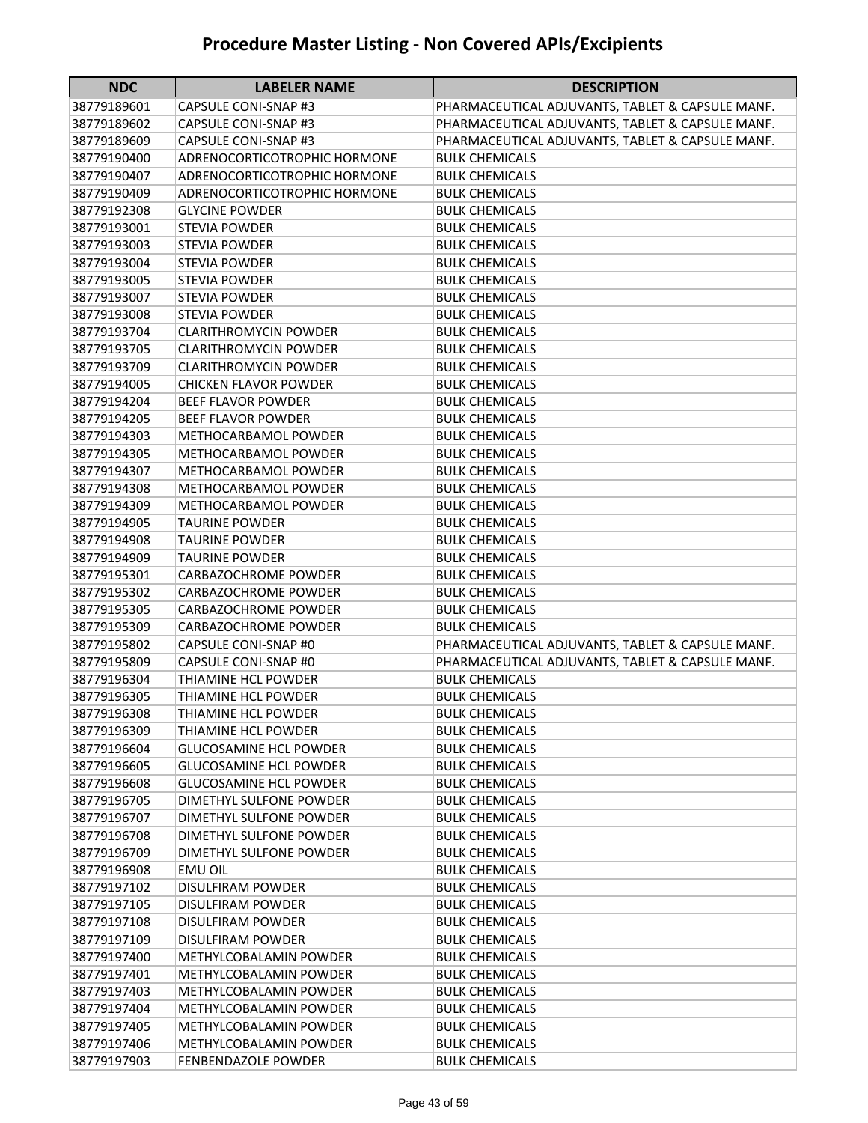| <b>NDC</b>  | <b>LABELER NAME</b>           | <b>DESCRIPTION</b>                               |
|-------------|-------------------------------|--------------------------------------------------|
| 38779189601 | CAPSULE CONI-SNAP #3          | PHARMACEUTICAL ADJUVANTS, TABLET & CAPSULE MANF. |
| 38779189602 | <b>CAPSULE CONI-SNAP #3</b>   | PHARMACEUTICAL ADJUVANTS, TABLET & CAPSULE MANF. |
| 38779189609 | CAPSULE CONI-SNAP #3          | PHARMACEUTICAL ADJUVANTS, TABLET & CAPSULE MANF. |
| 38779190400 | ADRENOCORTICOTROPHIC HORMONE  | BULK CHEMICALS                                   |
| 38779190407 | ADRENOCORTICOTROPHIC HORMONE  | <b>BULK CHEMICALS</b>                            |
| 38779190409 | ADRENOCORTICOTROPHIC HORMONE  | <b>BULK CHEMICALS</b>                            |
| 38779192308 | <b>GLYCINE POWDER</b>         | <b>BULK CHEMICALS</b>                            |
| 38779193001 | <b>STEVIA POWDER</b>          | <b>BULK CHEMICALS</b>                            |
| 38779193003 | <b>STEVIA POWDER</b>          | <b>BULK CHEMICALS</b>                            |
| 38779193004 | <b>STEVIA POWDER</b>          | <b>BULK CHEMICALS</b>                            |
| 38779193005 | <b>STEVIA POWDER</b>          | <b>BULK CHEMICALS</b>                            |
| 38779193007 | <b>STEVIA POWDER</b>          | BULK CHEMICALS                                   |
| 38779193008 | <b>STEVIA POWDER</b>          | <b>BULK CHEMICALS</b>                            |
| 38779193704 | <b>CLARITHROMYCIN POWDER</b>  | <b>BULK CHEMICALS</b>                            |
| 38779193705 | <b>CLARITHROMYCIN POWDER</b>  | <b>BULK CHEMICALS</b>                            |
| 38779193709 | <b>CLARITHROMYCIN POWDER</b>  | <b>BULK CHEMICALS</b>                            |
| 38779194005 | <b>CHICKEN FLAVOR POWDER</b>  | <b>BULK CHEMICALS</b>                            |
| 38779194204 | <b>BEEF FLAVOR POWDER</b>     | <b>BULK CHEMICALS</b>                            |
| 38779194205 | <b>BEEF FLAVOR POWDER</b>     | <b>BULK CHEMICALS</b>                            |
| 38779194303 | METHOCARBAMOL POWDER          | <b>BULK CHEMICALS</b>                            |
| 38779194305 | METHOCARBAMOL POWDER          | <b>BULK CHEMICALS</b>                            |
| 38779194307 | METHOCARBAMOL POWDER          | <b>BULK CHEMICALS</b>                            |
| 38779194308 | METHOCARBAMOL POWDER          | <b>BULK CHEMICALS</b>                            |
| 38779194309 | METHOCARBAMOL POWDER          | <b>BULK CHEMICALS</b>                            |
| 38779194905 | <b>TAURINE POWDER</b>         | <b>BULK CHEMICALS</b>                            |
| 38779194908 | <b>TAURINE POWDER</b>         | <b>BULK CHEMICALS</b>                            |
| 38779194909 | <b>TAURINE POWDER</b>         | <b>BULK CHEMICALS</b>                            |
| 38779195301 | <b>CARBAZOCHROME POWDER</b>   | <b>BULK CHEMICALS</b>                            |
| 38779195302 | <b>CARBAZOCHROME POWDER</b>   | <b>BULK CHEMICALS</b>                            |
| 38779195305 | <b>CARBAZOCHROME POWDER</b>   | <b>BULK CHEMICALS</b>                            |
| 38779195309 | <b>CARBAZOCHROME POWDER</b>   | <b>BULK CHEMICALS</b>                            |
| 38779195802 | <b>CAPSULE CONI-SNAP #0</b>   | PHARMACEUTICAL ADJUVANTS, TABLET & CAPSULE MANF. |
| 38779195809 | CAPSULE CONI-SNAP #0          | PHARMACEUTICAL ADJUVANTS, TABLET & CAPSULE MANF. |
| 38779196304 | THIAMINE HCL POWDER           | <b>BULK CHEMICALS</b>                            |
| 38779196305 | THIAMINE HCL POWDER           | <b>BULK CHEMICALS</b>                            |
| 38779196308 | THIAMINE HCL POWDER           | <b>BULK CHEMICALS</b>                            |
| 38779196309 | THIAMINE HCL POWDER           | BULK CHEMICALS                                   |
| 38779196604 | <b>GLUCOSAMINE HCL POWDER</b> | <b>BULK CHEMICALS</b>                            |
| 38779196605 | <b>GLUCOSAMINE HCL POWDER</b> | <b>BULK CHEMICALS</b>                            |
| 38779196608 | <b>GLUCOSAMINE HCL POWDER</b> | <b>BULK CHEMICALS</b>                            |
| 38779196705 | DIMETHYL SULFONE POWDER       | <b>BULK CHEMICALS</b>                            |
| 38779196707 | DIMETHYL SULFONE POWDER       | <b>BULK CHEMICALS</b>                            |
| 38779196708 | DIMETHYL SULFONE POWDER       | <b>BULK CHEMICALS</b>                            |
| 38779196709 | DIMETHYL SULFONE POWDER       | <b>BULK CHEMICALS</b>                            |
| 38779196908 | <b>EMU OIL</b>                | <b>BULK CHEMICALS</b>                            |
| 38779197102 | <b>DISULFIRAM POWDER</b>      | <b>BULK CHEMICALS</b>                            |
| 38779197105 | DISULFIRAM POWDER             | <b>BULK CHEMICALS</b>                            |
| 38779197108 | <b>DISULFIRAM POWDER</b>      | <b>BULK CHEMICALS</b>                            |
| 38779197109 | <b>DISULFIRAM POWDER</b>      | <b>BULK CHEMICALS</b>                            |
| 38779197400 | METHYLCOBALAMIN POWDER        | <b>BULK CHEMICALS</b>                            |
| 38779197401 | METHYLCOBALAMIN POWDER        | <b>BULK CHEMICALS</b>                            |
| 38779197403 | METHYLCOBALAMIN POWDER        | <b>BULK CHEMICALS</b>                            |
| 38779197404 | METHYLCOBALAMIN POWDER        | <b>BULK CHEMICALS</b>                            |
| 38779197405 | METHYLCOBALAMIN POWDER        | BULK CHEMICALS                                   |
| 38779197406 | METHYLCOBALAMIN POWDER        | <b>BULK CHEMICALS</b>                            |
| 38779197903 | FENBENDAZOLE POWDER           | <b>BULK CHEMICALS</b>                            |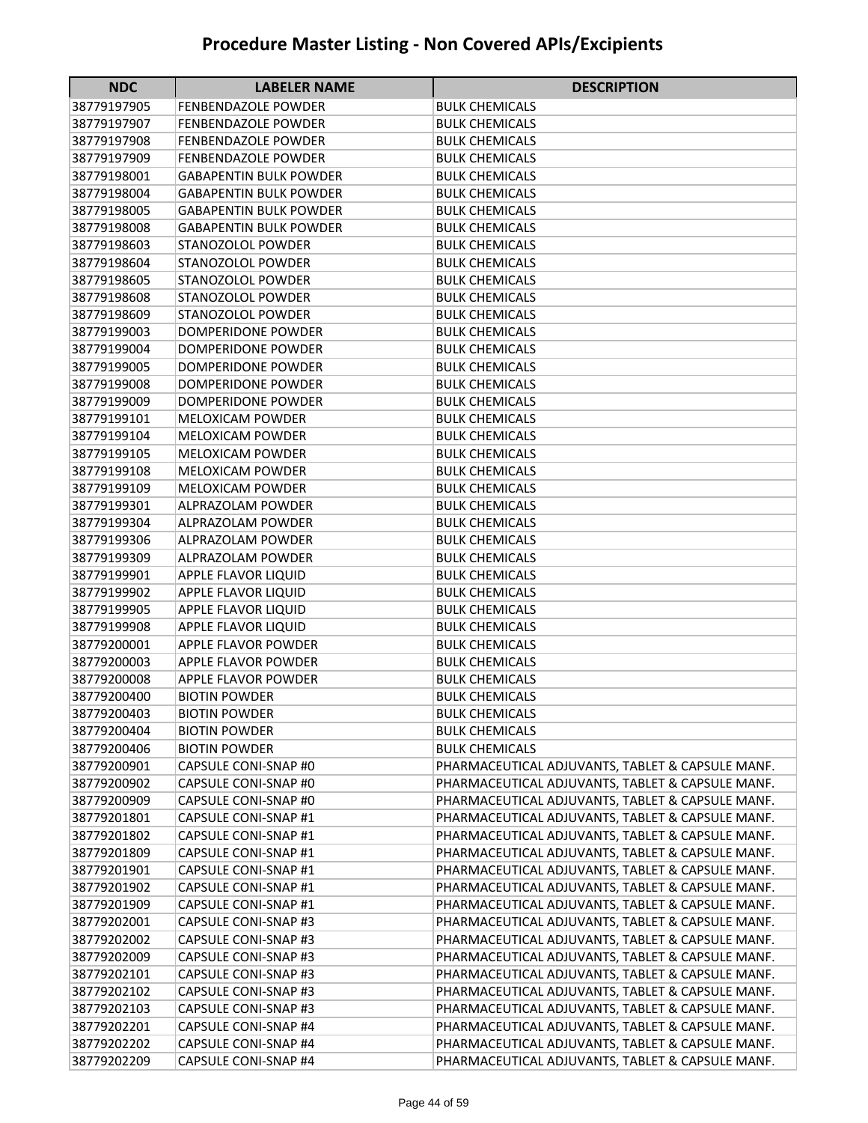| <b>NDC</b>                 | <b>LABELER NAME</b>                          | <b>DESCRIPTION</b>                                                        |
|----------------------------|----------------------------------------------|---------------------------------------------------------------------------|
| 38779197905                | <b>FENBENDAZOLE POWDER</b>                   | BULK CHEMICALS                                                            |
| 38779197907                | <b>FENBENDAZOLE POWDER</b>                   | <b>BULK CHEMICALS</b>                                                     |
| 38779197908                | <b>FENBENDAZOLE POWDER</b>                   | <b>BULK CHEMICALS</b>                                                     |
| 38779197909                | <b>FENBENDAZOLE POWDER</b>                   | <b>BULK CHEMICALS</b>                                                     |
| 38779198001                | <b>GABAPENTIN BULK POWDER</b>                | <b>BULK CHEMICALS</b>                                                     |
| 38779198004                | <b>GABAPENTIN BULK POWDER</b>                | <b>BULK CHEMICALS</b>                                                     |
| 38779198005                | <b>GABAPENTIN BULK POWDER</b>                | <b>BULK CHEMICALS</b>                                                     |
| 38779198008                | <b>GABAPENTIN BULK POWDER</b>                | <b>BULK CHEMICALS</b>                                                     |
| 38779198603                | <b>STANOZOLOL POWDER</b>                     | <b>BULK CHEMICALS</b>                                                     |
| 38779198604                | <b>STANOZOLOL POWDER</b>                     | <b>BULK CHEMICALS</b>                                                     |
| 38779198605                | <b>STANOZOLOL POWDER</b>                     | <b>BULK CHEMICALS</b>                                                     |
| 38779198608                | <b>STANOZOLOL POWDER</b>                     | <b>BULK CHEMICALS</b>                                                     |
| 38779198609                | <b>STANOZOLOL POWDER</b>                     | <b>BULK CHEMICALS</b>                                                     |
| 38779199003                | DOMPERIDONE POWDER                           | <b>BULK CHEMICALS</b>                                                     |
| 38779199004                | DOMPERIDONE POWDER                           | <b>BULK CHEMICALS</b>                                                     |
| 38779199005                | <b>DOMPERIDONE POWDER</b>                    | <b>BULK CHEMICALS</b>                                                     |
| 38779199008                | DOMPERIDONE POWDER                           | <b>BULK CHEMICALS</b>                                                     |
| 38779199009                | DOMPERIDONE POWDER                           | <b>BULK CHEMICALS</b>                                                     |
| 38779199101                | <b>MELOXICAM POWDER</b>                      | <b>BULK CHEMICALS</b>                                                     |
| 38779199104                | <b>MELOXICAM POWDER</b>                      | <b>BULK CHEMICALS</b>                                                     |
| 38779199105                | <b>MELOXICAM POWDER</b>                      | <b>BULK CHEMICALS</b>                                                     |
| 38779199108                | <b>MELOXICAM POWDER</b>                      | <b>BULK CHEMICALS</b>                                                     |
| 38779199109                | <b>MELOXICAM POWDER</b>                      | <b>BULK CHEMICALS</b>                                                     |
| 38779199301                | ALPRAZOLAM POWDER                            | <b>BULK CHEMICALS</b>                                                     |
| 38779199304                | ALPRAZOLAM POWDER                            | <b>BULK CHEMICALS</b>                                                     |
| 38779199306                | ALPRAZOLAM POWDER                            | <b>BULK CHEMICALS</b>                                                     |
| 38779199309                | ALPRAZOLAM POWDER                            | <b>BULK CHEMICALS</b>                                                     |
| 38779199901                | APPLE FLAVOR LIQUID                          | <b>BULK CHEMICALS</b>                                                     |
| 38779199902                | APPLE FLAVOR LIQUID                          | BULK CHEMICALS                                                            |
| 38779199905                | APPLE FLAVOR LIQUID                          | <b>BULK CHEMICALS</b>                                                     |
| 38779199908                | APPLE FLAVOR LIQUID                          | BULK CHEMICALS                                                            |
| 38779200001                | <b>APPLE FLAVOR POWDER</b>                   | <b>BULK CHEMICALS</b>                                                     |
| 38779200003                | APPLE FLAVOR POWDER                          | <b>BULK CHEMICALS</b>                                                     |
| 38779200008                | <b>APPLE FLAVOR POWDER</b>                   | <b>BULK CHEMICALS</b>                                                     |
| 38779200400                | <b>BIOTIN POWDER</b><br><b>BIOTIN POWDER</b> | <b>BULK CHEMICALS</b><br><b>BULK CHEMICALS</b>                            |
| 38779200403                | <b>BIOTIN POWDER</b>                         |                                                                           |
| 38779200404                |                                              | <b>BULK CHEMICALS</b>                                                     |
| 38779200406                | <b>BIOTIN POWDER</b>                         | <b>BULK CHEMICALS</b><br>PHARMACEUTICAL ADJUVANTS, TABLET & CAPSULE MANF. |
| 38779200901                | CAPSULE CONI-SNAP #0                         | PHARMACEUTICAL ADJUVANTS, TABLET & CAPSULE MANF.                          |
| 38779200902<br>38779200909 | CAPSULE CONI-SNAP #0<br>CAPSULE CONI-SNAP #0 | PHARMACEUTICAL ADJUVANTS, TABLET & CAPSULE MANF.                          |
| 38779201801                | CAPSULE CONI-SNAP #1                         | PHARMACEUTICAL ADJUVANTS, TABLET & CAPSULE MANF.                          |
| 38779201802                | <b>CAPSULE CONI-SNAP #1</b>                  | PHARMACEUTICAL ADJUVANTS, TABLET & CAPSULE MANF.                          |
| 38779201809                | CAPSULE CONI-SNAP #1                         | PHARMACEUTICAL ADJUVANTS, TABLET & CAPSULE MANF.                          |
| 38779201901                | <b>CAPSULE CONI-SNAP #1</b>                  | PHARMACEUTICAL ADJUVANTS, TABLET & CAPSULE MANF.                          |
| 38779201902                | <b>CAPSULE CONI-SNAP #1</b>                  | PHARMACEUTICAL ADJUVANTS, TABLET & CAPSULE MANF.                          |
| 38779201909                | CAPSULE CONI-SNAP #1                         | PHARMACEUTICAL ADJUVANTS, TABLET & CAPSULE MANF.                          |
| 38779202001                | CAPSULE CONI-SNAP #3                         | PHARMACEUTICAL ADJUVANTS, TABLET & CAPSULE MANF.                          |
| 38779202002                | <b>CAPSULE CONI-SNAP #3</b>                  | PHARMACEUTICAL ADJUVANTS, TABLET & CAPSULE MANF.                          |
| 38779202009                | CAPSULE CONI-SNAP #3                         | PHARMACEUTICAL ADJUVANTS, TABLET & CAPSULE MANF.                          |
| 38779202101                | CAPSULE CONI-SNAP #3                         | PHARMACEUTICAL ADJUVANTS, TABLET & CAPSULE MANF.                          |
| 38779202102                | CAPSULE CONI-SNAP #3                         | PHARMACEUTICAL ADJUVANTS, TABLET & CAPSULE MANF.                          |
| 38779202103                | CAPSULE CONI-SNAP #3                         | PHARMACEUTICAL ADJUVANTS, TABLET & CAPSULE MANF.                          |
| 38779202201                | CAPSULE CONI-SNAP #4                         | PHARMACEUTICAL ADJUVANTS, TABLET & CAPSULE MANF.                          |
| 38779202202                | CAPSULE CONI-SNAP #4                         | PHARMACEUTICAL ADJUVANTS, TABLET & CAPSULE MANF.                          |
| 38779202209                | CAPSULE CONI-SNAP #4                         | PHARMACEUTICAL ADJUVANTS, TABLET & CAPSULE MANF.                          |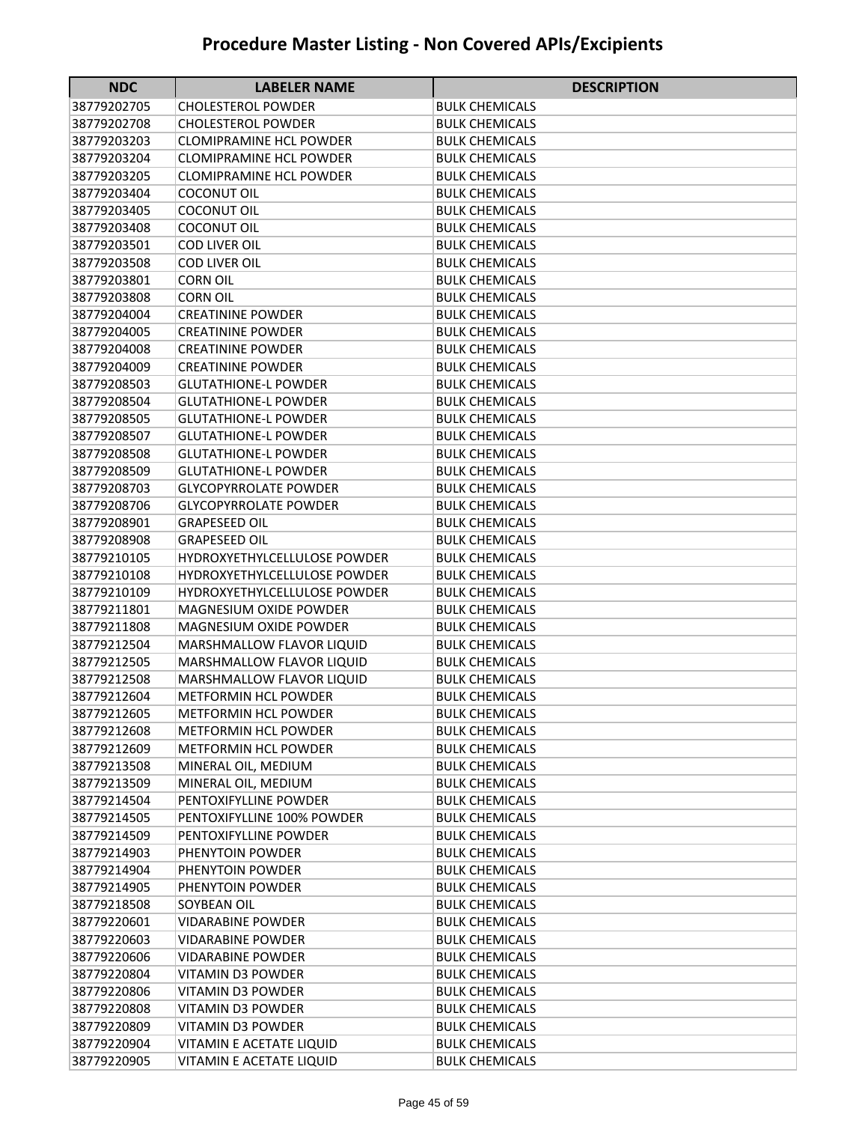| <b>NDC</b>                 | <b>LABELER NAME</b>                          | <b>DESCRIPTION</b>                             |
|----------------------------|----------------------------------------------|------------------------------------------------|
| 38779202705                | <b>CHOLESTEROL POWDER</b>                    | BULK CHEMICALS                                 |
| 38779202708                | <b>CHOLESTEROL POWDER</b>                    | BULK CHEMICALS                                 |
| 38779203203                | CLOMIPRAMINE HCL POWDER                      | BULK CHEMICALS                                 |
| 38779203204                | <b>CLOMIPRAMINE HCL POWDER</b>               | <b>BULK CHEMICALS</b>                          |
| 38779203205                | <b>CLOMIPRAMINE HCL POWDER</b>               | <b>BULK CHEMICALS</b>                          |
| 38779203404                | <b>COCONUT OIL</b>                           | <b>BULK CHEMICALS</b>                          |
| 38779203405                | <b>COCONUT OIL</b>                           | <b>BULK CHEMICALS</b>                          |
| 38779203408                | <b>COCONUT OIL</b>                           | <b>BULK CHEMICALS</b>                          |
| 38779203501                | <b>COD LIVER OIL</b>                         | <b>BULK CHEMICALS</b>                          |
| 38779203508                | <b>COD LIVER OIL</b>                         | <b>BULK CHEMICALS</b>                          |
| 38779203801                | <b>CORN OIL</b>                              | <b>BULK CHEMICALS</b>                          |
| 38779203808                | <b>CORN OIL</b>                              | <b>BULK CHEMICALS</b>                          |
| 38779204004                | <b>CREATININE POWDER</b>                     | <b>BULK CHEMICALS</b>                          |
| 38779204005                | <b>CREATININE POWDER</b>                     | <b>BULK CHEMICALS</b>                          |
| 38779204008                | <b>CREATININE POWDER</b>                     | <b>BULK CHEMICALS</b>                          |
| 38779204009                | <b>CREATININE POWDER</b>                     | <b>BULK CHEMICALS</b>                          |
| 38779208503                | <b>GLUTATHIONE-L POWDER</b>                  | <b>BULK CHEMICALS</b>                          |
| 38779208504                | <b>GLUTATHIONE-L POWDER</b>                  | <b>BULK CHEMICALS</b>                          |
| 38779208505                | <b>GLUTATHIONE-L POWDER</b>                  | <b>BULK CHEMICALS</b>                          |
| 38779208507                | <b>GLUTATHIONE-L POWDER</b>                  | <b>BULK CHEMICALS</b>                          |
| 38779208508                | <b>GLUTATHIONE-L POWDER</b>                  | <b>BULK CHEMICALS</b>                          |
| 38779208509                | <b>GLUTATHIONE-L POWDER</b>                  | <b>BULK CHEMICALS</b>                          |
| 38779208703                | <b>GLYCOPYRROLATE POWDER</b>                 | <b>BULK CHEMICALS</b>                          |
| 38779208706                | <b>GLYCOPYRROLATE POWDER</b>                 | <b>BULK CHEMICALS</b>                          |
| 38779208901                | <b>GRAPESEED OIL</b>                         | <b>BULK CHEMICALS</b>                          |
| 38779208908                | <b>GRAPESEED OIL</b>                         | <b>BULK CHEMICALS</b>                          |
| 38779210105                | HYDROXYETHYLCELLULOSE POWDER                 | BULK CHEMICALS                                 |
| 38779210108                | <b>HYDROXYETHYLCELLULOSE POWDER</b>          | BULK CHEMICALS                                 |
| 38779210109                | HYDROXYETHYLCELLULOSE POWDER                 | BULK CHEMICALS                                 |
| 38779211801                | <b>MAGNESIUM OXIDE POWDER</b>                | <b>BULK CHEMICALS</b>                          |
| 38779211808                | MAGNESIUM OXIDE POWDER                       | <b>BULK CHEMICALS</b>                          |
| 38779212504                | MARSHMALLOW FLAVOR LIQUID                    | <b>BULK CHEMICALS</b>                          |
| 38779212505                | MARSHMALLOW FLAVOR LIQUID                    | <b>BULK CHEMICALS</b>                          |
| 38779212508                | <b>MARSHMALLOW FLAVOR LIQUID</b>             | <b>BULK CHEMICALS</b>                          |
| 38779212604                | <b>METFORMIN HCL POWDER</b>                  | <b>BULK CHEMICALS</b>                          |
| 38779212605                | <b>METFORMIN HCL POWDER</b>                  | <b>BULK CHEMICALS</b>                          |
| 38779212608                | <b>METFORMIN HCL POWDER</b>                  | <b>BULK CHEMICALS</b>                          |
| 38779212609                | METFORMIN HCL POWDER                         | <b>BULK CHEMICALS</b>                          |
| 38779213508                | MINERAL OIL, MEDIUM                          | <b>BULK CHEMICALS</b>                          |
| 38779213509<br>38779214504 | MINERAL OIL, MEDIUM<br>PENTOXIFYLLINE POWDER | <b>BULK CHEMICALS</b><br><b>BULK CHEMICALS</b> |
| 38779214505                | PENTOXIFYLLINE 100% POWDER                   | <b>BULK CHEMICALS</b>                          |
| 38779214509                | PENTOXIFYLLINE POWDER                        | <b>BULK CHEMICALS</b>                          |
| 38779214903                | PHENYTOIN POWDER                             | <b>BULK CHEMICALS</b>                          |
| 38779214904                | PHENYTOIN POWDER                             | <b>BULK CHEMICALS</b>                          |
| 38779214905                | PHENYTOIN POWDER                             | <b>BULK CHEMICALS</b>                          |
| 38779218508                | SOYBEAN OIL                                  | <b>BULK CHEMICALS</b>                          |
| 38779220601                | VIDARABINE POWDER                            | <b>BULK CHEMICALS</b>                          |
| 38779220603                | <b>VIDARABINE POWDER</b>                     | <b>BULK CHEMICALS</b>                          |
| 38779220606                | <b>VIDARABINE POWDER</b>                     | <b>BULK CHEMICALS</b>                          |
| 38779220804                | VITAMIN D3 POWDER                            | <b>BULK CHEMICALS</b>                          |
| 38779220806                | VITAMIN D3 POWDER                            | <b>BULK CHEMICALS</b>                          |
| 38779220808                | VITAMIN D3 POWDER                            | <b>BULK CHEMICALS</b>                          |
| 38779220809                | VITAMIN D3 POWDER                            | <b>BULK CHEMICALS</b>                          |
| 38779220904                | VITAMIN E ACETATE LIQUID                     | <b>BULK CHEMICALS</b>                          |
| 38779220905                | VITAMIN E ACETATE LIQUID                     | <b>BULK CHEMICALS</b>                          |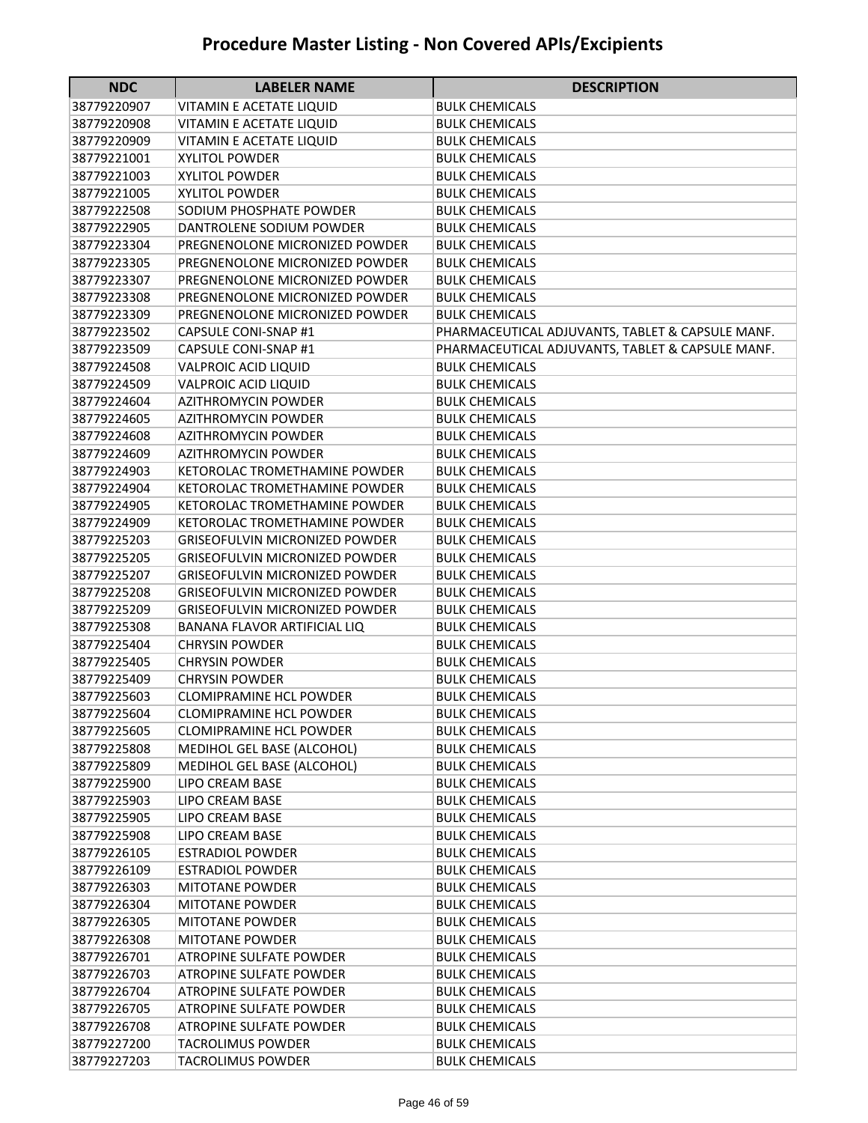| <b>NDC</b>  | <b>LABELER NAME</b>                   | <b>DESCRIPTION</b>                               |
|-------------|---------------------------------------|--------------------------------------------------|
| 38779220907 | VITAMIN E ACETATE LIQUID              | <b>BULK CHEMICALS</b>                            |
| 38779220908 | VITAMIN E ACETATE LIQUID              | <b>BULK CHEMICALS</b>                            |
| 38779220909 | VITAMIN E ACETATE LIQUID              | <b>BULK CHEMICALS</b>                            |
| 38779221001 | <b>XYLITOL POWDER</b>                 | <b>BULK CHEMICALS</b>                            |
| 38779221003 | <b>XYLITOL POWDER</b>                 | <b>BULK CHEMICALS</b>                            |
| 38779221005 | <b>XYLITOL POWDER</b>                 | <b>BULK CHEMICALS</b>                            |
| 38779222508 | SODIUM PHOSPHATE POWDER               | <b>BULK CHEMICALS</b>                            |
| 38779222905 | DANTROLENE SODIUM POWDER              | <b>BULK CHEMICALS</b>                            |
| 38779223304 | PREGNENOLONE MICRONIZED POWDER        | <b>BULK CHEMICALS</b>                            |
| 38779223305 | PREGNENOLONE MICRONIZED POWDER        | <b>BULK CHEMICALS</b>                            |
| 38779223307 | PREGNENOLONE MICRONIZED POWDER        | <b>BULK CHEMICALS</b>                            |
| 38779223308 | PREGNENOLONE MICRONIZED POWDER        | <b>BULK CHEMICALS</b>                            |
| 38779223309 | PREGNENOLONE MICRONIZED POWDER        | <b>BULK CHEMICALS</b>                            |
| 38779223502 | <b>CAPSULE CONI-SNAP #1</b>           | PHARMACEUTICAL ADJUVANTS, TABLET & CAPSULE MANF. |
| 38779223509 | CAPSULE CONI-SNAP #1                  | PHARMACEUTICAL ADJUVANTS, TABLET & CAPSULE MANF. |
| 38779224508 | <b>VALPROIC ACID LIQUID</b>           | <b>BULK CHEMICALS</b>                            |
| 38779224509 | <b>VALPROIC ACID LIQUID</b>           | <b>BULK CHEMICALS</b>                            |
| 38779224604 | <b>AZITHROMYCIN POWDER</b>            | <b>BULK CHEMICALS</b>                            |
| 38779224605 | AZITHROMYCIN POWDER                   | BULK CHEMICALS                                   |
| 38779224608 | <b>AZITHROMYCIN POWDER</b>            | <b>BULK CHEMICALS</b>                            |
| 38779224609 | <b>AZITHROMYCIN POWDER</b>            | <b>BULK CHEMICALS</b>                            |
| 38779224903 | <b>KETOROLAC TROMETHAMINE POWDER</b>  | <b>BULK CHEMICALS</b>                            |
| 38779224904 | KETOROLAC TROMETHAMINE POWDER         | <b>BULK CHEMICALS</b>                            |
| 38779224905 | KETOROLAC TROMETHAMINE POWDER         | <b>BULK CHEMICALS</b>                            |
| 38779224909 | KETOROLAC TROMETHAMINE POWDER         | <b>BULK CHEMICALS</b>                            |
| 38779225203 | <b>GRISEOFULVIN MICRONIZED POWDER</b> | BULK CHEMICALS                                   |
| 38779225205 | <b>GRISEOFULVIN MICRONIZED POWDER</b> | <b>BULK CHEMICALS</b>                            |
| 38779225207 | <b>GRISEOFULVIN MICRONIZED POWDER</b> | <b>BULK CHEMICALS</b>                            |
| 38779225208 | <b>GRISEOFULVIN MICRONIZED POWDER</b> | <b>BULK CHEMICALS</b>                            |
| 38779225209 | GRISEOFULVIN MICRONIZED POWDER        | <b>BULK CHEMICALS</b>                            |
| 38779225308 | BANANA FLAVOR ARTIFICIAL LIQ          | <b>BULK CHEMICALS</b>                            |
| 38779225404 | <b>CHRYSIN POWDER</b>                 | <b>BULK CHEMICALS</b>                            |
| 38779225405 | <b>CHRYSIN POWDER</b>                 | <b>BULK CHEMICALS</b>                            |
| 38779225409 | <b>CHRYSIN POWDER</b>                 | <b>BULK CHEMICALS</b>                            |
| 38779225603 | <b>CLOMIPRAMINE HCL POWDER</b>        | <b>BULK CHEMICALS</b>                            |
| 38779225604 | <b>CLOMIPRAMINE HCL POWDER</b>        | <b>BULK CHEMICALS</b>                            |
| 38779225605 | <b>CLOMIPRAMINE HCL POWDER</b>        | <b>BULK CHEMICALS</b>                            |
| 38779225808 | MEDIHOL GEL BASE (ALCOHOL)            | <b>BULK CHEMICALS</b>                            |
| 38779225809 | MEDIHOL GEL BASE (ALCOHOL)            | <b>BULK CHEMICALS</b>                            |
| 38779225900 | LIPO CREAM BASE                       | <b>BULK CHEMICALS</b>                            |
| 38779225903 | LIPO CREAM BASE                       | <b>BULK CHEMICALS</b>                            |
| 38779225905 | LIPO CREAM BASE                       | <b>BULK CHEMICALS</b>                            |
| 38779225908 | <b>LIPO CREAM BASE</b>                | <b>BULK CHEMICALS</b>                            |
| 38779226105 | <b>ESTRADIOL POWDER</b>               | <b>BULK CHEMICALS</b>                            |
| 38779226109 | <b>ESTRADIOL POWDER</b>               | <b>BULK CHEMICALS</b>                            |
| 38779226303 | <b>MITOTANE POWDER</b>                | <b>BULK CHEMICALS</b>                            |
| 38779226304 | <b>MITOTANE POWDER</b>                | <b>BULK CHEMICALS</b>                            |
| 38779226305 | <b>MITOTANE POWDER</b>                | <b>BULK CHEMICALS</b>                            |
| 38779226308 | <b>MITOTANE POWDER</b>                | <b>BULK CHEMICALS</b>                            |
| 38779226701 | <b>ATROPINE SULFATE POWDER</b>        | <b>BULK CHEMICALS</b>                            |
| 38779226703 | ATROPINE SULFATE POWDER               | <b>BULK CHEMICALS</b>                            |
| 38779226704 | ATROPINE SULFATE POWDER               | <b>BULK CHEMICALS</b>                            |
| 38779226705 | ATROPINE SULFATE POWDER               | <b>BULK CHEMICALS</b>                            |
| 38779226708 | <b>ATROPINE SULFATE POWDER</b>        | <b>BULK CHEMICALS</b>                            |
| 38779227200 | <b>TACROLIMUS POWDER</b>              | <b>BULK CHEMICALS</b>                            |
| 38779227203 | TACROLIMUS POWDER                     | <b>BULK CHEMICALS</b>                            |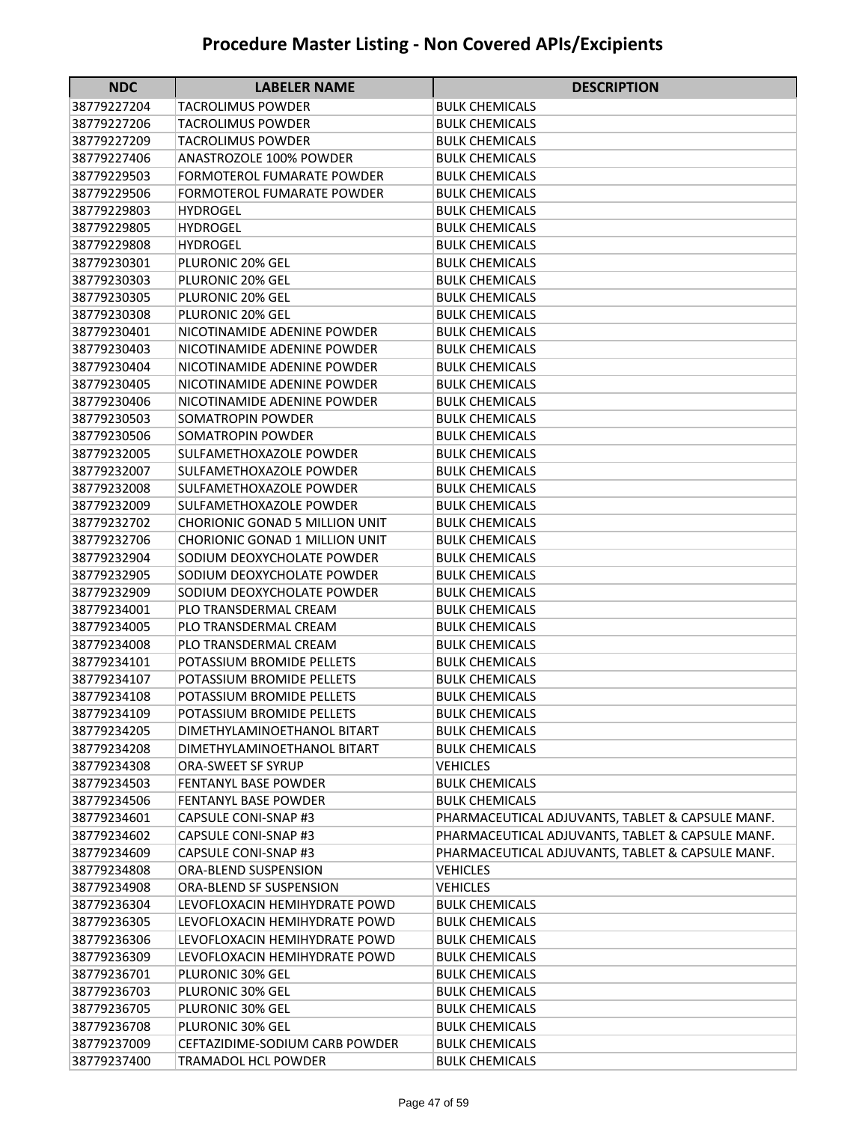| <b>NDC</b>  | <b>LABELER NAME</b>                   | <b>DESCRIPTION</b>                               |
|-------------|---------------------------------------|--------------------------------------------------|
| 38779227204 | TACROLIMUS POWDER                     | BULK CHEMICALS                                   |
| 38779227206 | <b>TACROLIMUS POWDER</b>              | <b>BULK CHEMICALS</b>                            |
| 38779227209 | <b>TACROLIMUS POWDER</b>              | <b>BULK CHEMICALS</b>                            |
| 38779227406 | <b>ANASTROZOLE 100% POWDER</b>        | <b>BULK CHEMICALS</b>                            |
| 38779229503 | <b>FORMOTEROL FUMARATE POWDER</b>     | <b>BULK CHEMICALS</b>                            |
| 38779229506 | <b>FORMOTEROL FUMARATE POWDER</b>     | <b>BULK CHEMICALS</b>                            |
| 38779229803 | <b>HYDROGEL</b>                       | <b>BULK CHEMICALS</b>                            |
| 38779229805 | <b>HYDROGEL</b>                       | <b>BULK CHEMICALS</b>                            |
| 38779229808 | <b>HYDROGEL</b>                       | <b>BULK CHEMICALS</b>                            |
| 38779230301 | PLURONIC 20% GEL                      | <b>BULK CHEMICALS</b>                            |
| 38779230303 | PLURONIC 20% GEL                      | BULK CHEMICALS                                   |
| 38779230305 | PLURONIC 20% GEL                      | <b>BULK CHEMICALS</b>                            |
| 38779230308 | PLURONIC 20% GEL                      | <b>BULK CHEMICALS</b>                            |
| 38779230401 | NICOTINAMIDE ADENINE POWDER           | <b>BULK CHEMICALS</b>                            |
| 38779230403 | NICOTINAMIDE ADENINE POWDER           | <b>BULK CHEMICALS</b>                            |
| 38779230404 | NICOTINAMIDE ADENINE POWDER           | <b>BULK CHEMICALS</b>                            |
| 38779230405 | NICOTINAMIDE ADENINE POWDER           | <b>BULK CHEMICALS</b>                            |
| 38779230406 | NICOTINAMIDE ADENINE POWDER           | <b>BULK CHEMICALS</b>                            |
| 38779230503 | SOMATROPIN POWDER                     | BULK CHEMICALS                                   |
| 38779230506 | SOMATROPIN POWDER                     | <b>BULK CHEMICALS</b>                            |
| 38779232005 | <b>SULFAMETHOXAZOLE POWDER</b>        | <b>BULK CHEMICALS</b>                            |
| 38779232007 | SULFAMETHOXAZOLE POWDER               | <b>BULK CHEMICALS</b>                            |
| 38779232008 | SULFAMETHOXAZOLE POWDER               | <b>BULK CHEMICALS</b>                            |
| 38779232009 | SULFAMETHOXAZOLE POWDER               | <b>BULK CHEMICALS</b>                            |
| 38779232702 | <b>CHORIONIC GONAD 5 MILLION UNIT</b> | <b>BULK CHEMICALS</b>                            |
| 38779232706 | <b>CHORIONIC GONAD 1 MILLION UNIT</b> | BULK CHEMICALS                                   |
| 38779232904 | SODIUM DEOXYCHOLATE POWDER            | <b>BULK CHEMICALS</b>                            |
| 38779232905 | SODIUM DEOXYCHOLATE POWDER            | <b>BULK CHEMICALS</b>                            |
| 38779232909 | SODIUM DEOXYCHOLATE POWDER            | <b>BULK CHEMICALS</b>                            |
| 38779234001 | PLO TRANSDERMAL CREAM                 | <b>BULK CHEMICALS</b>                            |
| 38779234005 | PLO TRANSDERMAL CREAM                 | <b>BULK CHEMICALS</b>                            |
| 38779234008 | PLO TRANSDERMAL CREAM                 | <b>BULK CHEMICALS</b>                            |
| 38779234101 | POTASSIUM BROMIDE PELLETS             | BULK CHEMICALS                                   |
| 38779234107 | POTASSIUM BROMIDE PELLETS             | <b>BULK CHEMICALS</b>                            |
| 38779234108 | POTASSIUM BROMIDE PELLETS             | <b>BULK CHEMICALS</b>                            |
| 38779234109 | POTASSIUM BROMIDE PELLETS             | <b>BULK CHEMICALS</b>                            |
| 38779234205 | DIMETHYLAMINOETHANOL BITART           | <b>BULK CHEMICALS</b>                            |
| 38779234208 | DIMETHYLAMINOETHANOL BITART           | <b>BULK CHEMICALS</b>                            |
| 38779234308 | ORA-SWEET SF SYRUP                    | <b>VEHICLES</b>                                  |
| 38779234503 | <b>FENTANYL BASE POWDER</b>           | <b>BULK CHEMICALS</b>                            |
| 38779234506 | <b>FENTANYL BASE POWDER</b>           | <b>BULK CHEMICALS</b>                            |
| 38779234601 | CAPSULE CONI-SNAP #3                  | PHARMACEUTICAL ADJUVANTS, TABLET & CAPSULE MANF. |
| 38779234602 | CAPSULE CONI-SNAP #3                  | PHARMACEUTICAL ADJUVANTS, TABLET & CAPSULE MANF. |
| 38779234609 | CAPSULE CONI-SNAP #3                  | PHARMACEUTICAL ADJUVANTS, TABLET & CAPSULE MANF. |
| 38779234808 | ORA-BLEND SUSPENSION                  | <b>VEHICLES</b>                                  |
| 38779234908 | <b>ORA-BLEND SF SUSPENSION</b>        | <b>VEHICLES</b>                                  |
| 38779236304 | LEVOFLOXACIN HEMIHYDRATE POWD         | <b>BULK CHEMICALS</b>                            |
| 38779236305 | LEVOFLOXACIN HEMIHYDRATE POWD         | <b>BULK CHEMICALS</b>                            |
| 38779236306 | LEVOFLOXACIN HEMIHYDRATE POWD         | <b>BULK CHEMICALS</b>                            |
| 38779236309 | LEVOFLOXACIN HEMIHYDRATE POWD         | <b>BULK CHEMICALS</b>                            |
| 38779236701 | PLURONIC 30% GEL                      | <b>BULK CHEMICALS</b>                            |
| 38779236703 | PLURONIC 30% GEL                      | <b>BULK CHEMICALS</b>                            |
| 38779236705 | PLURONIC 30% GEL                      | <b>BULK CHEMICALS</b>                            |
| 38779236708 | PLURONIC 30% GEL                      | <b>BULK CHEMICALS</b>                            |
| 38779237009 | CEFTAZIDIME-SODIUM CARB POWDER        | <b>BULK CHEMICALS</b>                            |
| 38779237400 | TRAMADOL HCL POWDER                   | <b>BULK CHEMICALS</b>                            |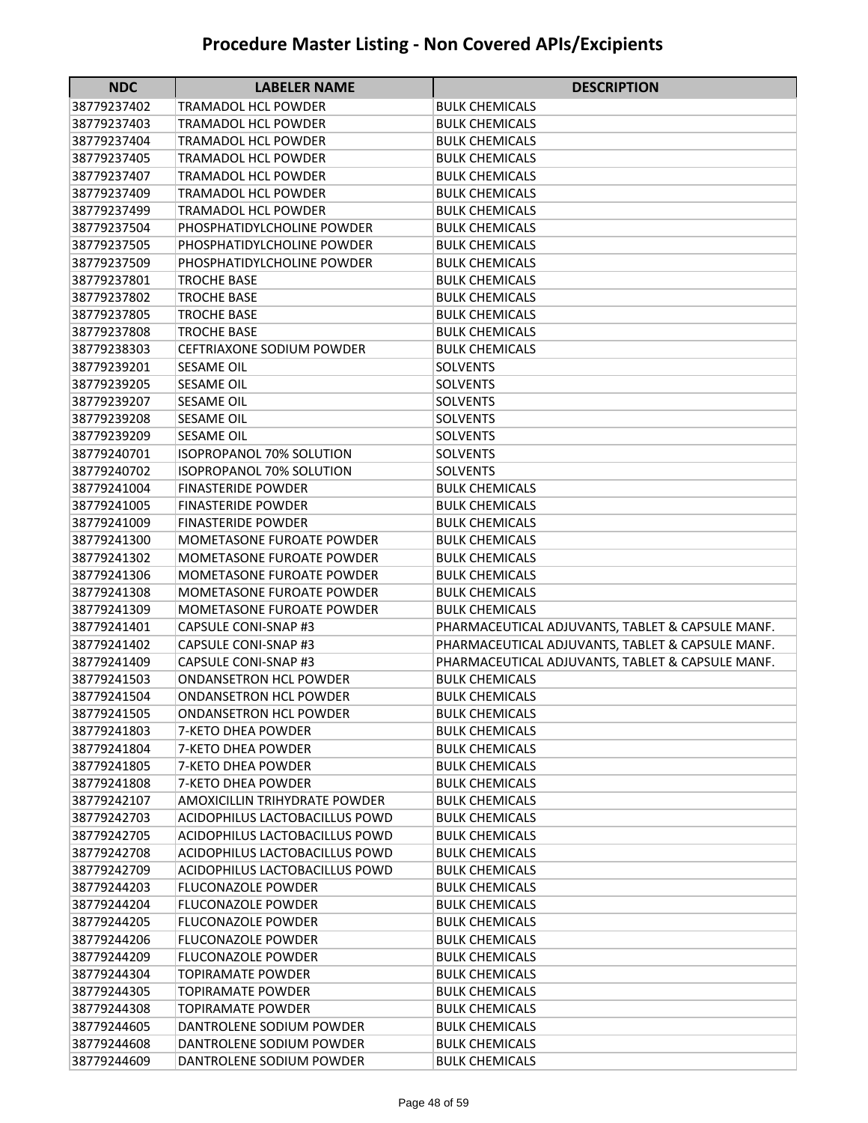| <b>NDC</b>                 | <b>LABELER NAME</b>                                 | <b>DESCRIPTION</b>                                                                                   |
|----------------------------|-----------------------------------------------------|------------------------------------------------------------------------------------------------------|
| 38779237402                | TRAMADOL HCL POWDER                                 | BULK CHEMICALS                                                                                       |
| 38779237403                | TRAMADOL HCL POWDER                                 | <b>BULK CHEMICALS</b>                                                                                |
| 38779237404                | TRAMADOL HCL POWDER                                 | <b>BULK CHEMICALS</b>                                                                                |
| 38779237405                | <b>TRAMADOL HCL POWDER</b>                          | <b>BULK CHEMICALS</b>                                                                                |
| 38779237407                | <b>TRAMADOL HCL POWDER</b>                          | <b>BULK CHEMICALS</b>                                                                                |
| 38779237409                | <b>TRAMADOL HCL POWDER</b>                          | <b>BULK CHEMICALS</b>                                                                                |
| 38779237499                | <b>TRAMADOL HCL POWDER</b>                          | <b>BULK CHEMICALS</b>                                                                                |
| 38779237504                | PHOSPHATIDYLCHOLINE POWDER                          | <b>BULK CHEMICALS</b>                                                                                |
| 38779237505                | PHOSPHATIDYLCHOLINE POWDER                          | <b>BULK CHEMICALS</b>                                                                                |
| 38779237509                | PHOSPHATIDYLCHOLINE POWDER                          | <b>BULK CHEMICALS</b>                                                                                |
| 38779237801                | <b>TROCHE BASE</b>                                  | <b>BULK CHEMICALS</b>                                                                                |
| 38779237802                | <b>TROCHE BASE</b>                                  | <b>BULK CHEMICALS</b>                                                                                |
| 38779237805                | <b>TROCHE BASE</b>                                  | <b>BULK CHEMICALS</b>                                                                                |
| 38779237808                | <b>TROCHE BASE</b>                                  | <b>BULK CHEMICALS</b>                                                                                |
| 38779238303                | <b>CEFTRIAXONE SODIUM POWDER</b>                    | <b>BULK CHEMICALS</b>                                                                                |
| 38779239201                | <b>SESAME OIL</b>                                   | <b>SOLVENTS</b>                                                                                      |
| 38779239205                | <b>SESAME OIL</b>                                   | <b>SOLVENTS</b>                                                                                      |
| 38779239207                | <b>SESAME OIL</b>                                   | <b>SOLVENTS</b>                                                                                      |
| 38779239208                | <b>SESAME OIL</b>                                   | <b>SOLVENTS</b>                                                                                      |
| 38779239209                | <b>SESAME OIL</b>                                   | <b>SOLVENTS</b>                                                                                      |
| 38779240701                | <b>ISOPROPANOL 70% SOLUTION</b>                     | <b>SOLVENTS</b>                                                                                      |
| 38779240702                | <b>ISOPROPANOL 70% SOLUTION</b>                     | <b>SOLVENTS</b>                                                                                      |
| 38779241004                | <b>FINASTERIDE POWDER</b>                           | <b>BULK CHEMICALS</b>                                                                                |
| 38779241005                | <b>FINASTERIDE POWDER</b>                           | <b>BULK CHEMICALS</b>                                                                                |
| 38779241009                | <b>FINASTERIDE POWDER</b>                           | <b>BULK CHEMICALS</b>                                                                                |
| 38779241300                | <b>MOMETASONE FUROATE POWDER</b>                    | BULK CHEMICALS                                                                                       |
| 38779241302                | <b>MOMETASONE FUROATE POWDER</b>                    | BULK CHEMICALS                                                                                       |
| 38779241306                | MOMETASONE FUROATE POWDER                           | BULK CHEMICALS                                                                                       |
| 38779241308                | <b>MOMETASONE FUROATE POWDER</b>                    | <b>BULK CHEMICALS</b>                                                                                |
| 38779241309                | <b>MOMETASONE FUROATE POWDER</b>                    | <b>BULK CHEMICALS</b>                                                                                |
| 38779241401                | <b>CAPSULE CONI-SNAP #3</b>                         | PHARMACEUTICAL ADJUVANTS, TABLET & CAPSULE MANF.                                                     |
| 38779241402<br>38779241409 | CAPSULE CONI-SNAP #3<br><b>CAPSULE CONI-SNAP #3</b> | PHARMACEUTICAL ADJUVANTS, TABLET & CAPSULE MANF.<br>PHARMACEUTICAL ADJUVANTS, TABLET & CAPSULE MANF. |
| 38779241503                | <b>ONDANSETRON HCL POWDER</b>                       | BULK CHEMICALS                                                                                       |
| 38779241504                | <b>ONDANSETRON HCL POWDER</b>                       | <b>BULK CHEMICALS</b>                                                                                |
| 38779241505                | <b>ONDANSETRON HCL POWDER</b>                       | <b>BULK CHEMICALS</b>                                                                                |
| 38779241803                | 7-KETO DHEA POWDER                                  | <b>BULK CHEMICALS</b>                                                                                |
| 38779241804                | 7-KETO DHEA POWDER                                  | <b>BULK CHEMICALS</b>                                                                                |
| 38779241805                | 7-KETO DHEA POWDER                                  | <b>BULK CHEMICALS</b>                                                                                |
| 38779241808                | <b>7-KETO DHEA POWDER</b>                           | <b>BULK CHEMICALS</b>                                                                                |
| 38779242107                | AMOXICILLIN TRIHYDRATE POWDER                       | <b>BULK CHEMICALS</b>                                                                                |
| 38779242703                | <b>ACIDOPHILUS LACTOBACILLUS POWD</b>               | <b>BULK CHEMICALS</b>                                                                                |
| 38779242705                | ACIDOPHILUS LACTOBACILLUS POWD                      | <b>BULK CHEMICALS</b>                                                                                |
| 38779242708                | ACIDOPHILUS LACTOBACILLUS POWD                      | <b>BULK CHEMICALS</b>                                                                                |
| 38779242709                | ACIDOPHILUS LACTOBACILLUS POWD                      | BULK CHEMICALS                                                                                       |
| 38779244203                | <b>FLUCONAZOLE POWDER</b>                           | <b>BULK CHEMICALS</b>                                                                                |
| 38779244204                | <b>FLUCONAZOLE POWDER</b>                           | <b>BULK CHEMICALS</b>                                                                                |
| 38779244205                | <b>FLUCONAZOLE POWDER</b>                           | <b>BULK CHEMICALS</b>                                                                                |
| 38779244206                | <b>FLUCONAZOLE POWDER</b>                           | <b>BULK CHEMICALS</b>                                                                                |
| 38779244209                | <b>FLUCONAZOLE POWDER</b>                           | <b>BULK CHEMICALS</b>                                                                                |
| 38779244304                | <b>TOPIRAMATE POWDER</b>                            | BULK CHEMICALS                                                                                       |
| 38779244305                | <b>TOPIRAMATE POWDER</b>                            | <b>BULK CHEMICALS</b>                                                                                |
| 38779244308                | <b>TOPIRAMATE POWDER</b>                            | BULK CHEMICALS                                                                                       |
| 38779244605                | DANTROLENE SODIUM POWDER                            | <b>BULK CHEMICALS</b>                                                                                |
| 38779244608                | DANTROLENE SODIUM POWDER                            | <b>BULK CHEMICALS</b>                                                                                |
| 38779244609                | DANTROLENE SODIUM POWDER                            | <b>BULK CHEMICALS</b>                                                                                |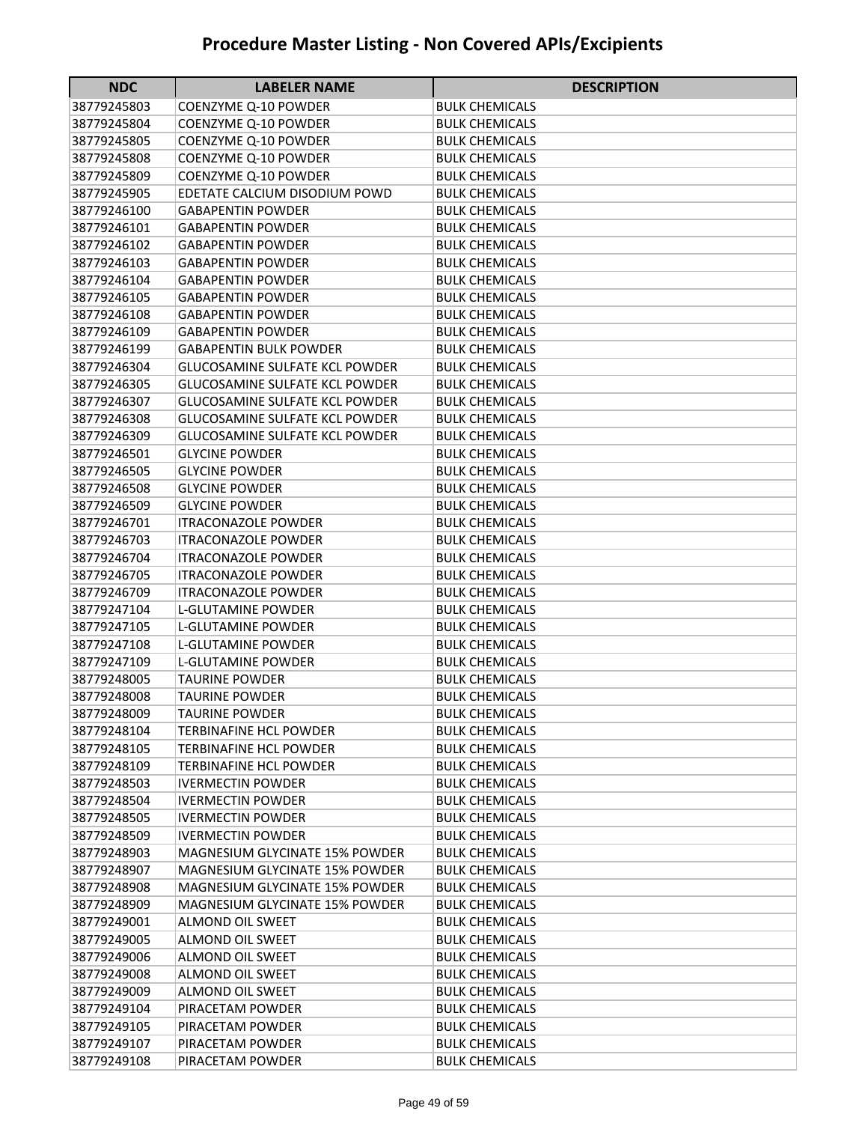| <b>NDC</b>  | <b>LABELER NAME</b>                   | <b>DESCRIPTION</b>    |
|-------------|---------------------------------------|-----------------------|
| 38779245803 | COENZYME Q-10 POWDER                  | BULK CHEMICALS        |
| 38779245804 | <b>COENZYME Q-10 POWDER</b>           | BULK CHEMICALS        |
| 38779245805 | <b>COENZYME Q-10 POWDER</b>           | BULK CHEMICALS        |
| 38779245808 | COENZYME Q-10 POWDER                  | <b>BULK CHEMICALS</b> |
| 38779245809 | COENZYME Q-10 POWDER                  | <b>BULK CHEMICALS</b> |
| 38779245905 | EDETATE CALCIUM DISODIUM POWD         | <b>BULK CHEMICALS</b> |
| 38779246100 | <b>GABAPENTIN POWDER</b>              | <b>BULK CHEMICALS</b> |
| 38779246101 | <b>GABAPENTIN POWDER</b>              | <b>BULK CHEMICALS</b> |
| 38779246102 | <b>GABAPENTIN POWDER</b>              | <b>BULK CHEMICALS</b> |
| 38779246103 | <b>GABAPENTIN POWDER</b>              | <b>BULK CHEMICALS</b> |
| 38779246104 | <b>GABAPENTIN POWDER</b>              | <b>BULK CHEMICALS</b> |
| 38779246105 | <b>GABAPENTIN POWDER</b>              | <b>BULK CHEMICALS</b> |
| 38779246108 | <b>GABAPENTIN POWDER</b>              | <b>BULK CHEMICALS</b> |
| 38779246109 | <b>GABAPENTIN POWDER</b>              | <b>BULK CHEMICALS</b> |
| 38779246199 | <b>GABAPENTIN BULK POWDER</b>         | <b>BULK CHEMICALS</b> |
| 38779246304 | <b>GLUCOSAMINE SULFATE KCL POWDER</b> | <b>BULK CHEMICALS</b> |
| 38779246305 | <b>GLUCOSAMINE SULFATE KCL POWDER</b> | <b>BULK CHEMICALS</b> |
| 38779246307 | <b>GLUCOSAMINE SULFATE KCL POWDER</b> | <b>BULK CHEMICALS</b> |
| 38779246308 | <b>GLUCOSAMINE SULFATE KCL POWDER</b> | <b>BULK CHEMICALS</b> |
| 38779246309 | <b>GLUCOSAMINE SULFATE KCL POWDER</b> | <b>BULK CHEMICALS</b> |
| 38779246501 | <b>GLYCINE POWDER</b>                 | <b>BULK CHEMICALS</b> |
| 38779246505 | <b>GLYCINE POWDER</b>                 | <b>BULK CHEMICALS</b> |
| 38779246508 | <b>GLYCINE POWDER</b>                 | <b>BULK CHEMICALS</b> |
| 38779246509 | <b>GLYCINE POWDER</b>                 | <b>BULK CHEMICALS</b> |
| 38779246701 | <b>ITRACONAZOLE POWDER</b>            | <b>BULK CHEMICALS</b> |
| 38779246703 | <b>ITRACONAZOLE POWDER</b>            | <b>BULK CHEMICALS</b> |
| 38779246704 | <b>ITRACONAZOLE POWDER</b>            | <b>BULK CHEMICALS</b> |
| 38779246705 | <b>ITRACONAZOLE POWDER</b>            | BULK CHEMICALS        |
| 38779246709 | <b>ITRACONAZOLE POWDER</b>            | BULK CHEMICALS        |
| 38779247104 | L-GLUTAMINE POWDER                    | <b>BULK CHEMICALS</b> |
| 38779247105 | L-GLUTAMINE POWDER                    | <b>BULK CHEMICALS</b> |
| 38779247108 | L-GLUTAMINE POWDER                    | <b>BULK CHEMICALS</b> |
| 38779247109 | L-GLUTAMINE POWDER                    | <b>BULK CHEMICALS</b> |
| 38779248005 | <b>TAURINE POWDER</b>                 | <b>BULK CHEMICALS</b> |
| 38779248008 | TAURINE POWDER                        | <b>BULK CHEMICALS</b> |
| 38779248009 | <b>TAURINE POWDER</b>                 | <b>BULK CHEMICALS</b> |
| 38779248104 | TERBINAFINE HCL POWDER                | <b>BULK CHEMICALS</b> |
| 38779248105 | <b>TERBINAFINE HCL POWDER</b>         | <b>BULK CHEMICALS</b> |
| 38779248109 | TERBINAFINE HCL POWDER                | <b>BULK CHEMICALS</b> |
| 38779248503 | <b>IVERMECTIN POWDER</b>              | <b>BULK CHEMICALS</b> |
| 38779248504 | <b>IVERMECTIN POWDER</b>              | <b>BULK CHEMICALS</b> |
| 38779248505 | <b>IVERMECTIN POWDER</b>              | <b>BULK CHEMICALS</b> |
| 38779248509 | <b>IVERMECTIN POWDER</b>              | <b>BULK CHEMICALS</b> |
| 38779248903 | <b>MAGNESIUM GLYCINATE 15% POWDER</b> | <b>BULK CHEMICALS</b> |
| 38779248907 | <b>MAGNESIUM GLYCINATE 15% POWDER</b> | <b>BULK CHEMICALS</b> |
| 38779248908 | <b>MAGNESIUM GLYCINATE 15% POWDER</b> | <b>BULK CHEMICALS</b> |
| 38779248909 | <b>MAGNESIUM GLYCINATE 15% POWDER</b> | <b>BULK CHEMICALS</b> |
| 38779249001 | <b>ALMOND OIL SWEET</b>               | <b>BULK CHEMICALS</b> |
| 38779249005 | <b>ALMOND OIL SWEET</b>               | <b>BULK CHEMICALS</b> |
| 38779249006 | <b>ALMOND OIL SWEET</b>               | <b>BULK CHEMICALS</b> |
| 38779249008 | <b>ALMOND OIL SWEET</b>               | <b>BULK CHEMICALS</b> |
| 38779249009 | <b>ALMOND OIL SWEET</b>               | <b>BULK CHEMICALS</b> |
| 38779249104 | PIRACETAM POWDER                      | <b>BULK CHEMICALS</b> |
| 38779249105 | PIRACETAM POWDER                      | <b>BULK CHEMICALS</b> |
| 38779249107 | PIRACETAM POWDER                      | <b>BULK CHEMICALS</b> |
| 38779249108 | PIRACETAM POWDER                      | <b>BULK CHEMICALS</b> |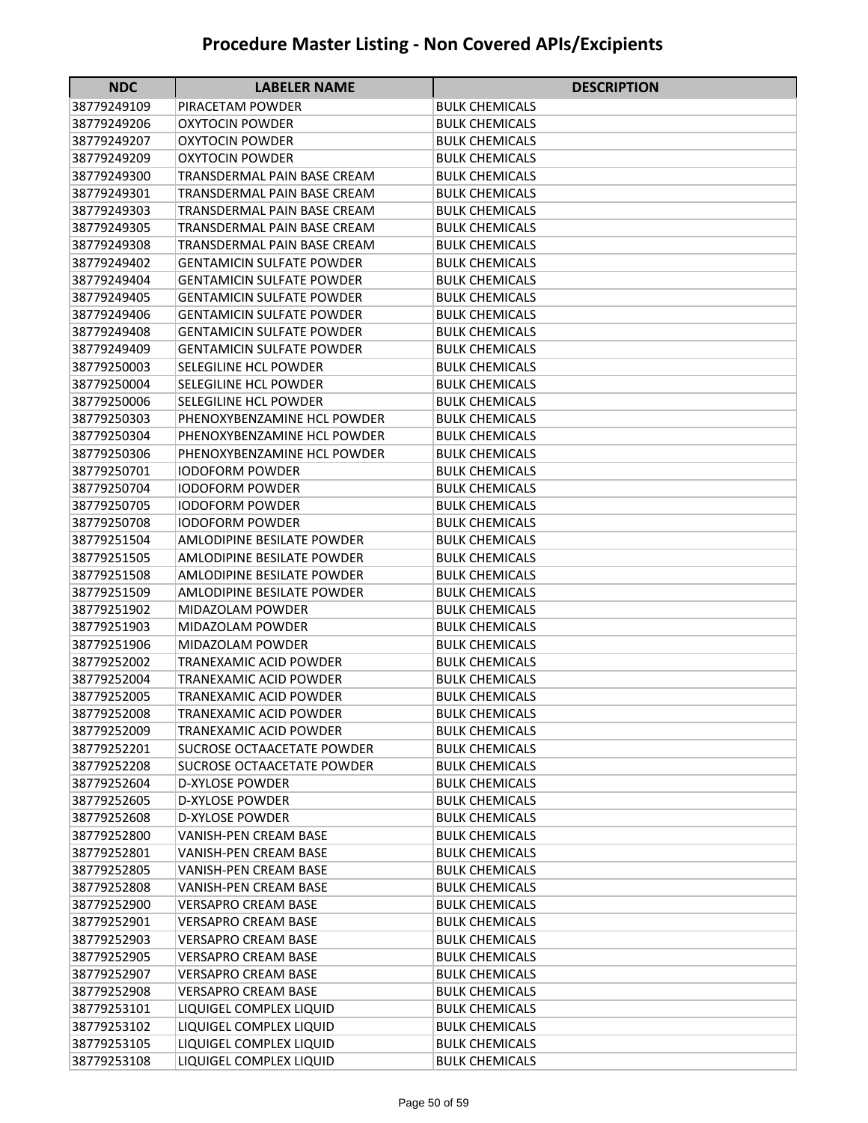| <b>NDC</b>                 | <b>LABELER NAME</b>                                     | <b>DESCRIPTION</b>                             |
|----------------------------|---------------------------------------------------------|------------------------------------------------|
| 38779249109                | PIRACETAM POWDER                                        | BULK CHEMICALS                                 |
| 38779249206                | <b>OXYTOCIN POWDER</b>                                  | <b>BULK CHEMICALS</b>                          |
| 38779249207                | <b>OXYTOCIN POWDER</b>                                  | <b>BULK CHEMICALS</b>                          |
| 38779249209                | OXYTOCIN POWDER                                         | BULK CHEMICALS                                 |
| 38779249300                | TRANSDERMAL PAIN BASE CREAM                             | <b>BULK CHEMICALS</b>                          |
| 38779249301                | TRANSDERMAL PAIN BASE CREAM                             | <b>BULK CHEMICALS</b>                          |
| 38779249303                | TRANSDERMAL PAIN BASE CREAM                             | <b>BULK CHEMICALS</b>                          |
| 38779249305                | TRANSDERMAL PAIN BASE CREAM                             | <b>BULK CHEMICALS</b>                          |
| 38779249308                | <b>TRANSDERMAL PAIN BASE CREAM</b>                      | <b>BULK CHEMICALS</b>                          |
| 38779249402                | <b>GENTAMICIN SULFATE POWDER</b>                        | <b>BULK CHEMICALS</b>                          |
| 38779249404                | <b>GENTAMICIN SULFATE POWDER</b>                        | <b>BULK CHEMICALS</b>                          |
| 38779249405                | <b>GENTAMICIN SULFATE POWDER</b>                        | <b>BULK CHEMICALS</b>                          |
| 38779249406                | <b>GENTAMICIN SULFATE POWDER</b>                        | <b>BULK CHEMICALS</b>                          |
| 38779249408                | <b>GENTAMICIN SULFATE POWDER</b>                        | <b>BULK CHEMICALS</b>                          |
| 38779249409                | <b>GENTAMICIN SULFATE POWDER</b>                        | <b>BULK CHEMICALS</b>                          |
| 38779250003                | <b>SELEGILINE HCL POWDER</b>                            | <b>BULK CHEMICALS</b>                          |
| 38779250004                | SELEGILINE HCL POWDER                                   | <b>BULK CHEMICALS</b>                          |
| 38779250006                | SELEGILINE HCL POWDER                                   | <b>BULK CHEMICALS</b>                          |
| 38779250303                | PHENOXYBENZAMINE HCL POWDER                             | <b>BULK CHEMICALS</b>                          |
| 38779250304                | PHENOXYBENZAMINE HCL POWDER                             | <b>BULK CHEMICALS</b>                          |
| 38779250306                | PHENOXYBENZAMINE HCL POWDER                             | <b>BULK CHEMICALS</b>                          |
| 38779250701                | <b>IODOFORM POWDER</b>                                  | <b>BULK CHEMICALS</b>                          |
| 38779250704                | <b>IODOFORM POWDER</b>                                  | <b>BULK CHEMICALS</b>                          |
| 38779250705                | <b>IODOFORM POWDER</b>                                  | <b>BULK CHEMICALS</b>                          |
| 38779250708                | IODOFORM POWDER                                         | <b>BULK CHEMICALS</b>                          |
| 38779251504                | AMLODIPINE BESILATE POWDER                              | <b>BULK CHEMICALS</b>                          |
| 38779251505                | AMLODIPINE BESILATE POWDER                              | <b>BULK CHEMICALS</b>                          |
| 38779251508                | AMLODIPINE BESILATE POWDER                              | <b>BULK CHEMICALS</b>                          |
| 38779251509                | AMLODIPINE BESILATE POWDER                              | BULK CHEMICALS                                 |
| 38779251902                | MIDAZOLAM POWDER                                        | BULK CHEMICALS                                 |
| 38779251903                | MIDAZOLAM POWDER                                        | <b>BULK CHEMICALS</b>                          |
| 38779251906                | <b>MIDAZOLAM POWDER</b>                                 | <b>BULK CHEMICALS</b>                          |
| 38779252002                | TRANEXAMIC ACID POWDER<br><b>TRANEXAMIC ACID POWDER</b> | <b>BULK CHEMICALS</b>                          |
| 38779252004                |                                                         | <b>BULK CHEMICALS</b>                          |
| 38779252005<br>38779252008 | TRANEXAMIC ACID POWDER<br>TRANEXAMIC ACID POWDER        | <b>BULK CHEMICALS</b><br><b>BULK CHEMICALS</b> |
| 38779252009                | TRANEXAMIC ACID POWDER                                  | <b>BULK CHEMICALS</b>                          |
| 38779252201                | <b>SUCROSE OCTAACETATE POWDER</b>                       | <b>BULK CHEMICALS</b>                          |
| 38779252208                | <b>SUCROSE OCTAACETATE POWDER</b>                       | <b>BULK CHEMICALS</b>                          |
| 38779252604                | D-XYLOSE POWDER                                         | <b>BULK CHEMICALS</b>                          |
| 38779252605                | <b>D-XYLOSE POWDER</b>                                  | <b>BULK CHEMICALS</b>                          |
| 38779252608                | D-XYLOSE POWDER                                         | <b>BULK CHEMICALS</b>                          |
| 38779252800                | <b>VANISH-PEN CREAM BASE</b>                            | <b>BULK CHEMICALS</b>                          |
| 38779252801                | <b>VANISH-PEN CREAM BASE</b>                            | <b>BULK CHEMICALS</b>                          |
| 38779252805                | <b>VANISH-PEN CREAM BASE</b>                            | <b>BULK CHEMICALS</b>                          |
| 38779252808                | <b>VANISH-PEN CREAM BASE</b>                            | <b>BULK CHEMICALS</b>                          |
| 38779252900                | <b>VERSAPRO CREAM BASE</b>                              | <b>BULK CHEMICALS</b>                          |
| 38779252901                | <b>VERSAPRO CREAM BASE</b>                              | <b>BULK CHEMICALS</b>                          |
| 38779252903                | <b>VERSAPRO CREAM BASE</b>                              | <b>BULK CHEMICALS</b>                          |
| 38779252905                | <b>VERSAPRO CREAM BASE</b>                              | <b>BULK CHEMICALS</b>                          |
| 38779252907                | <b>VERSAPRO CREAM BASE</b>                              | <b>BULK CHEMICALS</b>                          |
| 38779252908                | <b>VERSAPRO CREAM BASE</b>                              | <b>BULK CHEMICALS</b>                          |
| 38779253101                | LIQUIGEL COMPLEX LIQUID                                 | <b>BULK CHEMICALS</b>                          |
| 38779253102                | LIQUIGEL COMPLEX LIQUID                                 | <b>BULK CHEMICALS</b>                          |
| 38779253105                | LIQUIGEL COMPLEX LIQUID                                 | <b>BULK CHEMICALS</b>                          |
| 38779253108                | LIQUIGEL COMPLEX LIQUID                                 | <b>BULK CHEMICALS</b>                          |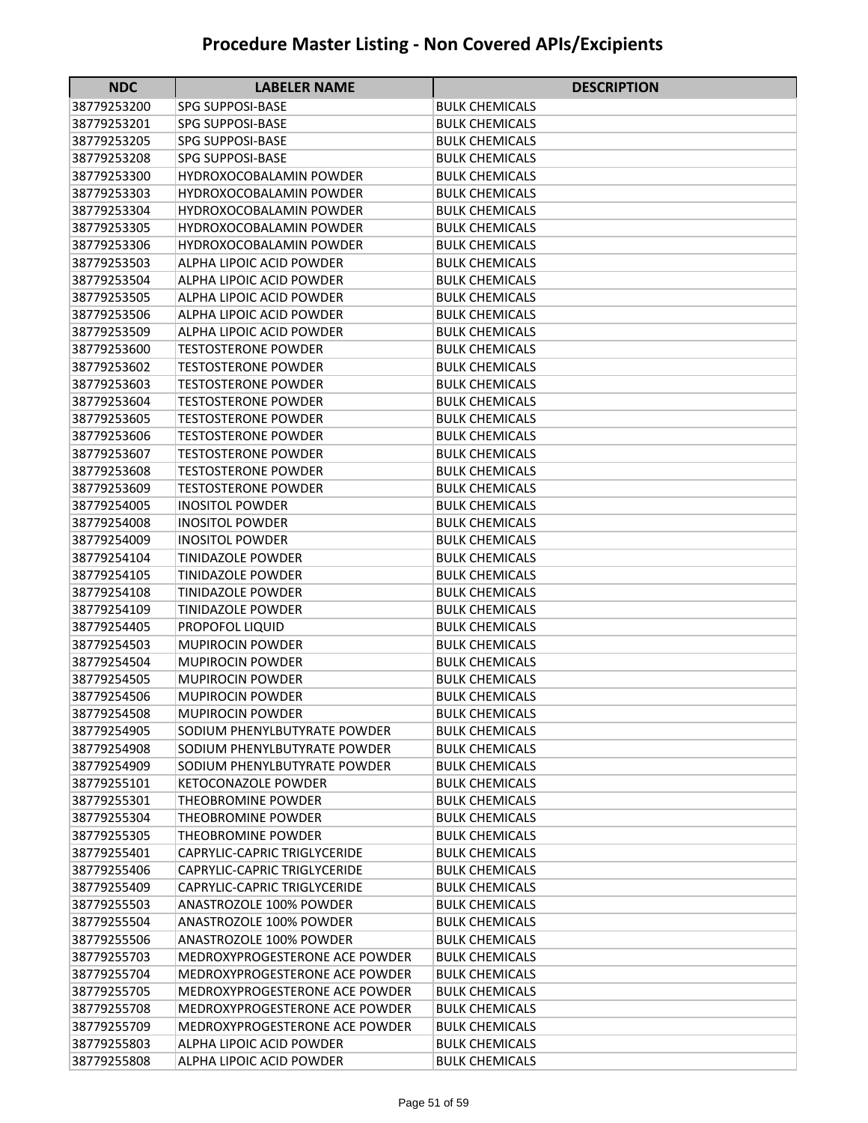| <b>NDC</b>                 | <b>LABELER NAME</b>                                | <b>DESCRIPTION</b>                             |
|----------------------------|----------------------------------------------------|------------------------------------------------|
| 38779253200                | <b>SPG SUPPOSI-BASE</b>                            | BULK CHEMICALS                                 |
| 38779253201                | <b>SPG SUPPOSI-BASE</b>                            | <b>BULK CHEMICALS</b>                          |
| 38779253205                | <b>SPG SUPPOSI-BASE</b>                            | <b>BULK CHEMICALS</b>                          |
| 38779253208                | <b>SPG SUPPOSI-BASE</b>                            | BULK CHEMICALS                                 |
| 38779253300                | <b>HYDROXOCOBALAMIN POWDER</b>                     | <b>BULK CHEMICALS</b>                          |
| 38779253303                | <b>HYDROXOCOBALAMIN POWDER</b>                     | <b>BULK CHEMICALS</b>                          |
| 38779253304                | <b>HYDROXOCOBALAMIN POWDER</b>                     | <b>BULK CHEMICALS</b>                          |
| 38779253305                | <b>HYDROXOCOBALAMIN POWDER</b>                     | <b>BULK CHEMICALS</b>                          |
| 38779253306                | <b>HYDROXOCOBALAMIN POWDER</b>                     | <b>BULK CHEMICALS</b>                          |
| 38779253503                | ALPHA LIPOIC ACID POWDER                           | <b>BULK CHEMICALS</b>                          |
| 38779253504                | <b>ALPHA LIPOIC ACID POWDER</b>                    | <b>BULK CHEMICALS</b>                          |
| 38779253505                | ALPHA LIPOIC ACID POWDER                           | <b>BULK CHEMICALS</b>                          |
| 38779253506                | ALPHA LIPOIC ACID POWDER                           | <b>BULK CHEMICALS</b>                          |
| 38779253509                | ALPHA LIPOIC ACID POWDER                           | <b>BULK CHEMICALS</b>                          |
| 38779253600                | <b>TESTOSTERONE POWDER</b>                         | <b>BULK CHEMICALS</b>                          |
| 38779253602                | <b>TESTOSTERONE POWDER</b>                         | <b>BULK CHEMICALS</b>                          |
| 38779253603                | <b>TESTOSTERONE POWDER</b>                         | <b>BULK CHEMICALS</b>                          |
| 38779253604                | <b>TESTOSTERONE POWDER</b>                         | <b>BULK CHEMICALS</b>                          |
| 38779253605                | <b>TESTOSTERONE POWDER</b>                         | <b>BULK CHEMICALS</b>                          |
| 38779253606                | <b>TESTOSTERONE POWDER</b>                         | <b>BULK CHEMICALS</b>                          |
| 38779253607                | <b>TESTOSTERONE POWDER</b>                         | <b>BULK CHEMICALS</b>                          |
| 38779253608                | <b>TESTOSTERONE POWDER</b>                         | <b>BULK CHEMICALS</b>                          |
| 38779253609                | <b>TESTOSTERONE POWDER</b>                         | <b>BULK CHEMICALS</b>                          |
| 38779254005                | <b>INOSITOL POWDER</b>                             | <b>BULK CHEMICALS</b>                          |
| 38779254008                | <b>INOSITOL POWDER</b>                             | <b>BULK CHEMICALS</b>                          |
| 38779254009                | <b>INOSITOL POWDER</b>                             | <b>BULK CHEMICALS</b>                          |
| 38779254104                | <b>TINIDAZOLE POWDER</b>                           | <b>BULK CHEMICALS</b>                          |
| 38779254105                | <b>TINIDAZOLE POWDER</b>                           | <b>BULK CHEMICALS</b>                          |
| 38779254108                | <b>TINIDAZOLE POWDER</b>                           | <b>BULK CHEMICALS</b>                          |
| 38779254109                | <b>TINIDAZOLE POWDER</b>                           | <b>BULK CHEMICALS</b>                          |
| 38779254405                | <b>PROPOFOL LIQUID</b>                             | <b>BULK CHEMICALS</b>                          |
| 38779254503                | <b>MUPIROCIN POWDER</b>                            | <b>BULK CHEMICALS</b>                          |
| 38779254504<br>38779254505 | <b>MUPIROCIN POWDER</b><br><b>MUPIROCIN POWDER</b> | <b>BULK CHEMICALS</b><br><b>BULK CHEMICALS</b> |
| 38779254506                |                                                    | <b>BULK CHEMICALS</b>                          |
| 38779254508                | <b>MUPIROCIN POWDER</b><br><b>MUPIROCIN POWDER</b> | <b>BULK CHEMICALS</b>                          |
| 38779254905                | SODIUM PHENYLBUTYRATE POWDER                       | <b>BULK CHEMICALS</b>                          |
| 38779254908                | SODIUM PHENYLBUTYRATE POWDER                       | <b>BULK CHEMICALS</b>                          |
| 38779254909                | SODIUM PHENYLBUTYRATE POWDER                       | <b>BULK CHEMICALS</b>                          |
| 38779255101                | <b>KETOCONAZOLE POWDER</b>                         | <b>BULK CHEMICALS</b>                          |
| 38779255301                | <b>THEOBROMINE POWDER</b>                          | <b>BULK CHEMICALS</b>                          |
| 38779255304                | THEOBROMINE POWDER                                 | <b>BULK CHEMICALS</b>                          |
| 38779255305                | THEOBROMINE POWDER                                 | <b>BULK CHEMICALS</b>                          |
| 38779255401                | CAPRYLIC-CAPRIC TRIGLYCERIDE                       | <b>BULK CHEMICALS</b>                          |
| 38779255406                | CAPRYLIC-CAPRIC TRIGLYCERIDE                       | <b>BULK CHEMICALS</b>                          |
| 38779255409                | CAPRYLIC-CAPRIC TRIGLYCERIDE                       | <b>BULK CHEMICALS</b>                          |
| 38779255503                | ANASTROZOLE 100% POWDER                            | <b>BULK CHEMICALS</b>                          |
| 38779255504                | ANASTROZOLE 100% POWDER                            | <b>BULK CHEMICALS</b>                          |
| 38779255506                | ANASTROZOLE 100% POWDER                            | <b>BULK CHEMICALS</b>                          |
| 38779255703                | MEDROXYPROGESTERONE ACE POWDER                     | <b>BULK CHEMICALS</b>                          |
| 38779255704                | MEDROXYPROGESTERONE ACE POWDER                     | <b>BULK CHEMICALS</b>                          |
| 38779255705                | MEDROXYPROGESTERONE ACE POWDER                     | <b>BULK CHEMICALS</b>                          |
| 38779255708                | MEDROXYPROGESTERONE ACE POWDER                     | <b>BULK CHEMICALS</b>                          |
| 38779255709                | MEDROXYPROGESTERONE ACE POWDER                     | BULK CHEMICALS                                 |
| 38779255803                | ALPHA LIPOIC ACID POWDER                           | <b>BULK CHEMICALS</b>                          |
| 38779255808                | ALPHA LIPOIC ACID POWDER                           | <b>BULK CHEMICALS</b>                          |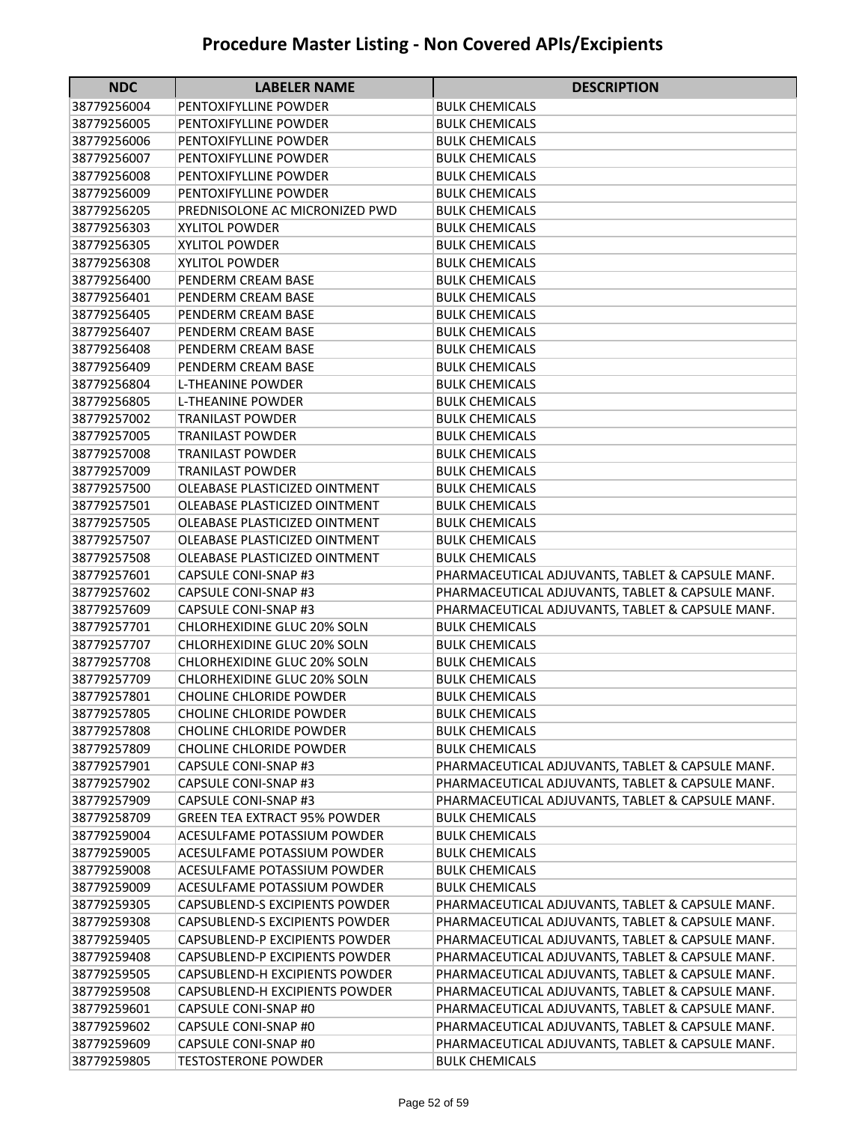| 38779256004<br>PENTOXIFYLLINE POWDER<br><b>BULK CHEMICALS</b><br>38779256005<br>PENTOXIFYLLINE POWDER<br><b>BULK CHEMICALS</b><br>38779256006<br>PENTOXIFYLLINE POWDER<br><b>BULK CHEMICALS</b><br>38779256007<br>PENTOXIFYLLINE POWDER<br><b>BULK CHEMICALS</b><br>38779256008<br>PENTOXIFYLLINE POWDER<br><b>BULK CHEMICALS</b><br>38779256009<br>PENTOXIFYLLINE POWDER<br><b>BULK CHEMICALS</b><br>38779256205<br>PREDNISOLONE AC MICRONIZED PWD<br><b>BULK CHEMICALS</b><br>38779256303<br><b>XYLITOL POWDER</b><br><b>BULK CHEMICALS</b><br>38779256305<br><b>XYLITOL POWDER</b><br><b>BULK CHEMICALS</b><br>38779256308<br><b>XYLITOL POWDER</b><br><b>BULK CHEMICALS</b><br>38779256400<br>PENDERM CREAM BASE<br><b>BULK CHEMICALS</b><br>38779256401<br>PENDERM CREAM BASE<br><b>BULK CHEMICALS</b><br>38779256405<br>PENDERM CREAM BASE<br><b>BULK CHEMICALS</b><br>38779256407<br>PENDERM CREAM BASE<br><b>BULK CHEMICALS</b><br>38779256408<br>PENDERM CREAM BASE<br><b>BULK CHEMICALS</b><br>38779256409<br>PENDERM CREAM BASE<br><b>BULK CHEMICALS</b><br>38779256804<br>L-THEANINE POWDER<br><b>BULK CHEMICALS</b><br>38779256805<br>L-THEANINE POWDER<br>BULK CHEMICALS<br>38779257002<br>TRANILAST POWDER<br><b>BULK CHEMICALS</b><br>38779257005<br><b>TRANILAST POWDER</b><br><b>BULK CHEMICALS</b><br>38779257008<br><b>TRANILAST POWDER</b><br><b>BULK CHEMICALS</b><br>38779257009<br><b>TRANILAST POWDER</b><br><b>BULK CHEMICALS</b><br>38779257500<br>OLEABASE PLASTICIZED OINTMENT<br><b>BULK CHEMICALS</b><br>38779257501<br>OLEABASE PLASTICIZED OINTMENT<br><b>BULK CHEMICALS</b><br>38779257505<br>OLEABASE PLASTICIZED OINTMENT<br><b>BULK CHEMICALS</b><br>38779257507<br>OLEABASE PLASTICIZED OINTMENT<br><b>BULK CHEMICALS</b><br>38779257508<br>OLEABASE PLASTICIZED OINTMENT<br><b>BULK CHEMICALS</b> | <b>NDC</b>  | <b>LABELER NAME</b>  | <b>DESCRIPTION</b>                               |
|------------------------------------------------------------------------------------------------------------------------------------------------------------------------------------------------------------------------------------------------------------------------------------------------------------------------------------------------------------------------------------------------------------------------------------------------------------------------------------------------------------------------------------------------------------------------------------------------------------------------------------------------------------------------------------------------------------------------------------------------------------------------------------------------------------------------------------------------------------------------------------------------------------------------------------------------------------------------------------------------------------------------------------------------------------------------------------------------------------------------------------------------------------------------------------------------------------------------------------------------------------------------------------------------------------------------------------------------------------------------------------------------------------------------------------------------------------------------------------------------------------------------------------------------------------------------------------------------------------------------------------------------------------------------------------------------------------------------------------------------------------------------------------------------------------------------------------------|-------------|----------------------|--------------------------------------------------|
|                                                                                                                                                                                                                                                                                                                                                                                                                                                                                                                                                                                                                                                                                                                                                                                                                                                                                                                                                                                                                                                                                                                                                                                                                                                                                                                                                                                                                                                                                                                                                                                                                                                                                                                                                                                                                                          |             |                      |                                                  |
|                                                                                                                                                                                                                                                                                                                                                                                                                                                                                                                                                                                                                                                                                                                                                                                                                                                                                                                                                                                                                                                                                                                                                                                                                                                                                                                                                                                                                                                                                                                                                                                                                                                                                                                                                                                                                                          |             |                      |                                                  |
|                                                                                                                                                                                                                                                                                                                                                                                                                                                                                                                                                                                                                                                                                                                                                                                                                                                                                                                                                                                                                                                                                                                                                                                                                                                                                                                                                                                                                                                                                                                                                                                                                                                                                                                                                                                                                                          |             |                      |                                                  |
|                                                                                                                                                                                                                                                                                                                                                                                                                                                                                                                                                                                                                                                                                                                                                                                                                                                                                                                                                                                                                                                                                                                                                                                                                                                                                                                                                                                                                                                                                                                                                                                                                                                                                                                                                                                                                                          |             |                      |                                                  |
|                                                                                                                                                                                                                                                                                                                                                                                                                                                                                                                                                                                                                                                                                                                                                                                                                                                                                                                                                                                                                                                                                                                                                                                                                                                                                                                                                                                                                                                                                                                                                                                                                                                                                                                                                                                                                                          |             |                      |                                                  |
|                                                                                                                                                                                                                                                                                                                                                                                                                                                                                                                                                                                                                                                                                                                                                                                                                                                                                                                                                                                                                                                                                                                                                                                                                                                                                                                                                                                                                                                                                                                                                                                                                                                                                                                                                                                                                                          |             |                      |                                                  |
|                                                                                                                                                                                                                                                                                                                                                                                                                                                                                                                                                                                                                                                                                                                                                                                                                                                                                                                                                                                                                                                                                                                                                                                                                                                                                                                                                                                                                                                                                                                                                                                                                                                                                                                                                                                                                                          |             |                      |                                                  |
|                                                                                                                                                                                                                                                                                                                                                                                                                                                                                                                                                                                                                                                                                                                                                                                                                                                                                                                                                                                                                                                                                                                                                                                                                                                                                                                                                                                                                                                                                                                                                                                                                                                                                                                                                                                                                                          |             |                      |                                                  |
|                                                                                                                                                                                                                                                                                                                                                                                                                                                                                                                                                                                                                                                                                                                                                                                                                                                                                                                                                                                                                                                                                                                                                                                                                                                                                                                                                                                                                                                                                                                                                                                                                                                                                                                                                                                                                                          |             |                      |                                                  |
|                                                                                                                                                                                                                                                                                                                                                                                                                                                                                                                                                                                                                                                                                                                                                                                                                                                                                                                                                                                                                                                                                                                                                                                                                                                                                                                                                                                                                                                                                                                                                                                                                                                                                                                                                                                                                                          |             |                      |                                                  |
|                                                                                                                                                                                                                                                                                                                                                                                                                                                                                                                                                                                                                                                                                                                                                                                                                                                                                                                                                                                                                                                                                                                                                                                                                                                                                                                                                                                                                                                                                                                                                                                                                                                                                                                                                                                                                                          |             |                      |                                                  |
|                                                                                                                                                                                                                                                                                                                                                                                                                                                                                                                                                                                                                                                                                                                                                                                                                                                                                                                                                                                                                                                                                                                                                                                                                                                                                                                                                                                                                                                                                                                                                                                                                                                                                                                                                                                                                                          |             |                      |                                                  |
|                                                                                                                                                                                                                                                                                                                                                                                                                                                                                                                                                                                                                                                                                                                                                                                                                                                                                                                                                                                                                                                                                                                                                                                                                                                                                                                                                                                                                                                                                                                                                                                                                                                                                                                                                                                                                                          |             |                      |                                                  |
|                                                                                                                                                                                                                                                                                                                                                                                                                                                                                                                                                                                                                                                                                                                                                                                                                                                                                                                                                                                                                                                                                                                                                                                                                                                                                                                                                                                                                                                                                                                                                                                                                                                                                                                                                                                                                                          |             |                      |                                                  |
|                                                                                                                                                                                                                                                                                                                                                                                                                                                                                                                                                                                                                                                                                                                                                                                                                                                                                                                                                                                                                                                                                                                                                                                                                                                                                                                                                                                                                                                                                                                                                                                                                                                                                                                                                                                                                                          |             |                      |                                                  |
|                                                                                                                                                                                                                                                                                                                                                                                                                                                                                                                                                                                                                                                                                                                                                                                                                                                                                                                                                                                                                                                                                                                                                                                                                                                                                                                                                                                                                                                                                                                                                                                                                                                                                                                                                                                                                                          |             |                      |                                                  |
|                                                                                                                                                                                                                                                                                                                                                                                                                                                                                                                                                                                                                                                                                                                                                                                                                                                                                                                                                                                                                                                                                                                                                                                                                                                                                                                                                                                                                                                                                                                                                                                                                                                                                                                                                                                                                                          |             |                      |                                                  |
|                                                                                                                                                                                                                                                                                                                                                                                                                                                                                                                                                                                                                                                                                                                                                                                                                                                                                                                                                                                                                                                                                                                                                                                                                                                                                                                                                                                                                                                                                                                                                                                                                                                                                                                                                                                                                                          |             |                      |                                                  |
|                                                                                                                                                                                                                                                                                                                                                                                                                                                                                                                                                                                                                                                                                                                                                                                                                                                                                                                                                                                                                                                                                                                                                                                                                                                                                                                                                                                                                                                                                                                                                                                                                                                                                                                                                                                                                                          |             |                      |                                                  |
|                                                                                                                                                                                                                                                                                                                                                                                                                                                                                                                                                                                                                                                                                                                                                                                                                                                                                                                                                                                                                                                                                                                                                                                                                                                                                                                                                                                                                                                                                                                                                                                                                                                                                                                                                                                                                                          |             |                      |                                                  |
|                                                                                                                                                                                                                                                                                                                                                                                                                                                                                                                                                                                                                                                                                                                                                                                                                                                                                                                                                                                                                                                                                                                                                                                                                                                                                                                                                                                                                                                                                                                                                                                                                                                                                                                                                                                                                                          |             |                      |                                                  |
|                                                                                                                                                                                                                                                                                                                                                                                                                                                                                                                                                                                                                                                                                                                                                                                                                                                                                                                                                                                                                                                                                                                                                                                                                                                                                                                                                                                                                                                                                                                                                                                                                                                                                                                                                                                                                                          |             |                      |                                                  |
|                                                                                                                                                                                                                                                                                                                                                                                                                                                                                                                                                                                                                                                                                                                                                                                                                                                                                                                                                                                                                                                                                                                                                                                                                                                                                                                                                                                                                                                                                                                                                                                                                                                                                                                                                                                                                                          |             |                      |                                                  |
|                                                                                                                                                                                                                                                                                                                                                                                                                                                                                                                                                                                                                                                                                                                                                                                                                                                                                                                                                                                                                                                                                                                                                                                                                                                                                                                                                                                                                                                                                                                                                                                                                                                                                                                                                                                                                                          |             |                      |                                                  |
|                                                                                                                                                                                                                                                                                                                                                                                                                                                                                                                                                                                                                                                                                                                                                                                                                                                                                                                                                                                                                                                                                                                                                                                                                                                                                                                                                                                                                                                                                                                                                                                                                                                                                                                                                                                                                                          |             |                      |                                                  |
|                                                                                                                                                                                                                                                                                                                                                                                                                                                                                                                                                                                                                                                                                                                                                                                                                                                                                                                                                                                                                                                                                                                                                                                                                                                                                                                                                                                                                                                                                                                                                                                                                                                                                                                                                                                                                                          |             |                      |                                                  |
|                                                                                                                                                                                                                                                                                                                                                                                                                                                                                                                                                                                                                                                                                                                                                                                                                                                                                                                                                                                                                                                                                                                                                                                                                                                                                                                                                                                                                                                                                                                                                                                                                                                                                                                                                                                                                                          |             |                      |                                                  |
|                                                                                                                                                                                                                                                                                                                                                                                                                                                                                                                                                                                                                                                                                                                                                                                                                                                                                                                                                                                                                                                                                                                                                                                                                                                                                                                                                                                                                                                                                                                                                                                                                                                                                                                                                                                                                                          | 38779257601 | CAPSULE CONI-SNAP #3 | PHARMACEUTICAL ADJUVANTS, TABLET & CAPSULE MANF. |
| 38779257602<br>CAPSULE CONI-SNAP #3<br>PHARMACEUTICAL ADJUVANTS, TABLET & CAPSULE MANF.                                                                                                                                                                                                                                                                                                                                                                                                                                                                                                                                                                                                                                                                                                                                                                                                                                                                                                                                                                                                                                                                                                                                                                                                                                                                                                                                                                                                                                                                                                                                                                                                                                                                                                                                                  |             |                      |                                                  |
| 38779257609<br><b>CAPSULE CONI-SNAP #3</b><br>PHARMACEUTICAL ADJUVANTS, TABLET & CAPSULE MANF.                                                                                                                                                                                                                                                                                                                                                                                                                                                                                                                                                                                                                                                                                                                                                                                                                                                                                                                                                                                                                                                                                                                                                                                                                                                                                                                                                                                                                                                                                                                                                                                                                                                                                                                                           |             |                      |                                                  |
| 38779257701<br>CHLORHEXIDINE GLUC 20% SOLN<br><b>BULK CHEMICALS</b>                                                                                                                                                                                                                                                                                                                                                                                                                                                                                                                                                                                                                                                                                                                                                                                                                                                                                                                                                                                                                                                                                                                                                                                                                                                                                                                                                                                                                                                                                                                                                                                                                                                                                                                                                                      |             |                      |                                                  |
| 38779257707<br><b>CHLORHEXIDINE GLUC 20% SOLN</b><br><b>BULK CHEMICALS</b>                                                                                                                                                                                                                                                                                                                                                                                                                                                                                                                                                                                                                                                                                                                                                                                                                                                                                                                                                                                                                                                                                                                                                                                                                                                                                                                                                                                                                                                                                                                                                                                                                                                                                                                                                               |             |                      |                                                  |
| 38779257708<br><b>CHLORHEXIDINE GLUC 20% SOLN</b><br><b>BULK CHEMICALS</b>                                                                                                                                                                                                                                                                                                                                                                                                                                                                                                                                                                                                                                                                                                                                                                                                                                                                                                                                                                                                                                                                                                                                                                                                                                                                                                                                                                                                                                                                                                                                                                                                                                                                                                                                                               |             |                      |                                                  |
| 38779257709<br>CHLORHEXIDINE GLUC 20% SOLN<br><b>BULK CHEMICALS</b>                                                                                                                                                                                                                                                                                                                                                                                                                                                                                                                                                                                                                                                                                                                                                                                                                                                                                                                                                                                                                                                                                                                                                                                                                                                                                                                                                                                                                                                                                                                                                                                                                                                                                                                                                                      |             |                      |                                                  |
| 38779257801<br><b>CHOLINE CHLORIDE POWDER</b><br><b>BULK CHEMICALS</b>                                                                                                                                                                                                                                                                                                                                                                                                                                                                                                                                                                                                                                                                                                                                                                                                                                                                                                                                                                                                                                                                                                                                                                                                                                                                                                                                                                                                                                                                                                                                                                                                                                                                                                                                                                   |             |                      |                                                  |
| CHOLINE CHLORIDE POWDER<br><b>BULK CHEMICALS</b><br>38779257805                                                                                                                                                                                                                                                                                                                                                                                                                                                                                                                                                                                                                                                                                                                                                                                                                                                                                                                                                                                                                                                                                                                                                                                                                                                                                                                                                                                                                                                                                                                                                                                                                                                                                                                                                                          |             |                      |                                                  |
| <b>CHOLINE CHLORIDE POWDER</b><br><b>BULK CHEMICALS</b><br>38779257808                                                                                                                                                                                                                                                                                                                                                                                                                                                                                                                                                                                                                                                                                                                                                                                                                                                                                                                                                                                                                                                                                                                                                                                                                                                                                                                                                                                                                                                                                                                                                                                                                                                                                                                                                                   |             |                      |                                                  |
| 38779257809<br><b>CHOLINE CHLORIDE POWDER</b><br><b>BULK CHEMICALS</b>                                                                                                                                                                                                                                                                                                                                                                                                                                                                                                                                                                                                                                                                                                                                                                                                                                                                                                                                                                                                                                                                                                                                                                                                                                                                                                                                                                                                                                                                                                                                                                                                                                                                                                                                                                   |             |                      |                                                  |
| PHARMACEUTICAL ADJUVANTS, TABLET & CAPSULE MANF.<br>38779257901<br>CAPSULE CONI-SNAP #3                                                                                                                                                                                                                                                                                                                                                                                                                                                                                                                                                                                                                                                                                                                                                                                                                                                                                                                                                                                                                                                                                                                                                                                                                                                                                                                                                                                                                                                                                                                                                                                                                                                                                                                                                  |             |                      |                                                  |
| PHARMACEUTICAL ADJUVANTS, TABLET & CAPSULE MANF.<br>38779257902<br>CAPSULE CONI-SNAP #3                                                                                                                                                                                                                                                                                                                                                                                                                                                                                                                                                                                                                                                                                                                                                                                                                                                                                                                                                                                                                                                                                                                                                                                                                                                                                                                                                                                                                                                                                                                                                                                                                                                                                                                                                  |             |                      |                                                  |
| PHARMACEUTICAL ADJUVANTS, TABLET & CAPSULE MANF.<br>38779257909<br>CAPSULE CONI-SNAP #3                                                                                                                                                                                                                                                                                                                                                                                                                                                                                                                                                                                                                                                                                                                                                                                                                                                                                                                                                                                                                                                                                                                                                                                                                                                                                                                                                                                                                                                                                                                                                                                                                                                                                                                                                  |             |                      |                                                  |
| 38779258709<br><b>GREEN TEA EXTRACT 95% POWDER</b><br><b>BULK CHEMICALS</b>                                                                                                                                                                                                                                                                                                                                                                                                                                                                                                                                                                                                                                                                                                                                                                                                                                                                                                                                                                                                                                                                                                                                                                                                                                                                                                                                                                                                                                                                                                                                                                                                                                                                                                                                                              |             |                      |                                                  |
| 38779259004<br>ACESULFAME POTASSIUM POWDER<br><b>BULK CHEMICALS</b>                                                                                                                                                                                                                                                                                                                                                                                                                                                                                                                                                                                                                                                                                                                                                                                                                                                                                                                                                                                                                                                                                                                                                                                                                                                                                                                                                                                                                                                                                                                                                                                                                                                                                                                                                                      |             |                      |                                                  |
| 38779259005<br>ACESULFAME POTASSIUM POWDER<br><b>BULK CHEMICALS</b>                                                                                                                                                                                                                                                                                                                                                                                                                                                                                                                                                                                                                                                                                                                                                                                                                                                                                                                                                                                                                                                                                                                                                                                                                                                                                                                                                                                                                                                                                                                                                                                                                                                                                                                                                                      |             |                      |                                                  |
| 38779259008<br>ACESULFAME POTASSIUM POWDER<br><b>BULK CHEMICALS</b><br>38779259009<br>ACESULFAME POTASSIUM POWDER                                                                                                                                                                                                                                                                                                                                                                                                                                                                                                                                                                                                                                                                                                                                                                                                                                                                                                                                                                                                                                                                                                                                                                                                                                                                                                                                                                                                                                                                                                                                                                                                                                                                                                                        |             |                      |                                                  |
| <b>BULK CHEMICALS</b>                                                                                                                                                                                                                                                                                                                                                                                                                                                                                                                                                                                                                                                                                                                                                                                                                                                                                                                                                                                                                                                                                                                                                                                                                                                                                                                                                                                                                                                                                                                                                                                                                                                                                                                                                                                                                    |             |                      |                                                  |
| 38779259305<br>CAPSUBLEND-S EXCIPIENTS POWDER<br>PHARMACEUTICAL ADJUVANTS, TABLET & CAPSULE MANF.                                                                                                                                                                                                                                                                                                                                                                                                                                                                                                                                                                                                                                                                                                                                                                                                                                                                                                                                                                                                                                                                                                                                                                                                                                                                                                                                                                                                                                                                                                                                                                                                                                                                                                                                        |             |                      |                                                  |
| PHARMACEUTICAL ADJUVANTS, TABLET & CAPSULE MANF.<br>38779259308<br>CAPSUBLEND-S EXCIPIENTS POWDER<br>PHARMACEUTICAL ADJUVANTS, TABLET & CAPSULE MANF.                                                                                                                                                                                                                                                                                                                                                                                                                                                                                                                                                                                                                                                                                                                                                                                                                                                                                                                                                                                                                                                                                                                                                                                                                                                                                                                                                                                                                                                                                                                                                                                                                                                                                    |             |                      |                                                  |
| 38779259405<br>CAPSUBLEND-P EXCIPIENTS POWDER<br>38779259408<br>PHARMACEUTICAL ADJUVANTS, TABLET & CAPSULE MANF.<br>CAPSUBLEND-P EXCIPIENTS POWDER                                                                                                                                                                                                                                                                                                                                                                                                                                                                                                                                                                                                                                                                                                                                                                                                                                                                                                                                                                                                                                                                                                                                                                                                                                                                                                                                                                                                                                                                                                                                                                                                                                                                                       |             |                      |                                                  |
|                                                                                                                                                                                                                                                                                                                                                                                                                                                                                                                                                                                                                                                                                                                                                                                                                                                                                                                                                                                                                                                                                                                                                                                                                                                                                                                                                                                                                                                                                                                                                                                                                                                                                                                                                                                                                                          |             |                      |                                                  |
| 38779259505<br>CAPSUBLEND-H EXCIPIENTS POWDER<br>PHARMACEUTICAL ADJUVANTS, TABLET & CAPSULE MANF.                                                                                                                                                                                                                                                                                                                                                                                                                                                                                                                                                                                                                                                                                                                                                                                                                                                                                                                                                                                                                                                                                                                                                                                                                                                                                                                                                                                                                                                                                                                                                                                                                                                                                                                                        |             |                      |                                                  |
| 38779259508<br>CAPSUBLEND-H EXCIPIENTS POWDER<br>PHARMACEUTICAL ADJUVANTS, TABLET & CAPSULE MANF.<br>38779259601<br>CAPSULE CONI-SNAP #0<br>PHARMACEUTICAL ADJUVANTS, TABLET & CAPSULE MANF.                                                                                                                                                                                                                                                                                                                                                                                                                                                                                                                                                                                                                                                                                                                                                                                                                                                                                                                                                                                                                                                                                                                                                                                                                                                                                                                                                                                                                                                                                                                                                                                                                                             |             |                      |                                                  |
| 38779259602<br>CAPSULE CONI-SNAP #0<br>PHARMACEUTICAL ADJUVANTS, TABLET & CAPSULE MANF.                                                                                                                                                                                                                                                                                                                                                                                                                                                                                                                                                                                                                                                                                                                                                                                                                                                                                                                                                                                                                                                                                                                                                                                                                                                                                                                                                                                                                                                                                                                                                                                                                                                                                                                                                  |             |                      |                                                  |
| 38779259609<br>CAPSULE CONI-SNAP #0<br>PHARMACEUTICAL ADJUVANTS, TABLET & CAPSULE MANF.                                                                                                                                                                                                                                                                                                                                                                                                                                                                                                                                                                                                                                                                                                                                                                                                                                                                                                                                                                                                                                                                                                                                                                                                                                                                                                                                                                                                                                                                                                                                                                                                                                                                                                                                                  |             |                      |                                                  |
| 38779259805<br><b>TESTOSTERONE POWDER</b><br><b>BULK CHEMICALS</b>                                                                                                                                                                                                                                                                                                                                                                                                                                                                                                                                                                                                                                                                                                                                                                                                                                                                                                                                                                                                                                                                                                                                                                                                                                                                                                                                                                                                                                                                                                                                                                                                                                                                                                                                                                       |             |                      |                                                  |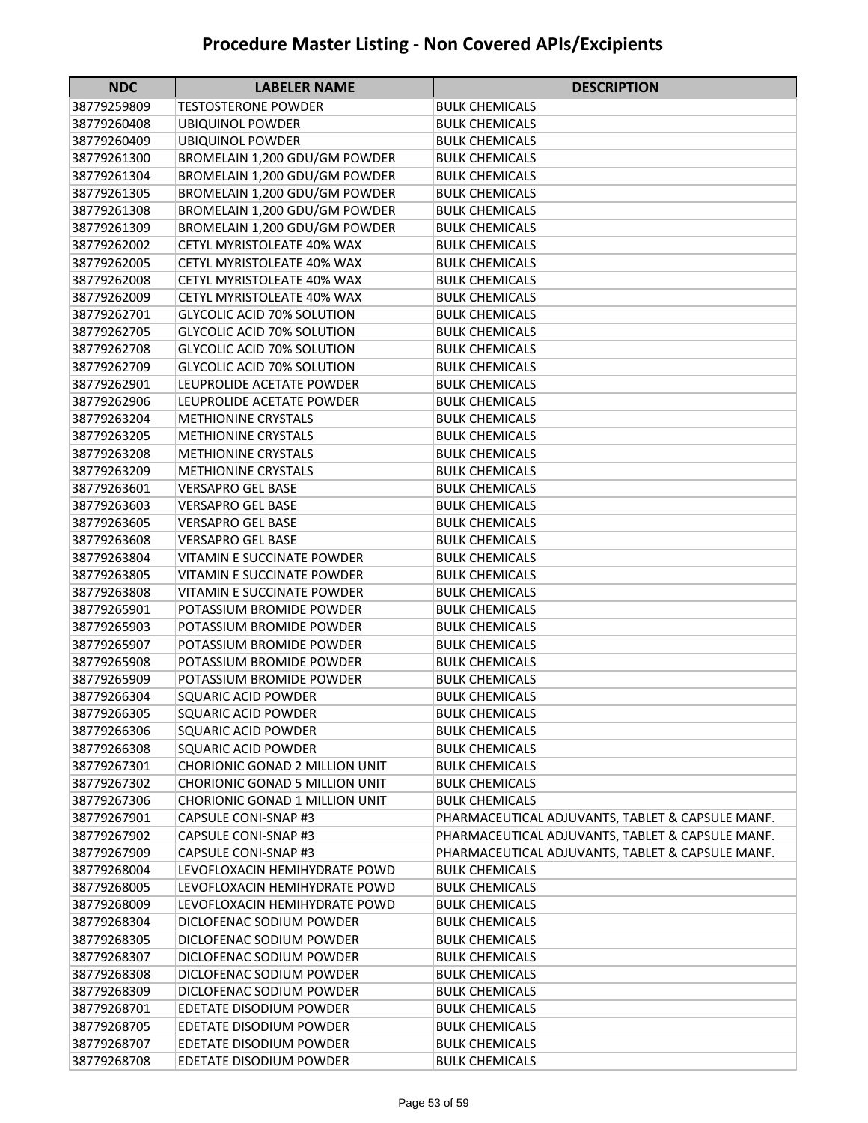| <b>NDC</b>                 | <b>LABELER NAME</b>                                              | <b>DESCRIPTION</b>                               |
|----------------------------|------------------------------------------------------------------|--------------------------------------------------|
| 38779259809                | <b>TESTOSTERONE POWDER</b>                                       | <b>BULK CHEMICALS</b>                            |
| 38779260408                | <b>UBIQUINOL POWDER</b>                                          | <b>BULK CHEMICALS</b>                            |
| 38779260409                | <b>UBIQUINOL POWDER</b>                                          | <b>BULK CHEMICALS</b>                            |
| 38779261300                | BROMELAIN 1,200 GDU/GM POWDER                                    | <b>BULK CHEMICALS</b>                            |
| 38779261304                | BROMELAIN 1,200 GDU/GM POWDER                                    | <b>BULK CHEMICALS</b>                            |
| 38779261305                | BROMELAIN 1,200 GDU/GM POWDER                                    | <b>BULK CHEMICALS</b>                            |
| 38779261308                | BROMELAIN 1,200 GDU/GM POWDER                                    | <b>BULK CHEMICALS</b>                            |
| 38779261309                | BROMELAIN 1,200 GDU/GM POWDER                                    | <b>BULK CHEMICALS</b>                            |
| 38779262002                | CETYL MYRISTOLEATE 40% WAX                                       | <b>BULK CHEMICALS</b>                            |
| 38779262005                | CETYL MYRISTOLEATE 40% WAX                                       | <b>BULK CHEMICALS</b>                            |
| 38779262008                | CETYL MYRISTOLEATE 40% WAX                                       | <b>BULK CHEMICALS</b>                            |
| 38779262009                | CETYL MYRISTOLEATE 40% WAX                                       | <b>BULK CHEMICALS</b>                            |
| 38779262701                | <b>GLYCOLIC ACID 70% SOLUTION</b>                                | <b>BULK CHEMICALS</b>                            |
| 38779262705                | <b>GLYCOLIC ACID 70% SOLUTION</b>                                | <b>BULK CHEMICALS</b>                            |
| 38779262708                | <b>GLYCOLIC ACID 70% SOLUTION</b>                                | <b>BULK CHEMICALS</b>                            |
| 38779262709                | <b>GLYCOLIC ACID 70% SOLUTION</b>                                | <b>BULK CHEMICALS</b>                            |
| 38779262901                | LEUPROLIDE ACETATE POWDER                                        | <b>BULK CHEMICALS</b>                            |
| 38779262906                | LEUPROLIDE ACETATE POWDER                                        | <b>BULK CHEMICALS</b>                            |
| 38779263204                | <b>METHIONINE CRYSTALS</b>                                       | <b>BULK CHEMICALS</b>                            |
| 38779263205                | <b>METHIONINE CRYSTALS</b>                                       | <b>BULK CHEMICALS</b>                            |
| 38779263208                | <b>METHIONINE CRYSTALS</b>                                       | <b>BULK CHEMICALS</b>                            |
| 38779263209                | <b>METHIONINE CRYSTALS</b>                                       | <b>BULK CHEMICALS</b>                            |
| 38779263601                | <b>VERSAPRO GEL BASE</b>                                         | <b>BULK CHEMICALS</b>                            |
| 38779263603                | <b>VERSAPRO GEL BASE</b>                                         | <b>BULK CHEMICALS</b>                            |
| 38779263605                | <b>VERSAPRO GEL BASE</b>                                         | <b>BULK CHEMICALS</b>                            |
| 38779263608                | <b>VERSAPRO GEL BASE</b>                                         | <b>BULK CHEMICALS</b>                            |
| 38779263804                | VITAMIN E SUCCINATE POWDER                                       | <b>BULK CHEMICALS</b>                            |
| 38779263805                | VITAMIN E SUCCINATE POWDER                                       | <b>BULK CHEMICALS</b>                            |
| 38779263808                | VITAMIN E SUCCINATE POWDER                                       | <b>BULK CHEMICALS</b>                            |
| 38779265901                | POTASSIUM BROMIDE POWDER                                         | <b>BULK CHEMICALS</b>                            |
| 38779265903                | POTASSIUM BROMIDE POWDER                                         | <b>BULK CHEMICALS</b>                            |
| 38779265907                | POTASSIUM BROMIDE POWDER                                         | <b>BULK CHEMICALS</b>                            |
| 38779265908                | POTASSIUM BROMIDE POWDER                                         | <b>BULK CHEMICALS</b>                            |
| 38779265909                | POTASSIUM BROMIDE POWDER                                         | <b>BULK CHEMICALS</b>                            |
| 38779266304                | <b>SQUARIC ACID POWDER</b>                                       | <b>BULK CHEMICALS</b>                            |
| 38779266305                | <b>SQUARIC ACID POWDER</b>                                       | <b>BULK CHEMICALS</b>                            |
| 38779266306                | <b>SQUARIC ACID POWDER</b>                                       | <b>BULK CHEMICALS</b>                            |
| 38779266308                | <b>SQUARIC ACID POWDER</b>                                       | <b>BULK CHEMICALS</b>                            |
| 38779267301                | CHORIONIC GONAD 2 MILLION UNIT<br>CHORIONIC GONAD 5 MILLION UNIT | <b>BULK CHEMICALS</b>                            |
| 38779267302<br>38779267306 | CHORIONIC GONAD 1 MILLION UNIT                                   | <b>BULK CHEMICALS</b><br><b>BULK CHEMICALS</b>   |
| 38779267901                | CAPSULE CONI-SNAP #3                                             | PHARMACEUTICAL ADJUVANTS, TABLET & CAPSULE MANF. |
| 38779267902                | <b>CAPSULE CONI-SNAP #3</b>                                      | PHARMACEUTICAL ADJUVANTS, TABLET & CAPSULE MANF. |
| 38779267909                | CAPSULE CONI-SNAP #3                                             | PHARMACEUTICAL ADJUVANTS, TABLET & CAPSULE MANF. |
| 38779268004                | LEVOFLOXACIN HEMIHYDRATE POWD                                    | <b>BULK CHEMICALS</b>                            |
| 38779268005                | LEVOFLOXACIN HEMIHYDRATE POWD                                    | <b>BULK CHEMICALS</b>                            |
| 38779268009                | LEVOFLOXACIN HEMIHYDRATE POWD                                    | <b>BULK CHEMICALS</b>                            |
| 38779268304                | DICLOFENAC SODIUM POWDER                                         | <b>BULK CHEMICALS</b>                            |
| 38779268305                | DICLOFENAC SODIUM POWDER                                         | <b>BULK CHEMICALS</b>                            |
| 38779268307                | DICLOFENAC SODIUM POWDER                                         | <b>BULK CHEMICALS</b>                            |
| 38779268308                | DICLOFENAC SODIUM POWDER                                         | <b>BULK CHEMICALS</b>                            |
| 38779268309                | DICLOFENAC SODIUM POWDER                                         | <b>BULK CHEMICALS</b>                            |
| 38779268701                | EDETATE DISODIUM POWDER                                          | <b>BULK CHEMICALS</b>                            |
| 38779268705                | EDETATE DISODIUM POWDER                                          | <b>BULK CHEMICALS</b>                            |
| 38779268707                | EDETATE DISODIUM POWDER                                          | <b>BULK CHEMICALS</b>                            |
| 38779268708                | EDETATE DISODIUM POWDER                                          | <b>BULK CHEMICALS</b>                            |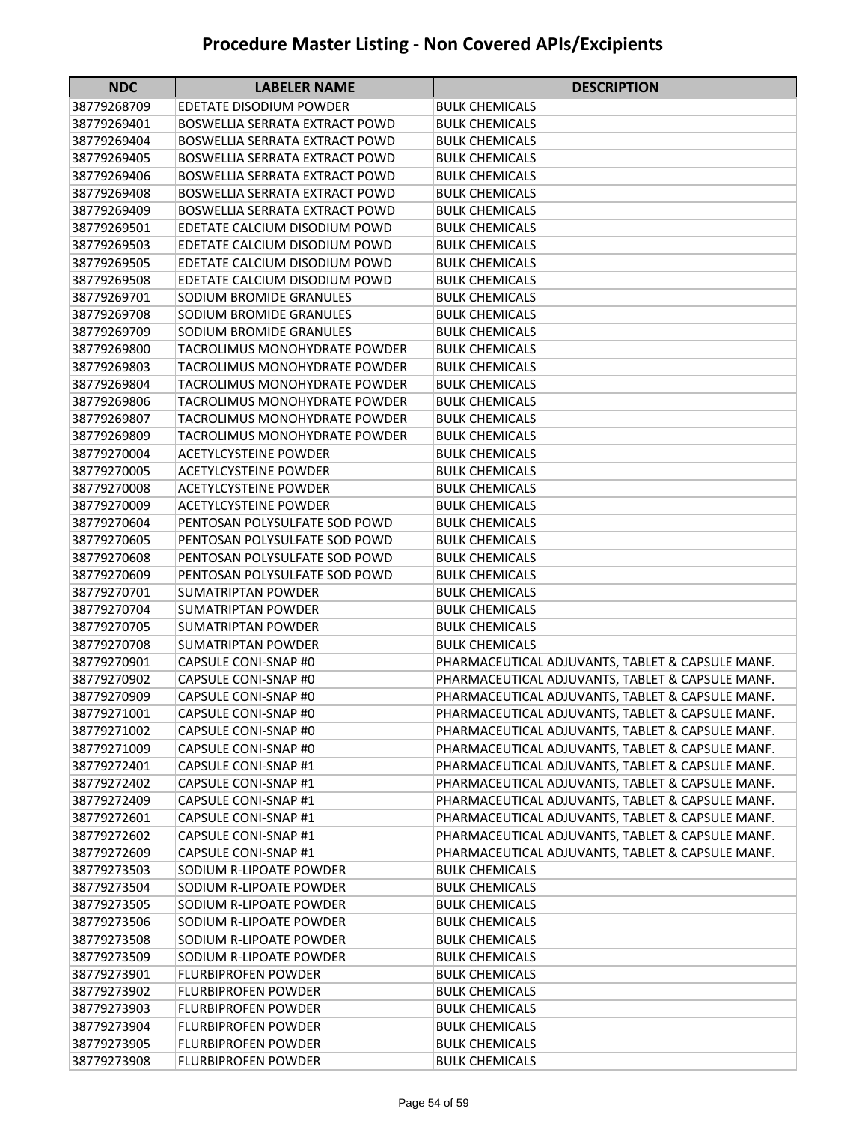| <b>NDC</b>                 | <b>LABELER NAME</b>                                | <b>DESCRIPTION</b>                               |
|----------------------------|----------------------------------------------------|--------------------------------------------------|
| 38779268709                | EDETATE DISODIUM POWDER                            | <b>BULK CHEMICALS</b>                            |
| 38779269401                | <b>BOSWELLIA SERRATA EXTRACT POWD</b>              | <b>BULK CHEMICALS</b>                            |
| 38779269404                | BOSWELLIA SERRATA EXTRACT POWD                     | <b>BULK CHEMICALS</b>                            |
| 38779269405                | BOSWELLIA SERRATA EXTRACT POWD                     | <b>BULK CHEMICALS</b>                            |
| 38779269406                | <b>BOSWELLIA SERRATA EXTRACT POWD</b>              | <b>BULK CHEMICALS</b>                            |
| 38779269408                | BOSWELLIA SERRATA EXTRACT POWD                     | <b>BULK CHEMICALS</b>                            |
| 38779269409                | <b>BOSWELLIA SERRATA EXTRACT POWD</b>              | <b>BULK CHEMICALS</b>                            |
| 38779269501                | EDETATE CALCIUM DISODIUM POWD                      | <b>BULK CHEMICALS</b>                            |
| 38779269503                | EDETATE CALCIUM DISODIUM POWD                      | <b>BULK CHEMICALS</b>                            |
| 38779269505                | EDETATE CALCIUM DISODIUM POWD                      | <b>BULK CHEMICALS</b>                            |
| 38779269508                | EDETATE CALCIUM DISODIUM POWD                      | <b>BULK CHEMICALS</b>                            |
| 38779269701                | SODIUM BROMIDE GRANULES                            | <b>BULK CHEMICALS</b>                            |
| 38779269708                | SODIUM BROMIDE GRANULES                            | <b>BULK CHEMICALS</b>                            |
| 38779269709                | SODIUM BROMIDE GRANULES                            | <b>BULK CHEMICALS</b>                            |
| 38779269800                | TACROLIMUS MONOHYDRATE POWDER                      | <b>BULK CHEMICALS</b>                            |
| 38779269803                | TACROLIMUS MONOHYDRATE POWDER                      | <b>BULK CHEMICALS</b>                            |
| 38779269804                | TACROLIMUS MONOHYDRATE POWDER                      | <b>BULK CHEMICALS</b>                            |
| 38779269806                | <b>TACROLIMUS MONOHYDRATE POWDER</b>               | <b>BULK CHEMICALS</b>                            |
| 38779269807                | TACROLIMUS MONOHYDRATE POWDER                      | <b>BULK CHEMICALS</b>                            |
| 38779269809                | TACROLIMUS MONOHYDRATE POWDER                      | <b>BULK CHEMICALS</b>                            |
| 38779270004                | <b>ACETYLCYSTEINE POWDER</b>                       | <b>BULK CHEMICALS</b>                            |
| 38779270005                | <b>ACETYLCYSTEINE POWDER</b>                       | <b>BULK CHEMICALS</b>                            |
| 38779270008                | <b>ACETYLCYSTEINE POWDER</b>                       | <b>BULK CHEMICALS</b>                            |
| 38779270009                | <b>ACETYLCYSTEINE POWDER</b>                       | <b>BULK CHEMICALS</b>                            |
| 38779270604                | PENTOSAN POLYSULFATE SOD POWD                      | <b>BULK CHEMICALS</b>                            |
| 38779270605                | PENTOSAN POLYSULFATE SOD POWD                      | <b>BULK CHEMICALS</b>                            |
| 38779270608                | PENTOSAN POLYSULFATE SOD POWD                      | <b>BULK CHEMICALS</b>                            |
| 38779270609                | PENTOSAN POLYSULFATE SOD POWD                      | <b>BULK CHEMICALS</b>                            |
| 38779270701                | <b>SUMATRIPTAN POWDER</b>                          | <b>BULK CHEMICALS</b>                            |
| 38779270704                | <b>SUMATRIPTAN POWDER</b>                          | <b>BULK CHEMICALS</b>                            |
| 38779270705                | <b>SUMATRIPTAN POWDER</b>                          | <b>BULK CHEMICALS</b>                            |
| 38779270708                | <b>SUMATRIPTAN POWDER</b>                          | <b>BULK CHEMICALS</b>                            |
| 38779270901                | CAPSULE CONI-SNAP #0                               | PHARMACEUTICAL ADJUVANTS, TABLET & CAPSULE MANF. |
| 38779270902                | CAPSULE CONI-SNAP #0                               | PHARMACEUTICAL ADJUVANTS, TABLET & CAPSULE MANF. |
| 38779270909                | CAPSULE CONI-SNAP #0                               | PHARMACEUTICAL ADJUVANTS, TABLET & CAPSULE MANF. |
| 38779271001                | CAPSULE CONI-SNAP #0                               | PHARMACEUTICAL ADJUVANTS, TABLET & CAPSULE MANF. |
| 38779271002                | CAPSULE CONI-SNAP #0                               | PHARMACEUTICAL ADJUVANTS, TABLET & CAPSULE MANF. |
| 38779271009                | CAPSULE CONI-SNAP #0                               | PHARMACEUTICAL ADJUVANTS, TABLET & CAPSULE MANF. |
| 38779272401                | CAPSULE CONI-SNAP #1                               | PHARMACEUTICAL ADJUVANTS, TABLET & CAPSULE MANF. |
| 38779272402                | CAPSULE CONI-SNAP #1                               | PHARMACEUTICAL ADJUVANTS, TABLET & CAPSULE MANF. |
| 38779272409                | <b>CAPSULE CONI-SNAP #1</b>                        | PHARMACEUTICAL ADJUVANTS, TABLET & CAPSULE MANF. |
| 38779272601                | CAPSULE CONI-SNAP #1                               | PHARMACEUTICAL ADJUVANTS, TABLET & CAPSULE MANF. |
| 38779272602                | CAPSULE CONI-SNAP #1                               | PHARMACEUTICAL ADJUVANTS, TABLET & CAPSULE MANF. |
| 38779272609                | CAPSULE CONI-SNAP #1                               | PHARMACEUTICAL ADJUVANTS, TABLET & CAPSULE MANF. |
| 38779273503                | SODIUM R-LIPOATE POWDER                            | <b>BULK CHEMICALS</b>                            |
| 38779273504                | SODIUM R-LIPOATE POWDER                            | <b>BULK CHEMICALS</b>                            |
| 38779273505                | SODIUM R-LIPOATE POWDER                            | <b>BULK CHEMICALS</b>                            |
| 38779273506                | SODIUM R-LIPOATE POWDER                            | <b>BULK CHEMICALS</b>                            |
| 38779273508<br>38779273509 | SODIUM R-LIPOATE POWDER<br>SODIUM R-LIPOATE POWDER | <b>BULK CHEMICALS</b><br><b>BULK CHEMICALS</b>   |
| 38779273901                | <b>FLURBIPROFEN POWDER</b>                         | <b>BULK CHEMICALS</b>                            |
| 38779273902                | <b>FLURBIPROFEN POWDER</b>                         | <b>BULK CHEMICALS</b>                            |
| 38779273903                | <b>FLURBIPROFEN POWDER</b>                         | <b>BULK CHEMICALS</b>                            |
| 38779273904                | <b>FLURBIPROFEN POWDER</b>                         | <b>BULK CHEMICALS</b>                            |
| 38779273905                | <b>FLURBIPROFEN POWDER</b>                         | <b>BULK CHEMICALS</b>                            |
| 38779273908                | <b>FLURBIPROFEN POWDER</b>                         | <b>BULK CHEMICALS</b>                            |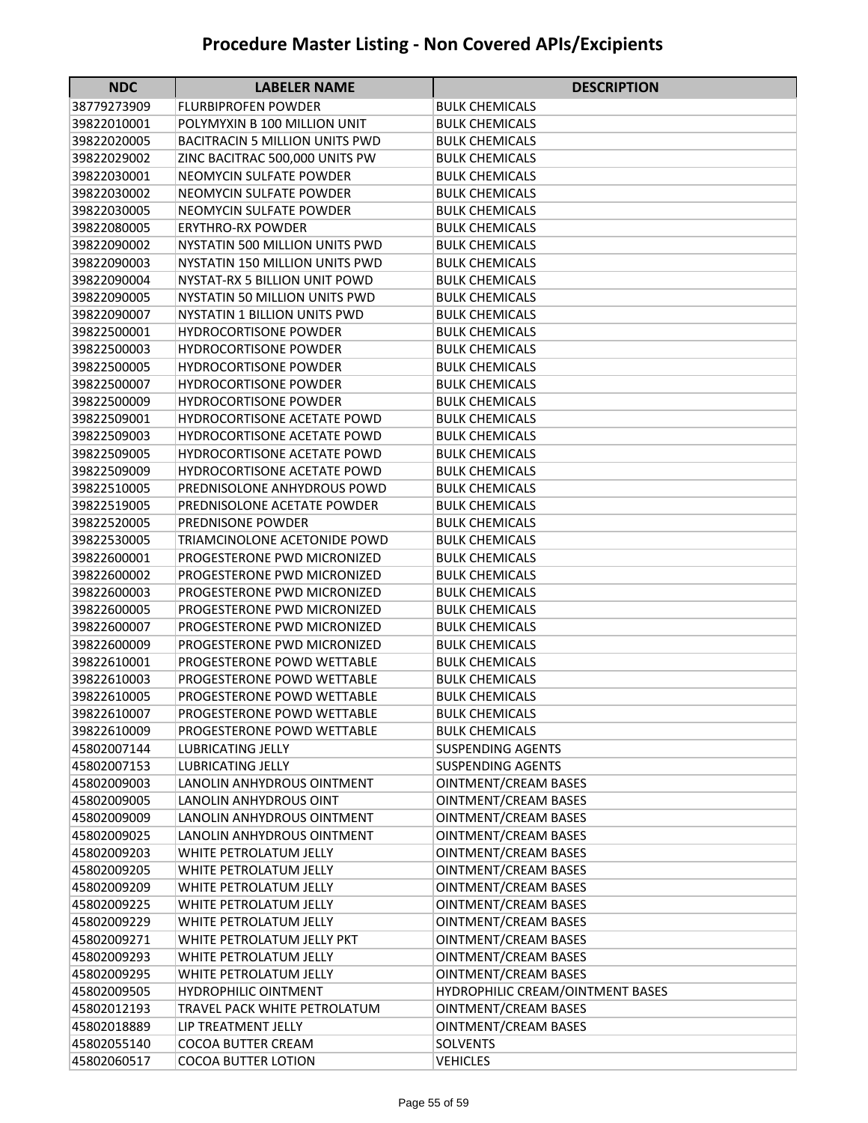| <b>NDC</b>                 | <b>LABELER NAME</b>                                       | <b>DESCRIPTION</b>                             |
|----------------------------|-----------------------------------------------------------|------------------------------------------------|
| 38779273909                | <b>FLURBIPROFEN POWDER</b>                                | <b>BULK CHEMICALS</b>                          |
| 39822010001                | POLYMYXIN B 100 MILLION UNIT                              | <b>BULK CHEMICALS</b>                          |
| 39822020005                | <b>BACITRACIN 5 MILLION UNITS PWD</b>                     | <b>BULK CHEMICALS</b>                          |
| 39822029002                | ZINC BACITRAC 500,000 UNITS PW                            | <b>BULK CHEMICALS</b>                          |
| 39822030001                | NEOMYCIN SULFATE POWDER                                   | <b>BULK CHEMICALS</b>                          |
| 39822030002                | NEOMYCIN SULFATE POWDER                                   | <b>BULK CHEMICALS</b>                          |
| 39822030005                | NEOMYCIN SULFATE POWDER                                   | <b>BULK CHEMICALS</b>                          |
| 39822080005                | <b>ERYTHRO-RX POWDER</b>                                  | <b>BULK CHEMICALS</b>                          |
| 39822090002                | NYSTATIN 500 MILLION UNITS PWD                            | <b>BULK CHEMICALS</b>                          |
| 39822090003                | NYSTATIN 150 MILLION UNITS PWD                            | <b>BULK CHEMICALS</b>                          |
| 39822090004                | NYSTAT-RX 5 BILLION UNIT POWD                             | <b>BULK CHEMICALS</b>                          |
| 39822090005                | NYSTATIN 50 MILLION UNITS PWD                             | <b>BULK CHEMICALS</b>                          |
| 39822090007                | <b>NYSTATIN 1 BILLION UNITS PWD</b>                       | <b>BULK CHEMICALS</b>                          |
| 39822500001                | <b>HYDROCORTISONE POWDER</b>                              | <b>BULK CHEMICALS</b>                          |
| 39822500003                | <b>HYDROCORTISONE POWDER</b>                              | <b>BULK CHEMICALS</b>                          |
| 39822500005                | <b>HYDROCORTISONE POWDER</b>                              | <b>BULK CHEMICALS</b>                          |
| 39822500007                | <b>HYDROCORTISONE POWDER</b>                              | <b>BULK CHEMICALS</b>                          |
| 39822500009                | <b>HYDROCORTISONE POWDER</b>                              | <b>BULK CHEMICALS</b>                          |
| 39822509001                | <b>HYDROCORTISONE ACETATE POWD</b>                        | <b>BULK CHEMICALS</b>                          |
| 39822509003                | <b>HYDROCORTISONE ACETATE POWD</b>                        | <b>BULK CHEMICALS</b>                          |
| 39822509005                | <b>HYDROCORTISONE ACETATE POWD</b>                        | <b>BULK CHEMICALS</b>                          |
| 39822509009                | <b>HYDROCORTISONE ACETATE POWD</b>                        | <b>BULK CHEMICALS</b>                          |
| 39822510005                | PREDNISOLONE ANHYDROUS POWD                               | <b>BULK CHEMICALS</b>                          |
| 39822519005                | PREDNISOLONE ACETATE POWDER                               | <b>BULK CHEMICALS</b>                          |
| 39822520005                | PREDNISONE POWDER                                         | <b>BULK CHEMICALS</b>                          |
| 39822530005                | TRIAMCINOLONE ACETONIDE POWD                              | <b>BULK CHEMICALS</b>                          |
| 39822600001                | PROGESTERONE PWD MICRONIZED                               | <b>BULK CHEMICALS</b>                          |
| 39822600002                | PROGESTERONE PWD MICRONIZED                               | <b>BULK CHEMICALS</b>                          |
| 39822600003                | PROGESTERONE PWD MICRONIZED                               | <b>BULK CHEMICALS</b>                          |
| 39822600005                | PROGESTERONE PWD MICRONIZED                               | <b>BULK CHEMICALS</b>                          |
| 39822600007                | PROGESTERONE PWD MICRONIZED                               | <b>BULK CHEMICALS</b>                          |
| 39822600009                | PROGESTERONE PWD MICRONIZED<br>PROGESTERONE POWD WETTABLE | <b>BULK CHEMICALS</b>                          |
| 39822610001<br>39822610003 | PROGESTERONE POWD WETTABLE                                | <b>BULK CHEMICALS</b><br><b>BULK CHEMICALS</b> |
| 39822610005                | PROGESTERONE POWD WETTABLE                                | <b>BULK CHEMICALS</b>                          |
| 39822610007                | PROGESTERONE POWD WETTABLE                                | <b>BULK CHEMICALS</b>                          |
| 39822610009                | PROGESTERONE POWD WETTABLE                                | <b>BULK CHEMICALS</b>                          |
| 45802007144                | <b>LUBRICATING JELLY</b>                                  | <b>SUSPENDING AGENTS</b>                       |
| 45802007153                | LUBRICATING JELLY                                         | <b>SUSPENDING AGENTS</b>                       |
| 45802009003                | LANOLIN ANHYDROUS OINTMENT                                | <b>OINTMENT/CREAM BASES</b>                    |
| 45802009005                | LANOLIN ANHYDROUS OINT                                    | OINTMENT/CREAM BASES                           |
| 45802009009                | LANOLIN ANHYDROUS OINTMENT                                | <b>OINTMENT/CREAM BASES</b>                    |
| 45802009025                | LANOLIN ANHYDROUS OINTMENT                                | OINTMENT/CREAM BASES                           |
| 45802009203                | WHITE PETROLATUM JELLY                                    | OINTMENT/CREAM BASES                           |
| 45802009205                | WHITE PETROLATUM JELLY                                    | <b>OINTMENT/CREAM BASES</b>                    |
| 45802009209                | WHITE PETROLATUM JELLY                                    | <b>OINTMENT/CREAM BASES</b>                    |
| 45802009225                | WHITE PETROLATUM JELLY                                    | OINTMENT/CREAM BASES                           |
| 45802009229                | WHITE PETROLATUM JELLY                                    | OINTMENT/CREAM BASES                           |
| 45802009271                | WHITE PETROLATUM JELLY PKT                                | <b>OINTMENT/CREAM BASES</b>                    |
| 45802009293                | WHITE PETROLATUM JELLY                                    | OINTMENT/CREAM BASES                           |
| 45802009295                | WHITE PETROLATUM JELLY                                    | OINTMENT/CREAM BASES                           |
| 45802009505                | <b>HYDROPHILIC OINTMENT</b>                               | HYDROPHILIC CREAM/OINTMENT BASES               |
| 45802012193                | TRAVEL PACK WHITE PETROLATUM                              | OINTMENT/CREAM BASES                           |
| 45802018889                | LIP TREATMENT JELLY                                       | OINTMENT/CREAM BASES                           |
| 45802055140                | COCOA BUTTER CREAM                                        | <b>SOLVENTS</b>                                |
| 45802060517                | COCOA BUTTER LOTION                                       | <b>VEHICLES</b>                                |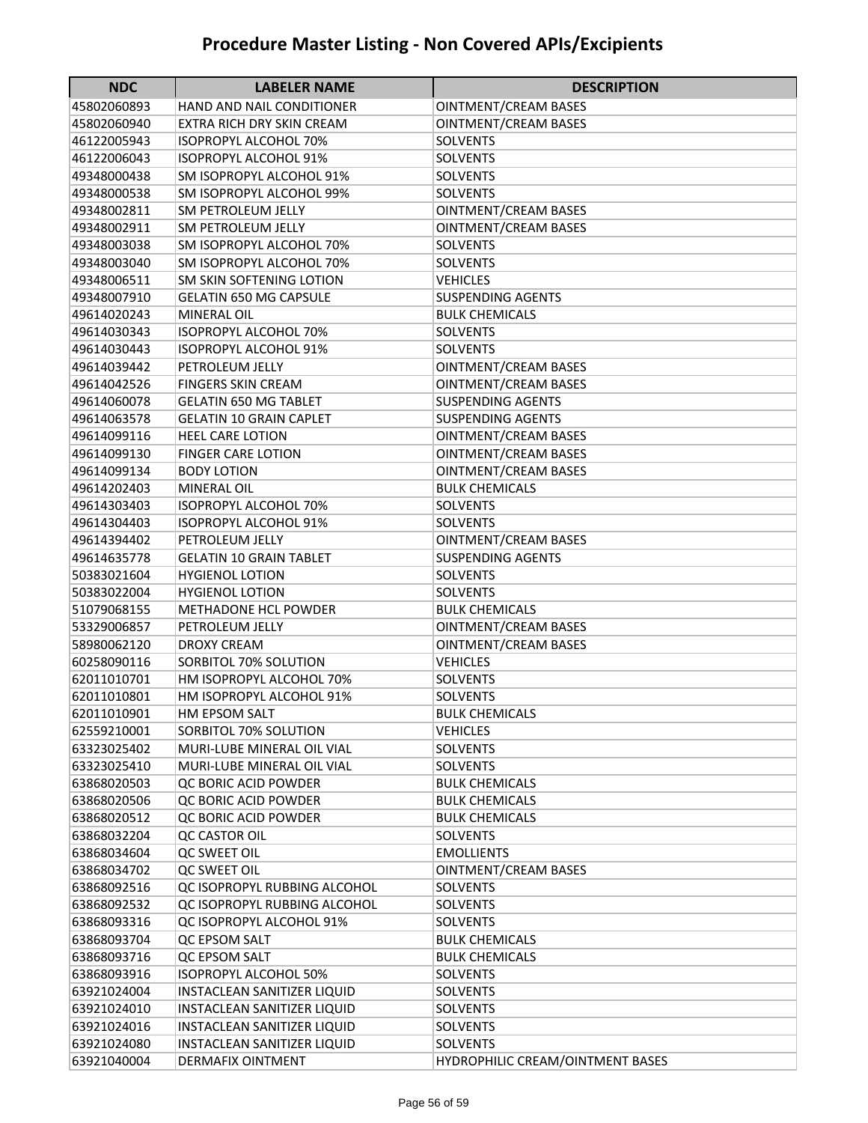| <b>NDC</b>                 | <b>LABELER NAME</b>                         | <b>DESCRIPTION</b>                 |
|----------------------------|---------------------------------------------|------------------------------------|
| 45802060893                | <b>HAND AND NAIL CONDITIONER</b>            | <b>OINTMENT/CREAM BASES</b>        |
| 45802060940                | EXTRA RICH DRY SKIN CREAM                   | <b>OINTMENT/CREAM BASES</b>        |
| 46122005943                | <b>ISOPROPYL ALCOHOL 70%</b>                | <b>SOLVENTS</b>                    |
| 46122006043                | <b>ISOPROPYL ALCOHOL 91%</b>                | SOLVENTS                           |
| 49348000438                | SM ISOPROPYL ALCOHOL 91%                    | SOLVENTS                           |
| 49348000538                | <b>SM ISOPROPYL ALCOHOL 99%</b>             | SOLVENTS                           |
| 49348002811                | <b>SM PETROLEUM JELLY</b>                   | <b>OINTMENT/CREAM BASES</b>        |
| 49348002911                | <b>SM PETROLEUM JELLY</b>                   | <b>OINTMENT/CREAM BASES</b>        |
| 49348003038                | SM ISOPROPYL ALCOHOL 70%                    | <b>SOLVENTS</b>                    |
| 49348003040                | SM ISOPROPYL ALCOHOL 70%                    | <b>SOLVENTS</b>                    |
| 49348006511                | SM SKIN SOFTENING LOTION                    | <b>VEHICLES</b>                    |
| 49348007910                | <b>GELATIN 650 MG CAPSULE</b>               | <b>SUSPENDING AGENTS</b>           |
| 49614020243                | <b>MINERAL OIL</b>                          | <b>BULK CHEMICALS</b>              |
| 49614030343                | <b>ISOPROPYL ALCOHOL 70%</b>                | <b>SOLVENTS</b>                    |
| 49614030443                | <b>ISOPROPYL ALCOHOL 91%</b>                | SOLVENTS                           |
| 49614039442                | PETROLEUM JELLY                             | <b>OINTMENT/CREAM BASES</b>        |
| 49614042526                | <b>FINGERS SKIN CREAM</b>                   | <b>OINTMENT/CREAM BASES</b>        |
| 49614060078                | <b>GELATIN 650 MG TABLET</b>                | <b>SUSPENDING AGENTS</b>           |
| 49614063578                | <b>GELATIN 10 GRAIN CAPLET</b>              | <b>SUSPENDING AGENTS</b>           |
| 49614099116                | <b>HEEL CARE LOTION</b>                     | <b>OINTMENT/CREAM BASES</b>        |
| 49614099130                | <b>FINGER CARE LOTION</b>                   | <b>OINTMENT/CREAM BASES</b>        |
| 49614099134                | <b>BODY LOTION</b>                          | <b>OINTMENT/CREAM BASES</b>        |
| 49614202403                | <b>MINERAL OIL</b>                          | <b>BULK CHEMICALS</b>              |
| 49614303403                | <b>ISOPROPYL ALCOHOL 70%</b>                | <b>SOLVENTS</b>                    |
| 49614304403                | <b>ISOPROPYL ALCOHOL 91%</b>                | <b>SOLVENTS</b>                    |
| 49614394402                | PETROLEUM JELLY                             | OINTMENT/CREAM BASES               |
| 49614635778                | <b>GELATIN 10 GRAIN TABLET</b>              | <b>SUSPENDING AGENTS</b>           |
| 50383021604                | <b>HYGIENOL LOTION</b>                      | <b>SOLVENTS</b>                    |
| 50383022004                | <b>HYGIENOL LOTION</b>                      | <b>SOLVENTS</b>                    |
| 51079068155                | <b>METHADONE HCL POWDER</b>                 | <b>BULK CHEMICALS</b>              |
| 53329006857                | <b>PETROLEUM JELLY</b>                      | <b>OINTMENT/CREAM BASES</b>        |
| 58980062120<br>60258090116 | <b>DROXY CREAM</b><br>SORBITOL 70% SOLUTION | <b>OINTMENT/CREAM BASES</b>        |
| 62011010701                | HM ISOPROPYL ALCOHOL 70%                    | <b>VEHICLES</b><br><b>SOLVENTS</b> |
| 62011010801                | HM ISOPROPYL ALCOHOL 91%                    | <b>SOLVENTS</b>                    |
| 62011010901                | HM EPSOM SALT                               | <b>BULK CHEMICALS</b>              |
| 62559210001                | SORBITOL 70% SOLUTION                       | <b>VEHICLES</b>                    |
| 63323025402                | MURI-LUBE MINERAL OIL VIAL                  | <b>SOLVENTS</b>                    |
| 63323025410                | MURI-LUBE MINERAL OIL VIAL                  | <b>SOLVENTS</b>                    |
| 63868020503                | QC BORIC ACID POWDER                        | <b>BULK CHEMICALS</b>              |
| 63868020506                | QC BORIC ACID POWDER                        | <b>BULK CHEMICALS</b>              |
| 63868020512                | QC BORIC ACID POWDER                        | <b>BULK CHEMICALS</b>              |
| 63868032204                | QC CASTOR OIL                               | <b>SOLVENTS</b>                    |
| 63868034604                | QC SWEET OIL                                | <b>EMOLLIENTS</b>                  |
| 63868034702                | QC SWEET OIL                                | OINTMENT/CREAM BASES               |
| 63868092516                | QC ISOPROPYL RUBBING ALCOHOL                | <b>SOLVENTS</b>                    |
| 63868092532                | QC ISOPROPYL RUBBING ALCOHOL                | SOLVENTS                           |
| 63868093316                | QC ISOPROPYL ALCOHOL 91%                    | SOLVENTS                           |
| 63868093704                | QC EPSOM SALT                               | <b>BULK CHEMICALS</b>              |
| 63868093716                | QC EPSOM SALT                               | <b>BULK CHEMICALS</b>              |
| 63868093916                | <b>ISOPROPYL ALCOHOL 50%</b>                | <b>SOLVENTS</b>                    |
| 63921024004                | INSTACLEAN SANITIZER LIQUID                 | <b>SOLVENTS</b>                    |
| 63921024010                | INSTACLEAN SANITIZER LIQUID                 | <b>SOLVENTS</b>                    |
| 63921024016                | INSTACLEAN SANITIZER LIQUID                 | <b>SOLVENTS</b>                    |
| 63921024080                | INSTACLEAN SANITIZER LIQUID                 | <b>SOLVENTS</b>                    |
| 63921040004                | DERMAFIX OINTMENT                           | HYDROPHILIC CREAM/OINTMENT BASES   |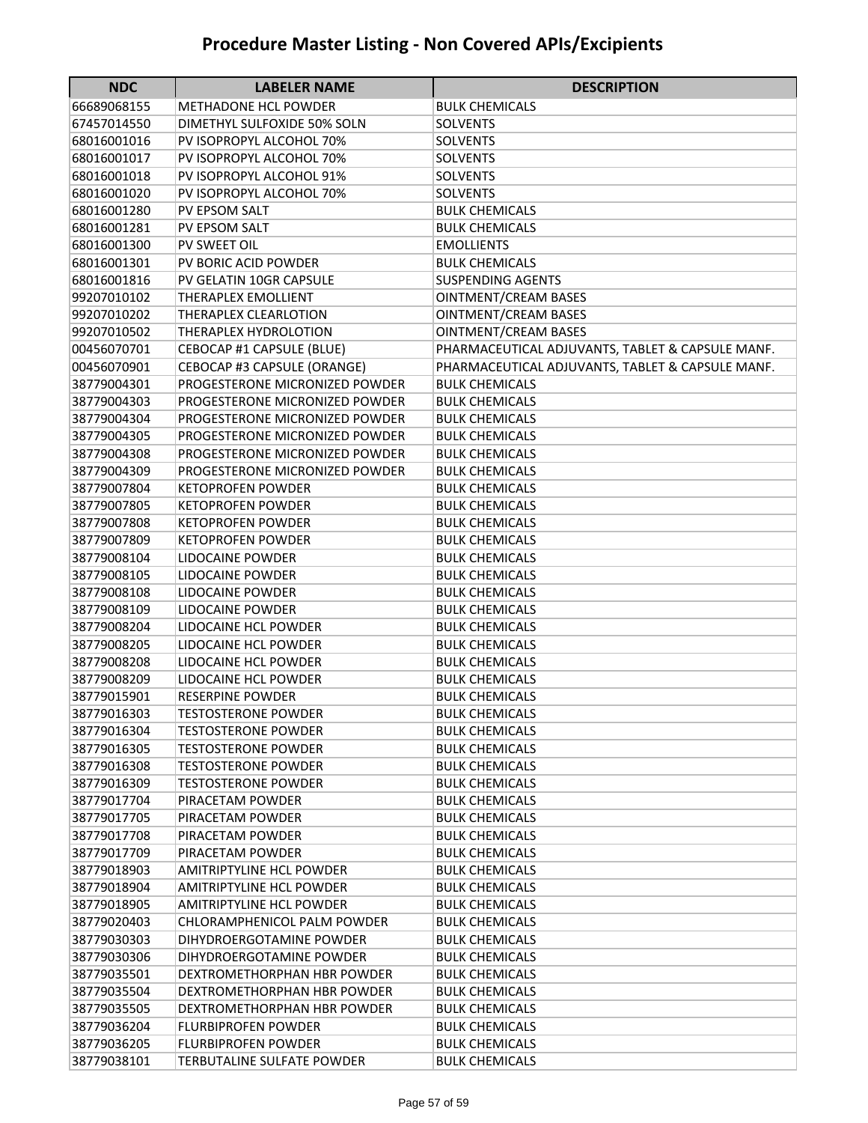| <b>NDC</b>  | <b>LABELER NAME</b>             | <b>DESCRIPTION</b>                               |
|-------------|---------------------------------|--------------------------------------------------|
| 66689068155 | <b>METHADONE HCL POWDER</b>     | <b>BULK CHEMICALS</b>                            |
| 67457014550 | DIMETHYL SULFOXIDE 50% SOLN     | SOLVENTS                                         |
| 68016001016 | PV ISOPROPYL ALCOHOL 70%        | <b>SOLVENTS</b>                                  |
| 68016001017 | PV ISOPROPYL ALCOHOL 70%        | SOLVENTS                                         |
| 68016001018 | PV ISOPROPYL ALCOHOL 91%        | <b>SOLVENTS</b>                                  |
| 68016001020 | PV ISOPROPYL ALCOHOL 70%        | <b>SOLVENTS</b>                                  |
| 68016001280 | PV EPSOM SALT                   | <b>BULK CHEMICALS</b>                            |
| 68016001281 | PV EPSOM SALT                   | <b>BULK CHEMICALS</b>                            |
| 68016001300 | PV SWEET OIL                    | <b>EMOLLIENTS</b>                                |
| 68016001301 | PV BORIC ACID POWDER            | <b>BULK CHEMICALS</b>                            |
| 68016001816 | PV GELATIN 10GR CAPSULE         | <b>SUSPENDING AGENTS</b>                         |
| 99207010102 | <b>THERAPLEX EMOLLIENT</b>      | <b>OINTMENT/CREAM BASES</b>                      |
| 99207010202 | THERAPLEX CLEARLOTION           | <b>OINTMENT/CREAM BASES</b>                      |
| 99207010502 | THERAPLEX HYDROLOTION           | <b>OINTMENT/CREAM BASES</b>                      |
| 00456070701 | CEBOCAP #1 CAPSULE (BLUE)       | PHARMACEUTICAL ADJUVANTS, TABLET & CAPSULE MANF. |
| 00456070901 | CEBOCAP #3 CAPSULE (ORANGE)     | PHARMACEUTICAL ADJUVANTS, TABLET & CAPSULE MANF. |
| 38779004301 | PROGESTERONE MICRONIZED POWDER  | <b>BULK CHEMICALS</b>                            |
| 38779004303 | PROGESTERONE MICRONIZED POWDER  | <b>BULK CHEMICALS</b>                            |
| 38779004304 | PROGESTERONE MICRONIZED POWDER  | <b>BULK CHEMICALS</b>                            |
| 38779004305 | PROGESTERONE MICRONIZED POWDER  | <b>BULK CHEMICALS</b>                            |
| 38779004308 | PROGESTERONE MICRONIZED POWDER  | <b>BULK CHEMICALS</b>                            |
| 38779004309 | PROGESTERONE MICRONIZED POWDER  | <b>BULK CHEMICALS</b>                            |
| 38779007804 | <b>KETOPROFEN POWDER</b>        | <b>BULK CHEMICALS</b>                            |
| 38779007805 | <b>KETOPROFEN POWDER</b>        | <b>BULK CHEMICALS</b>                            |
| 38779007808 | <b>KETOPROFEN POWDER</b>        | <b>BULK CHEMICALS</b>                            |
| 38779007809 | <b>KETOPROFEN POWDER</b>        | <b>BULK CHEMICALS</b>                            |
| 38779008104 | <b>LIDOCAINE POWDER</b>         | <b>BULK CHEMICALS</b>                            |
| 38779008105 | LIDOCAINE POWDER                | <b>BULK CHEMICALS</b>                            |
| 38779008108 | LIDOCAINE POWDER                | <b>BULK CHEMICALS</b>                            |
| 38779008109 | LIDOCAINE POWDER                | <b>BULK CHEMICALS</b>                            |
| 38779008204 | LIDOCAINE HCL POWDER            | <b>BULK CHEMICALS</b>                            |
| 38779008205 | LIDOCAINE HCL POWDER            | <b>BULK CHEMICALS</b>                            |
| 38779008208 | LIDOCAINE HCL POWDER            | <b>BULK CHEMICALS</b>                            |
| 38779008209 | LIDOCAINE HCL POWDER            | <b>BULK CHEMICALS</b>                            |
| 38779015901 | <b>RESERPINE POWDER</b>         | <b>BULK CHEMICALS</b>                            |
| 38779016303 | <b>TESTOSTERONE POWDER</b>      | <b>BULK CHEMICALS</b>                            |
| 38779016304 | <b>TESTOSTERONE POWDER</b>      | <b>BULK CHEMICALS</b>                            |
| 38779016305 | <b>TESTOSTERONE POWDER</b>      | <b>BULK CHEMICALS</b>                            |
| 38779016308 | <b>TESTOSTERONE POWDER</b>      | <b>BULK CHEMICALS</b>                            |
| 38779016309 | <b>TESTOSTERONE POWDER</b>      | <b>BULK CHEMICALS</b>                            |
| 38779017704 | PIRACETAM POWDER                | <b>BULK CHEMICALS</b>                            |
| 38779017705 | PIRACETAM POWDER                | <b>BULK CHEMICALS</b>                            |
| 38779017708 | PIRACETAM POWDER                | <b>BULK CHEMICALS</b>                            |
| 38779017709 | PIRACETAM POWDER                | <b>BULK CHEMICALS</b>                            |
| 38779018903 | <b>AMITRIPTYLINE HCL POWDER</b> | <b>BULK CHEMICALS</b>                            |
| 38779018904 | <b>AMITRIPTYLINE HCL POWDER</b> | <b>BULK CHEMICALS</b>                            |
| 38779018905 | AMITRIPTYLINE HCL POWDER        | <b>BULK CHEMICALS</b>                            |
| 38779020403 | CHLORAMPHENICOL PALM POWDER     | <b>BULK CHEMICALS</b>                            |
| 38779030303 | DIHYDROERGOTAMINE POWDER        | <b>BULK CHEMICALS</b>                            |
| 38779030306 | DIHYDROERGOTAMINE POWDER        | <b>BULK CHEMICALS</b>                            |
| 38779035501 | DEXTROMETHORPHAN HBR POWDER     | <b>BULK CHEMICALS</b>                            |
| 38779035504 | DEXTROMETHORPHAN HBR POWDER     | <b>BULK CHEMICALS</b>                            |
| 38779035505 | DEXTROMETHORPHAN HBR POWDER     | <b>BULK CHEMICALS</b>                            |
| 38779036204 | FLURBIPROFEN POWDER             | BULK CHEMICALS                                   |
| 38779036205 | <b>FLURBIPROFEN POWDER</b>      | <b>BULK CHEMICALS</b>                            |
| 38779038101 | TERBUTALINE SULFATE POWDER      | <b>BULK CHEMICALS</b>                            |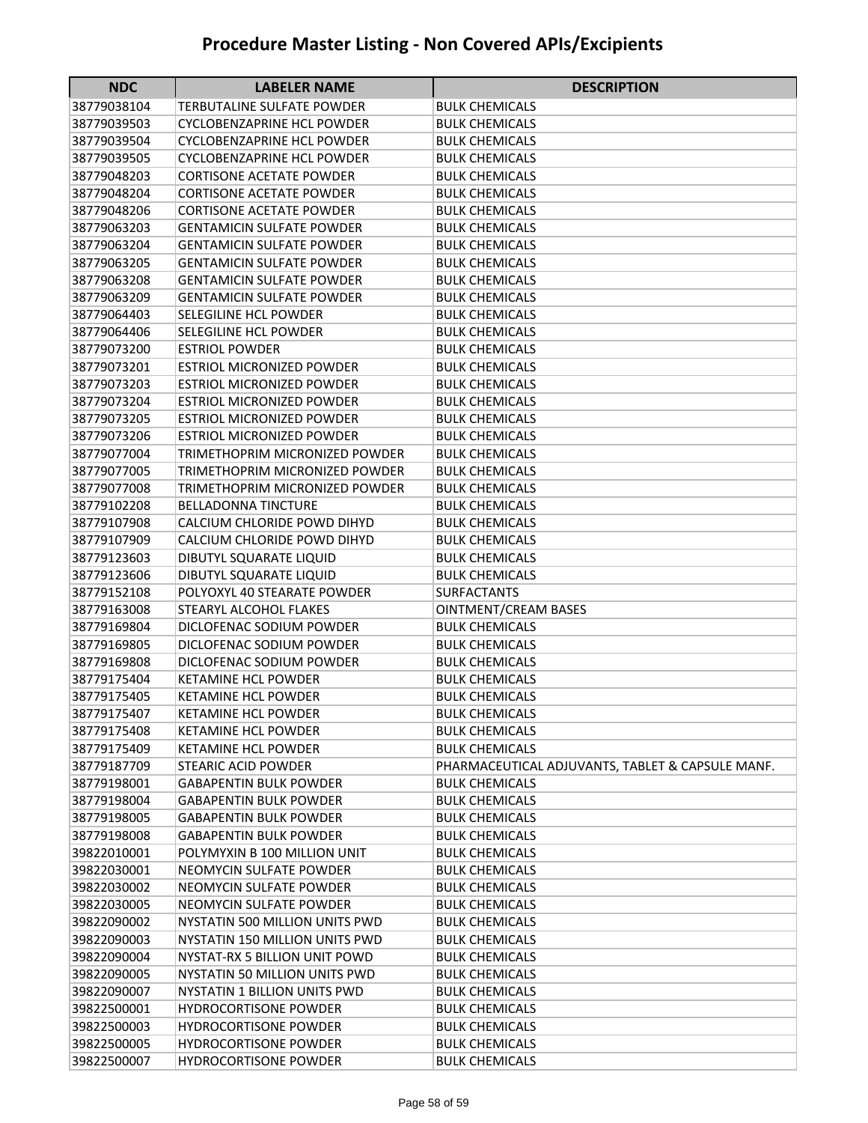| <b>NDC</b>                 | <b>LABELER NAME</b>                                            | <b>DESCRIPTION</b>                                                        |
|----------------------------|----------------------------------------------------------------|---------------------------------------------------------------------------|
| 38779038104                | TERBUTALINE SULFATE POWDER                                     | <b>BULK CHEMICALS</b>                                                     |
| 38779039503                | <b>CYCLOBENZAPRINE HCL POWDER</b>                              | <b>BULK CHEMICALS</b>                                                     |
| 38779039504                | <b>CYCLOBENZAPRINE HCL POWDER</b>                              | <b>BULK CHEMICALS</b>                                                     |
| 38779039505                | <b>CYCLOBENZAPRINE HCL POWDER</b>                              | <b>BULK CHEMICALS</b>                                                     |
| 38779048203                | <b>CORTISONE ACETATE POWDER</b>                                | <b>BULK CHEMICALS</b>                                                     |
| 38779048204                | <b>CORTISONE ACETATE POWDER</b>                                | <b>BULK CHEMICALS</b>                                                     |
| 38779048206                | <b>CORTISONE ACETATE POWDER</b>                                | <b>BULK CHEMICALS</b>                                                     |
| 38779063203                | <b>GENTAMICIN SULFATE POWDER</b>                               | <b>BULK CHEMICALS</b>                                                     |
| 38779063204                | <b>GENTAMICIN SULFATE POWDER</b>                               | <b>BULK CHEMICALS</b>                                                     |
| 38779063205                | <b>GENTAMICIN SULFATE POWDER</b>                               | <b>BULK CHEMICALS</b>                                                     |
| 38779063208                | <b>GENTAMICIN SULFATE POWDER</b>                               | <b>BULK CHEMICALS</b>                                                     |
| 38779063209                | <b>GENTAMICIN SULFATE POWDER</b>                               | <b>BULK CHEMICALS</b>                                                     |
| 38779064403                | SELEGILINE HCL POWDER                                          | <b>BULK CHEMICALS</b>                                                     |
| 38779064406                | SELEGILINE HCL POWDER                                          | <b>BULK CHEMICALS</b>                                                     |
| 38779073200                | <b>ESTRIOL POWDER</b>                                          | <b>BULK CHEMICALS</b>                                                     |
| 38779073201                | <b>ESTRIOL MICRONIZED POWDER</b>                               | <b>BULK CHEMICALS</b>                                                     |
| 38779073203                | <b>ESTRIOL MICRONIZED POWDER</b>                               | <b>BULK CHEMICALS</b>                                                     |
| 38779073204                | <b>ESTRIOL MICRONIZED POWDER</b>                               | <b>BULK CHEMICALS</b>                                                     |
| 38779073205                | ESTRIOL MICRONIZED POWDER                                      | BULK CHEMICALS                                                            |
| 38779073206                | <b>ESTRIOL MICRONIZED POWDER</b>                               | <b>BULK CHEMICALS</b>                                                     |
| 38779077004                | TRIMETHOPRIM MICRONIZED POWDER                                 | <b>BULK CHEMICALS</b>                                                     |
| 38779077005                | TRIMETHOPRIM MICRONIZED POWDER                                 | <b>BULK CHEMICALS</b>                                                     |
| 38779077008                | TRIMETHOPRIM MICRONIZED POWDER                                 | <b>BULK CHEMICALS</b>                                                     |
| 38779102208                | <b>BELLADONNA TINCTURE</b>                                     | <b>BULK CHEMICALS</b>                                                     |
| 38779107908                | CALCIUM CHLORIDE POWD DIHYD                                    | <b>BULK CHEMICALS</b>                                                     |
| 38779107909                | CALCIUM CHLORIDE POWD DIHYD                                    | <b>BULK CHEMICALS</b>                                                     |
| 38779123603                | DIBUTYL SQUARATE LIQUID                                        | <b>BULK CHEMICALS</b>                                                     |
| 38779123606                | DIBUTYL SQUARATE LIQUID                                        | <b>BULK CHEMICALS</b>                                                     |
| 38779152108                | POLYOXYL 40 STEARATE POWDER                                    | <b>SURFACTANTS</b>                                                        |
| 38779163008                | <b>STEARYL ALCOHOL FLAKES</b>                                  | <b>OINTMENT/CREAM BASES</b>                                               |
| 38779169804                | DICLOFENAC SODIUM POWDER                                       | <b>BULK CHEMICALS</b>                                                     |
| 38779169805                | DICLOFENAC SODIUM POWDER                                       | <b>BULK CHEMICALS</b>                                                     |
| 38779169808                | DICLOFENAC SODIUM POWDER                                       | <b>BULK CHEMICALS</b>                                                     |
| 38779175404                | <b>KETAMINE HCL POWDER</b>                                     | <b>BULK CHEMICALS</b>                                                     |
| 38779175405                | <b>KETAMINE HCL POWDER</b>                                     | <b>BULK CHEMICALS</b>                                                     |
| 38779175407                | <b>KETAMINE HCL POWDER</b>                                     | <b>BULK CHEMICALS</b>                                                     |
| 38779175408                | <b>KETAMINE HCL POWDER</b>                                     | <b>BULK CHEMICALS</b>                                                     |
| 38779175409                | <b>KETAMINE HCL POWDER</b><br><b>STEARIC ACID POWDER</b>       | <b>BULK CHEMICALS</b>                                                     |
| 38779187709                |                                                                | PHARMACEUTICAL ADJUVANTS, TABLET & CAPSULE MANF.<br><b>BULK CHEMICALS</b> |
| 38779198001<br>38779198004 | <b>GABAPENTIN BULK POWDER</b><br><b>GABAPENTIN BULK POWDER</b> | <b>BULK CHEMICALS</b>                                                     |
| 38779198005                | <b>GABAPENTIN BULK POWDER</b>                                  | <b>BULK CHEMICALS</b>                                                     |
| 38779198008                | <b>GABAPENTIN BULK POWDER</b>                                  | <b>BULK CHEMICALS</b>                                                     |
| 39822010001                | POLYMYXIN B 100 MILLION UNIT                                   | <b>BULK CHEMICALS</b>                                                     |
| 39822030001                | <b>NEOMYCIN SULFATE POWDER</b>                                 | <b>BULK CHEMICALS</b>                                                     |
| 39822030002                | NEOMYCIN SULFATE POWDER                                        | <b>BULK CHEMICALS</b>                                                     |
| 39822030005                | NEOMYCIN SULFATE POWDER                                        | <b>BULK CHEMICALS</b>                                                     |
| 39822090002                | NYSTATIN 500 MILLION UNITS PWD                                 | <b>BULK CHEMICALS</b>                                                     |
| 39822090003                | NYSTATIN 150 MILLION UNITS PWD                                 | <b>BULK CHEMICALS</b>                                                     |
| 39822090004                | NYSTAT-RX 5 BILLION UNIT POWD                                  | <b>BULK CHEMICALS</b>                                                     |
| 39822090005                | NYSTATIN 50 MILLION UNITS PWD                                  | <b>BULK CHEMICALS</b>                                                     |
| 39822090007                | NYSTATIN 1 BILLION UNITS PWD                                   | <b>BULK CHEMICALS</b>                                                     |
| 39822500001                | <b>HYDROCORTISONE POWDER</b>                                   | <b>BULK CHEMICALS</b>                                                     |
| 39822500003                | <b>HYDROCORTISONE POWDER</b>                                   | <b>BULK CHEMICALS</b>                                                     |
| 39822500005                | <b>HYDROCORTISONE POWDER</b>                                   | <b>BULK CHEMICALS</b>                                                     |
| 39822500007                | HYDROCORTISONE POWDER                                          | <b>BULK CHEMICALS</b>                                                     |